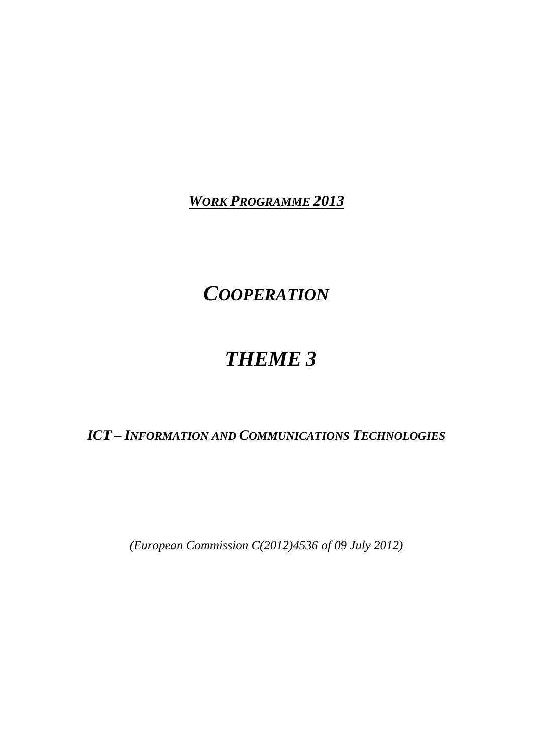*WORK PROGRAMME 2013*

# *COOPERATION*

# *THEME 3*

# *ICT – INFORMATION AND COMMUNICATIONS TECHNOLOGIES*

*(European Commission C(2012)4536 of 09 July 2012)*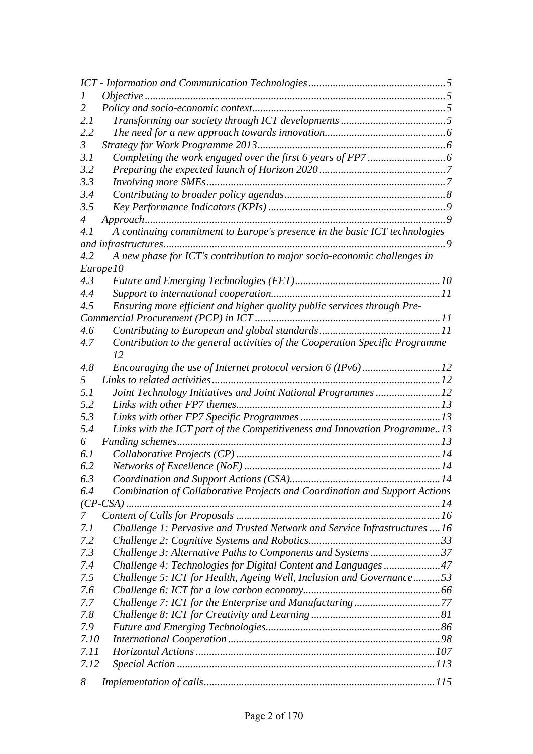| $\prime$       |                                                                              |  |
|----------------|------------------------------------------------------------------------------|--|
| 2              |                                                                              |  |
| 2.1            |                                                                              |  |
| 2.2            |                                                                              |  |
| $\mathfrak{Z}$ |                                                                              |  |
| 3.1            |                                                                              |  |
| 3.2            |                                                                              |  |
| 3.3            |                                                                              |  |
| 3.4            |                                                                              |  |
| 3.5            |                                                                              |  |
| $\overline{4}$ |                                                                              |  |
| 4.1            | A continuing commitment to Europe's presence in the basic ICT technologies   |  |
|                |                                                                              |  |
| 4.2            | A new phase for ICT's contribution to major socio-economic challenges in     |  |
|                | Europe <sub>10</sub>                                                         |  |
| 4.3            |                                                                              |  |
| 4.4            |                                                                              |  |
| 4.5            | Ensuring more efficient and higher quality public services through Pre-      |  |
|                |                                                                              |  |
| 4.6            |                                                                              |  |
| 4.7            | Contribution to the general activities of the Cooperation Specific Programme |  |
|                | 12                                                                           |  |
| 4.8            |                                                                              |  |
| 5              |                                                                              |  |
| 5.1            | Joint Technology Initiatives and Joint National Programmes  12               |  |
| 5.2            |                                                                              |  |
| 5.3            |                                                                              |  |
| 5.4            | Links with the ICT part of the Competitiveness and Innovation Programme13    |  |
| 6              |                                                                              |  |
| 6.1            |                                                                              |  |
| 6.2            |                                                                              |  |
| 6.3            |                                                                              |  |
| 6.4            | Combination of Collaborative Projects and Coordination and Support Actions   |  |
|                | $(CP\text{-}CSA)$                                                            |  |
| 7              |                                                                              |  |
| 7.1            | Challenge 1: Pervasive and Trusted Network and Service Infrastructures  16   |  |
| 7.2            |                                                                              |  |
| 7.3            | Challenge 3: Alternative Paths to Components and Systems37                   |  |
| 7.4            | Challenge 4: Technologies for Digital Content and Languages  47              |  |
| 7.5            | Challenge 5: ICT for Health, Ageing Well, Inclusion and Governance53         |  |
| 7.6            |                                                                              |  |
| 7.7            |                                                                              |  |
| 7.8            |                                                                              |  |
| 7.9            |                                                                              |  |
| 7.10           |                                                                              |  |
| 7.11           |                                                                              |  |
| 7.12           |                                                                              |  |
|                |                                                                              |  |
| 8              |                                                                              |  |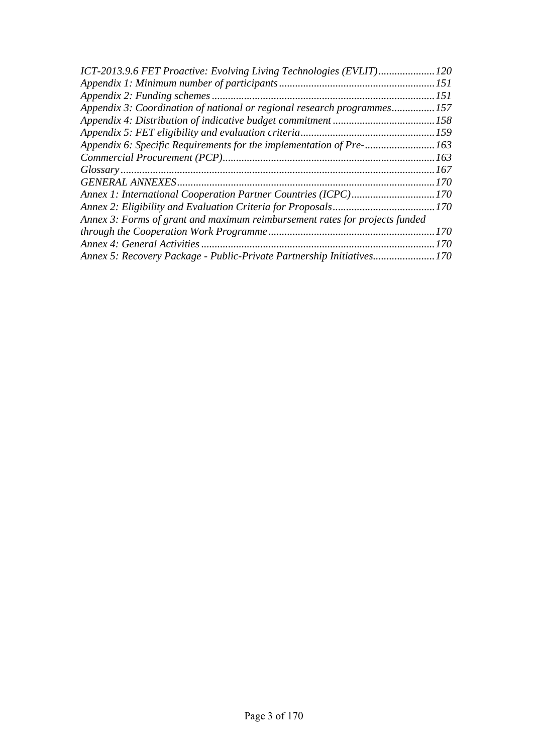| ICT-2013.9.6 FET Proactive: Evolving Living Technologies (EVLIT)120          |  |
|------------------------------------------------------------------------------|--|
|                                                                              |  |
| . 151                                                                        |  |
| .157<br>Appendix 3: Coordination of national or regional research programmes |  |
|                                                                              |  |
|                                                                              |  |
| Appendix 6: Specific Requirements for the implementation of Pre-163          |  |
|                                                                              |  |
| .167                                                                         |  |
|                                                                              |  |
| Annex 1: International Cooperation Partner Countries (ICPC)170               |  |
|                                                                              |  |
| Annex 3: Forms of grant and maximum reimbursement rates for projects funded  |  |
|                                                                              |  |
|                                                                              |  |
| Annex 5: Recovery Package - Public-Private Partnership Initiatives170        |  |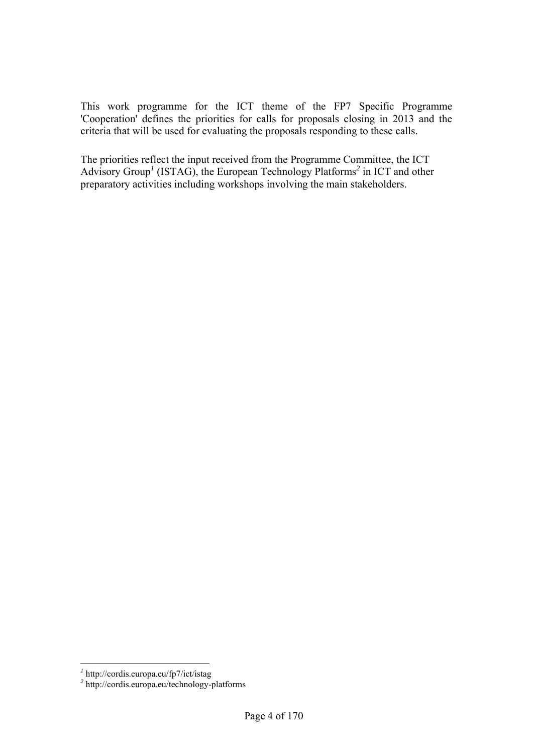This work programme for the ICT theme of the FP7 Specific Programme 'Cooperation' defines the priorities for calls for proposals closing in 2013 and the criteria that will be used for evaluating the proposals responding to these calls.

The priorities reflect the input received from the Programme Committee, the ICT Advisory Group<sup>1</sup> (ISTAG), the European Technology Platforms<sup>2</sup> in ICT and other preparatory activities including workshops involving the main stakeholders.

 *1* http://cordis.europa.eu/fp7/ict/istag *2* http://cordis.europa.eu/technology-platforms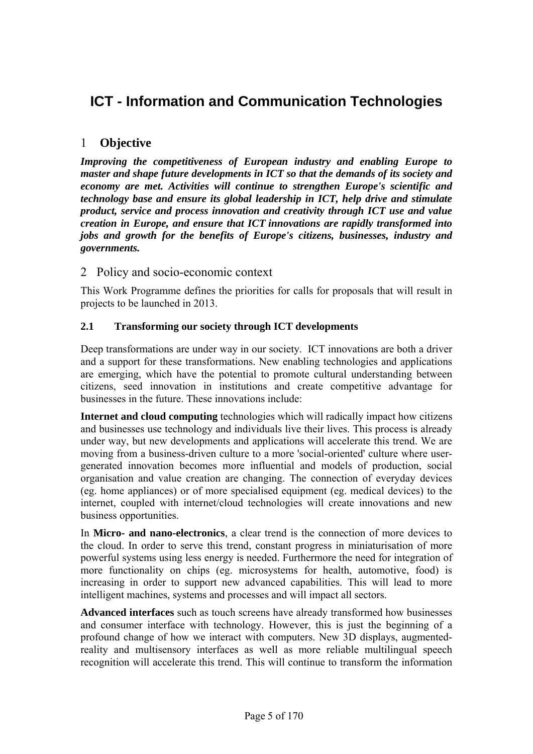# <span id="page-4-0"></span>**ICT - Information and Communication Technologies**

# <span id="page-4-1"></span>1 **Objective**

*Improving the competitiveness of European industry and enabling Europe to master and shape future developments in ICT so that the demands of its society and economy are met. Activities will continue to strengthen Europe's scientific and technology base and ensure its global leadership in ICT, help drive and stimulate product, service and process innovation and creativity through ICT use and value creation in Europe, and ensure that ICT innovations are rapidly transformed into jobs and growth for the benefits of Europe's citizens, businesses, industry and governments.* 

<span id="page-4-2"></span>2 Policy and socio-economic context

This Work Programme defines the priorities for calls for proposals that will result in projects to be launched in 2013.

#### <span id="page-4-3"></span>**2.1 Transforming our society through ICT developments**

Deep transformations are under way in our society. ICT innovations are both a driver and a support for these transformations. New enabling technologies and applications are emerging, which have the potential to promote cultural understanding between citizens, seed innovation in institutions and create competitive advantage for businesses in the future. These innovations include:

**Internet and cloud computing** technologies which will radically impact how citizens and businesses use technology and individuals live their lives. This process is already under way, but new developments and applications will accelerate this trend. We are moving from a business-driven culture to a more 'social-oriented' culture where usergenerated innovation becomes more influential and models of production, social organisation and value creation are changing. The connection of everyday devices (eg. home appliances) or of more specialised equipment (eg. medical devices) to the internet, coupled with internet/cloud technologies will create innovations and new business opportunities.

In **Micro- and nano-electronics**, a clear trend is the connection of more devices to the cloud. In order to serve this trend, constant progress in miniaturisation of more powerful systems using less energy is needed. Furthermore the need for integration of more functionality on chips (eg. microsystems for health, automotive, food) is increasing in order to support new advanced capabilities. This will lead to more intelligent machines, systems and processes and will impact all sectors.

**Advanced interfaces** such as touch screens have already transformed how businesses and consumer interface with technology. However, this is just the beginning of a profound change of how we interact with computers. New 3D displays, augmentedreality and multisensory interfaces as well as more reliable multilingual speech recognition will accelerate this trend. This will continue to transform the information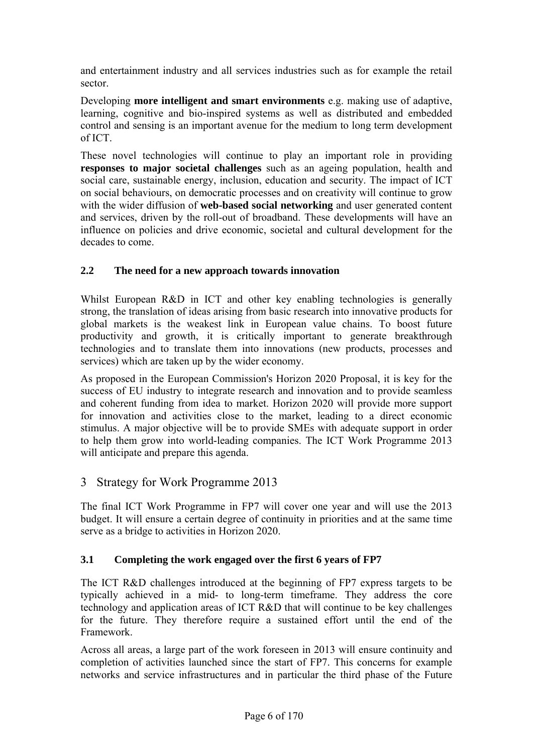and entertainment industry and all services industries such as for example the retail sector.

Developing **more intelligent and smart environments** e.g. making use of adaptive, learning, cognitive and bio-inspired systems as well as distributed and embedded control and sensing is an important avenue for the medium to long term development of ICT.

These novel technologies will continue to play an important role in providing **responses to major societal challenges** such as an ageing population, health and social care, sustainable energy, inclusion, education and security. The impact of ICT on social behaviours, on democratic processes and on creativity will continue to grow with the wider diffusion of **web-based social networking** and user generated content and services, driven by the roll-out of broadband. These developments will have an influence on policies and drive economic, societal and cultural development for the decades to come.

# <span id="page-5-0"></span>**2.2 The need for a new approach towards innovation**

Whilst European R&D in ICT and other key enabling technologies is generally strong, the translation of ideas arising from basic research into innovative products for global markets is the weakest link in European value chains. To boost future productivity and growth, it is critically important to generate breakthrough technologies and to translate them into innovations (new products, processes and services) which are taken up by the wider economy.

As proposed in the European Commission's Horizon 2020 Proposal, it is key for the success of EU industry to integrate research and innovation and to provide seamless and coherent funding from idea to market. Horizon 2020 will provide more support for innovation and activities close to the market, leading to a direct economic stimulus. A major objective will be to provide SMEs with adequate support in order to help them grow into world-leading companies. The ICT Work Programme 2013 will anticipate and prepare this agenda.

# <span id="page-5-1"></span>3 Strategy for Work Programme 2013

The final ICT Work Programme in FP7 will cover one year and will use the 2013 budget. It will ensure a certain degree of continuity in priorities and at the same time serve as a bridge to activities in Horizon 2020.

# <span id="page-5-2"></span>**3.1 Completing the work engaged over the first 6 years of FP7**

The ICT R&D challenges introduced at the beginning of FP7 express targets to be typically achieved in a mid- to long-term timeframe. They address the core technology and application areas of ICT R&D that will continue to be key challenges for the future. They therefore require a sustained effort until the end of the Framework.

Across all areas, a large part of the work foreseen in 2013 will ensure continuity and completion of activities launched since the start of FP7. This concerns for example networks and service infrastructures and in particular the third phase of the Future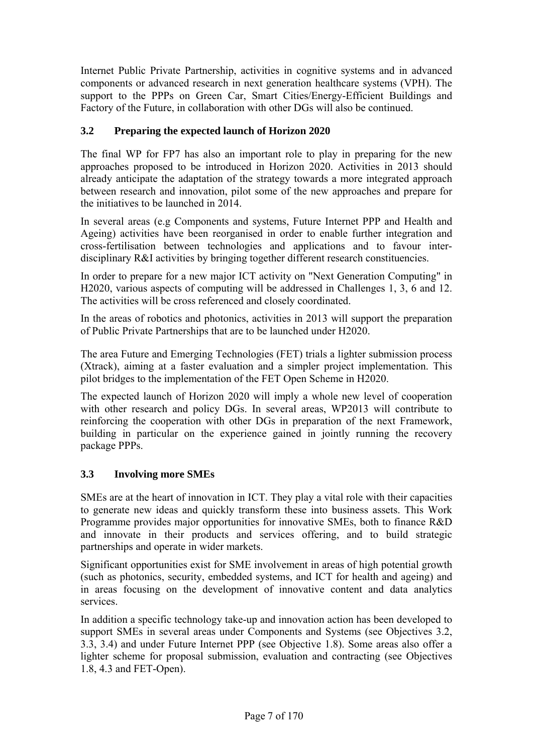Internet Public Private Partnership, activities in cognitive systems and in advanced components or advanced research in next generation healthcare systems (VPH). The support to the PPPs on Green Car, Smart Cities/Energy-Efficient Buildings and Factory of the Future, in collaboration with other DGs will also be continued.

# <span id="page-6-0"></span>**3.2 Preparing the expected launch of Horizon 2020**

The final WP for FP7 has also an important role to play in preparing for the new approaches proposed to be introduced in Horizon 2020. Activities in 2013 should already anticipate the adaptation of the strategy towards a more integrated approach between research and innovation, pilot some of the new approaches and prepare for the initiatives to be launched in 2014.

In several areas (e.g Components and systems, Future Internet PPP and Health and Ageing) activities have been reorganised in order to enable further integration and cross-fertilisation between technologies and applications and to favour interdisciplinary R&I activities by bringing together different research constituencies.

In order to prepare for a new major ICT activity on "Next Generation Computing" in H2020, various aspects of computing will be addressed in Challenges 1, 3, 6 and 12. The activities will be cross referenced and closely coordinated.

In the areas of robotics and photonics, activities in 2013 will support the preparation of Public Private Partnerships that are to be launched under H2020.

The area Future and Emerging Technologies (FET) trials a lighter submission process (Xtrack), aiming at a faster evaluation and a simpler project implementation. This pilot bridges to the implementation of the FET Open Scheme in H2020.

The expected launch of Horizon 2020 will imply a whole new level of cooperation with other research and policy DGs. In several areas, WP2013 will contribute to reinforcing the cooperation with other DGs in preparation of the next Framework, building in particular on the experience gained in jointly running the recovery package PPPs.

#### <span id="page-6-1"></span>**3.3 Involving more SMEs**

SMEs are at the heart of innovation in ICT. They play a vital role with their capacities to generate new ideas and quickly transform these into business assets. This Work Programme provides major opportunities for innovative SMEs, both to finance R&D and innovate in their products and services offering, and to build strategic partnerships and operate in wider markets.

Significant opportunities exist for SME involvement in areas of high potential growth (such as photonics, security, embedded systems, and ICT for health and ageing) and in areas focusing on the development of innovative content and data analytics services.

In addition a specific technology take-up and innovation action has been developed to support SMEs in several areas under Components and Systems (see Objectives 3.2, 3.3, 3.4) and under Future Internet PPP (see Objective 1.8). Some areas also offer a lighter scheme for proposal submission, evaluation and contracting (see Objectives 1.8, 4.3 and FET-Open).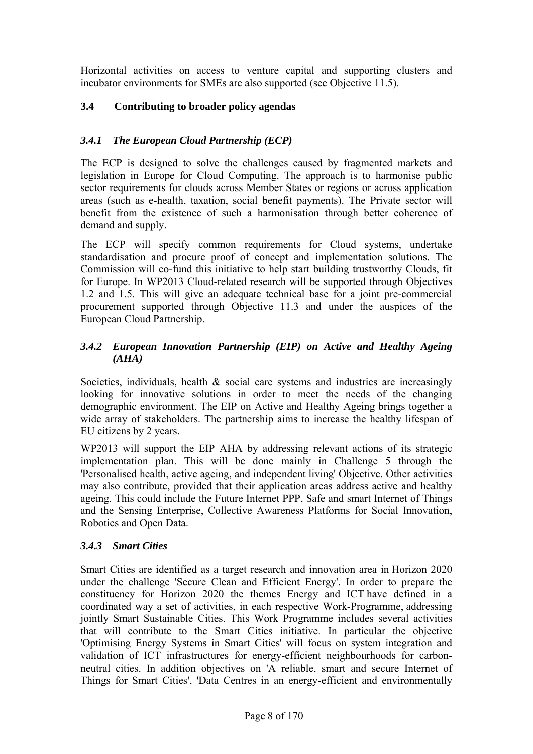Horizontal activities on access to venture capital and supporting clusters and incubator environments for SMEs are also supported (see Objective 11.5).

# <span id="page-7-0"></span>**3.4 Contributing to broader policy agendas**

# *3.4.1 The European Cloud Partnership (ECP)*

The ECP is designed to solve the challenges caused by fragmented markets and legislation in Europe for Cloud Computing. The approach is to harmonise public sector requirements for clouds across Member States or regions or across application areas (such as e-health, taxation, social benefit payments). The Private sector will benefit from the existence of such a harmonisation through better coherence of demand and supply.

The ECP will specify common requirements for Cloud systems, undertake standardisation and procure proof of concept and implementation solutions. The Commission will co-fund this initiative to help start building trustworthy Clouds, fit for Europe. In WP2013 Cloud-related research will be supported through Objectives 1.2 and 1.5. This will give an adequate technical base for a joint pre-commercial procurement supported through Objective 11.3 and under the auspices of the European Cloud Partnership.

# *3.4.2 European Innovation Partnership (EIP) on Active and Healthy Ageing (AHA)*

Societies, individuals, health & social care systems and industries are increasingly looking for innovative solutions in order to meet the needs of the changing demographic environment. The EIP on Active and Healthy Ageing brings together a wide array of stakeholders. The partnership aims to increase the healthy lifespan of EU citizens by 2 years.

WP2013 will support the EIP AHA by addressing relevant actions of its strategic implementation plan. This will be done mainly in Challenge 5 through the 'Personalised health, active ageing, and independent living' Objective. Other activities may also contribute, provided that their application areas address active and healthy ageing. This could include the Future Internet PPP, Safe and smart Internet of Things and the Sensing Enterprise, Collective Awareness Platforms for Social Innovation, Robotics and Open Data.

#### *3.4.3 Smart Cities*

Smart Cities are identified as a target research and innovation area in Horizon 2020 under the challenge 'Secure Clean and Efficient Energy'. In order to prepare the constituency for Horizon 2020 the themes Energy and ICT have defined in a coordinated way a set of activities, in each respective Work-Programme, addressing jointly Smart Sustainable Cities. This Work Programme includes several activities that will contribute to the Smart Cities initiative. In particular the objective 'Optimising Energy Systems in Smart Cities' will focus on system integration and validation of ICT infrastructures for energy-efficient neighbourhoods for carbonneutral cities. In addition objectives on 'A reliable, smart and secure Internet of Things for Smart Cities', 'Data Centres in an energy-efficient and environmentally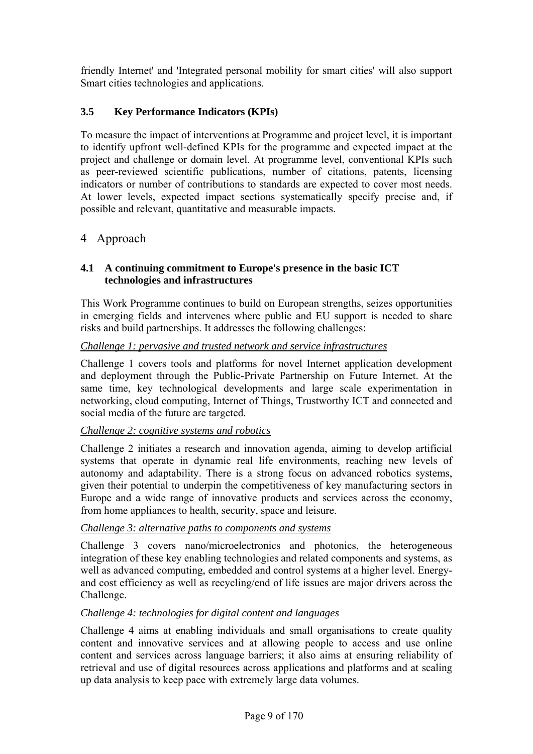friendly Internet' and 'Integrated personal mobility for smart cities' will also support Smart cities technologies and applications.

# <span id="page-8-0"></span>**3.5 Key Performance Indicators (KPIs)**

To measure the impact of interventions at Programme and project level, it is important to identify upfront well-defined KPIs for the programme and expected impact at the project and challenge or domain level. At programme level, conventional KPIs such as peer-reviewed scientific publications, number of citations, patents, licensing indicators or number of contributions to standards are expected to cover most needs. At lower levels, expected impact sections systematically specify precise and, if possible and relevant, quantitative and measurable impacts.

# <span id="page-8-1"></span>4 Approach

#### <span id="page-8-2"></span>**4.1 A continuing commitment to Europe's presence in the basic ICT technologies and infrastructures**

This Work Programme continues to build on European strengths, seizes opportunities in emerging fields and intervenes where public and EU support is needed to share risks and build partnerships. It addresses the following challenges:

# *Challenge 1: pervasive and trusted network and service infrastructures*

Challenge 1 covers tools and platforms for novel Internet application development and deployment through the Public-Private Partnership on Future Internet. At the same time, key technological developments and large scale experimentation in networking, cloud computing, Internet of Things, Trustworthy ICT and connected and social media of the future are targeted.

#### *Challenge 2: cognitive systems and robotics*

Challenge 2 initiates a research and innovation agenda, aiming to develop artificial systems that operate in dynamic real life environments, reaching new levels of autonomy and adaptability. There is a strong focus on advanced robotics systems, given their potential to underpin the competitiveness of key manufacturing sectors in Europe and a wide range of innovative products and services across the economy, from home appliances to health, security, space and leisure.

#### *Challenge 3: alternative paths to components and systems*

Challenge 3 covers nano/microelectronics and photonics, the heterogeneous integration of these key enabling technologies and related components and systems, as well as advanced computing, embedded and control systems at a higher level. Energyand cost efficiency as well as recycling/end of life issues are major drivers across the Challenge.

#### *Challenge 4: technologies for digital content and languages*

Challenge 4 aims at enabling individuals and small organisations to create quality content and innovative services and at allowing people to access and use online content and services across language barriers; it also aims at ensuring reliability of retrieval and use of digital resources across applications and platforms and at scaling up data analysis to keep pace with extremely large data volumes.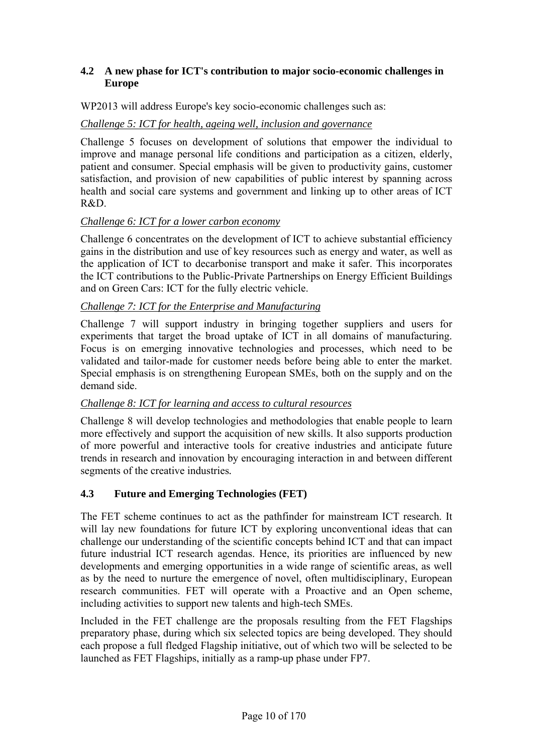#### <span id="page-9-0"></span>**4.2 A new phase for ICT's contribution to major socio-economic challenges in Europe**

WP2013 will address Europe's key socio-economic challenges such as:

# *Challenge 5: ICT for health, ageing well, inclusion and governance*

Challenge 5 focuses on development of solutions that empower the individual to improve and manage personal life conditions and participation as a citizen, elderly, patient and consumer. Special emphasis will be given to productivity gains, customer satisfaction, and provision of new capabilities of public interest by spanning across health and social care systems and government and linking up to other areas of ICT R&D.

#### *Challenge 6: ICT for a lower carbon economy*

Challenge 6 concentrates on the development of ICT to achieve substantial efficiency gains in the distribution and use of key resources such as energy and water, as well as the application of ICT to decarbonise transport and make it safer. This incorporates the ICT contributions to the Public-Private Partnerships on Energy Efficient Buildings and on Green Cars: ICT for the fully electric vehicle.

#### *Challenge 7: ICT for the Enterprise and Manufacturing*

Challenge 7 will support industry in bringing together suppliers and users for experiments that target the broad uptake of ICT in all domains of manufacturing. Focus is on emerging innovative technologies and processes, which need to be validated and tailor-made for customer needs before being able to enter the market. Special emphasis is on strengthening European SMEs, both on the supply and on the demand side.

#### *Challenge 8: ICT for learning and access to cultural resources*

Challenge 8 will develop technologies and methodologies that enable people to learn more effectively and support the acquisition of new skills. It also supports production of more powerful and interactive tools for creative industries and anticipate future trends in research and innovation by encouraging interaction in and between different segments of the creative industries*.*

# <span id="page-9-1"></span>**4.3 Future and Emerging Technologies (FET)**

The FET scheme continues to act as the pathfinder for mainstream ICT research. It will lay new foundations for future ICT by exploring unconventional ideas that can challenge our understanding of the scientific concepts behind ICT and that can impact future industrial ICT research agendas. Hence, its priorities are influenced by new developments and emerging opportunities in a wide range of scientific areas, as well as by the need to nurture the emergence of novel, often multidisciplinary, European research communities. FET will operate with a Proactive and an Open scheme, including activities to support new talents and high-tech SMEs.

Included in the FET challenge are the proposals resulting from the FET Flagships preparatory phase, during which six selected topics are being developed. They should each propose a full fledged Flagship initiative, out of which two will be selected to be launched as FET Flagships, initially as a ramp-up phase under FP7.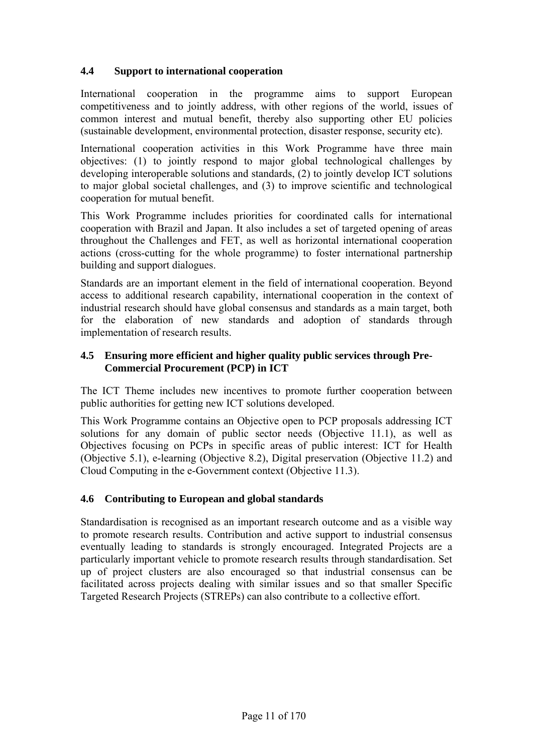# <span id="page-10-0"></span>**4.4 Support to international cooperation**

International cooperation in the programme aims to support European competitiveness and to jointly address, with other regions of the world, issues of common interest and mutual benefit, thereby also supporting other EU policies (sustainable development, environmental protection, disaster response, security etc).

International cooperation activities in this Work Programme have three main objectives: (1) to jointly respond to major global technological challenges by developing interoperable solutions and standards, (2) to jointly develop ICT solutions to major global societal challenges, and (3) to improve scientific and technological cooperation for mutual benefit.

This Work Programme includes priorities for coordinated calls for international cooperation with Brazil and Japan. It also includes a set of targeted opening of areas throughout the Challenges and FET, as well as horizontal international cooperation actions (cross-cutting for the whole programme) to foster international partnership building and support dialogues.

Standards are an important element in the field of international cooperation. Beyond access to additional research capability, international cooperation in the context of industrial research should have global consensus and standards as a main target, both for the elaboration of new standards and adoption of standards through implementation of research results.

#### <span id="page-10-1"></span>**4.5 Ensuring more efficient and higher quality public services through Pre-Commercial Procurement (PCP) in ICT**

The ICT Theme includes new incentives to promote further cooperation between public authorities for getting new ICT solutions developed.

This Work Programme contains an Objective open to PCP proposals addressing ICT solutions for any domain of public sector needs (Objective 11.1), as well as Objectives focusing on PCPs in specific areas of public interest: ICT for Health (Objective 5.1), e-learning (Objective 8.2), Digital preservation (Objective 11.2) and Cloud Computing in the e-Government context (Objective 11.3).

#### <span id="page-10-2"></span>**4.6 Contributing to European and global standards**

Standardisation is recognised as an important research outcome and as a visible way to promote research results. Contribution and active support to industrial consensus eventually leading to standards is strongly encouraged. Integrated Projects are a particularly important vehicle to promote research results through standardisation. Set up of project clusters are also encouraged so that industrial consensus can be facilitated across projects dealing with similar issues and so that smaller Specific Targeted Research Projects (STREPs) can also contribute to a collective effort.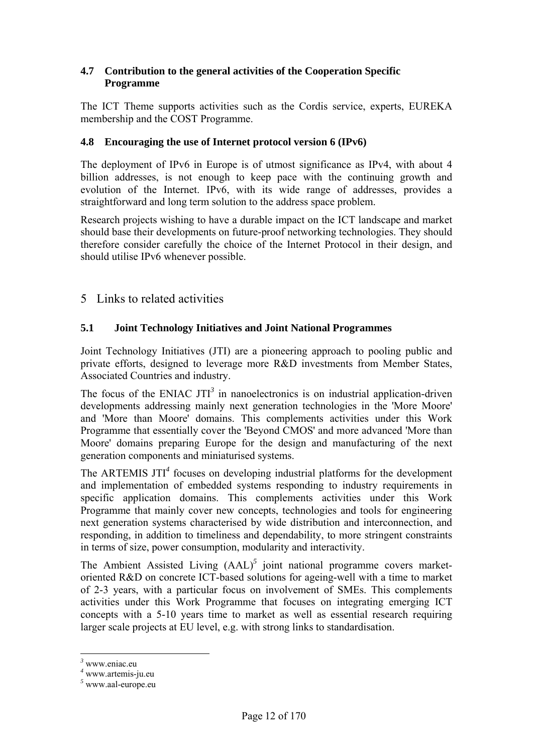#### <span id="page-11-0"></span>**4.7 Contribution to the general activities of the Cooperation Specific Programme**

The ICT Theme supports activities such as the Cordis service, experts, EUREKA membership and the COST Programme.

#### <span id="page-11-1"></span>**4.8 Encouraging the use of Internet protocol version 6 (IPv6)**

The deployment of IPv6 in Europe is of utmost significance as IPv4, with about 4 billion addresses, is not enough to keep pace with the continuing growth and evolution of the Internet. IPv6, with its wide range of addresses, provides a straightforward and long term solution to the address space problem.

Research projects wishing to have a durable impact on the ICT landscape and market should base their developments on future-proof networking technologies. They should therefore consider carefully the choice of the Internet Protocol in their design, and should utilise IPv6 whenever possible.

# <span id="page-11-2"></span>5 Links to related activities

# <span id="page-11-3"></span>**5.1 Joint Technology Initiatives and Joint National Programmes**

Joint Technology Initiatives (JTI) are a pioneering approach to pooling public and private efforts, designed to leverage more R&D investments from Member States, Associated Countries and industry.

The focus of the ENIAC JTI<sup>3</sup> in nanoelectronics is on industrial application-driven developments addressing mainly next generation technologies in the 'More Moore' and 'More than Moore' domains. This complements activities under this Work Programme that essentially cover the 'Beyond CMOS' and more advanced 'More than Moore' domains preparing Europe for the design and manufacturing of the next generation components and miniaturised systems.

The ARTEMIS JTI<sup>4</sup> focuses on developing industrial platforms for the development and implementation of embedded systems responding to industry requirements in specific application domains. This complements activities under this Work Programme that mainly cover new concepts, technologies and tools for engineering next generation systems characterised by wide distribution and interconnection, and responding, in addition to timeliness and dependability, to more stringent constraints in terms of size, power consumption, modularity and interactivity.

The Ambient Assisted Living (AAL)<sup>5</sup> joint national programme covers marketoriented R&D on concrete ICT-based solutions for ageing-well with a time to market of 2-3 years, with a particular focus on involvement of SMEs. This complements activities under this Work Programme that focuses on integrating emerging ICT concepts with a 5-10 years time to market as well as essential research requiring larger scale projects at EU level, e.g. with strong links to standardisation.

1

*<sup>3</sup>* www.eniac.eu

*<sup>4</sup>* www.artemis-ju.eu

*<sup>5</sup>* www.aal-europe.eu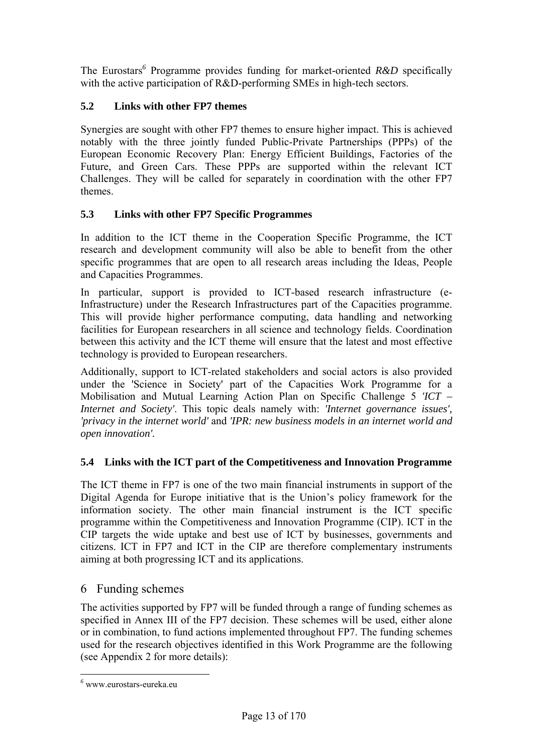The Eurostars<sup>6</sup> Programme provides funding for market-oriented *R&D* specifically with the active participation of R&D-performing SMEs in high-tech sectors.

# <span id="page-12-0"></span>**5.2 Links with other FP7 themes**

Synergies are sought with other FP7 themes to ensure higher impact. This is achieved notably with the three jointly funded Public-Private Partnerships (PPPs) of the European Economic Recovery Plan: Energy Efficient Buildings, Factories of the Future, and Green Cars. These PPPs are supported within the relevant ICT Challenges. They will be called for separately in coordination with the other FP7 themes.

# <span id="page-12-1"></span>**5.3 Links with other FP7 Specific Programmes**

In addition to the ICT theme in the Cooperation Specific Programme, the ICT research and development community will also be able to benefit from the other specific programmes that are open to all research areas including the Ideas, People and Capacities Programmes.

In particular, support is provided to ICT-based research infrastructure (e-Infrastructure) under the Research Infrastructures part of the Capacities programme. This will provide higher performance computing, data handling and networking facilities for European researchers in all science and technology fields. Coordination between this activity and the ICT theme will ensure that the latest and most effective technology is provided to European researchers.

Additionally, support to ICT-related stakeholders and social actors is also provided under the 'Science in Society' part of the Capacities Work Programme for a Mobilisation and Mutual Learning Action Plan on Specific Challenge 5 *'ICT – Internet and Society'*. This topic deals namely with: *'Internet governance issues', 'privacy in the internet world'* and *'IPR: new business models in an internet world and open innovation'.*

# <span id="page-12-2"></span>**5.4 Links with the ICT part of the Competitiveness and Innovation Programme**

The ICT theme in FP7 is one of the two main financial instruments in support of the Digital Agenda for Europe initiative that is the Union's policy framework for the information society. The other main financial instrument is the ICT specific programme within the Competitiveness and Innovation Programme (CIP). ICT in the CIP targets the wide uptake and best use of ICT by businesses, governments and citizens. ICT in FP7 and ICT in the CIP are therefore complementary instruments aiming at both progressing ICT and its applications.

# <span id="page-12-3"></span>6 Funding schemes

The activities supported by FP7 will be funded through a range of funding schemes as specified in Annex III of the FP7 decision. These schemes will be used, either alone or in combination, to fund actions implemented throughout FP7. The funding schemes used for the research objectives identified in this Work Programme are the following (see Appendix 2 for more details):

1

*<sup>6</sup>* www.eurostars-eureka.eu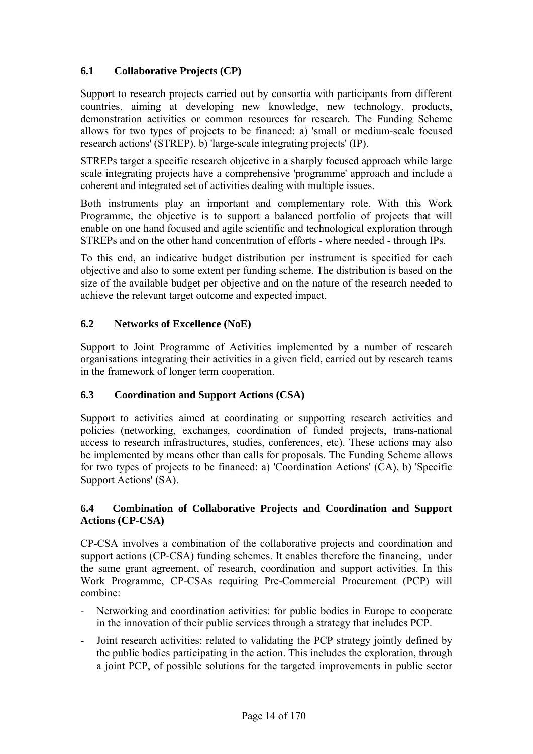# <span id="page-13-0"></span>**6.1 Collaborative Projects (CP)**

Support to research projects carried out by consortia with participants from different countries, aiming at developing new knowledge, new technology, products, demonstration activities or common resources for research. The Funding Scheme allows for two types of projects to be financed: a) 'small or medium-scale focused research actions' (STREP), b) 'large-scale integrating projects' (IP).

STREPs target a specific research objective in a sharply focused approach while large scale integrating projects have a comprehensive 'programme' approach and include a coherent and integrated set of activities dealing with multiple issues.

Both instruments play an important and complementary role. With this Work Programme, the objective is to support a balanced portfolio of projects that will enable on one hand focused and agile scientific and technological exploration through STREPs and on the other hand concentration of efforts - where needed - through IPs.

To this end, an indicative budget distribution per instrument is specified for each objective and also to some extent per funding scheme. The distribution is based on the size of the available budget per objective and on the nature of the research needed to achieve the relevant target outcome and expected impact.

# <span id="page-13-1"></span>**6.2 Networks of Excellence (NoE)**

Support to Joint Programme of Activities implemented by a number of research organisations integrating their activities in a given field, carried out by research teams in the framework of longer term cooperation.

# <span id="page-13-2"></span>**6.3 Coordination and Support Actions (CSA)**

Support to activities aimed at coordinating or supporting research activities and policies (networking, exchanges, coordination of funded projects, trans-national access to research infrastructures, studies, conferences, etc). These actions may also be implemented by means other than calls for proposals. The Funding Scheme allows for two types of projects to be financed: a) 'Coordination Actions' (CA), b) 'Specific Support Actions' (SA).

# <span id="page-13-3"></span>**6.4 Combination of Collaborative Projects and Coordination and Support Actions (CP-CSA)**

CP-CSA involves a combination of the collaborative projects and coordination and support actions (CP-CSA) funding schemes. It enables therefore the financing, under the same grant agreement, of research, coordination and support activities. In this Work Programme, CP-CSAs requiring Pre-Commercial Procurement (PCP) will combine:

- Networking and coordination activities: for public bodies in Europe to cooperate in the innovation of their public services through a strategy that includes PCP.
- Joint research activities: related to validating the PCP strategy jointly defined by the public bodies participating in the action. This includes the exploration, through a joint PCP, of possible solutions for the targeted improvements in public sector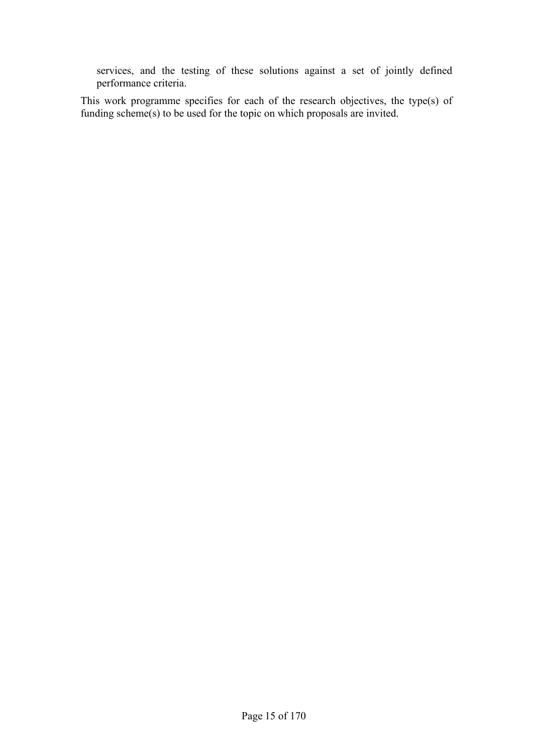services, and the testing of these solutions against a set of jointly defined performance criteria.

This work programme specifies for each of the research objectives, the type(s) of funding scheme(s) to be used for the topic on which proposals are invited.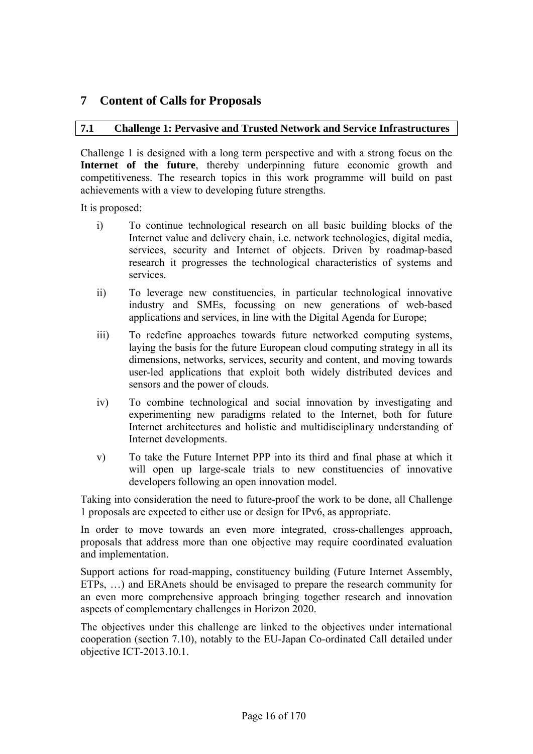# <span id="page-15-0"></span>**7 Content of Calls for Proposals**

#### <span id="page-15-1"></span>**7.1 Challenge 1: Pervasive and Trusted Network and Service Infrastructures**

Challenge 1 is designed with a long term perspective and with a strong focus on the **Internet of the future**, thereby underpinning future economic growth and competitiveness. The research topics in this work programme will build on past achievements with a view to developing future strengths.

It is proposed:

- i) To continue technological research on all basic building blocks of the Internet value and delivery chain, i.e. network technologies, digital media, services, security and Internet of objects. Driven by roadmap-based research it progresses the technological characteristics of systems and services.
- ii) To leverage new constituencies, in particular technological innovative industry and SMEs, focussing on new generations of web-based applications and services, in line with the Digital Agenda for Europe;
- iii) To redefine approaches towards future networked computing systems, laying the basis for the future European cloud computing strategy in all its dimensions, networks, services, security and content, and moving towards user-led applications that exploit both widely distributed devices and sensors and the power of clouds.
- iv) To combine technological and social innovation by investigating and experimenting new paradigms related to the Internet, both for future Internet architectures and holistic and multidisciplinary understanding of Internet developments.
- v) To take the Future Internet PPP into its third and final phase at which it will open up large-scale trials to new constituencies of innovative developers following an open innovation model.

Taking into consideration the need to future-proof the work to be done, all Challenge 1 proposals are expected to either use or design for IPv6, as appropriate.

In order to move towards an even more integrated, cross-challenges approach, proposals that address more than one objective may require coordinated evaluation and implementation.

Support actions for road-mapping, constituency building (Future Internet Assembly, ETPs, …) and ERAnets should be envisaged to prepare the research community for an even more comprehensive approach bringing together research and innovation aspects of complementary challenges in Horizon 2020.

The objectives under this challenge are linked to the objectives under international cooperation (section 7.10), notably to the EU-Japan Co-ordinated Call detailed under objective ICT-2013.10.1.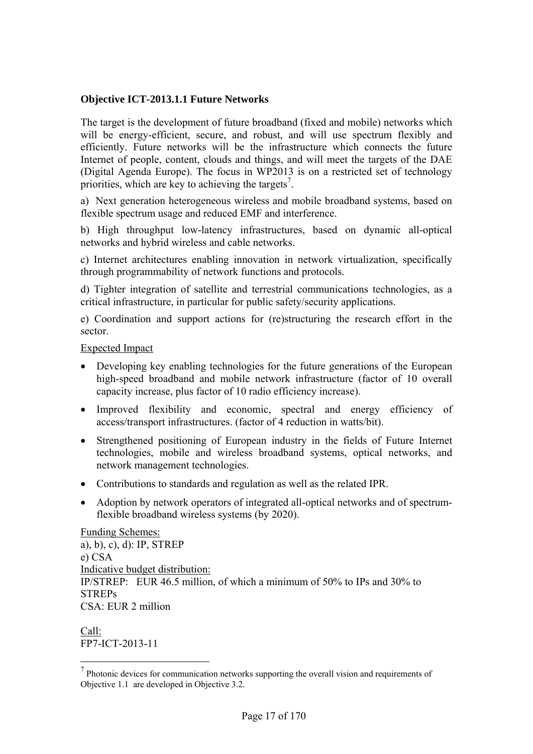#### **Objective ICT-2013.1.1 Future Networks**

The target is the development of future broadband (fixed and mobile) networks which will be energy-efficient, secure, and robust, and will use spectrum flexibly and efficiently. Future networks will be the infrastructure which connects the future Internet of people, content, clouds and things, and will meet the targets of the DAE (Digital Agenda Europe). The focus in WP2013 is on a restricted set of technology priorities, which are key to achieving the targets<sup>7</sup>.

a) Next generation heterogeneous wireless and mobile broadband systems, based on flexible spectrum usage and reduced EMF and interference.

b) High throughput low-latency infrastructures, based on dynamic all-optical networks and hybrid wireless and cable networks.

c) Internet architectures enabling innovation in network virtualization, specifically through programmability of network functions and protocols.

d) Tighter integration of satellite and terrestrial communications technologies, as a critical infrastructure, in particular for public safety/security applications.

e) Coordination and support actions for (re)structuring the research effort in the sector.

#### Expected Impact

- Developing key enabling technologies for the future generations of the European high-speed broadband and mobile network infrastructure (factor of 10 overall capacity increase, plus factor of 10 radio efficiency increase).
- Improved flexibility and economic, spectral and energy efficiency of access/transport infrastructures. (factor of 4 reduction in watts/bit).
- Strengthened positioning of European industry in the fields of Future Internet technologies, mobile and wireless broadband systems, optical networks, and network management technologies.
- Contributions to standards and regulation as well as the related IPR.
- Adoption by network operators of integrated all-optical networks and of spectrumflexible broadband wireless systems (by 2020).

Funding Schemes: a), b), c), d): IP, STREP e) CSA Indicative budget distribution: IP/STREP: EUR 46.5 million, of which a minimum of 50% to IPs and 30% to STREPs  $CSA \cdot EIR$  2 million

Call: FP7-ICT-2013-11

<u>.</u>

 $<sup>7</sup>$  Photonic devices for communication networks supporting the overall vision and requirements of</sup> Objective 1.1 are developed in Objective 3.2.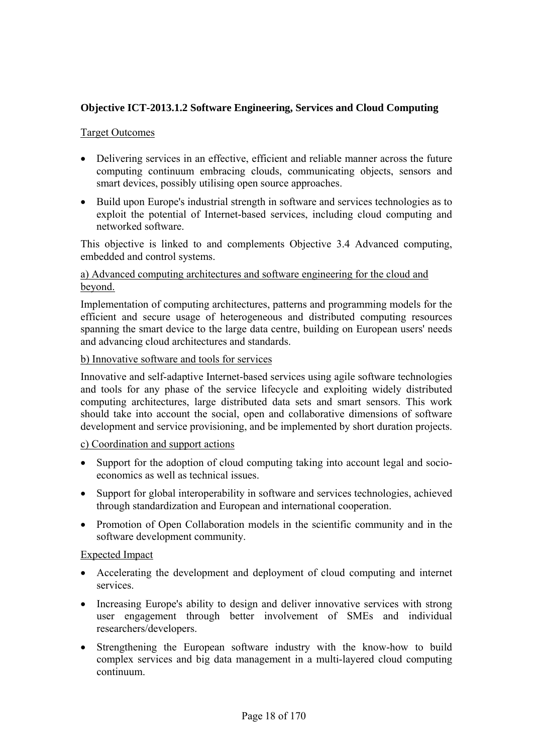# **Objective ICT-2013.1.2 Software Engineering, Services and Cloud Computing**

#### Target Outcomes

- Delivering services in an effective, efficient and reliable manner across the future computing continuum embracing clouds, communicating objects, sensors and smart devices, possibly utilising open source approaches.
- Build upon Europe's industrial strength in software and services technologies as to exploit the potential of Internet-based services, including cloud computing and networked software.

This objective is linked to and complements Objective 3.4 Advanced computing, embedded and control systems.

#### a) Advanced computing architectures and software engineering for the cloud and beyond.

Implementation of computing architectures, patterns and programming models for the efficient and secure usage of heterogeneous and distributed computing resources spanning the smart device to the large data centre, building on European users' needs and advancing cloud architectures and standards.

#### b) Innovative software and tools for services

Innovative and self-adaptive Internet-based services using agile software technologies and tools for any phase of the service lifecycle and exploiting widely distributed computing architectures, large distributed data sets and smart sensors. This work should take into account the social, open and collaborative dimensions of software development and service provisioning, and be implemented by short duration projects.

#### c) Coordination and support actions

- Support for the adoption of cloud computing taking into account legal and socioeconomics as well as technical issues.
- Support for global interoperability in software and services technologies, achieved through standardization and European and international cooperation.
- Promotion of Open Collaboration models in the scientific community and in the software development community.

#### Expected Impact

- Accelerating the development and deployment of cloud computing and internet services.
- Increasing Europe's ability to design and deliver innovative services with strong user engagement through better involvement of SMEs and individual researchers/developers.
- Strengthening the European software industry with the know-how to build complex services and big data management in a multi-layered cloud computing continuum.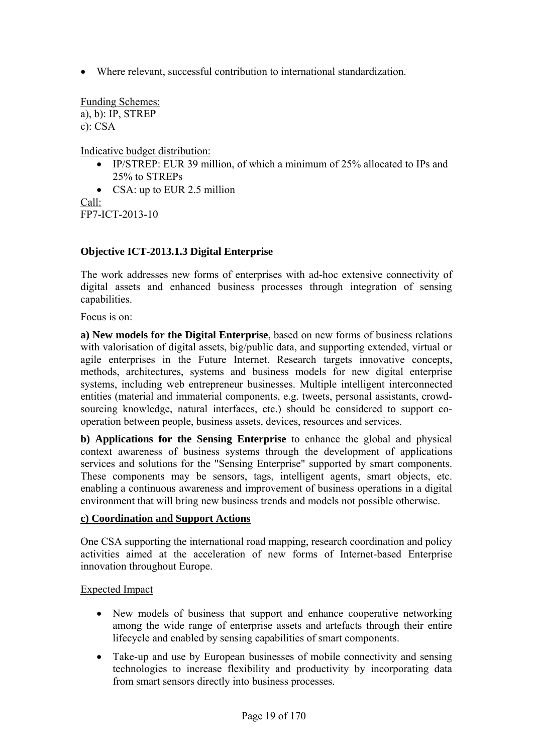• Where relevant, successful contribution to international standardization.

Funding Schemes: a), b): IP, STREP c): CSA

Indicative budget distribution:

- IP/STREP: EUR 39 million, of which a minimum of 25% allocated to IPs and 25% to STREPs
- CSA: up to EUR 2.5 million

Call: FP7-ICT-2013-10

#### **Objective ICT-2013.1.3 Digital Enterprise**

The work addresses new forms of enterprises with ad-hoc extensive connectivity of digital assets and enhanced business processes through integration of sensing capabilities.

Focus is on:

**a) New models for the Digital Enterprise**, based on new forms of business relations with valorisation of digital assets, big/public data, and supporting extended, virtual or agile enterprises in the Future Internet. Research targets innovative concepts, methods, architectures, systems and business models for new digital enterprise systems, including web entrepreneur businesses. Multiple intelligent interconnected entities (material and immaterial components, e.g. tweets, personal assistants, crowdsourcing knowledge, natural interfaces, etc.) should be considered to support cooperation between people, business assets, devices, resources and services.

**b) Applications for the Sensing Enterprise** to enhance the global and physical context awareness of business systems through the development of applications services and solutions for the "Sensing Enterprise" supported by smart components. These components may be sensors, tags, intelligent agents, smart objects, etc. enabling a continuous awareness and improvement of business operations in a digital environment that will bring new business trends and models not possible otherwise.

#### **c) Coordination and Support Actions**

One CSA supporting the international road mapping, research coordination and policy activities aimed at the acceleration of new forms of Internet-based Enterprise innovation throughout Europe.

#### Expected Impact

- New models of business that support and enhance cooperative networking among the wide range of enterprise assets and artefacts through their entire lifecycle and enabled by sensing capabilities of smart components.
- Take-up and use by European businesses of mobile connectivity and sensing technologies to increase flexibility and productivity by incorporating data from smart sensors directly into business processes.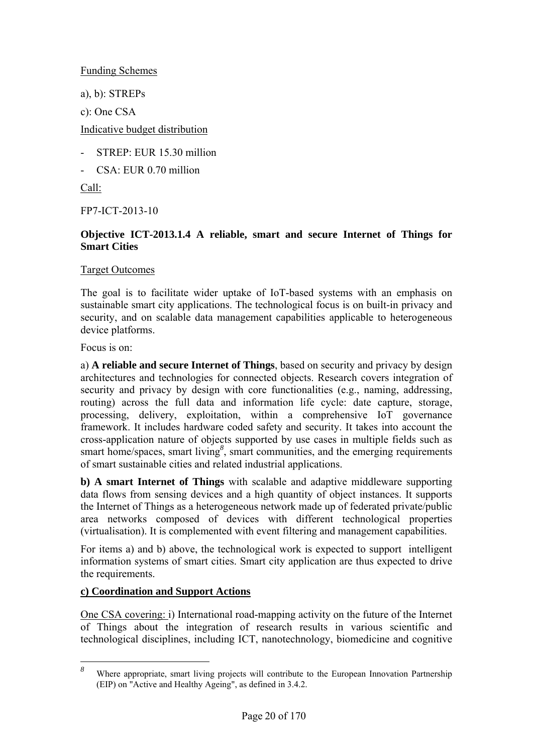# Funding Schemes

a), b): STREPs

c): One CSA

Indicative budget distribution

- STREP: EUR 15.30 million
- CSA: EUR 0.70 million

Call:

FP7-ICT-2013-10

# **Objective ICT-2013.1.4 A reliable, smart and secure Internet of Things for Smart Cities**

#### Target Outcomes

The goal is to facilitate wider uptake of IoT-based systems with an emphasis on sustainable smart city applications. The technological focus is on built-in privacy and security, and on scalable data management capabilities applicable to heterogeneous device platforms.

Focus is on:

a) **A reliable and secure Internet of Things**, based on security and privacy by design architectures and technologies for connected objects. Research covers integration of security and privacy by design with core functionalities (e.g., naming, addressing, routing) across the full data and information life cycle: date capture, storage, processing, delivery, exploitation, within a comprehensive IoT governance framework. It includes hardware coded safety and security. It takes into account the cross-application nature of objects supported by use cases in multiple fields such as smart home/spaces, smart living<sup>8</sup>, smart communities, and the emerging requirements of smart sustainable cities and related industrial applications.

**b) A smart Internet of Things** with scalable and adaptive middleware supporting data flows from sensing devices and a high quantity of object instances. It supports the Internet of Things as a heterogeneous network made up of federated private/public area networks composed of devices with different technological properties (virtualisation). It is complemented with event filtering and management capabilities.

For items a) and b) above, the technological work is expected to support intelligent information systems of smart cities. Smart city application are thus expected to drive the requirements.

# **c) Coordination and Support Actions**

One CSA covering: i) International road-mapping activity on the future of the Internet of Things about the integration of research results in various scientific and technological disciplines, including ICT, nanotechnology, biomedicine and cognitive

 *8* Where appropriate, smart living projects will contribute to the European Innovation Partnership (EIP) on "Active and Healthy Ageing", as defined in 3.4.2.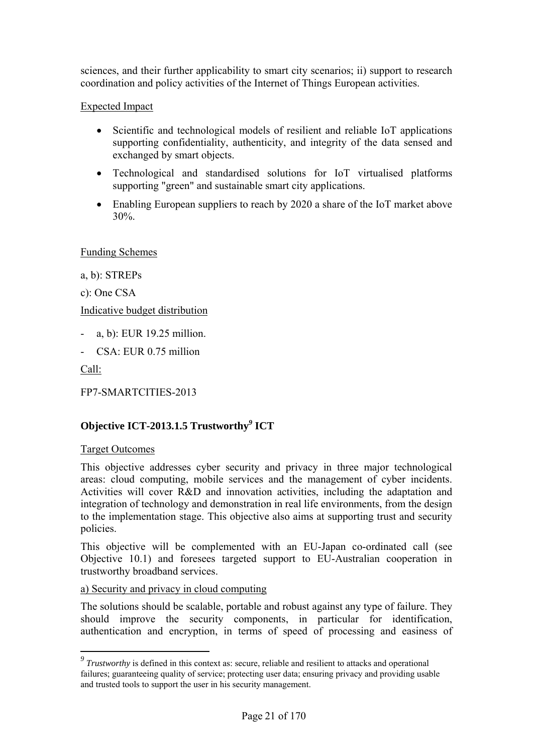sciences, and their further applicability to smart city scenarios; ii) support to research coordination and policy activities of the Internet of Things European activities.

#### Expected Impact

- Scientific and technological models of resilient and reliable IoT applications supporting confidentiality, authenticity, and integrity of the data sensed and exchanged by smart objects.
- Technological and standardised solutions for IoT virtualised platforms supporting "green" and sustainable smart city applications.
- Enabling European suppliers to reach by 2020 a share of the IoT market above 30%.

#### Funding Schemes

a, b): STREPs

c): One CSA

#### Indicative budget distribution

- a, b): EUR 19.25 million.
- CSA: EUR 0.75 million

Call:

1

FP7-SMARTCITIES-2013

# **Objective ICT-2013.1.5 Trustworthy***<sup>9</sup>*  **ICT**

#### Target Outcomes

This objective addresses cyber security and privacy in three major technological areas: cloud computing, mobile services and the management of cyber incidents. Activities will cover R&D and innovation activities, including the adaptation and integration of technology and demonstration in real life environments, from the design to the implementation stage. This objective also aims at supporting trust and security policies.

This objective will be complemented with an EU-Japan co-ordinated call (see Objective 10.1) and foresees targeted support to EU-Australian cooperation in trustworthy broadband services.

#### a) Security and privacy in cloud computing

The solutions should be scalable, portable and robust against any type of failure. They should improve the security components, in particular for identification, authentication and encryption, in terms of speed of processing and easiness of

<sup>&</sup>lt;sup>9</sup> *Trustworthy* is defined in this context as: secure, reliable and resilient to attacks and operational failures; guaranteeing quality of service; protecting user data; ensuring privacy and providing usable and trusted tools to support the user in his security management.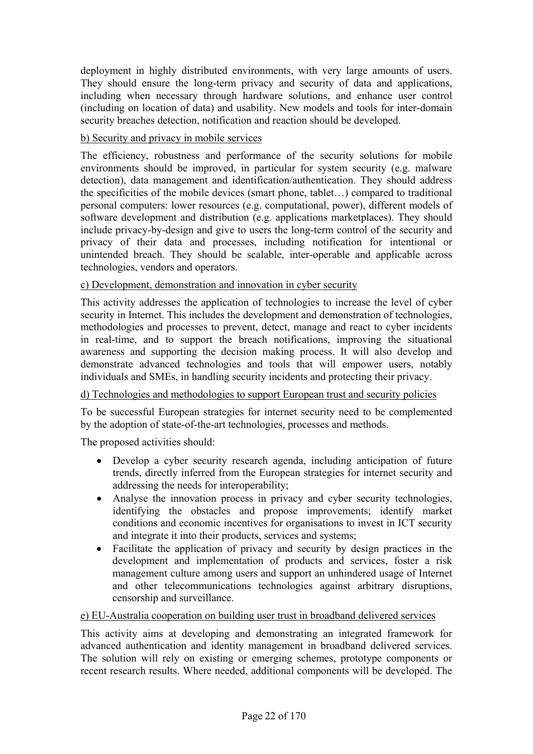deployment in highly distributed environments, with very large amounts of users. They should ensure the long-term privacy and security of data and applications, including when necessary through hardware solutions, and enhance user control (including on location of data) and usability. New models and tools for inter-domain security breaches detection, notification and reaction should be developed.

#### b) Security and privacy in mobile services

The efficiency, robustness and performance of the security solutions for mobile environments should be improved, in particular for system security (e.g. malware detection), data management and identification/authentication. They should address the specificities of the mobile devices (smart phone, tablet…) compared to traditional personal computers: lower resources (e.g. computational, power), different models of software development and distribution (e.g. applications marketplaces). They should include privacy-by-design and give to users the long-term control of the security and privacy of their data and processes, including notification for intentional or unintended breach. They should be scalable, inter-operable and applicable across technologies, vendors and operators.

#### c) Development, demonstration and innovation in cyber security

This activity addresses the application of technologies to increase the level of cyber security in Internet. This includes the development and demonstration of technologies, methodologies and processes to prevent, detect, manage and react to cyber incidents in real-time, and to support the breach notifications, improving the situational awareness and supporting the decision making process. It will also develop and demonstrate advanced technologies and tools that will empower users, notably individuals and SMEs, in handling security incidents and protecting their privacy.

#### d) Technologies and methodologies to support European trust and security policies

To be successful European strategies for internet security need to be complemented by the adoption of state-of-the-art technologies, processes and methods.

The proposed activities should:

- Develop a cyber security research agenda, including anticipation of future trends, directly inferred from the European strategies for internet security and addressing the needs for interoperability;
- Analyse the innovation process in privacy and cyber security technologies, identifying the obstacles and propose improvements; identify market conditions and economic incentives for organisations to invest in ICT security and integrate it into their products, services and systems;
- Facilitate the application of privacy and security by design practices in the development and implementation of products and services, foster a risk management culture among users and support an unhindered usage of Internet and other telecommunications technologies against arbitrary disruptions, censorship and surveillance.

#### e) EU-Australia cooperation on building user trust in broadband delivered services

This activity aims at developing and demonstrating an integrated framework for advanced authentication and identity management in broadband delivered services. The solution will rely on existing or emerging schemes, prototype components or recent research results. Where needed, additional components will be developed. The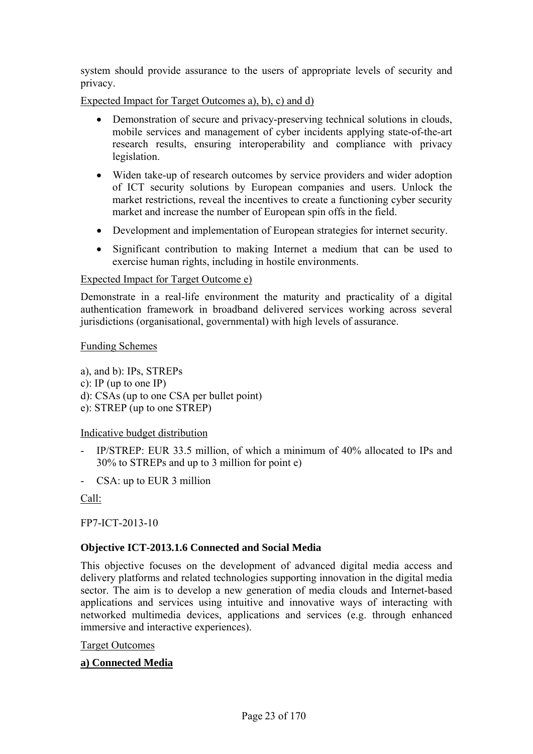system should provide assurance to the users of appropriate levels of security and privacy.

#### Expected Impact for Target Outcomes a), b), c) and d)

- Demonstration of secure and privacy-preserving technical solutions in clouds, mobile services and management of cyber incidents applying state-of-the-art research results, ensuring interoperability and compliance with privacy legislation.
- Widen take-up of research outcomes by service providers and wider adoption of ICT security solutions by European companies and users. Unlock the market restrictions, reveal the incentives to create a functioning cyber security market and increase the number of European spin offs in the field.
- Development and implementation of European strategies for internet security.
- Significant contribution to making Internet a medium that can be used to exercise human rights, including in hostile environments.

#### Expected Impact for Target Outcome e)

Demonstrate in a real-life environment the maturity and practicality of a digital authentication framework in broadband delivered services working across several jurisdictions (organisational, governmental) with high levels of assurance.

#### Funding Schemes

a), and b): IPs, STREPs c): IP (up to one IP)

- d): CSAs (up to one CSA per bullet point)
- e): STREP (up to one STREP)

#### Indicative budget distribution

- IP/STREP: EUR 33.5 million, of which a minimum of 40% allocated to IPs and 30% to STREPs and up to 3 million for point e)
- CSA: up to EUR 3 million

Call:

#### FP7-ICT-2013-10

#### **Objective ICT-2013.1.6 Connected and Social Media**

This objective focuses on the development of advanced digital media access and delivery platforms and related technologies supporting innovation in the digital media sector. The aim is to develop a new generation of media clouds and Internet-based applications and services using intuitive and innovative ways of interacting with networked multimedia devices, applications and services (e.g. through enhanced immersive and interactive experiences).

#### Target Outcomes

#### **a) Connected Media**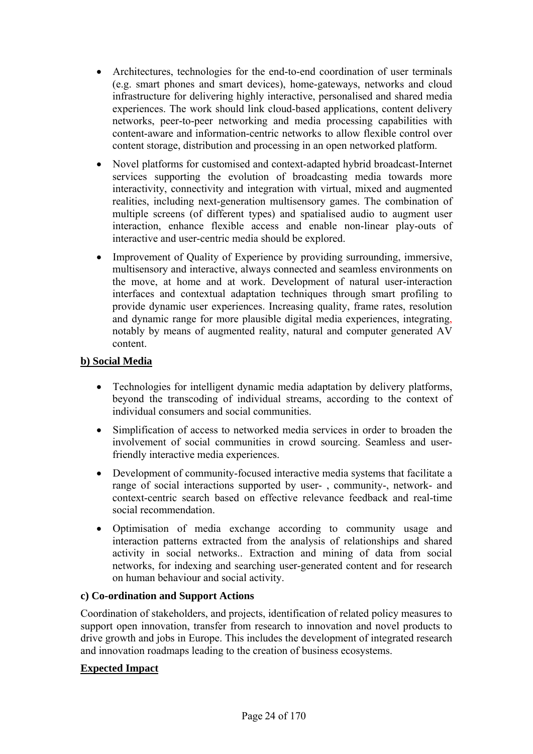- Architectures, technologies for the end-to-end coordination of user terminals (e.g. smart phones and smart devices), home-gateways, networks and cloud infrastructure for delivering highly interactive, personalised and shared media experiences. The work should link cloud-based applications, content delivery networks, peer-to-peer networking and media processing capabilities with content-aware and information-centric networks to allow flexible control over content storage, distribution and processing in an open networked platform.
- Novel platforms for customised and context-adapted hybrid broadcast-Internet services supporting the evolution of broadcasting media towards more interactivity, connectivity and integration with virtual, mixed and augmented realities, including next-generation multisensory games. The combination of multiple screens (of different types) and spatialised audio to augment user interaction, enhance flexible access and enable non-linear play-outs of interactive and user-centric media should be explored.
- Improvement of Quality of Experience by providing surrounding, immersive, multisensory and interactive, always connected and seamless environments on the move, at home and at work. Development of natural user-interaction interfaces and contextual adaptation techniques through smart profiling to provide dynamic user experiences. Increasing quality, frame rates, resolution and dynamic range for more plausible digital media experiences, integrating, notably by means of augmented reality, natural and computer generated AV content.

# **b) Social Media**

- Technologies for intelligent dynamic media adaptation by delivery platforms, beyond the transcoding of individual streams, according to the context of individual consumers and social communities.
- Simplification of access to networked media services in order to broaden the involvement of social communities in crowd sourcing. Seamless and userfriendly interactive media experiences.
- Development of community-focused interactive media systems that facilitate a range of social interactions supported by user- , community-, network- and context-centric search based on effective relevance feedback and real-time social recommendation.
- Optimisation of media exchange according to community usage and interaction patterns extracted from the analysis of relationships and shared activity in social networks.. Extraction and mining of data from social networks, for indexing and searching user-generated content and for research on human behaviour and social activity.

#### **c) Co-ordination and Support Actions**

Coordination of stakeholders, and projects, identification of related policy measures to support open innovation, transfer from research to innovation and novel products to drive growth and jobs in Europe. This includes the development of integrated research and innovation roadmaps leading to the creation of business ecosystems.

#### **Expected Impact**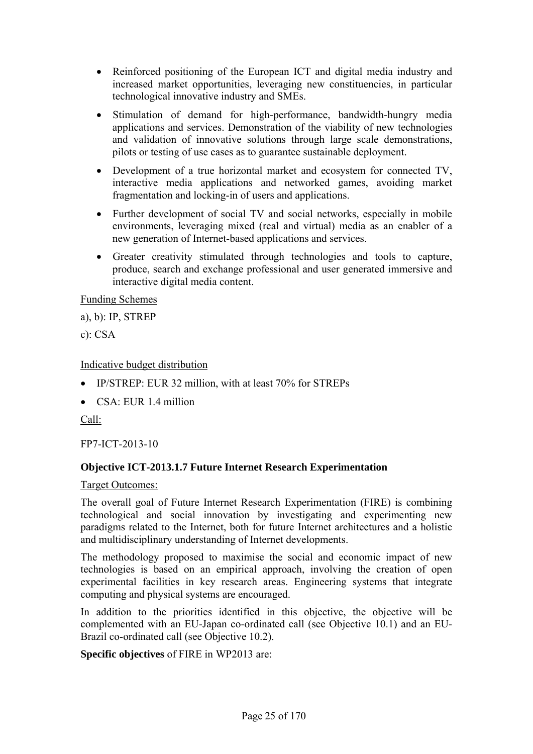- Reinforced positioning of the European ICT and digital media industry and increased market opportunities, leveraging new constituencies, in particular technological innovative industry and SMEs.
- Stimulation of demand for high-performance, bandwidth-hungry media applications and services. Demonstration of the viability of new technologies and validation of innovative solutions through large scale demonstrations, pilots or testing of use cases as to guarantee sustainable deployment.
- Development of a true horizontal market and ecosystem for connected TV, interactive media applications and networked games, avoiding market fragmentation and locking-in of users and applications.
- Further development of social TV and social networks, especially in mobile environments, leveraging mixed (real and virtual) media as an enabler of a new generation of Internet-based applications and services.
- Greater creativity stimulated through technologies and tools to capture, produce, search and exchange professional and user generated immersive and interactive digital media content.

Funding Schemes

a), b): IP, STREP

c): CSA

Indicative budget distribution

- IP/STREP: EUR 32 million, with at least 70% for STREPs
- CSA: EUR 1.4 million

Call:

FP7-ICT-2013-10

#### **Objective ICT-2013.1.7 Future Internet Research Experimentation**

Target Outcomes:

The overall goal of Future Internet Research Experimentation (FIRE) is combining technological and social innovation by investigating and experimenting new paradigms related to the Internet, both for future Internet architectures and a holistic and multidisciplinary understanding of Internet developments.

The methodology proposed to maximise the social and economic impact of new technologies is based on an empirical approach, involving the creation of open experimental facilities in key research areas. Engineering systems that integrate computing and physical systems are encouraged.

In addition to the priorities identified in this objective, the objective will be complemented with an EU-Japan co-ordinated call (see Objective 10.1) and an EU-Brazil co-ordinated call (see Objective 10.2).

**Specific objectives** of FIRE in WP2013 are: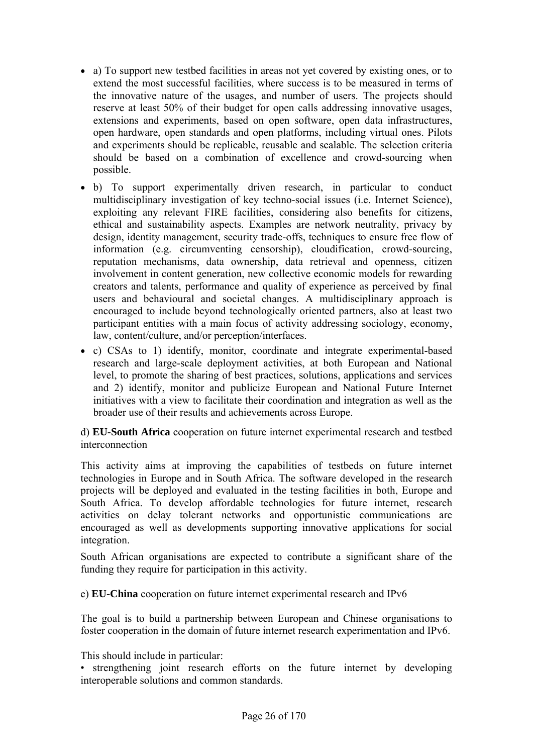- a) To support new testbed facilities in areas not yet covered by existing ones, or to extend the most successful facilities, where success is to be measured in terms of the innovative nature of the usages, and number of users. The projects should reserve at least 50% of their budget for open calls addressing innovative usages, extensions and experiments, based on open software, open data infrastructures, open hardware, open standards and open platforms, including virtual ones. Pilots and experiments should be replicable, reusable and scalable. The selection criteria should be based on a combination of excellence and crowd-sourcing when possible.
- b) To support experimentally driven research, in particular to conduct multidisciplinary investigation of key techno-social issues (i.e. Internet Science), exploiting any relevant FIRE facilities, considering also benefits for citizens, ethical and sustainability aspects. Examples are network neutrality, privacy by design, identity management, security trade-offs, techniques to ensure free flow of information (e.g. circumventing censorship), cloudification, crowd-sourcing, reputation mechanisms, data ownership, data retrieval and openness, citizen involvement in content generation, new collective economic models for rewarding creators and talents, performance and quality of experience as perceived by final users and behavioural and societal changes. A multidisciplinary approach is encouraged to include beyond technologically oriented partners, also at least two participant entities with a main focus of activity addressing sociology, economy, law, content/culture, and/or perception/interfaces.
- c) CSAs to 1) identify, monitor, coordinate and integrate experimental-based research and large-scale deployment activities, at both European and National level, to promote the sharing of best practices, solutions, applications and services and 2) identify, monitor and publicize European and National Future Internet initiatives with a view to facilitate their coordination and integration as well as the broader use of their results and achievements across Europe.

d) **EU-South Africa** cooperation on future internet experimental research and testbed interconnection

This activity aims at improving the capabilities of testbeds on future internet technologies in Europe and in South Africa. The software developed in the research projects will be deployed and evaluated in the testing facilities in both, Europe and South Africa. To develop affordable technologies for future internet, research activities on delay tolerant networks and opportunistic communications are encouraged as well as developments supporting innovative applications for social integration.

South African organisations are expected to contribute a significant share of the funding they require for participation in this activity.

e) **EU-China** cooperation on future internet experimental research and IPv6

The goal is to build a partnership between European and Chinese organisations to foster cooperation in the domain of future internet research experimentation and IPv6.

This should include in particular:

• strengthening joint research efforts on the future internet by developing interoperable solutions and common standards.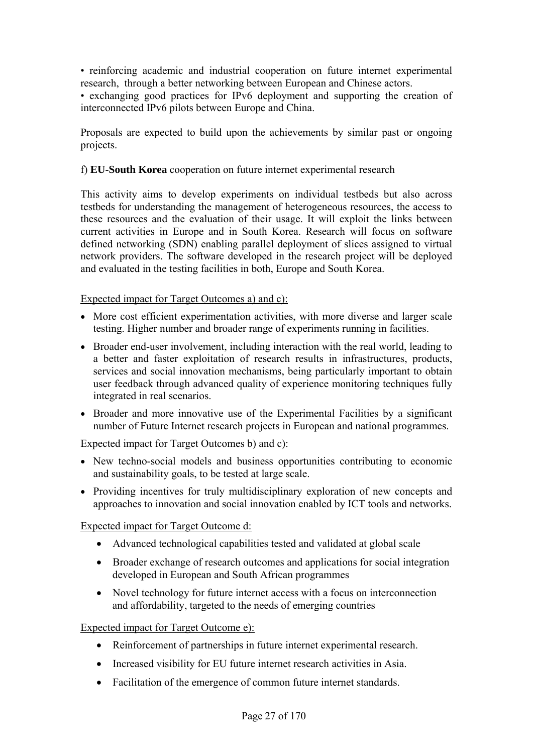• reinforcing academic and industrial cooperation on future internet experimental research, through a better networking between European and Chinese actors.

• exchanging good practices for IPv6 deployment and supporting the creation of interconnected IPv6 pilots between Europe and China.

Proposals are expected to build upon the achievements by similar past or ongoing projects.

# f) **EU-South Korea** cooperation on future internet experimental research

This activity aims to develop experiments on individual testbeds but also across testbeds for understanding the management of heterogeneous resources, the access to these resources and the evaluation of their usage. It will exploit the links between current activities in Europe and in South Korea. Research will focus on software defined networking (SDN) enabling parallel deployment of slices assigned to virtual network providers. The software developed in the research project will be deployed and evaluated in the testing facilities in both, Europe and South Korea.

#### Expected impact for Target Outcomes a) and c):

- More cost efficient experimentation activities, with more diverse and larger scale testing. Higher number and broader range of experiments running in facilities.
- Broader end-user involvement, including interaction with the real world, leading to a better and faster exploitation of research results in infrastructures, products, services and social innovation mechanisms, being particularly important to obtain user feedback through advanced quality of experience monitoring techniques fully integrated in real scenarios.
- Broader and more innovative use of the Experimental Facilities by a significant number of Future Internet research projects in European and national programmes.

Expected impact for Target Outcomes b) and c):

- New techno-social models and business opportunities contributing to economic and sustainability goals, to be tested at large scale.
- Providing incentives for truly multidisciplinary exploration of new concepts and approaches to innovation and social innovation enabled by ICT tools and networks.

Expected impact for Target Outcome d:

- Advanced technological capabilities tested and validated at global scale
- Broader exchange of research outcomes and applications for social integration developed in European and South African programmes
- Novel technology for future internet access with a focus on interconnection and affordability, targeted to the needs of emerging countries

# Expected impact for Target Outcome e):

- Reinforcement of partnerships in future internet experimental research.
- Increased visibility for EU future internet research activities in Asia.
- Facilitation of the emergence of common future internet standards.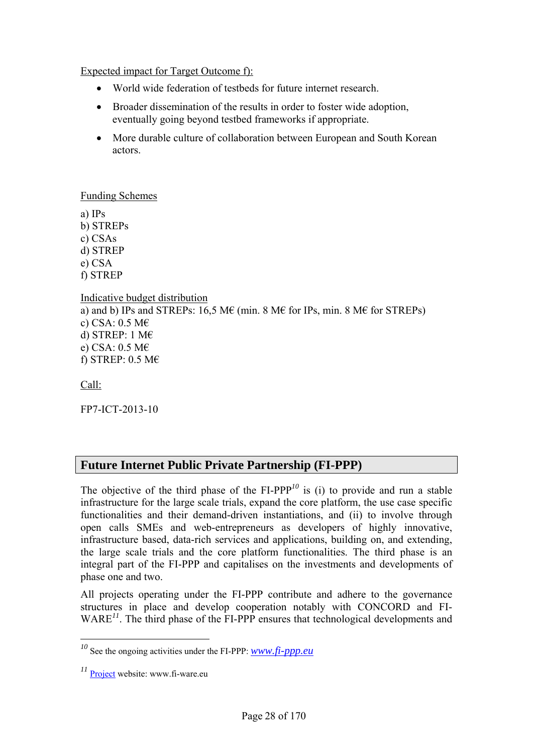Expected impact for Target Outcome f):

- World wide federation of testbeds for future internet research.
- Broader dissemination of the results in order to foster wide adoption, eventually going beyond testbed frameworks if appropriate.
- More durable culture of collaboration between European and South Korean actors.

Funding Schemes

a) IPs b) STREPs c) CSAs d) STREP e) CSA f) STREP Indicative budget distribution

a) and b) IPs and STREPs: 16,5 M€ (min. 8 M€ for IPs, min. 8 M€ for STREPs) c) CSA: 0.5 M€ d) STREP: 1 M€ e) CSA: 0.5 M€ f) STREP:  $0.5 \text{ M} \in$ 

Call:

1

FP7-ICT-2013-10

# **Future Internet Public Private Partnership (FI-PPP)**

The objective of the third phase of the FI-PPP<sup>10</sup> is (i) to provide and run a stable infrastructure for the large scale trials, expand the core platform, the use case specific functionalities and their demand-driven instantiations, and (ii) to involve through open calls SMEs and web-entrepreneurs as developers of highly innovative, infrastructure based, data-rich services and applications, building on, and extending, the large scale trials and the core platform functionalities. The third phase is an integral part of the FI-PPP and capitalises on the investments and developments of phase one and two.

All projects operating under the FI-PPP contribute and adhere to the governance structures in place and develop cooperation notably with CONCORD and FI-WARE<sup>11</sup>. The third phase of the FI-PPP ensures that technological developments and

*<sup>10</sup>* See the ongoing activities under the FI-PPP: *[www.fi-pp](http://www.fi-ppp.eu/)p.eu*

*<sup>11</sup>* [Project w](http://ec.europa.eu/information_society/activities/foi/lead/fippp)ebsite: www.fi-ware.eu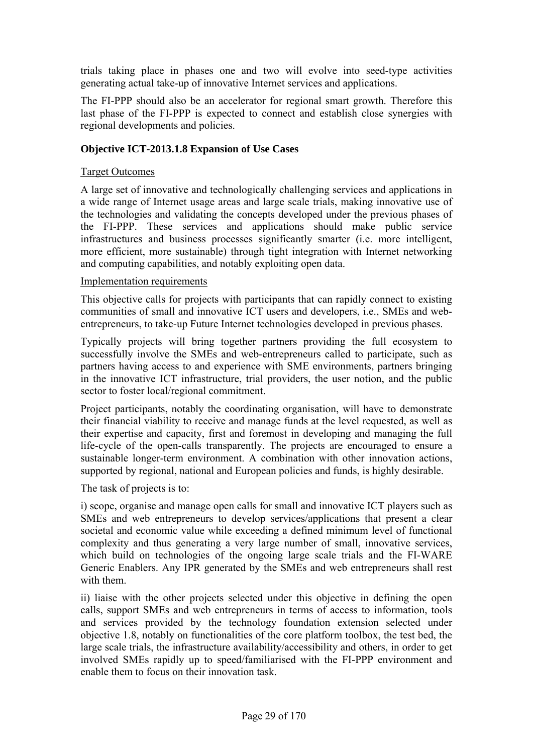trials taking place in phases one and two will evolve into seed-type activities generating actual take-up of innovative Internet services and applications.

The FI-PPP should also be an accelerator for regional smart growth. Therefore this last phase of the FI-PPP is expected to connect and establish close synergies with regional developments and policies.

#### **Objective ICT-2013.1.8 Expansion of Use Cases**

#### Target Outcomes

A large set of innovative and technologically challenging services and applications in a wide range of Internet usage areas and large scale trials, making innovative use of the technologies and validating the concepts developed under the previous phases of the FI-PPP. These services and applications should make public service infrastructures and business processes significantly smarter (i.e. more intelligent, more efficient, more sustainable) through tight integration with Internet networking and computing capabilities, and notably exploiting open data.

#### Implementation requirements

This objective calls for projects with participants that can rapidly connect to existing communities of small and innovative ICT users and developers, i.e., SMEs and webentrepreneurs, to take-up Future Internet technologies developed in previous phases.

Typically projects will bring together partners providing the full ecosystem to successfully involve the SMEs and web-entrepreneurs called to participate, such as partners having access to and experience with SME environments, partners bringing in the innovative ICT infrastructure, trial providers, the user notion, and the public sector to foster local/regional commitment.

Project participants, notably the coordinating organisation, will have to demonstrate their financial viability to receive and manage funds at the level requested, as well as their expertise and capacity, first and foremost in developing and managing the full life-cycle of the open-calls transparently. The projects are encouraged to ensure a sustainable longer-term environment. A combination with other innovation actions, supported by regional, national and European policies and funds, is highly desirable.

The task of projects is to:

i) scope, organise and manage open calls for small and innovative ICT players such as SMEs and web entrepreneurs to develop services/applications that present a clear societal and economic value while exceeding a defined minimum level of functional complexity and thus generating a very large number of small, innovative services, which build on technologies of the ongoing large scale trials and the FI-WARE Generic Enablers. Any IPR generated by the SMEs and web entrepreneurs shall rest with them.

ii) liaise with the other projects selected under this objective in defining the open calls, support SMEs and web entrepreneurs in terms of access to information, tools and services provided by the technology foundation extension selected under objective 1.8, notably on functionalities of the core platform toolbox, the test bed, the large scale trials, the infrastructure availability/accessibility and others, in order to get involved SMEs rapidly up to speed/familiarised with the FI-PPP environment and enable them to focus on their innovation task.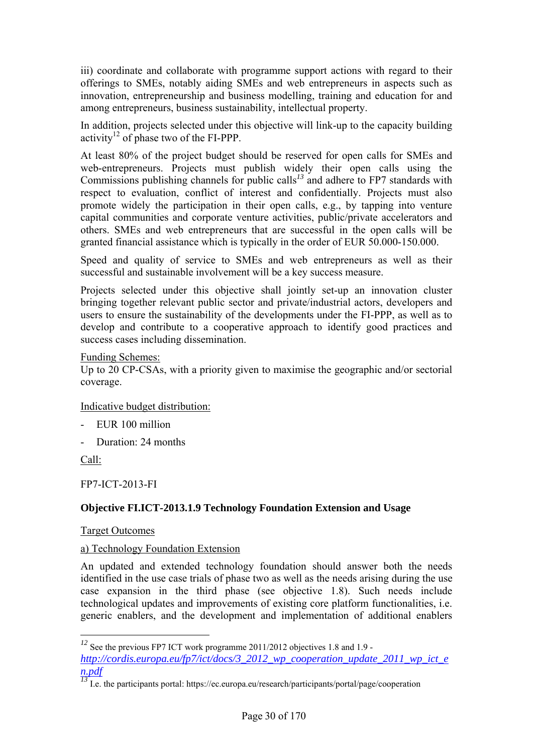iii) coordinate and collaborate with programme support actions with regard to their offerings to SMEs, notably aiding SMEs and web entrepreneurs in aspects such as innovation, entrepreneurship and business modelling, training and education for and among entrepreneurs, business sustainability, intellectual property.

In addition, projects selected under this objective will link-up to the capacity building activity<sup>12</sup> of phase two of the FI-PPP.

At least 80% of the project budget should be reserved for open calls for SMEs and web-entrepreneurs. Projects must publish widely their open calls using the Commissions publishing channels for public calls*<sup>13</sup>* and adhere to FP7 standards with respect to evaluation, conflict of interest and confidentially. Projects must also promote widely the participation in their open calls, e.g., by tapping into venture capital communities and corporate venture activities, public/private accelerators and others. SMEs and web entrepreneurs that are successful in the open calls will be granted financial assistance which is typically in the order of EUR 50.000-150.000.

Speed and quality of service to SMEs and web entrepreneurs as well as their successful and sustainable involvement will be a key success measure.

Projects selected under this objective shall jointly set-up an innovation cluster bringing together relevant public sector and private/industrial actors, developers and users to ensure the sustainability of the developments under the FI-PPP, as well as to develop and contribute to a cooperative approach to identify good practices and success cases including dissemination.

#### Funding Schemes:

Up to 20 CP-CSAs, with a priority given to maximise the geographic and/or sectorial coverage.

Indicative budget distribution:

- EUR 100 million
- Duration: 24 months

Call:

1

FP7-ICT-2013-FI

# **Objective FI.ICT-2013.1.9 Technology Foundation Extension and Usage**

Target Outcomes

#### a) Technology Foundation Extension

An updated and extended technology foundation should answer both the needs identified in the use case trials of phase two as well as the needs arising during the use case expansion in the third phase (see objective 1.8). Such needs include technological updates and improvements of existing core platform functionalities, i.e. generic enablers, and the development and implementation of additional enablers

*<sup>12</sup>* See the previous FP7 ICT work programme 2011/2012 objectives 1.8 and 1.9 -

*[http://cordis.europa.eu/fp7/ict/docs/3\\_2012\\_wp\\_cooperation\\_update\\_2011\\_wp\\_ict\\_e](http://cordis.europa.eu/fp7/ict/docs/3_2012_wp_cooperation_update_2011_wp_ict_en.pdf) [n.pdf](http://cordis.europa.eu/fp7/ict/docs/3_2012_wp_cooperation_update_2011_wp_ict_en.pdf)*<br><sup>13</sup> I.e. the participants portal: https://ec.europa.eu/research/participants/portal/page/cooperation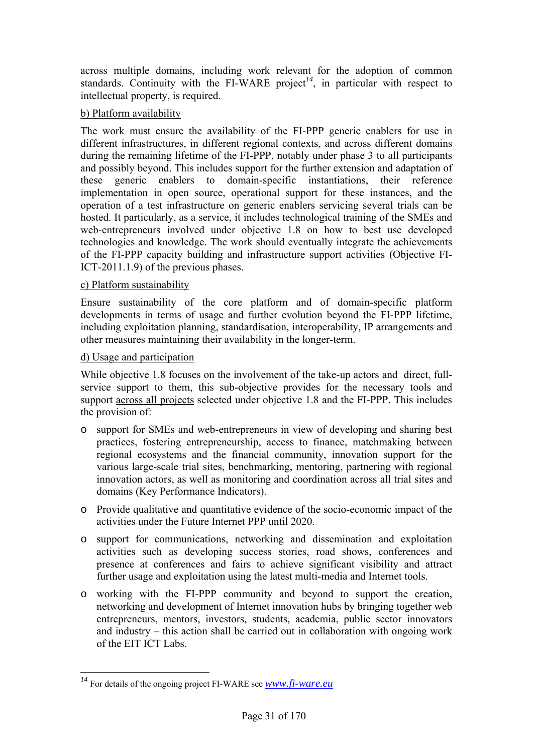across multiple domains, including work relevant for the adoption of common standards. Continuity with the FI-WARE project<sup> $14$ </sup>, in particular with respect to intellectual property, is required.

# b) Platform availability

The work must ensure the availability of the FI-PPP generic enablers for use in different infrastructures, in different regional contexts, and across different domains during the remaining lifetime of the FI-PPP, notably under phase 3 to all participants and possibly beyond. This includes support for the further extension and adaptation of these generic enablers to domain-specific instantiations, their reference implementation in open source, operational support for these instances, and the operation of a test infrastructure on generic enablers servicing several trials can be hosted. It particularly, as a service, it includes technological training of the SMEs and web-entrepreneurs involved under objective 1.8 on how to best use developed technologies and knowledge. The work should eventually integrate the achievements of the FI-PPP capacity building and infrastructure support activities (Objective FI-ICT-2011.1.9) of the previous phases.

#### c) Platform sustainability

Ensure sustainability of the core platform and of domain-specific platform developments in terms of usage and further evolution beyond the FI-PPP lifetime, including exploitation planning, standardisation, interoperability, IP arrangements and other measures maintaining their availability in the longer-term.

#### d) Usage and participation

1

While objective 1.8 focuses on the involvement of the take-up actors and direct, fullservice support to them, this sub-objective provides for the necessary tools and support across all projects selected under objective 1.8 and the FI-PPP. This includes the provision of:

- o support for SMEs and web-entrepreneurs in view of developing and sharing best practices, fostering entrepreneurship, access to finance, matchmaking between regional ecosystems and the financial community, innovation support for the various large-scale trial sites, benchmarking, mentoring, partnering with regional innovation actors, as well as monitoring and coordination across all trial sites and domains (Key Performance Indicators).
- o Provide qualitative and quantitative evidence of the socio-economic impact of the activities under the Future Internet PPP until 2020.
- o support for communications, networking and dissemination and exploitation activities such as developing success stories, road shows, conferences and presence at conferences and fairs to achieve significant visibility and attract further usage and exploitation using the latest multi-media and Internet tools.
- o working with the FI-PPP community and beyond to support the creation, networking and development of Internet innovation hubs by bringing together web entrepreneurs, mentors, investors, students, academia, public sector innovators and industry – this action shall be carried out in collaboration with ongoing work of the EIT ICT Labs.

*<sup>14</sup>* [For details of the ongoing project FI-WARE see](http://www.fi-ware.eu/) *[www.fi-ware.eu](http://www.fi-ware.eu/)*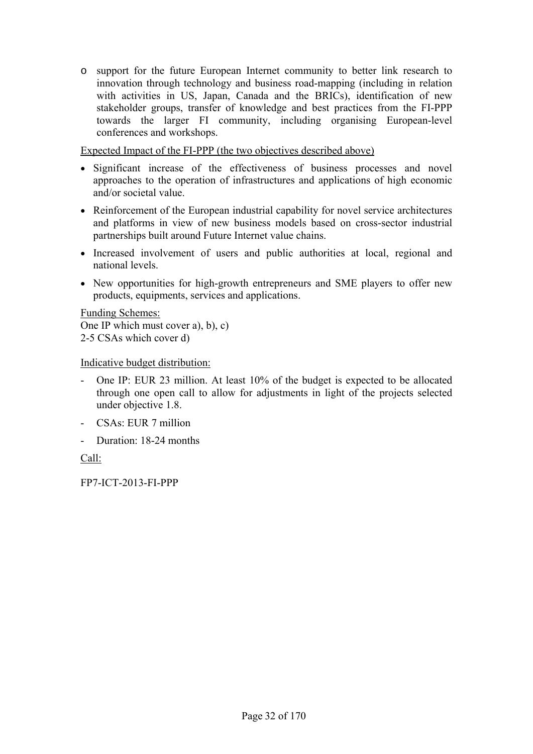o support for the future European Internet community to better link research to innovation through technology and business road-mapping (including in relation with activities in US, Japan, Canada and the BRICs), identification of new stakeholder groups, transfer of knowledge and best practices from the FI-PPP towards the larger FI community, including organising European-level conferences and workshops.

Expected Impact of the FI-PPP (the two objectives described above)

- Significant increase of the effectiveness of business processes and novel approaches to the operation of infrastructures and applications of high economic and/or societal value.
- Reinforcement of the European industrial capability for novel service architectures and platforms in view of new business models based on cross-sector industrial partnerships built around Future Internet value chains.
- Increased involvement of users and public authorities at local, regional and national levels.
- New opportunities for high-growth entrepreneurs and SME players to offer new products, equipments, services and applications.

Funding Schemes: One IP which must cover a), b), c) 2-5 CSAs which cover d)

Indicative budget distribution:

- One IP: EUR 23 million. At least 10% of the budget is expected to be allocated through one open call to allow for adjustments in light of the projects selected under objective 1.8.
- CSAs: EUR 7 million
- Duration: 18-24 months

Call:

FP7-ICT-2013-FI-PPP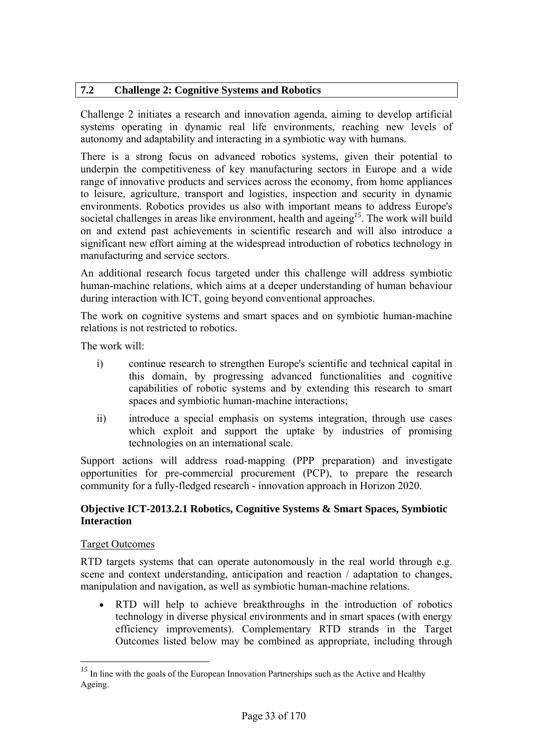#### <span id="page-32-0"></span>**7.2 Challenge 2: Cognitive Systems and Robotics**

Challenge 2 initiates a research and innovation agenda, aiming to develop artificial systems operating in dynamic real life environments, reaching new levels of autonomy and adaptability and interacting in a symbiotic way with humans.

There is a strong focus on advanced robotics systems, given their potential to underpin the competitiveness of key manufacturing sectors in Europe and a wide range of innovative products and services across the economy, from home appliances to leisure, agriculture, transport and logistics, inspection and security in dynamic environments. Robotics provides us also with important means to address Europe's societal challenges in areas like environment, health and ageing<sup>15</sup>. The work will build on and extend past achievements in scientific research and will also introduce a significant new effort aiming at the widespread introduction of robotics technology in manufacturing and service sectors.

An additional research focus targeted under this challenge will address symbiotic human-machine relations, which aims at a deeper understanding of human behaviour during interaction with ICT, going beyond conventional approaches.

The work on cognitive systems and smart spaces and on symbiotic human-machine relations is not restricted to robotics.

The work will:

- i) continue research to strengthen Europe's scientific and technical capital in this domain, by progressing advanced functionalities and cognitive capabilities of robotic systems and by extending this research to smart spaces and symbiotic human-machine interactions;
- ii) introduce a special emphasis on systems integration, through use cases which exploit and support the uptake by industries of promising technologies on an international scale.

Support actions will address road-mapping (PPP preparation) and investigate opportunities for pre-commercial procurement (PCP), to prepare the research community for a fully-fledged research - innovation approach in Horizon 2020.

#### **Objective ICT-2013.2.1 Robotics, Cognitive Systems & Smart Spaces, Symbiotic Interaction**

#### Target Outcomes

<u>.</u>

RTD targets systems that can operate autonomously in the real world through e.g. scene and context understanding, anticipation and reaction / adaptation to changes, manipulation and navigation, as well as symbiotic human-machine relations.

• RTD will help to achieve breakthroughs in the introduction of robotics technology in diverse physical environments and in smart spaces (with energy efficiency improvements). Complementary RTD strands in the Target Outcomes listed below may be combined as appropriate, including through

<sup>&</sup>lt;sup>15</sup> In line with the goals of the European Innovation Partnerships such as the Active and Healthy Ageing.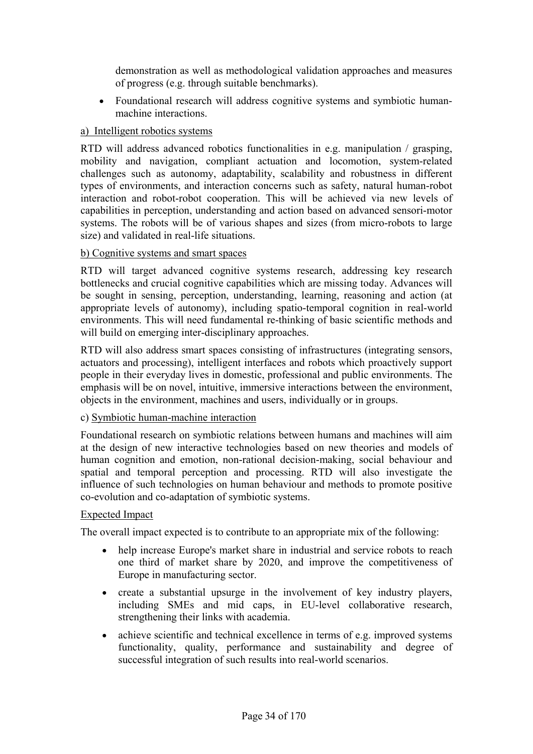demonstration as well as methodological validation approaches and measures of progress (e.g. through suitable benchmarks).

• Foundational research will address cognitive systems and symbiotic humanmachine interactions.

#### a) Intelligent robotics systems

RTD will address advanced robotics functionalities in e.g. manipulation / grasping, mobility and navigation, compliant actuation and locomotion, system-related challenges such as autonomy, adaptability, scalability and robustness in different types of environments, and interaction concerns such as safety, natural human-robot interaction and robot-robot cooperation. This will be achieved via new levels of capabilities in perception, understanding and action based on advanced sensori-motor systems. The robots will be of various shapes and sizes (from micro-robots to large size) and validated in real-life situations.

#### b) Cognitive systems and smart spaces

RTD will target advanced cognitive systems research, addressing key research bottlenecks and crucial cognitive capabilities which are missing today. Advances will be sought in sensing, perception, understanding, learning, reasoning and action (at appropriate levels of autonomy), including spatio-temporal cognition in real-world environments. This will need fundamental re-thinking of basic scientific methods and will build on emerging inter-disciplinary approaches.

RTD will also address smart spaces consisting of infrastructures (integrating sensors, actuators and processing), intelligent interfaces and robots which proactively support people in their everyday lives in domestic, professional and public environments. The emphasis will be on novel, intuitive, immersive interactions between the environment, objects in the environment, machines and users, individually or in groups.

#### c) Symbiotic human-machine interaction

Foundational research on symbiotic relations between humans and machines will aim at the design of new interactive technologies based on new theories and models of human cognition and emotion, non-rational decision-making, social behaviour and spatial and temporal perception and processing. RTD will also investigate the influence of such technologies on human behaviour and methods to promote positive co-evolution and co-adaptation of symbiotic systems.

#### Expected Impact

The overall impact expected is to contribute to an appropriate mix of the following:

- help increase Europe's market share in industrial and service robots to reach one third of market share by 2020, and improve the competitiveness of Europe in manufacturing sector.
- create a substantial upsurge in the involvement of key industry players, including SMEs and mid caps, in EU-level collaborative research, strengthening their links with academia.
- achieve scientific and technical excellence in terms of e.g. improved systems functionality, quality, performance and sustainability and degree of successful integration of such results into real-world scenarios.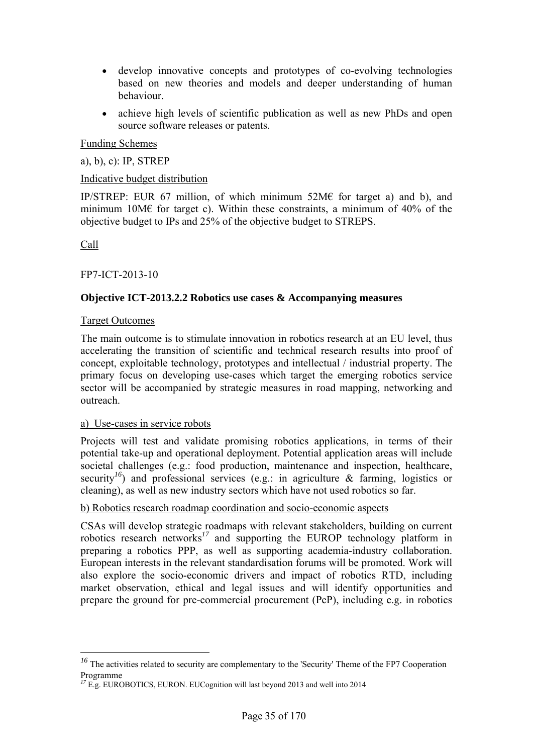- develop innovative concepts and prototypes of co-evolving technologies based on new theories and models and deeper understanding of human behaviour.
- achieve high levels of scientific publication as well as new PhDs and open source software releases or patents.

#### Funding Schemes

a), b), c): IP, STREP

#### Indicative budget distribution

IP/STREP: EUR 67 million, of which minimum 52M€ for target a) and b), and minimum 10M $\epsilon$  for target c). Within these constraints, a minimum of 40% of the objective budget to IPs and 25% of the objective budget to STREPS.

Call

1

#### FP7-ICT-2013-10

#### **Objective ICT-2013.2.2 Robotics use cases & Accompanying measures**

#### Target Outcomes

The main outcome is to stimulate innovation in robotics research at an EU level, thus accelerating the transition of scientific and technical research results into proof of concept, exploitable technology, prototypes and intellectual / industrial property. The primary focus on developing use-cases which target the emerging robotics service sector will be accompanied by strategic measures in road mapping, networking and outreach.

#### a) Use-cases in service robots

Projects will test and validate promising robotics applications, in terms of their potential take-up and operational deployment. Potential application areas will include societal challenges (e.g.: food production, maintenance and inspection, healthcare, security<sup> $16$ </sup>) and professional services (e.g.: in agriculture & farming, logistics or cleaning), as well as new industry sectors which have not used robotics so far.

#### b) Robotics research roadmap coordination and socio-economic aspects

CSAs will develop strategic roadmaps with relevant stakeholders, building on current robotics research networks*<sup>17</sup>* and supporting the EUROP technology platform in preparing a robotics PPP, as well as supporting academia-industry collaboration. European interests in the relevant standardisation forums will be promoted. Work will also explore the socio-economic drivers and impact of robotics RTD, including market observation, ethical and legal issues and will identify opportunities and prepare the ground for pre-commercial procurement (PcP), including e.g. in robotics

<sup>&</sup>lt;sup>16</sup> The activities related to security are complementary to the 'Security' Theme of the FP7 Cooperation Programme

<sup>&</sup>lt;sup>17</sup> E.g. EUROBOTICS, EURON. EUCognition will last beyond 2013 and well into 2014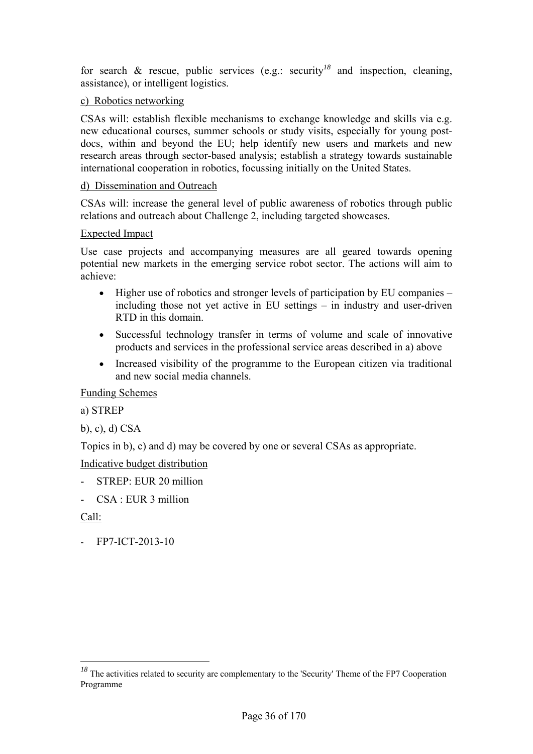for search & rescue, public services (e.g.: security<sup>18</sup> and inspection, cleaning, assistance), or intelligent logistics.

#### c) Robotics networking

CSAs will: establish flexible mechanisms to exchange knowledge and skills via e.g. new educational courses, summer schools or study visits, especially for young postdocs, within and beyond the EU; help identify new users and markets and new research areas through sector-based analysis; establish a strategy towards sustainable international cooperation in robotics, focussing initially on the United States.

#### d) Dissemination and Outreach

CSAs will: increase the general level of public awareness of robotics through public relations and outreach about Challenge 2, including targeted showcases.

#### Expected Impact

Use case projects and accompanying measures are all geared towards opening potential new markets in the emerging service robot sector. The actions will aim to achieve:

- Higher use of robotics and stronger levels of participation by EU companies including those not yet active in EU settings – in industry and user-driven RTD in this domain.
- Successful technology transfer in terms of volume and scale of innovative products and services in the professional service areas described in a) above
- Increased visibility of the programme to the European citizen via traditional and new social media channels.

Funding Schemes

a) STREP

b), c), d) CSA

Topics in b), c) and d) may be covered by one or several CSAs as appropriate.

Indicative budget distribution

- STREP: EUR 20 million
- CSA : EUR 3 million

Call:

<u>.</u>

- FP7-ICT-2013-10

<sup>&</sup>lt;sup>18</sup> The activities related to security are complementary to the 'Security' Theme of the FP7 Cooperation Programme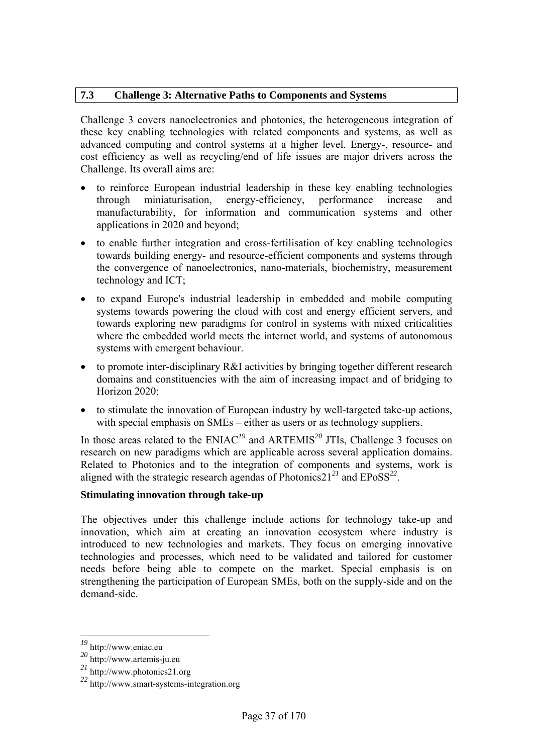# **7.3 Challenge 3: Alternative Paths to Components and Systems**

Challenge 3 covers nanoelectronics and photonics, the heterogeneous integration of these key enabling technologies with related components and systems, as well as advanced computing and control systems at a higher level. Energy-, resource- and cost efficiency as well as recycling/end of life issues are major drivers across the Challenge. Its overall aims are:

- to reinforce European industrial leadership in these key enabling technologies through miniaturisation, energy-efficiency, performance increase and manufacturability, for information and communication systems and other applications in 2020 and beyond;
- to enable further integration and cross-fertilisation of key enabling technologies towards building energy- and resource-efficient components and systems through the convergence of nanoelectronics, nano-materials, biochemistry, measurement technology and ICT;
- to expand Europe's industrial leadership in embedded and mobile computing systems towards powering the cloud with cost and energy efficient servers, and towards exploring new paradigms for control in systems with mixed criticalities where the embedded world meets the internet world, and systems of autonomous systems with emergent behaviour.
- to promote inter-disciplinary R&I activities by bringing together different research domains and constituencies with the aim of increasing impact and of bridging to Horizon 2020;
- to stimulate the innovation of European industry by well-targeted take-up actions, with special emphasis on SMEs – either as users or as technology suppliers.

In those areas related to the ENIAC*<sup>19</sup>* and ARTEMIS*<sup>20</sup>* JTIs, Challenge 3 focuses on research on new paradigms which are applicable across several application domains. Related to Photonics and to the integration of components and systems, work is aligned with the strategic research agendas of Photonics21<sup>21</sup> and  $EPosS^{22}$ .

## **Stimulating innovation through take-up**

The objectives under this challenge include actions for technology take-up and innovation, which aim at creating an innovation ecosystem where industry is introduced to new technologies and markets. They focus on emerging innovative technologies and processes, which need to be validated and tailored for customer needs before being able to compete on the market. Special emphasis is on strengthening the participation of European SMEs, both on the supply-side and on the demand-side.

1

*<sup>19</sup>* http://www.eniac.eu

*<sup>20</sup>* http://www.artemis-ju.eu

*<sup>21</sup>* http://www.photonics21.org

*<sup>22</sup>* http://www.smart-systems-integration.org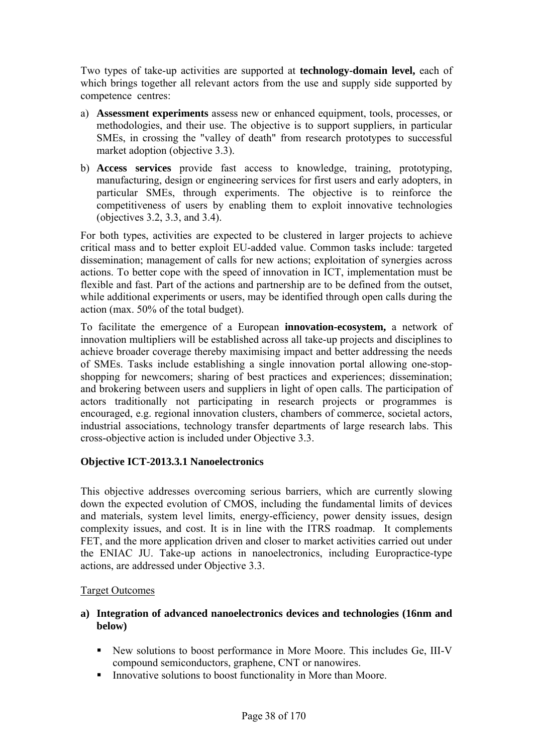Two types of take-up activities are supported at **technology-domain level,** each of which brings together all relevant actors from the use and supply side supported by competence centres:

- a) **Assessment experiments** assess new or enhanced equipment, tools, processes, or methodologies, and their use. The objective is to support suppliers, in particular SMEs, in crossing the "valley of death" from research prototypes to successful market adoption (objective 3.3).
- b) **Access services** provide fast access to knowledge, training, prototyping, manufacturing, design or engineering services for first users and early adopters, in particular SMEs, through experiments. The objective is to reinforce the competitiveness of users by enabling them to exploit innovative technologies (objectives 3.2, 3.3, and 3.4).

For both types, activities are expected to be clustered in larger projects to achieve critical mass and to better exploit EU-added value. Common tasks include: targeted dissemination; management of calls for new actions; exploitation of synergies across actions. To better cope with the speed of innovation in ICT, implementation must be flexible and fast. Part of the actions and partnership are to be defined from the outset, while additional experiments or users, may be identified through open calls during the action (max. 50% of the total budget).

To facilitate the emergence of a European **innovation-ecosystem,** a network of innovation multipliers will be established across all take-up projects and disciplines to achieve broader coverage thereby maximising impact and better addressing the needs of SMEs. Tasks include establishing a single innovation portal allowing one-stopshopping for newcomers; sharing of best practices and experiences; dissemination; and brokering between users and suppliers in light of open calls. The participation of actors traditionally not participating in research projects or programmes is encouraged, e.g. regional innovation clusters, chambers of commerce, societal actors, industrial associations, technology transfer departments of large research labs. This cross-objective action is included under Objective 3.3.

## **Objective ICT-2013.3.1 Nanoelectronics**

This objective addresses overcoming serious barriers, which are currently slowing down the expected evolution of CMOS, including the fundamental limits of devices and materials, system level limits, energy-efficiency, power density issues, design complexity issues, and cost. It is in line with the ITRS roadmap. It complements FET, and the more application driven and closer to market activities carried out under the ENIAC JU. Take-up actions in nanoelectronics, including Europractice-type actions, are addressed under Objective 3.3.

## Target Outcomes

- **a) Integration of advanced nanoelectronics devices and technologies (16nm and below)** 
	- New solutions to boost performance in More Moore. This includes Ge, III-V compound semiconductors, graphene, CNT or nanowires.
	- Innovative solutions to boost functionality in More than Moore.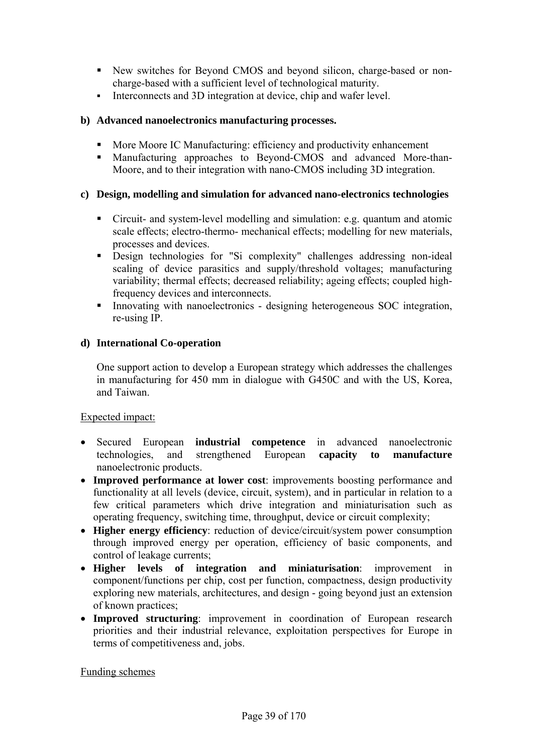- New switches for Beyond CMOS and beyond silicon, charge-based or noncharge-based with a sufficient level of technological maturity.
- Interconnects and 3D integration at device, chip and wafer level.

## **b) Advanced nanoelectronics manufacturing processes.**

- More Moore IC Manufacturing: efficiency and productivity enhancement
- Manufacturing approaches to Beyond-CMOS and advanced More-than-Moore, and to their integration with nano-CMOS including 3D integration.

## **c) Design, modelling and simulation for advanced nano-electronics technologies**

- Circuit- and system-level modelling and simulation: e.g. quantum and atomic scale effects; electro-thermo- mechanical effects; modelling for new materials, processes and devices.
- Design technologies for "Si complexity" challenges addressing non-ideal scaling of device parasitics and supply/threshold voltages; manufacturing variability; thermal effects; decreased reliability; ageing effects; coupled highfrequency devices and interconnects.
- Innovating with nanoelectronics designing heterogeneous SOC integration, re-using IP.

## **d) International Co-operation**

One support action to develop a European strategy which addresses the challenges in manufacturing for 450 mm in dialogue with G450C and with the US, Korea, and Taiwan.

### Expected impact:

- Secured European **industrial competence** in advanced nanoelectronic technologies, and strengthened European **capacity to manufacture** nanoelectronic products.
- **Improved performance at lower cost**: improvements boosting performance and functionality at all levels (device, circuit, system), and in particular in relation to a few critical parameters which drive integration and miniaturisation such as operating frequency, switching time, throughput, device or circuit complexity;
- **Higher energy efficiency**: reduction of device/circuit/system power consumption through improved energy per operation, efficiency of basic components, and control of leakage currents;
- **Higher levels of integration and miniaturisation**: improvement in component/functions per chip, cost per function, compactness, design productivity exploring new materials, architectures, and design - going beyond just an extension of known practices;
- **Improved structuring**: improvement in coordination of European research priorities and their industrial relevance, exploitation perspectives for Europe in terms of competitiveness and, jobs.

Funding schemes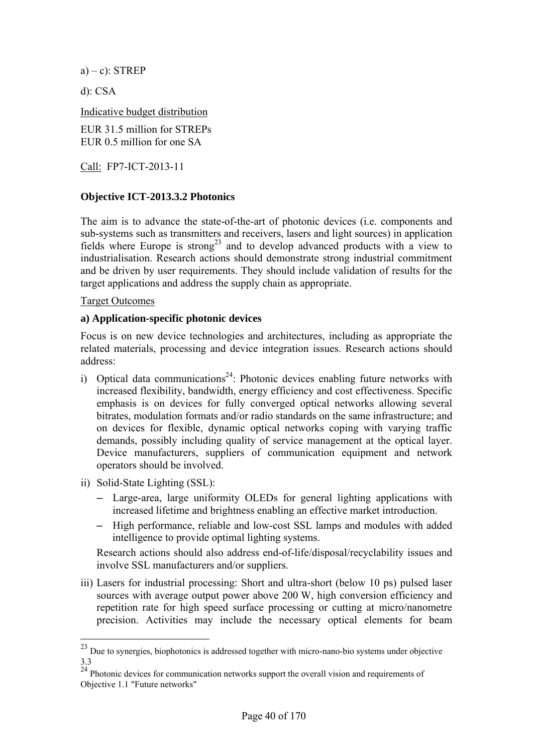$a) - c$ ): STREP

d): CSA

Indicative budget distribution

EUR 31.5 million for STREPs EUR 0.5 million for one SA

Call: FP7-ICT-2013-11

## **Objective ICT-2013.3.2 Photonics**

The aim is to advance the state-of-the-art of photonic devices (i.e. components and sub-systems such as transmitters and receivers, lasers and light sources) in application fields where Europe is strong<sup>23</sup> and to develop advanced products with a view to industrialisation. Research actions should demonstrate strong industrial commitment and be driven by user requirements. They should include validation of results for the target applications and address the supply chain as appropriate.

### Target Outcomes

### **a) Application-specific photonic devices**

Focus is on new device technologies and architectures, including as appropriate the related materials, processing and device integration issues. Research actions should address:

- i) Optical data communications<sup>24</sup>: Photonic devices enabling future networks with increased flexibility, bandwidth, energy efficiency and cost effectiveness. Specific emphasis is on devices for fully converged optical networks allowing several bitrates, modulation formats and/or radio standards on the same infrastructure; and on devices for flexible, dynamic optical networks coping with varying traffic demands, possibly including quality of service management at the optical layer. Device manufacturers, suppliers of communication equipment and network operators should be involved.
- ii) Solid-State Lighting (SSL):

1

- Large-area, large uniformity OLEDs for general lighting applications with increased lifetime and brightness enabling an effective market introduction.
- High performance, reliable and low-cost SSL lamps and modules with added intelligence to provide optimal lighting systems.

Research actions should also address end-of-life/disposal/recyclability issues and involve SSL manufacturers and/or suppliers.

iii) Lasers for industrial processing: Short and ultra-short (below 10 ps) pulsed laser sources with average output power above 200 W, high conversion efficiency and repetition rate for high speed surface processing or cutting at micro/nanometre precision. Activities may include the necessary optical elements for beam

 $^{23}$  Due to synergies, biophotonics is addressed together with micro-nano-bio systems under objective 3.3

 $24$  Photonic devices for communication networks support the overall vision and requirements of Objective 1.1 "Future networks"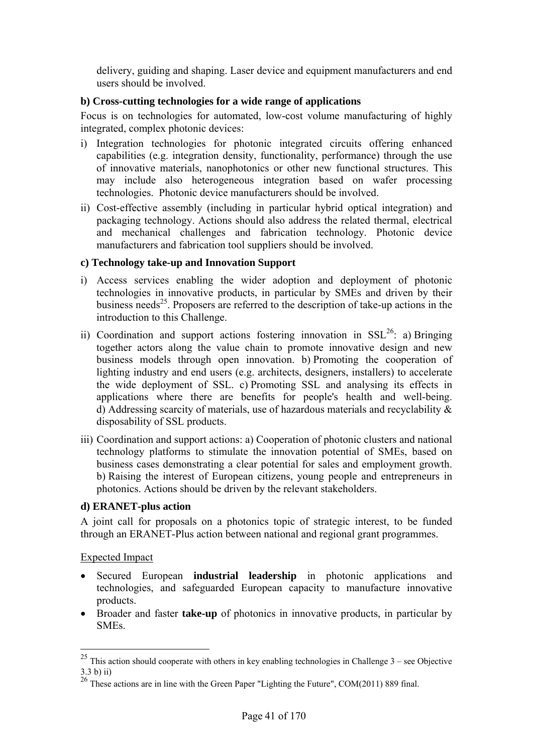delivery, guiding and shaping. Laser device and equipment manufacturers and end users should be involved.

# **b) Cross-cutting technologies for a wide range of applications**

Focus is on technologies for automated, low-cost volume manufacturing of highly integrated, complex photonic devices:

- i) Integration technologies for photonic integrated circuits offering enhanced capabilities (e.g. integration density, functionality, performance) through the use of innovative materials, nanophotonics or other new functional structures. This may include also heterogeneous integration based on wafer processing technologies. Photonic device manufacturers should be involved.
- ii) Cost-effective assembly (including in particular hybrid optical integration) and packaging technology. Actions should also address the related thermal, electrical and mechanical challenges and fabrication technology. Photonic device manufacturers and fabrication tool suppliers should be involved.

## **c) Technology take-up and Innovation Support**

- i) Access services enabling the wider adoption and deployment of photonic technologies in innovative products, in particular by SMEs and driven by their business needs<sup>25</sup>. Proposers are referred to the description of take-up actions in the introduction to this Challenge.
- ii) Coordination and support actions fostering innovation in  $SSL^{26}$ : a) Bringing together actors along the value chain to promote innovative design and new business models through open innovation. b) Promoting the cooperation of lighting industry and end users (e.g. architects, designers, installers) to accelerate the wide deployment of SSL. c) Promoting SSL and analysing its effects in applications where there are benefits for people's health and well-being. d) Addressing scarcity of materials, use of hazardous materials and recyclability & disposability of SSL products.
- iii) Coordination and support actions: a) Cooperation of photonic clusters and national technology platforms to stimulate the innovation potential of SMEs, based on business cases demonstrating a clear potential for sales and employment growth. b) Raising the interest of European citizens, young people and entrepreneurs in photonics. Actions should be driven by the relevant stakeholders.

# **d) ERANET-plus action**

A joint call for proposals on a photonics topic of strategic interest, to be funded through an ERANET-Plus action between national and regional grant programmes.

## Expected Impact

<u>.</u>

- Secured European **industrial leadership** in photonic applications and technologies, and safeguarded European capacity to manufacture innovative products.
- Broader and faster **take-up** of photonics in innovative products, in particular by SMEs.

 $25$  This action should cooperate with others in key enabling technologies in Challenge  $3$  – see Objective 3.3 b) ii)

<sup>26</sup> These actions are in line with the Green Paper "Lighting the Future", COM(2011) 889 final.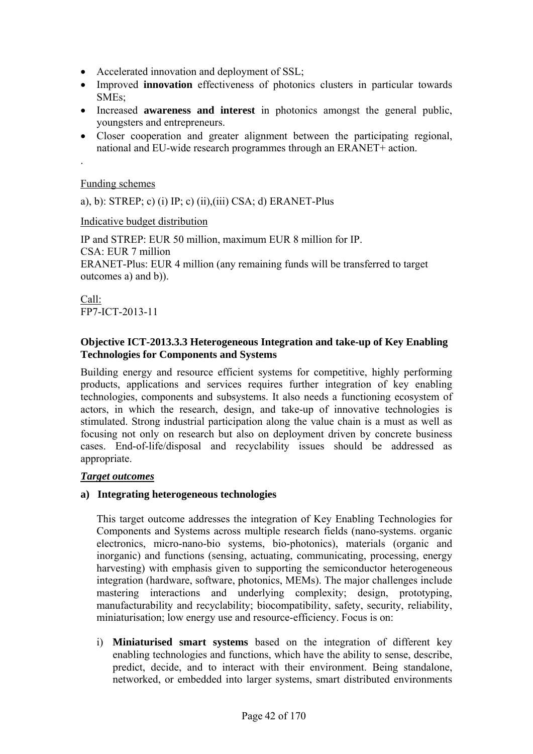- Accelerated innovation and deployment of SSL;
- Improved **innovation** effectiveness of photonics clusters in particular towards SMEs;
- Increased **awareness and interest** in photonics amongst the general public, youngsters and entrepreneurs.
- Closer cooperation and greater alignment between the participating regional, national and EU-wide research programmes through an ERANET+ action.

Funding schemes

.

a), b): STREP; c) (i) IP; c) (ii),(iii) CSA; d) ERANET-Plus

Indicative budget distribution

IP and STREP: EUR 50 million, maximum EUR 8 million for IP. CSA: EUR 7 million ERANET-Plus: EUR 4 million (any remaining funds will be transferred to target outcomes a) and b)).

Call: FP7-ICT-2013-11

## **Objective ICT-2013.3.3 Heterogeneous Integration and take-up of Key Enabling Technologies for Components and Systems**

Building energy and resource efficient systems for competitive, highly performing products, applications and services requires further integration of key enabling technologies, components and subsystems. It also needs a functioning ecosystem of actors, in which the research, design, and take-up of innovative technologies is stimulated. Strong industrial participation along the value chain is a must as well as focusing not only on research but also on deployment driven by concrete business cases. End-of-life/disposal and recyclability issues should be addressed as appropriate.

### *Target outcomes*

### **a) Integrating heterogeneous technologies**

This target outcome addresses the integration of Key Enabling Technologies for Components and Systems across multiple research fields (nano-systems. organic electronics, micro-nano-bio systems, bio-photonics), materials (organic and inorganic) and functions (sensing, actuating, communicating, processing, energy harvesting) with emphasis given to supporting the semiconductor heterogeneous integration (hardware, software, photonics, MEMs). The major challenges include mastering interactions and underlying complexity; design, prototyping, manufacturability and recyclability; biocompatibility, safety, security, reliability, miniaturisation; low energy use and resource-efficiency. Focus is on:

i) **Miniaturised smart systems** based on the integration of different key enabling technologies and functions, which have the ability to sense, describe, predict, decide, and to interact with their environment. Being standalone, networked, or embedded into larger systems, smart distributed environments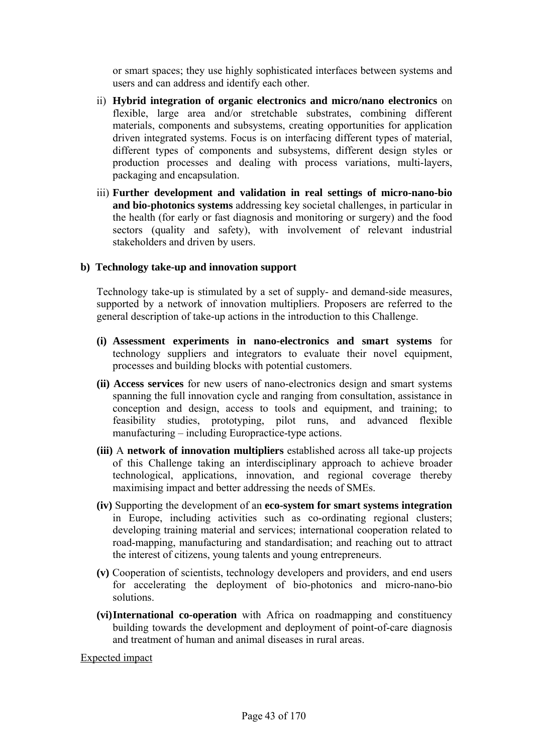or smart spaces; they use highly sophisticated interfaces between systems and users and can address and identify each other.

- ii) **Hybrid integration of organic electronics and micro/nano electronics** on flexible, large area and/or stretchable substrates, combining different materials, components and subsystems, creating opportunities for application driven integrated systems. Focus is on interfacing different types of material, different types of components and subsystems, different design styles or production processes and dealing with process variations, multi-layers, packaging and encapsulation.
- iii) **Further development and validation in real settings of micro-nano-bio and bio-photonics systems** addressing key societal challenges, in particular in the health (for early or fast diagnosis and monitoring or surgery) and the food sectors (quality and safety), with involvement of relevant industrial stakeholders and driven by users.

### **b) Technology take-up and innovation support**

Technology take-up is stimulated by a set of supply- and demand-side measures, supported by a network of innovation multipliers. Proposers are referred to the general description of take-up actions in the introduction to this Challenge.

- **(i) Assessment experiments in nano-electronics and smart systems** for technology suppliers and integrators to evaluate their novel equipment, processes and building blocks with potential customers.
- **(ii) Access services** for new users of nano-electronics design and smart systems spanning the full innovation cycle and ranging from consultation, assistance in conception and design, access to tools and equipment, and training; to feasibility studies, prototyping, pilot runs, and advanced flexible manufacturing – including Europractice-type actions.
- **(iii)** A **network of innovation multipliers** established across all take-up projects of this Challenge taking an interdisciplinary approach to achieve broader technological, applications, innovation, and regional coverage thereby maximising impact and better addressing the needs of SMEs.
- **(iv)** Supporting the development of an **eco-system for smart systems integration** in Europe, including activities such as co-ordinating regional clusters; developing training material and services; international cooperation related to road-mapping, manufacturing and standardisation; and reaching out to attract the interest of citizens, young talents and young entrepreneurs.
- **(v)** Cooperation of scientists, technology developers and providers, and end users for accelerating the deployment of bio-photonics and micro-nano-bio solutions.
- **(vi) International co-operation** with Africa on roadmapping and constituency building towards the development and deployment of point-of-care diagnosis and treatment of human and animal diseases in rural areas.

#### Expected impact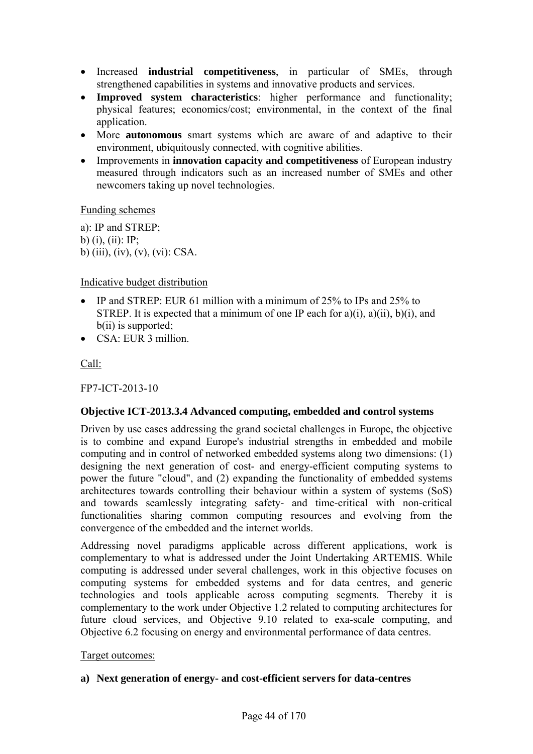- Increased **industrial competitiveness**, in particular of SMEs, through strengthened capabilities in systems and innovative products and services.
- **Improved system characteristics**: higher performance and functionality; physical features; economics/cost; environmental, in the context of the final application.
- More **autonomous** smart systems which are aware of and adaptive to their environment, ubiquitously connected, with cognitive abilities.
- Improvements in **innovation capacity and competitiveness** of European industry measured through indicators such as an increased number of SMEs and other newcomers taking up novel technologies.

Funding schemes

a): IP and STREP; b) (i), (ii):  $IP$ ; b) (iii), (iv), (v), (vi): CSA.

# Indicative budget distribution

- IP and STREP: EUR 61 million with a minimum of 25% to IPs and 25% to STREP. It is expected that a minimum of one IP each for  $a$ ) $(i)$ ,  $a$  $(i)$ ,  $b$  $(i)$ , and  $b(ii)$  is supported;
- CSA: EUR 3 million.

Call:

## FP7-ICT-2013-10

## **Objective ICT-2013.3.4 Advanced computing, embedded and control systems**

Driven by use cases addressing the grand societal challenges in Europe, the objective is to combine and expand Europe's industrial strengths in embedded and mobile computing and in control of networked embedded systems along two dimensions: (1) designing the next generation of cost- and energy-efficient computing systems to power the future "cloud", and (2) expanding the functionality of embedded systems architectures towards controlling their behaviour within a system of systems (SoS) and towards seamlessly integrating safety- and time-critical with non-critical functionalities sharing common computing resources and evolving from the convergence of the embedded and the internet worlds.

Addressing novel paradigms applicable across different applications, work is complementary to what is addressed under the Joint Undertaking ARTEMIS. While computing is addressed under several challenges, work in this objective focuses on computing systems for embedded systems and for data centres, and generic technologies and tools applicable across computing segments. Thereby it is complementary to the work under Objective 1.2 related to computing architectures for future cloud services, and Objective 9.10 related to exa-scale computing, and Objective 6.2 focusing on energy and environmental performance of data centres.

## Target outcomes:

## **a) Next generation of energy- and cost-efficient servers for data-centres**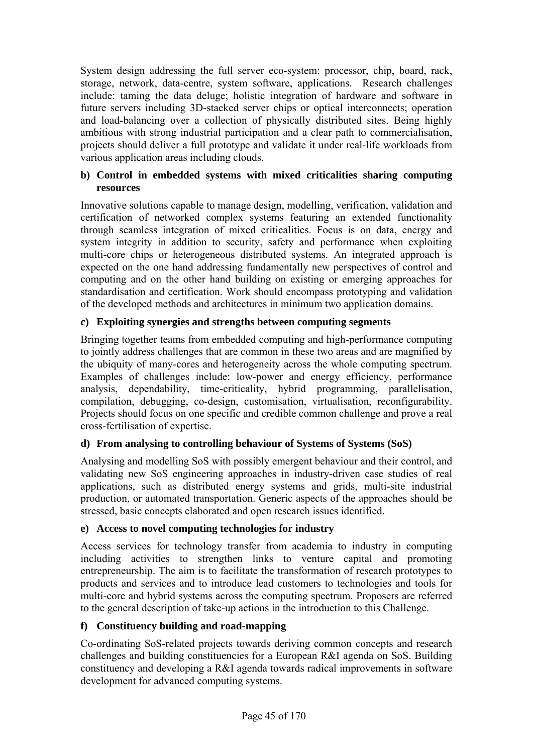System design addressing the full server eco-system: processor, chip, board, rack, storage, network, data-centre, system software, applications. Research challenges include: taming the data deluge; holistic integration of hardware and software in future servers including 3D-stacked server chips or optical interconnects; operation and load-balancing over a collection of physically distributed sites. Being highly ambitious with strong industrial participation and a clear path to commercialisation, projects should deliver a full prototype and validate it under real-life workloads from various application areas including clouds.

# **b) Control in embedded systems with mixed criticalities sharing computing resources**

Innovative solutions capable to manage design, modelling, verification, validation and certification of networked complex systems featuring an extended functionality through seamless integration of mixed criticalities. Focus is on data, energy and system integrity in addition to security, safety and performance when exploiting multi-core chips or heterogeneous distributed systems. An integrated approach is expected on the one hand addressing fundamentally new perspectives of control and computing and on the other hand building on existing or emerging approaches for standardisation and certification. Work should encompass prototyping and validation of the developed methods and architectures in minimum two application domains.

# **c) Exploiting synergies and strengths between computing segments**

Bringing together teams from embedded computing and high-performance computing to jointly address challenges that are common in these two areas and are magnified by the ubiquity of many-cores and heterogeneity across the whole computing spectrum. Examples of challenges include: low-power and energy efficiency, performance analysis, dependability, time-criticality, hybrid programming, parallelisation, compilation, debugging, co-design, customisation, virtualisation, reconfigurability. Projects should focus on one specific and credible common challenge and prove a real cross-fertilisation of expertise.

## **d) From analysing to controlling behaviour of Systems of Systems (SoS)**

Analysing and modelling SoS with possibly emergent behaviour and their control, and validating new SoS engineering approaches in industry-driven case studies of real applications, such as distributed energy systems and grids, multi-site industrial production, or automated transportation. Generic aspects of the approaches should be stressed, basic concepts elaborated and open research issues identified.

## **e) Access to novel computing technologies for industry**

Access services for technology transfer from academia to industry in computing including activities to strengthen links to venture capital and promoting entrepreneurship. The aim is to facilitate the transformation of research prototypes to products and services and to introduce lead customers to technologies and tools for multi-core and hybrid systems across the computing spectrum. Proposers are referred to the general description of take-up actions in the introduction to this Challenge.

# **f) Constituency building and road-mapping**

Co-ordinating SoS-related projects towards deriving common concepts and research challenges and building constituencies for a European R&I agenda on SoS. Building constituency and developing a R&I agenda towards radical improvements in software development for advanced computing systems.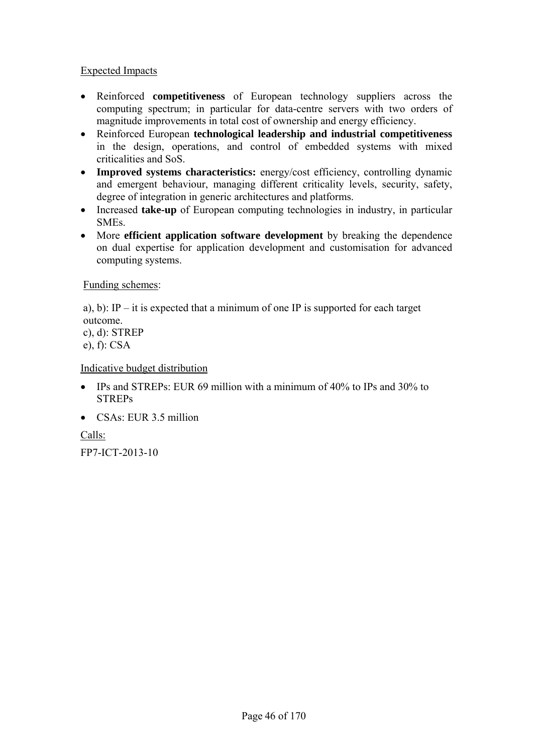## Expected Impacts

- Reinforced **competitiveness** of European technology suppliers across the computing spectrum; in particular for data-centre servers with two orders of magnitude improvements in total cost of ownership and energy efficiency.
- Reinforced European **technological leadership and industrial competitiveness** in the design, operations, and control of embedded systems with mixed criticalities and SoS.
- **Improved systems characteristics:** energy/cost efficiency, controlling dynamic and emergent behaviour, managing different criticality levels, security, safety, degree of integration in generic architectures and platforms.
- Increased **take-up** of European computing technologies in industry, in particular **SMEs**.
- More **efficient application software development** by breaking the dependence on dual expertise for application development and customisation for advanced computing systems.

Funding schemes:

a), b): IP – it is expected that a minimum of one IP is supported for each target outcome. c), d): STREP e), f): CSA

Indicative budget distribution

- IPs and STREPs: EUR 69 million with a minimum of 40% to IPs and 30% to STREPs
- CSAs: EUR 3.5 million

Calls:

FP7-ICT-2013-10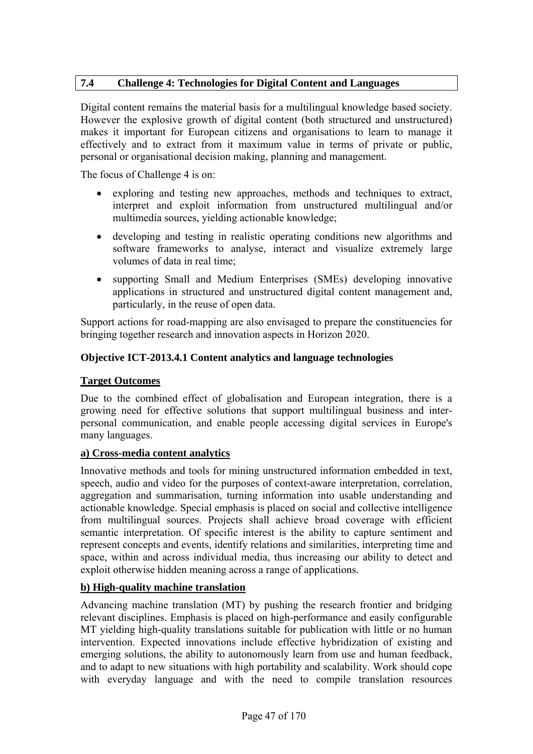# **7.4 Challenge 4: Technologies for Digital Content and Languages**

Digital content remains the material basis for a multilingual knowledge based society. However the explosive growth of digital content (both structured and unstructured) makes it important for European citizens and organisations to learn to manage it effectively and to extract from it maximum value in terms of private or public, personal or organisational decision making, planning and management.

The focus of Challenge 4 is on:

- exploring and testing new approaches, methods and techniques to extract, interpret and exploit information from unstructured multilingual and/or multimedia sources, yielding actionable knowledge;
- developing and testing in realistic operating conditions new algorithms and software frameworks to analyse, interact and visualize extremely large volumes of data in real time;
- supporting Small and Medium Enterprises (SMEs) developing innovative applications in structured and unstructured digital content management and, particularly, in the reuse of open data.

Support actions for road-mapping are also envisaged to prepare the constituencies for bringing together research and innovation aspects in Horizon 2020.

## **Objective ICT-2013.4.1 Content analytics and language technologies**

## **Target Outcomes**

Due to the combined effect of globalisation and European integration, there is a growing need for effective solutions that support multilingual business and interpersonal communication, and enable people accessing digital services in Europe's many languages.

### **a) Cross-media content analytics**

Innovative methods and tools for mining unstructured information embedded in text, speech, audio and video for the purposes of context-aware interpretation, correlation, aggregation and summarisation, turning information into usable understanding and actionable knowledge. Special emphasis is placed on social and collective intelligence from multilingual sources. Projects shall achieve broad coverage with efficient semantic interpretation. Of specific interest is the ability to capture sentiment and represent concepts and events, identify relations and similarities, interpreting time and space, within and across individual media, thus increasing our ability to detect and exploit otherwise hidden meaning across a range of applications.

## **b) High-quality machine translation**

Advancing machine translation (MT) by pushing the research frontier and bridging relevant disciplines. Emphasis is placed on high-performance and easily configurable MT yielding high-quality translations suitable for publication with little or no human intervention. Expected innovations include effective hybridization of existing and emerging solutions, the ability to autonomously learn from use and human feedback, and to adapt to new situations with high portability and scalability. Work should cope with everyday language and with the need to compile translation resources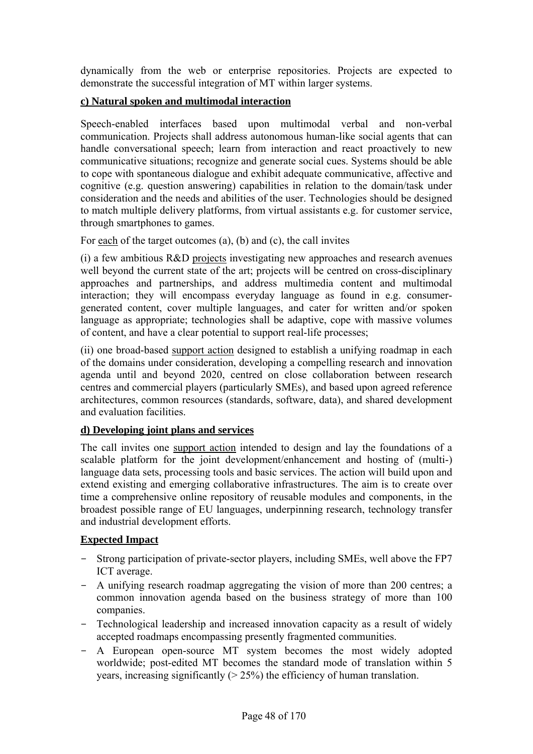dynamically from the web or enterprise repositories. Projects are expected to demonstrate the successful integration of MT within larger systems.

# **c) Natural spoken and multimodal interaction**

Speech-enabled interfaces based upon multimodal verbal and non-verbal communication. Projects shall address autonomous human-like social agents that can handle conversational speech; learn from interaction and react proactively to new communicative situations; recognize and generate social cues. Systems should be able to cope with spontaneous dialogue and exhibit adequate communicative, affective and cognitive (e.g. question answering) capabilities in relation to the domain/task under consideration and the needs and abilities of the user. Technologies should be designed to match multiple delivery platforms, from virtual assistants e.g. for customer service, through smartphones to games.

For each of the target outcomes (a), (b) and (c), the call invites

(i) a few ambitious R&D projects investigating new approaches and research avenues well beyond the current state of the art; projects will be centred on cross-disciplinary approaches and partnerships, and address multimedia content and multimodal interaction; they will encompass everyday language as found in e.g. consumergenerated content, cover multiple languages, and cater for written and/or spoken language as appropriate; technologies shall be adaptive, cope with massive volumes of content, and have a clear potential to support real-life processes;

(ii) one broad-based support action designed to establish a unifying roadmap in each of the domains under consideration, developing a compelling research and innovation agenda until and beyond 2020, centred on close collaboration between research centres and commercial players (particularly SMEs), and based upon agreed reference architectures, common resources (standards, software, data), and shared development and evaluation facilities.

## **d) Developing joint plans and services**

The call invites one support action intended to design and lay the foundations of a scalable platform for the joint development/enhancement and hosting of (multi-) language data sets, processing tools and basic services. The action will build upon and extend existing and emerging collaborative infrastructures. The aim is to create over time a comprehensive online repository of reusable modules and components, in the broadest possible range of EU languages, underpinning research, technology transfer and industrial development efforts.

## **Expected Impact**

- Strong participation of private-sector players, including SMEs, well above the FP7 ICT average.
- A unifying research roadmap aggregating the vision of more than 200 centres; a common innovation agenda based on the business strategy of more than 100 companies.
- Technological leadership and increased innovation capacity as a result of widely accepted roadmaps encompassing presently fragmented communities.
- A European open-source MT system becomes the most widely adopted worldwide; post-edited MT becomes the standard mode of translation within 5 years, increasing significantly  $(> 25\%)$  the efficiency of human translation.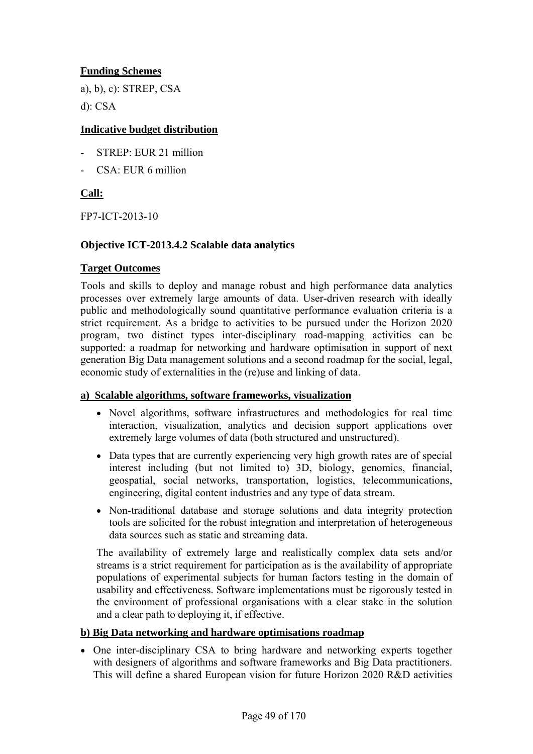# **Funding Schemes**

a), b), c): STREP, CSA d): CSA

# **Indicative budget distribution**

- STREP: EUR 21 million
- CSA: EUR 6 million

## **Call:**

FP7-ICT-2013-10

## **Objective ICT-2013.4.2 Scalable data analytics**

### **Target Outcomes**

Tools and skills to deploy and manage robust and high performance data analytics processes over extremely large amounts of data. User-driven research with ideally public and methodologically sound quantitative performance evaluation criteria is a strict requirement. As a bridge to activities to be pursued under the Horizon 2020 program, two distinct types inter-disciplinary road-mapping activities can be supported: a roadmap for networking and hardware optimisation in support of next generation Big Data management solutions and a second roadmap for the social, legal, economic study of externalities in the (re)use and linking of data.

## **a) Scalable algorithms, software frameworks, visualization**

- Novel algorithms, software infrastructures and methodologies for real time interaction, visualization, analytics and decision support applications over extremely large volumes of data (both structured and unstructured).
- Data types that are currently experiencing very high growth rates are of special interest including (but not limited to) 3D, biology, genomics, financial, geospatial, social networks, transportation, logistics, telecommunications, engineering, digital content industries and any type of data stream.
- Non-traditional database and storage solutions and data integrity protection tools are solicited for the robust integration and interpretation of heterogeneous data sources such as static and streaming data.

The availability of extremely large and realistically complex data sets and/or streams is a strict requirement for participation as is the availability of appropriate populations of experimental subjects for human factors testing in the domain of usability and effectiveness. Software implementations must be rigorously tested in the environment of professional organisations with a clear stake in the solution and a clear path to deploying it, if effective.

## **b) Big Data networking and hardware optimisations roadmap**

• One inter-disciplinary CSA to bring hardware and networking experts together with designers of algorithms and software frameworks and Big Data practitioners. This will define a shared European vision for future Horizon 2020 R&D activities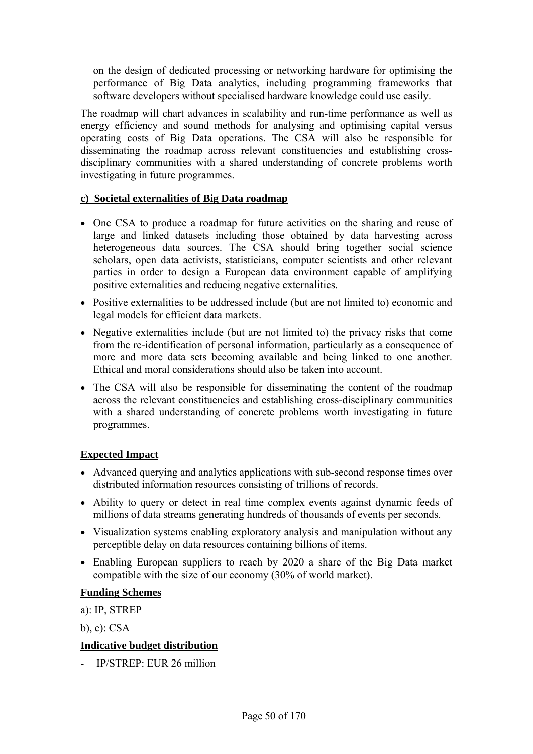on the design of dedicated processing or networking hardware for optimising the performance of Big Data analytics, including programming frameworks that software developers without specialised hardware knowledge could use easily.

The roadmap will chart advances in scalability and run-time performance as well as energy efficiency and sound methods for analysing and optimising capital versus operating costs of Big Data operations. The CSA will also be responsible for disseminating the roadmap across relevant constituencies and establishing crossdisciplinary communities with a shared understanding of concrete problems worth investigating in future programmes.

### **c) Societal externalities of Big Data roadmap**

- One CSA to produce a roadmap for future activities on the sharing and reuse of large and linked datasets including those obtained by data harvesting across heterogeneous data sources. The CSA should bring together social science scholars, open data activists, statisticians, computer scientists and other relevant parties in order to design a European data environment capable of amplifying positive externalities and reducing negative externalities.
- Positive externalities to be addressed include (but are not limited to) economic and legal models for efficient data markets.
- Negative externalities include (but are not limited to) the privacy risks that come from the re-identification of personal information, particularly as a consequence of more and more data sets becoming available and being linked to one another. Ethical and moral considerations should also be taken into account.
- The CSA will also be responsible for disseminating the content of the roadmap across the relevant constituencies and establishing cross-disciplinary communities with a shared understanding of concrete problems worth investigating in future programmes.

## **Expected Impact**

- Advanced querying and analytics applications with sub-second response times over distributed information resources consisting of trillions of records.
- Ability to query or detect in real time complex events against dynamic feeds of millions of data streams generating hundreds of thousands of events per seconds.
- Visualization systems enabling exploratory analysis and manipulation without any perceptible delay on data resources containing billions of items.
- Enabling European suppliers to reach by 2020 a share of the Big Data market compatible with the size of our economy (30% of world market).

### **Funding Schemes**

a): IP, STREP

b), c): CSA

### **Indicative budget distribution**

 $-$  IP/STREP: EUR 26 million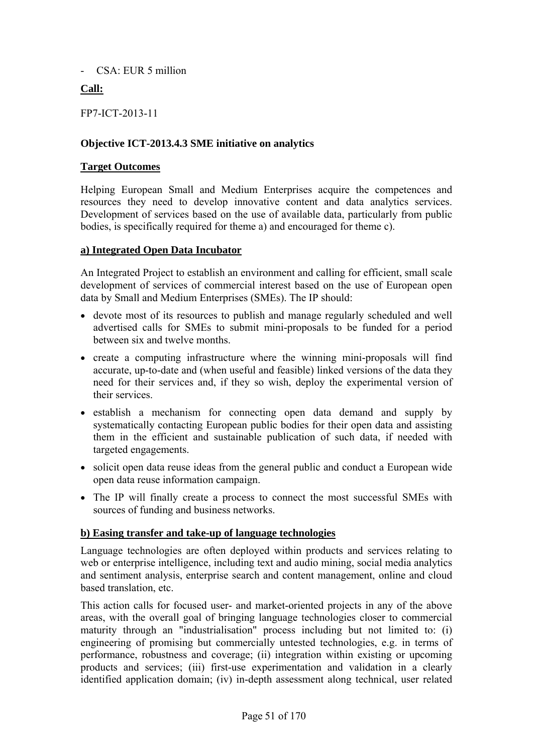## - CSA: EUR 5 million

# **Call:**

FP7-ICT-2013-11

# **Objective ICT-2013.4.3 SME initiative on analytics**

### **Target Outcomes**

Helping European Small and Medium Enterprises acquire the competences and resources they need to develop innovative content and data analytics services. Development of services based on the use of available data, particularly from public bodies, is specifically required for theme a) and encouraged for theme c).

### **a) Integrated Open Data Incubator**

An Integrated Project to establish an environment and calling for efficient, small scale development of services of commercial interest based on the use of European open data by Small and Medium Enterprises (SMEs). The IP should:

- devote most of its resources to publish and manage regularly scheduled and well advertised calls for SMEs to submit mini-proposals to be funded for a period between six and twelve months.
- create a computing infrastructure where the winning mini-proposals will find accurate, up-to-date and (when useful and feasible) linked versions of the data they need for their services and, if they so wish, deploy the experimental version of their services.
- establish a mechanism for connecting open data demand and supply by systematically contacting European public bodies for their open data and assisting them in the efficient and sustainable publication of such data, if needed with targeted engagements.
- solicit open data reuse ideas from the general public and conduct a European wide open data reuse information campaign.
- The IP will finally create a process to connect the most successful SMEs with sources of funding and business networks.

# **b) Easing transfer and take-up of language technologies**

Language technologies are often deployed within products and services relating to web or enterprise intelligence, including text and audio mining, social media analytics and sentiment analysis, enterprise search and content management, online and cloud based translation, etc.

This action calls for focused user- and market-oriented projects in any of the above areas, with the overall goal of bringing language technologies closer to commercial maturity through an "industrialisation" process including but not limited to: (i) engineering of promising but commercially untested technologies, e.g. in terms of performance, robustness and coverage; (ii) integration within existing or upcoming products and services; (iii) first-use experimentation and validation in a clearly identified application domain; (iv) in-depth assessment along technical, user related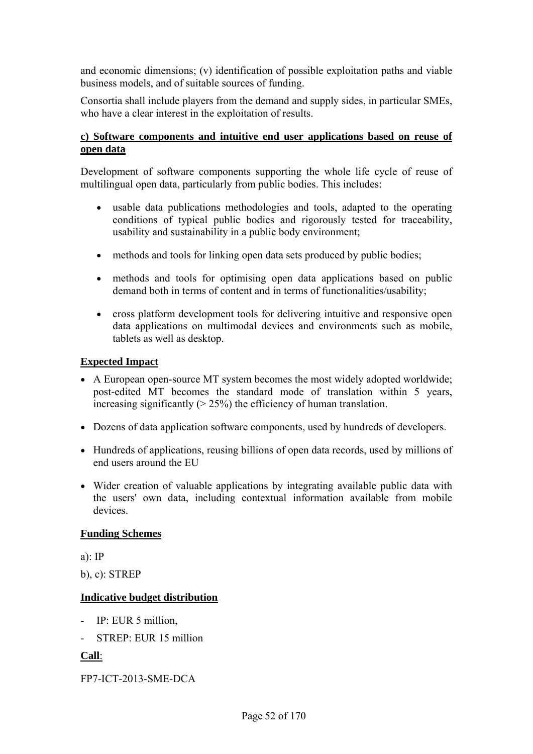and economic dimensions; (v) identification of possible exploitation paths and viable business models, and of suitable sources of funding.

Consortia shall include players from the demand and supply sides, in particular SMEs, who have a clear interest in the exploitation of results.

## **c) Software components and intuitive end user applications based on reuse of open data**

Development of software components supporting the whole life cycle of reuse of multilingual open data, particularly from public bodies. This includes:

- usable data publications methodologies and tools, adapted to the operating conditions of typical public bodies and rigorously tested for traceability, usability and sustainability in a public body environment;
- methods and tools for linking open data sets produced by public bodies;
- methods and tools for optimising open data applications based on public demand both in terms of content and in terms of functionalities/usability;
- cross platform development tools for delivering intuitive and responsive open data applications on multimodal devices and environments such as mobile, tablets as well as desktop.

## **Expected Impact**

- A European open-source MT system becomes the most widely adopted worldwide; post-edited MT becomes the standard mode of translation within 5 years, increasing significantly  $(> 25\%)$  the efficiency of human translation.
- Dozens of data application software components, used by hundreds of developers.
- Hundreds of applications, reusing billions of open data records, used by millions of end users around the EU
- Wider creation of valuable applications by integrating available public data with the users' own data, including contextual information available from mobile devices.

### **Funding Schemes**

a):  $IP$ 

b), c): STREP

### **Indicative budget distribution**

- IP: EUR 5 million,
- STREP: EUR 15 million

## **Call**:

FP7-ICT-2013-SME-DCA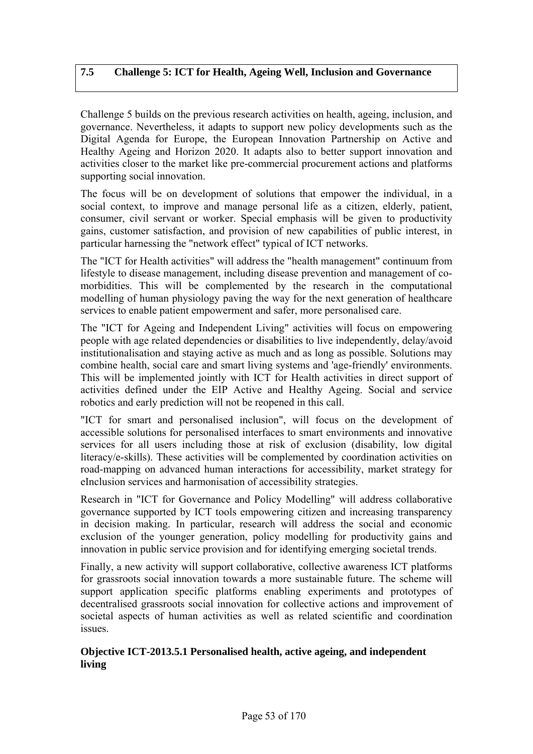# **7.5 Challenge 5: ICT for Health, Ageing Well, Inclusion and Governance**

Challenge 5 builds on the previous research activities on health, ageing, inclusion, and governance. Nevertheless, it adapts to support new policy developments such as the Digital Agenda for Europe, the European Innovation Partnership on Active and Healthy Ageing and Horizon 2020. It adapts also to better support innovation and activities closer to the market like pre-commercial procurement actions and platforms supporting social innovation.

The focus will be on development of solutions that empower the individual, in a social context, to improve and manage personal life as a citizen, elderly, patient, consumer, civil servant or worker. Special emphasis will be given to productivity gains, customer satisfaction, and provision of new capabilities of public interest, in particular harnessing the "network effect" typical of ICT networks.

The "ICT for Health activities" will address the "health management" continuum from lifestyle to disease management, including disease prevention and management of comorbidities. This will be complemented by the research in the computational modelling of human physiology paving the way for the next generation of healthcare services to enable patient empowerment and safer, more personalised care.

The "ICT for Ageing and Independent Living" activities will focus on empowering people with age related dependencies or disabilities to live independently, delay/avoid institutionalisation and staying active as much and as long as possible. Solutions may combine health, social care and smart living systems and 'age-friendly' environments. This will be implemented jointly with ICT for Health activities in direct support of activities defined under the EIP Active and Healthy Ageing. Social and service robotics and early prediction will not be reopened in this call.

"ICT for smart and personalised inclusion", will focus on the development of accessible solutions for personalised interfaces to smart environments and innovative services for all users including those at risk of exclusion (disability, low digital literacy/e-skills). These activities will be complemented by coordination activities on road-mapping on advanced human interactions for accessibility, market strategy for eInclusion services and harmonisation of accessibility strategies.

Research in "ICT for Governance and Policy Modelling" will address collaborative governance supported by ICT tools empowering citizen and increasing transparency in decision making. In particular, research will address the social and economic exclusion of the younger generation, policy modelling for productivity gains and innovation in public service provision and for identifying emerging societal trends.

Finally, a new activity will support collaborative, collective awareness ICT platforms for grassroots social innovation towards a more sustainable future. The scheme will support application specific platforms enabling experiments and prototypes of decentralised grassroots social innovation for collective actions and improvement of societal aspects of human activities as well as related scientific and coordination issues.

## **Objective ICT-2013.5.1 Personalised health, active ageing, and independent living**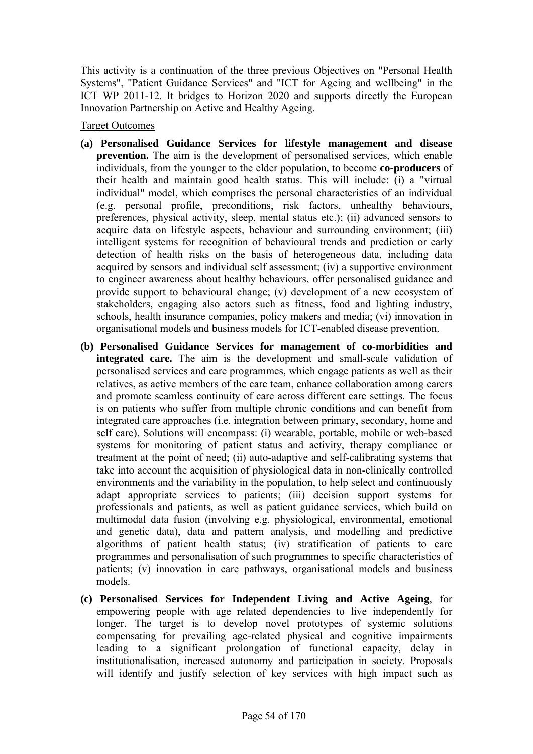This activity is a continuation of the three previous Objectives on "Personal Health Systems", "Patient Guidance Services" and "ICT for Ageing and wellbeing" in the ICT WP 2011-12. It bridges to Horizon 2020 and supports directly the European Innovation Partnership on Active and Healthy Ageing.

Target Outcomes

- **(a) Personalised Guidance Services for lifestyle management and disease prevention.** The aim is the development of personalised services, which enable individuals, from the younger to the elder population, to become **co-producers** of their health and maintain good health status. This will include: (i) a "virtual individual" model, which comprises the personal characteristics of an individual (e.g. personal profile, preconditions, risk factors, unhealthy behaviours, preferences, physical activity, sleep, mental status etc.); (ii) advanced sensors to acquire data on lifestyle aspects, behaviour and surrounding environment; (iii) intelligent systems for recognition of behavioural trends and prediction or early detection of health risks on the basis of heterogeneous data, including data acquired by sensors and individual self assessment; (iv) a supportive environment to engineer awareness about healthy behaviours, offer personalised guidance and provide support to behavioural change; (v) development of a new ecosystem of stakeholders, engaging also actors such as fitness, food and lighting industry, schools, health insurance companies, policy makers and media; (vi) innovation in organisational models and business models for ICT-enabled disease prevention.
- **(b) Personalised Guidance Services for management of co-morbidities and integrated care.** The aim is the development and small-scale validation of personalised services and care programmes, which engage patients as well as their relatives, as active members of the care team, enhance collaboration among carers and promote seamless continuity of care across different care settings. The focus is on patients who suffer from multiple chronic conditions and can benefit from integrated care approaches (i.e. integration between primary, secondary, home and self care). Solutions will encompass: (i) wearable, portable, mobile or web-based systems for monitoring of patient status and activity, therapy compliance or treatment at the point of need; (ii) auto-adaptive and self-calibrating systems that take into account the acquisition of physiological data in non-clinically controlled environments and the variability in the population, to help select and continuously adapt appropriate services to patients; (iii) decision support systems for professionals and patients, as well as patient guidance services, which build on multimodal data fusion (involving e.g. physiological, environmental, emotional and genetic data), data and pattern analysis, and modelling and predictive algorithms of patient health status; (iv) stratification of patients to care programmes and personalisation of such programmes to specific characteristics of patients; (v) innovation in care pathways, organisational models and business models.
- **(c) Personalised Services for Independent Living and Active Ageing**, for empowering people with age related dependencies to live independently for longer. The target is to develop novel prototypes of systemic solutions compensating for prevailing age-related physical and cognitive impairments leading to a significant prolongation of functional capacity, delay in institutionalisation, increased autonomy and participation in society. Proposals will identify and justify selection of key services with high impact such as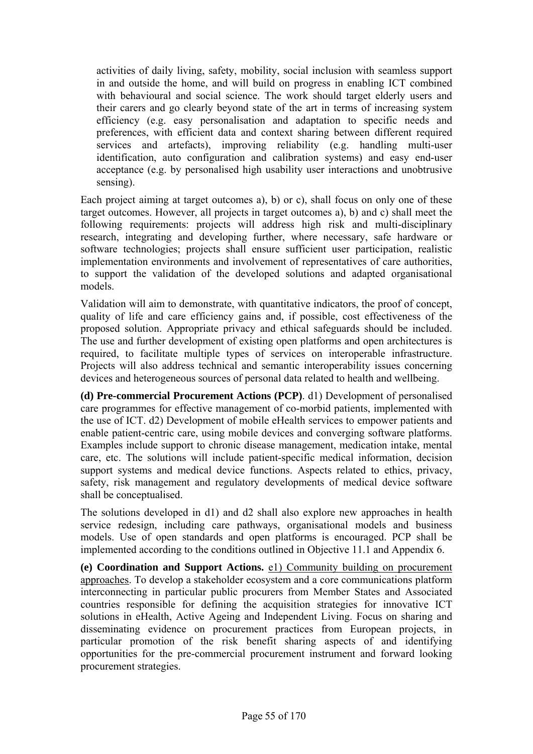activities of daily living, safety, mobility, social inclusion with seamless support in and outside the home, and will build on progress in enabling ICT combined with behavioural and social science. The work should target elderly users and their carers and go clearly beyond state of the art in terms of increasing system efficiency (e.g. easy personalisation and adaptation to specific needs and preferences, with efficient data and context sharing between different required services and artefacts), improving reliability (e.g. handling multi-user identification, auto configuration and calibration systems) and easy end-user acceptance (e.g. by personalised high usability user interactions and unobtrusive sensing).

Each project aiming at target outcomes a), b) or c), shall focus on only one of these target outcomes. However, all projects in target outcomes a), b) and c) shall meet the following requirements: projects will address high risk and multi-disciplinary research, integrating and developing further, where necessary, safe hardware or software technologies; projects shall ensure sufficient user participation, realistic implementation environments and involvement of representatives of care authorities, to support the validation of the developed solutions and adapted organisational models.

Validation will aim to demonstrate, with quantitative indicators, the proof of concept, quality of life and care efficiency gains and, if possible, cost effectiveness of the proposed solution. Appropriate privacy and ethical safeguards should be included. The use and further development of existing open platforms and open architectures is required, to facilitate multiple types of services on interoperable infrastructure. Projects will also address technical and semantic interoperability issues concerning devices and heterogeneous sources of personal data related to health and wellbeing.

**(d) Pre-commercial Procurement Actions (PCP)**. d1) Development of personalised care programmes for effective management of co-morbid patients, implemented with the use of ICT. d2) Development of mobile eHealth services to empower patients and enable patient-centric care, using mobile devices and converging software platforms. Examples include support to chronic disease management, medication intake, mental care, etc. The solutions will include patient-specific medical information, decision support systems and medical device functions. Aspects related to ethics, privacy, safety, risk management and regulatory developments of medical device software shall be conceptualised.

The solutions developed in d1) and d2 shall also explore new approaches in health service redesign, including care pathways, organisational models and business models. Use of open standards and open platforms is encouraged. PCP shall be implemented according to the conditions outlined in Objective 11.1 and Appendix 6.

**(e) Coordination and Support Actions.** e1) Community building on procurement approaches. To develop a stakeholder ecosystem and a core communications platform interconnecting in particular public procurers from Member States and Associated countries responsible for defining the acquisition strategies for innovative ICT solutions in eHealth, Active Ageing and Independent Living. Focus on sharing and disseminating evidence on procurement practices from European projects, in particular promotion of the risk benefit sharing aspects of and identifying opportunities for the pre-commercial procurement instrument and forward looking procurement strategies.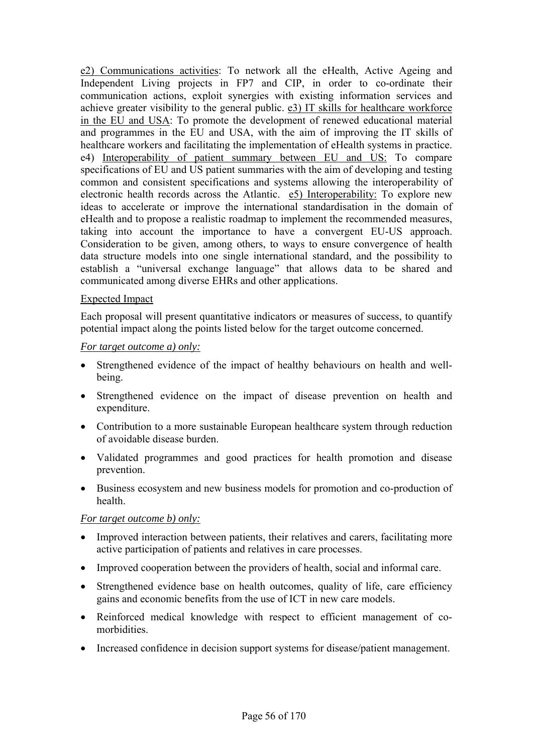e2) Communications activities: To network all the eHealth, Active Ageing and Independent Living projects in FP7 and CIP, in order to co-ordinate their communication actions, exploit synergies with existing information services and achieve greater visibility to the general public. e3) IT skills for healthcare workforce in the EU and USA: To promote the development of renewed educational material and programmes in the EU and USA, with the aim of improving the IT skills of healthcare workers and facilitating the implementation of eHealth systems in practice. e4) Interoperability of patient summary between EU and US: To compare specifications of EU and US patient summaries with the aim of developing and testing common and consistent specifications and systems allowing the interoperability of electronic health records across the Atlantic. e5) Interoperability: To explore new ideas to accelerate or improve the international standardisation in the domain of eHealth and to propose a realistic roadmap to implement the recommended measures, taking into account the importance to have a convergent EU-US approach. Consideration to be given, among others, to ways to ensure convergence of health data structure models into one single international standard, and the possibility to establish a "universal exchange language" that allows data to be shared and communicated among diverse EHRs and other applications.

### Expected Impact

Each proposal will present quantitative indicators or measures of success, to quantify potential impact along the points listed below for the target outcome concerned.

### *For target outcome a) only:*

- Strengthened evidence of the impact of healthy behaviours on health and wellbeing.
- Strengthened evidence on the impact of disease prevention on health and expenditure.
- Contribution to a more sustainable European healthcare system through reduction of avoidable disease burden.
- Validated programmes and good practices for health promotion and disease prevention.
- Business ecosystem and new business models for promotion and co-production of health.

## *For target outcome b) only:*

- Improved interaction between patients, their relatives and carers, facilitating more active participation of patients and relatives in care processes.
- Improved cooperation between the providers of health, social and informal care.
- Strengthened evidence base on health outcomes, quality of life, care efficiency gains and economic benefits from the use of ICT in new care models.
- Reinforced medical knowledge with respect to efficient management of comorbidities.
- Increased confidence in decision support systems for disease/patient management.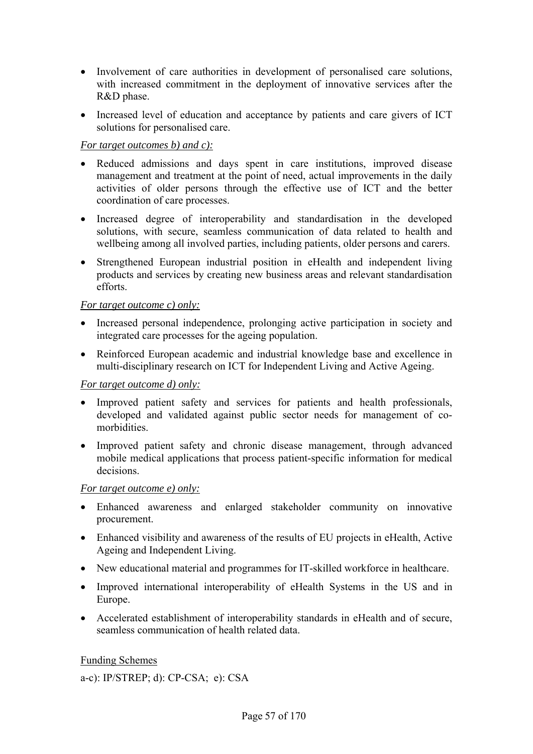- Involvement of care authorities in development of personalised care solutions, with increased commitment in the deployment of innovative services after the R&D phase.
- Increased level of education and acceptance by patients and care givers of ICT solutions for personalised care.

## *For target outcomes b) and c):*

- Reduced admissions and days spent in care institutions, improved disease management and treatment at the point of need, actual improvements in the daily activities of older persons through the effective use of ICT and the better coordination of care processes.
- Increased degree of interoperability and standardisation in the developed solutions, with secure, seamless communication of data related to health and wellbeing among all involved parties, including patients, older persons and carers.
- Strengthened European industrial position in eHealth and independent living products and services by creating new business areas and relevant standardisation efforts.

### *For target outcome c) only:*

- Increased personal independence, prolonging active participation in society and integrated care processes for the ageing population.
- Reinforced European academic and industrial knowledge base and excellence in multi-disciplinary research on ICT for Independent Living and Active Ageing.

### *For target outcome d) only:*

- Improved patient safety and services for patients and health professionals, developed and validated against public sector needs for management of comorbidities.
- Improved patient safety and chronic disease management, through advanced mobile medical applications that process patient-specific information for medical decisions.

### *For target outcome e) only:*

- Enhanced awareness and enlarged stakeholder community on innovative procurement.
- Enhanced visibility and awareness of the results of EU projects in eHealth, Active Ageing and Independent Living.
- New educational material and programmes for IT-skilled workforce in healthcare.
- Improved international interoperability of eHealth Systems in the US and in Europe.
- Accelerated establishment of interoperability standards in eHealth and of secure, seamless communication of health related data.

Funding Schemes

a-c): IP/STREP; d): CP-CSA; e): CSA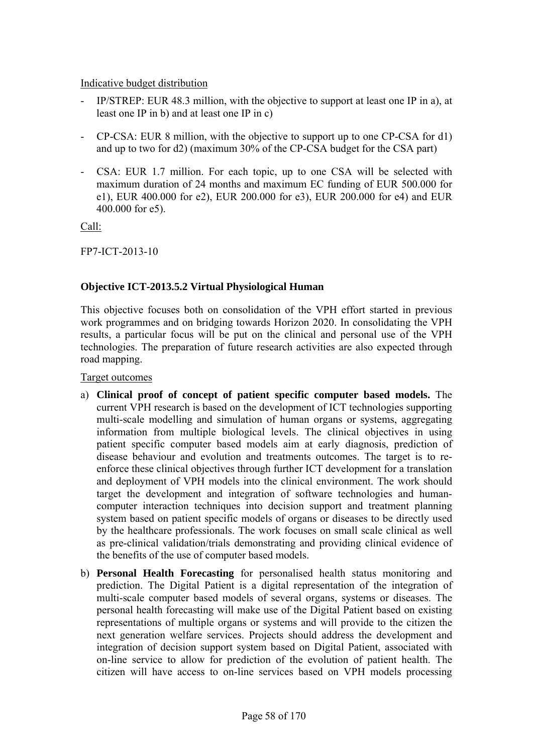### Indicative budget distribution

- IP/STREP: EUR 48.3 million, with the objective to support at least one IP in a), at least one IP in b) and at least one IP in c)
- CP-CSA: EUR 8 million, with the objective to support up to one CP-CSA for d1) and up to two for d2) (maximum 30% of the CP-CSA budget for the CSA part)
- CSA: EUR 1.7 million. For each topic, up to one CSA will be selected with maximum duration of 24 months and maximum EC funding of EUR 500.000 for e1), EUR 400.000 for e2), EUR 200.000 for e3), EUR 200.000 for e4) and EUR 400.000 for e5).

Call:

FP7-ICT-2013-10

## **Objective ICT-2013.5.2 Virtual Physiological Human**

This objective focuses both on consolidation of the VPH effort started in previous work programmes and on bridging towards Horizon 2020. In consolidating the VPH results, a particular focus will be put on the clinical and personal use of the VPH technologies. The preparation of future research activities are also expected through road mapping.

Target outcomes

- a) **Clinical proof of concept of patient specific computer based models.** The current VPH research is based on the development of ICT technologies supporting multi-scale modelling and simulation of human organs or systems, aggregating information from multiple biological levels. The clinical objectives in using patient specific computer based models aim at early diagnosis, prediction of disease behaviour and evolution and treatments outcomes. The target is to reenforce these clinical objectives through further ICT development for a translation and deployment of VPH models into the clinical environment. The work should target the development and integration of software technologies and humancomputer interaction techniques into decision support and treatment planning system based on patient specific models of organs or diseases to be directly used by the healthcare professionals. The work focuses on small scale clinical as well as pre-clinical validation/trials demonstrating and providing clinical evidence of the benefits of the use of computer based models.
- b) **Personal Health Forecasting** for personalised health status monitoring and prediction. The Digital Patient is a digital representation of the integration of multi-scale computer based models of several organs, systems or diseases. The personal health forecasting will make use of the Digital Patient based on existing representations of multiple organs or systems and will provide to the citizen the next generation welfare services. Projects should address the development and integration of decision support system based on Digital Patient, associated with on-line service to allow for prediction of the evolution of patient health. The citizen will have access to on-line services based on VPH models processing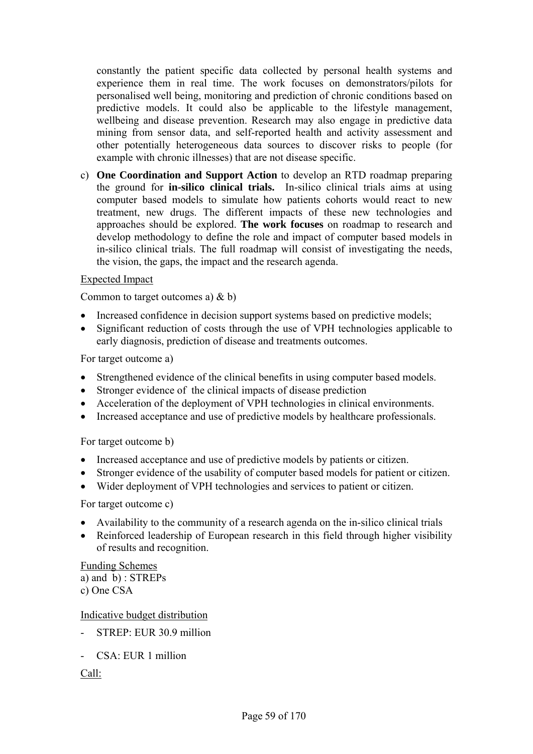constantly the patient specific data collected by personal health systems and experience them in real time. The work focuses on demonstrators/pilots for personalised well being, monitoring and prediction of chronic conditions based on predictive models. It could also be applicable to the lifestyle management, wellbeing and disease prevention. Research may also engage in predictive data mining from sensor data, and self-reported health and activity assessment and other potentially heterogeneous data sources to discover risks to people (for example with chronic illnesses) that are not disease specific.

c) **One Coordination and Support Action** to develop an RTD roadmap preparing the ground for **in-silico clinical trials.** In-silico clinical trials aims at using computer based models to simulate how patients cohorts would react to new treatment, new drugs. The different impacts of these new technologies and approaches should be explored. **The work focuses** on roadmap to research and develop methodology to define the role and impact of computer based models in in-silico clinical trials. The full roadmap will consist of investigating the needs, the vision, the gaps, the impact and the research agenda.

### Expected Impact

Common to target outcomes a)  $& b$ )

- Increased confidence in decision support systems based on predictive models;
- Significant reduction of costs through the use of VPH technologies applicable to early diagnosis, prediction of disease and treatments outcomes.

For target outcome a)

- Strengthened evidence of the clinical benefits in using computer based models.
- Stronger evidence of the clinical impacts of disease prediction
- Acceleration of the deployment of VPH technologies in clinical environments.
- Increased acceptance and use of predictive models by healthcare professionals.

For target outcome b)

- Increased acceptance and use of predictive models by patients or citizen.
- Stronger evidence of the usability of computer based models for patient or citizen.
- Wider deployment of VPH technologies and services to patient or citizen.

For target outcome c)

- Availability to the community of a research agenda on the in-silico clinical trials
- Reinforced leadership of European research in this field through higher visibility of results and recognition.

Funding Schemes a) and b) : STREPs c) One CSA

Indicative budget distribution

- STREP: EUR 30.9 million
- CSA: EUR 1 million

Call: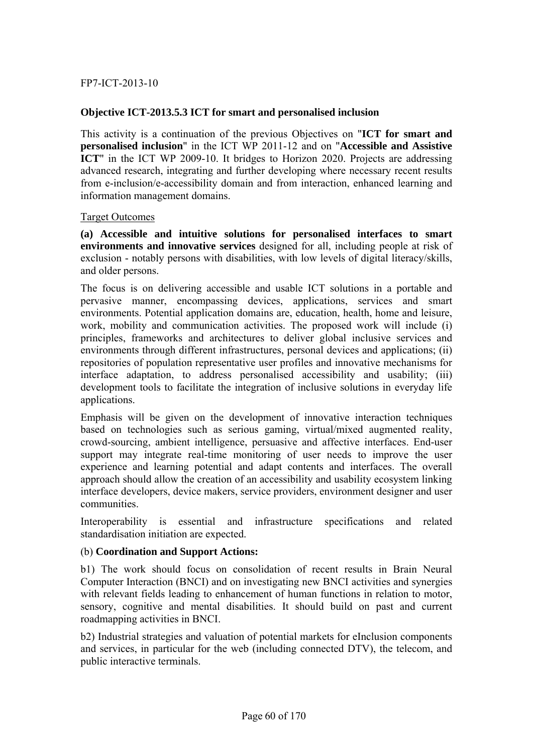## FP7-ICT-2013-10

### **Objective ICT-2013.5.3 ICT for smart and personalised inclusion**

This activity is a continuation of the previous Objectives on "**ICT for smart and personalised inclusion**" in the ICT WP 2011-12 and on "**Accessible and Assistive ICT**" in the ICT WP 2009-10. It bridges to Horizon 2020. Projects are addressing advanced research, integrating and further developing where necessary recent results from e-inclusion/e-accessibility domain and from interaction, enhanced learning and information management domains.

### Target Outcomes

**(a) Accessible and intuitive solutions for personalised interfaces to smart environments and innovative services** designed for all, including people at risk of exclusion - notably persons with disabilities, with low levels of digital literacy/skills, and older persons.

The focus is on delivering accessible and usable ICT solutions in a portable and pervasive manner, encompassing devices, applications, services and smart environments. Potential application domains are, education, health, home and leisure, work, mobility and communication activities. The proposed work will include (i) principles, frameworks and architectures to deliver global inclusive services and environments through different infrastructures, personal devices and applications; (ii) repositories of population representative user profiles and innovative mechanisms for interface adaptation, to address personalised accessibility and usability; (iii) development tools to facilitate the integration of inclusive solutions in everyday life applications.

Emphasis will be given on the development of innovative interaction techniques based on technologies such as serious gaming, virtual/mixed augmented reality, crowd-sourcing, ambient intelligence, persuasive and affective interfaces. End-user support may integrate real-time monitoring of user needs to improve the user experience and learning potential and adapt contents and interfaces. The overall approach should allow the creation of an accessibility and usability ecosystem linking interface developers, device makers, service providers, environment designer and user communities.

Interoperability is essential and infrastructure specifications and related standardisation initiation are expected.

### (b) **Coordination and Support Actions:**

b1) The work should focus on consolidation of recent results in Brain Neural Computer Interaction (BNCI) and on investigating new BNCI activities and synergies with relevant fields leading to enhancement of human functions in relation to motor, sensory, cognitive and mental disabilities. It should build on past and current roadmapping activities in BNCI.

b2) Industrial strategies and valuation of potential markets for eInclusion components and services, in particular for the web (including connected DTV), the telecom, and public interactive terminals.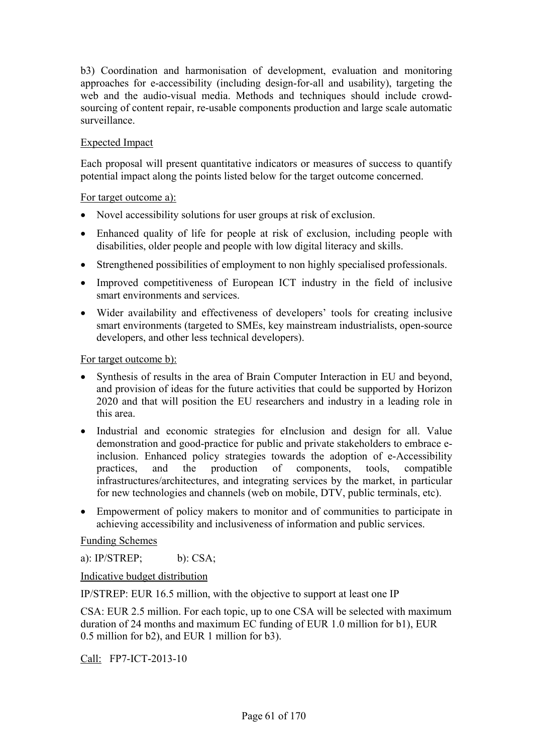b3) Coordination and harmonisation of development, evaluation and monitoring approaches for e-accessibility (including design-for-all and usability), targeting the web and the audio-visual media. Methods and techniques should include crowdsourcing of content repair, re-usable components production and large scale automatic surveillance.

# Expected Impact

Each proposal will present quantitative indicators or measures of success to quantify potential impact along the points listed below for the target outcome concerned.

## For target outcome a):

- Novel accessibility solutions for user groups at risk of exclusion.
- Enhanced quality of life for people at risk of exclusion, including people with disabilities, older people and people with low digital literacy and skills.
- Strengthened possibilities of employment to non highly specialised professionals.
- Improved competitiveness of European ICT industry in the field of inclusive smart environments and services.
- Wider availability and effectiveness of developers' tools for creating inclusive smart environments (targeted to SMEs, key mainstream industrialists, open-source developers, and other less technical developers).

For target outcome b):

- Synthesis of results in the area of Brain Computer Interaction in EU and beyond, and provision of ideas for the future activities that could be supported by Horizon 2020 and that will position the EU researchers and industry in a leading role in this area.
- Industrial and economic strategies for eInclusion and design for all. Value demonstration and good-practice for public and private stakeholders to embrace einclusion. Enhanced policy strategies towards the adoption of e-Accessibility practices, and the production of components, tools, compatible infrastructures/architectures, and integrating services by the market, in particular for new technologies and channels (web on mobile, DTV, public terminals, etc).
- Empowerment of policy makers to monitor and of communities to participate in achieving accessibility and inclusiveness of information and public services.

## Funding Schemes

a):  $IP/STREP$ ; b):  $CSA$ ;

## Indicative budget distribution

IP/STREP: EUR 16.5 million, with the objective to support at least one IP

CSA: EUR 2.5 million. For each topic, up to one CSA will be selected with maximum duration of 24 months and maximum EC funding of EUR 1.0 million for b1), EUR 0.5 million for b2), and EUR 1 million for b3).

Call: FP7-ICT-2013-10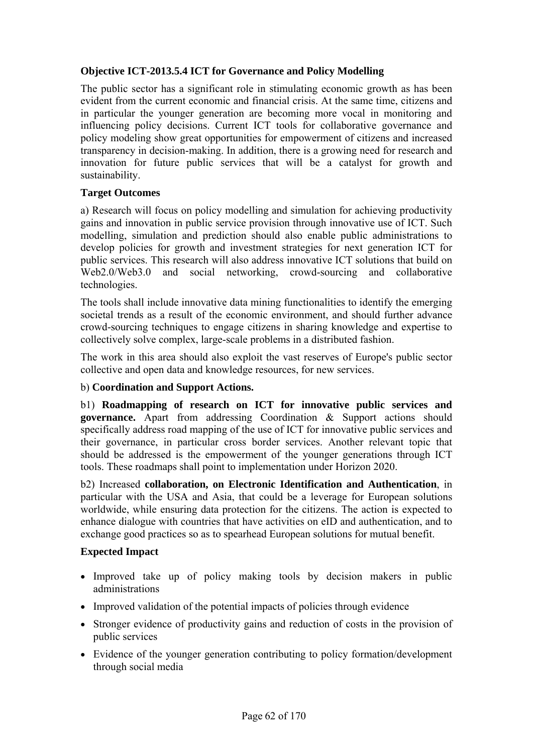# **Objective ICT-2013.5.4 ICT for Governance and Policy Modelling**

The public sector has a significant role in stimulating economic growth as has been evident from the current economic and financial crisis. At the same time, citizens and in particular the younger generation are becoming more vocal in monitoring and influencing policy decisions. Current ICT tools for collaborative governance and policy modeling show great opportunities for empowerment of citizens and increased transparency in decision-making. In addition, there is a growing need for research and innovation for future public services that will be a catalyst for growth and sustainability.

## **Target Outcomes**

a) Research will focus on policy modelling and simulation for achieving productivity gains and innovation in public service provision through innovative use of ICT. Such modelling, simulation and prediction should also enable public administrations to develop policies for growth and investment strategies for next generation ICT for public services. This research will also address innovative ICT solutions that build on Web2.0/Web3.0 and social networking, crowd-sourcing and collaborative technologies.

The tools shall include innovative data mining functionalities to identify the emerging societal trends as a result of the economic environment, and should further advance crowd-sourcing techniques to engage citizens in sharing knowledge and expertise to collectively solve complex, large-scale problems in a distributed fashion.

The work in this area should also exploit the vast reserves of Europe's public sector collective and open data and knowledge resources, for new services.

## b) **Coordination and Support Actions.**

b1) **Roadmapping of research on ICT for innovative public services and governance.** Apart from addressing Coordination & Support actions should specifically address road mapping of the use of ICT for innovative public services and their governance, in particular cross border services. Another relevant topic that should be addressed is the empowerment of the younger generations through ICT tools. These roadmaps shall point to implementation under Horizon 2020.

b2) Increased **collaboration, on Electronic Identification and Authentication**, in particular with the USA and Asia, that could be a leverage for European solutions worldwide, while ensuring data protection for the citizens. The action is expected to enhance dialogue with countries that have activities on eID and authentication, and to exchange good practices so as to spearhead European solutions for mutual benefit.

## **Expected Impact**

- Improved take up of policy making tools by decision makers in public administrations
- Improved validation of the potential impacts of policies through evidence
- Stronger evidence of productivity gains and reduction of costs in the provision of public services
- Evidence of the younger generation contributing to policy formation/development through social media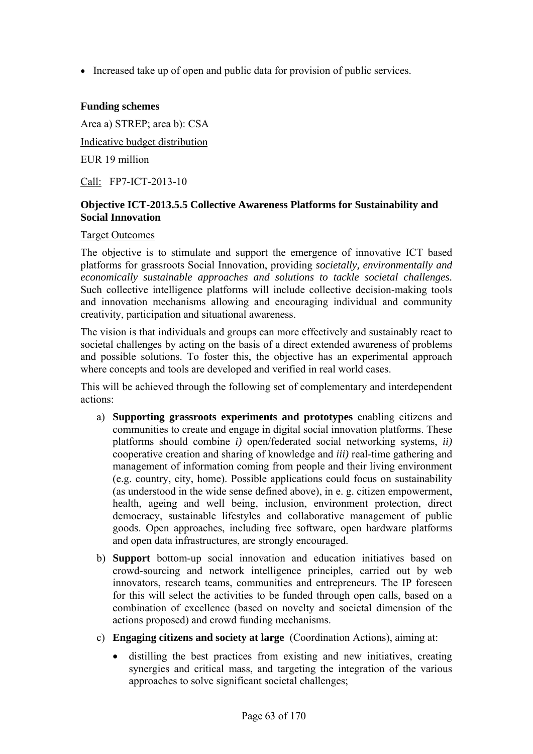• Increased take up of open and public data for provision of public services.

## **Funding schemes**

Area a) STREP; area b): CSA Indicative budget distribution EUR 19 million

Call: FP7-ICT-2013-10

## **Objective ICT-2013.5.5 Collective Awareness Platforms for Sustainability and Social Innovation**

### Target Outcomes

The objective is to stimulate and support the emergence of innovative ICT based platforms for grassroots Social Innovation, providing *societally, environmentally and economically sustainable approaches and solutions to tackle societal challenges.* Such collective intelligence platforms will include collective decision-making tools and innovation mechanisms allowing and encouraging individual and community creativity, participation and situational awareness.

The vision is that individuals and groups can more effectively and sustainably react to societal challenges by acting on the basis of a direct extended awareness of problems and possible solutions. To foster this, the objective has an experimental approach where concepts and tools are developed and verified in real world cases.

This will be achieved through the following set of complementary and interdependent actions:

- a) **Supporting grassroots experiments and prototypes** enabling citizens and communities to create and engage in digital social innovation platforms. These platforms should combine *i)* open/federated social networking systems, *ii)* cooperative creation and sharing of knowledge and *iii)* real-time gathering and management of information coming from people and their living environment (e.g. country, city, home). Possible applications could focus on sustainability (as understood in the wide sense defined above), in e. g. citizen empowerment, health, ageing and well being, inclusion, environment protection, direct democracy, sustainable lifestyles and collaborative management of public goods. Open approaches, including free software, open hardware platforms and open data infrastructures, are strongly encouraged.
- b) **Support** bottom-up social innovation and education initiatives based on crowd-sourcing and network intelligence principles, carried out by web innovators, research teams, communities and entrepreneurs. The IP foreseen for this will select the activities to be funded through open calls, based on a combination of excellence (based on novelty and societal dimension of the actions proposed) and crowd funding mechanisms.
- c) **Engaging citizens and society at large** (Coordination Actions), aiming at:
	- distilling the best practices from existing and new initiatives, creating synergies and critical mass, and targeting the integration of the various approaches to solve significant societal challenges;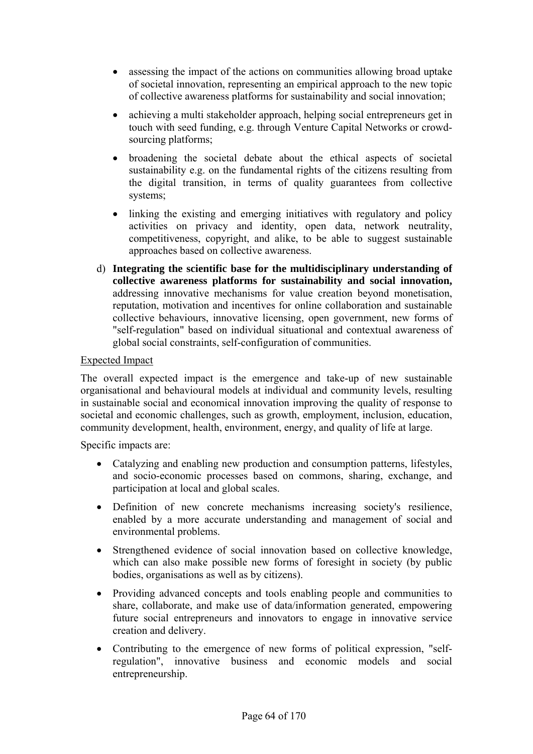- assessing the impact of the actions on communities allowing broad uptake of societal innovation, representing an empirical approach to the new topic of collective awareness platforms for sustainability and social innovation;
- achieving a multi stakeholder approach, helping social entrepreneurs get in touch with seed funding, e.g. through Venture Capital Networks or crowdsourcing platforms;
- broadening the societal debate about the ethical aspects of societal sustainability e.g. on the fundamental rights of the citizens resulting from the digital transition, in terms of quality guarantees from collective systems;
- linking the existing and emerging initiatives with regulatory and policy activities on privacy and identity, open data, network neutrality, competitiveness, copyright, and alike, to be able to suggest sustainable approaches based on collective awareness.
- d) **Integrating the scientific base for the multidisciplinary understanding of collective awareness platforms for sustainability and social innovation,**  addressing innovative mechanisms for value creation beyond monetisation, reputation, motivation and incentives for online collaboration and sustainable collective behaviours, innovative licensing, open government, new forms of "self-regulation" based on individual situational and contextual awareness of global social constraints, self-configuration of communities.

## Expected Impact

The overall expected impact is the emergence and take-up of new sustainable organisational and behavioural models at individual and community levels, resulting in sustainable social and economical innovation improving the quality of response to societal and economic challenges, such as growth, employment, inclusion, education, community development, health, environment, energy, and quality of life at large.

Specific impacts are:

- Catalyzing and enabling new production and consumption patterns, lifestyles, and socio-economic processes based on commons, sharing, exchange, and participation at local and global scales.
- Definition of new concrete mechanisms increasing society's resilience, enabled by a more accurate understanding and management of social and environmental problems.
- Strengthened evidence of social innovation based on collective knowledge, which can also make possible new forms of foresight in society (by public bodies, organisations as well as by citizens).
- Providing advanced concepts and tools enabling people and communities to share, collaborate, and make use of data/information generated, empowering future social entrepreneurs and innovators to engage in innovative service creation and delivery.
- Contributing to the emergence of new forms of political expression, "selfregulation", innovative business and economic models and social entrepreneurship.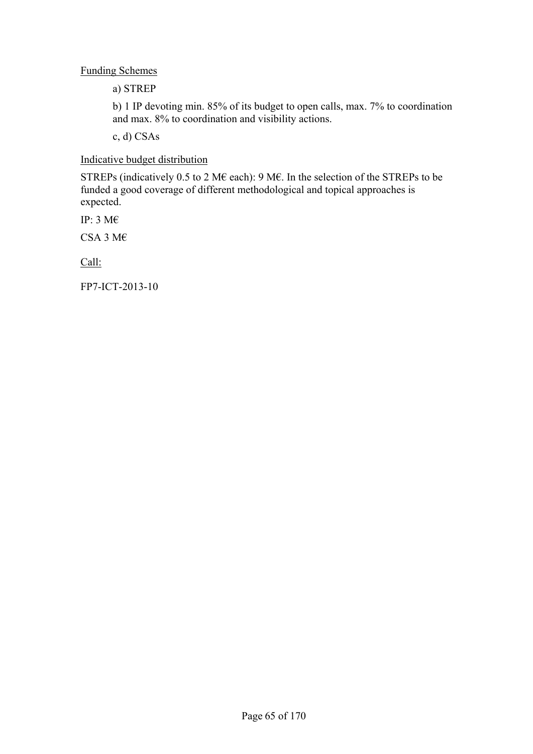Funding Schemes

a) STREP

b) 1 IP devoting min. 85% of its budget to open calls, max. 7% to coordination and max. 8% to coordination and visibility actions.

c, d) CSAs

Indicative budget distribution

STREPs (indicatively 0.5 to 2 M€ each): 9 M€. In the selection of the STREPs to be funded a good coverage of different methodological and topical approaches is expected.

IP: 3 M€

CSA 3 M€

Call:

FP7-ICT-2013-10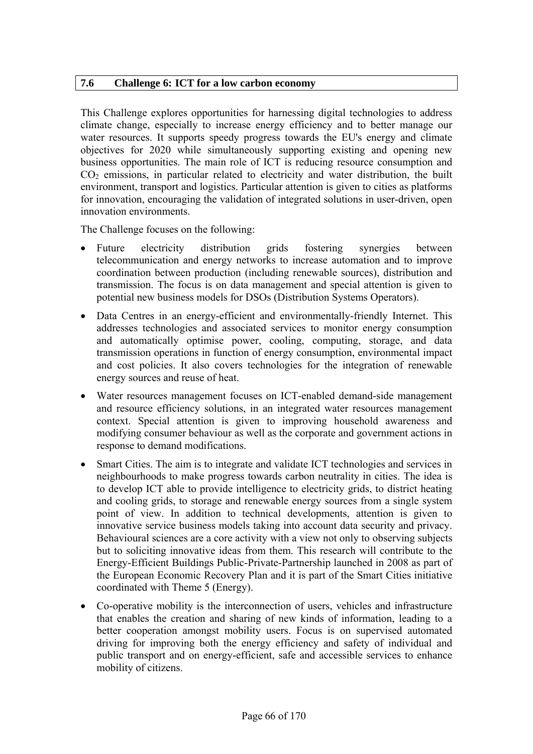## **7.6 Challenge 6: ICT for a low carbon economy**

This Challenge explores opportunities for harnessing digital technologies to address climate change, especially to increase energy efficiency and to better manage our water resources. It supports speedy progress towards the EU's energy and climate objectives for 2020 while simultaneously supporting existing and opening new business opportunities. The main role of ICT is reducing resource consumption and CO2 emissions, in particular related to electricity and water distribution, the built environment, transport and logistics. Particular attention is given to cities as platforms for innovation, encouraging the validation of integrated solutions in user-driven, open innovation environments.

The Challenge focuses on the following:

- Future electricity distribution grids fostering synergies between telecommunication and energy networks to increase automation and to improve coordination between production (including renewable sources), distribution and transmission. The focus is on data management and special attention is given to potential new business models for DSOs (Distribution Systems Operators).
- Data Centres in an energy-efficient and environmentally-friendly Internet. This addresses technologies and associated services to monitor energy consumption and automatically optimise power, cooling, computing, storage, and data transmission operations in function of energy consumption, environmental impact and cost policies. It also covers technologies for the integration of renewable energy sources and reuse of heat.
- Water resources management focuses on ICT-enabled demand-side management and resource efficiency solutions, in an integrated water resources management context. Special attention is given to improving household awareness and modifying consumer behaviour as well as the corporate and government actions in response to demand modifications.
- Smart Cities. The aim is to integrate and validate ICT technologies and services in neighbourhoods to make progress towards carbon neutrality in cities. The idea is to develop ICT able to provide intelligence to electricity grids, to district heating and cooling grids, to storage and renewable energy sources from a single system point of view. In addition to technical developments, attention is given to innovative service business models taking into account data security and privacy. Behavioural sciences are a core activity with a view not only to observing subjects but to soliciting innovative ideas from them. This research will contribute to the Energy-Efficient Buildings Public-Private-Partnership launched in 2008 as part of the European Economic Recovery Plan and it is part of the Smart Cities initiative coordinated with Theme 5 (Energy).
- Co-operative mobility is the interconnection of users, vehicles and infrastructure that enables the creation and sharing of new kinds of information, leading to a better cooperation amongst mobility users. Focus is on supervised automated driving for improving both the energy efficiency and safety of individual and public transport and on energy-efficient, safe and accessible services to enhance mobility of citizens.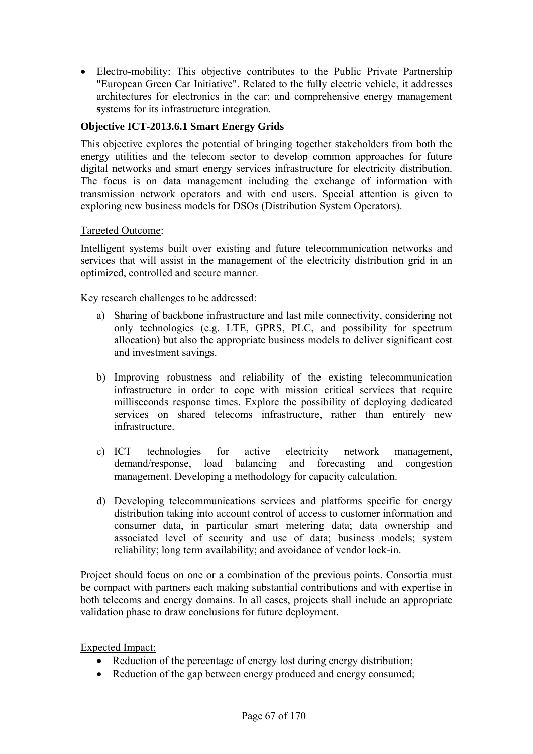• Electro-mobility: This objective contributes to the Public Private Partnership "European Green Car Initiative". Related to the fully electric vehicle, it addresses architectures for electronics in the car; and comprehensive energy management **s**ystems for its infrastructure integration.

# **Objective ICT-2013.6.1 Smart Energy Grids**

This objective explores the potential of bringing together stakeholders from both the energy utilities and the telecom sector to develop common approaches for future digital networks and smart energy services infrastructure for electricity distribution. The focus is on data management including the exchange of information with transmission network operators and with end users. Special attention is given to exploring new business models for DSOs (Distribution System Operators).

### Targeted Outcome:

Intelligent systems built over existing and future telecommunication networks and services that will assist in the management of the electricity distribution grid in an optimized, controlled and secure manner.

Key research challenges to be addressed:

- a) Sharing of backbone infrastructure and last mile connectivity, considering not only technologies (e.g. LTE, GPRS, PLC, and possibility for spectrum allocation) but also the appropriate business models to deliver significant cost and investment savings.
- b) Improving robustness and reliability of the existing telecommunication infrastructure in order to cope with mission critical services that require milliseconds response times. Explore the possibility of deploying dedicated services on shared telecoms infrastructure, rather than entirely new infrastructure.
- c) ICT technologies for active electricity network management, demand/response, load balancing and forecasting and congestion management. Developing a methodology for capacity calculation.
- d) Developing telecommunications services and platforms specific for energy distribution taking into account control of access to customer information and consumer data, in particular smart metering data; data ownership and associated level of security and use of data; business models; system reliability; long term availability; and avoidance of vendor lock-in.

Project should focus on one or a combination of the previous points. Consortia must be compact with partners each making substantial contributions and with expertise in both telecoms and energy domains. In all cases, projects shall include an appropriate validation phase to draw conclusions for future deployment.

Expected Impact:

- Reduction of the percentage of energy lost during energy distribution;
- Reduction of the gap between energy produced and energy consumed;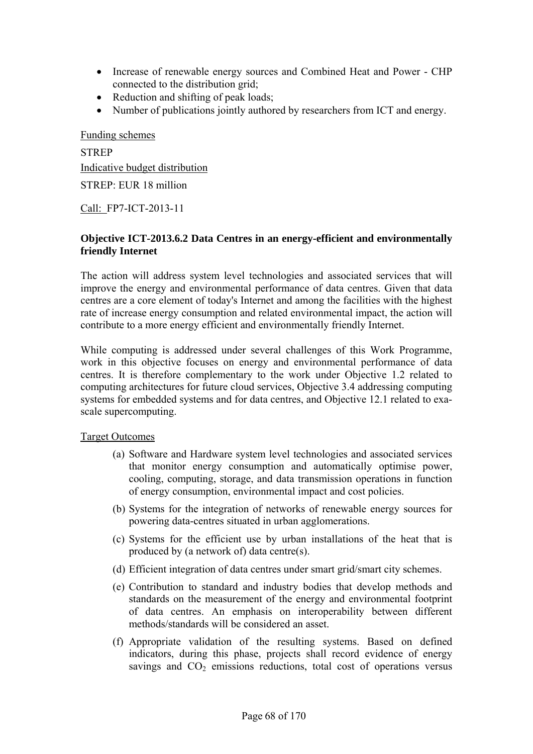- Increase of renewable energy sources and Combined Heat and Power CHP connected to the distribution grid;
- Reduction and shifting of peak loads;
- Number of publications jointly authored by researchers from ICT and energy.

Funding schemes

**STREP** Indicative budget distribution STREP: EUR 18 million

Call: FP7-ICT-2013-11

## **Objective ICT-2013.6.2 Data Centres in an energy-efficient and environmentally friendly Internet**

The action will address system level technologies and associated services that will improve the energy and environmental performance of data centres. Given that data centres are a core element of today's Internet and among the facilities with the highest rate of increase energy consumption and related environmental impact, the action will contribute to a more energy efficient and environmentally friendly Internet.

While computing is addressed under several challenges of this Work Programme, work in this objective focuses on energy and environmental performance of data centres. It is therefore complementary to the work under Objective 1.2 related to computing architectures for future cloud services, Objective 3.4 addressing computing systems for embedded systems and for data centres, and Objective 12.1 related to exascale supercomputing.

### Target Outcomes

- (a) Software and Hardware system level technologies and associated services that monitor energy consumption and automatically optimise power, cooling, computing, storage, and data transmission operations in function of energy consumption, environmental impact and cost policies.
- (b) Systems for the integration of networks of renewable energy sources for powering data-centres situated in urban agglomerations.
- (c) Systems for the efficient use by urban installations of the heat that is produced by (a network of) data centre(s).
- (d) Efficient integration of data centres under smart grid/smart city schemes.
- (e) Contribution to standard and industry bodies that develop methods and standards on the measurement of the energy and environmental footprint of data centres. An emphasis on interoperability between different methods/standards will be considered an asset.
- (f) Appropriate validation of the resulting systems. Based on defined indicators, during this phase, projects shall record evidence of energy savings and  $CO<sub>2</sub>$  emissions reductions, total cost of operations versus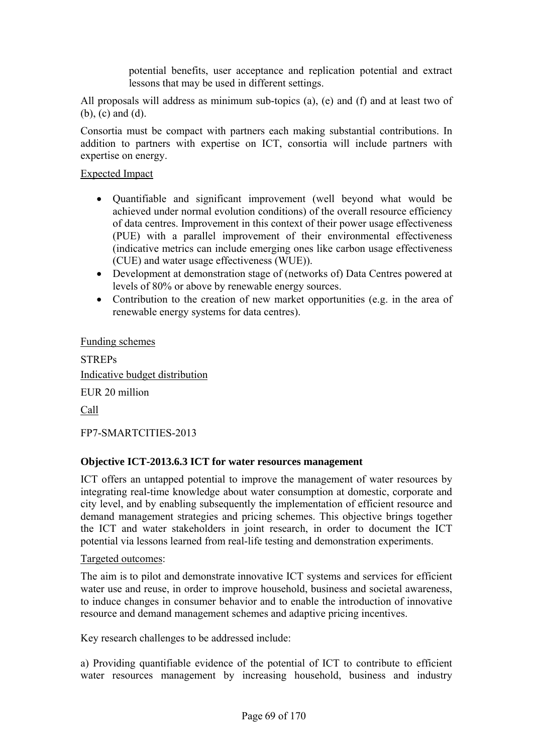potential benefits, user acceptance and replication potential and extract lessons that may be used in different settings.

All proposals will address as minimum sub-topics (a), (e) and (f) and at least two of (b), (c) and (d).

Consortia must be compact with partners each making substantial contributions. In addition to partners with expertise on ICT, consortia will include partners with expertise on energy.

### Expected Impact

- Quantifiable and significant improvement (well beyond what would be achieved under normal evolution conditions) of the overall resource efficiency of data centres. Improvement in this context of their power usage effectiveness (PUE) with a parallel improvement of their environmental effectiveness (indicative metrics can include emerging ones like carbon usage effectiveness (CUE) and water usage effectiveness (WUE)).
- Development at demonstration stage of (networks of) Data Centres powered at levels of 80% or above by renewable energy sources.
- Contribution to the creation of new market opportunities (e.g. in the area of renewable energy systems for data centres).

Funding schemes

STREPs Indicative budget distribution EUR 20 million Call

FP7-SMARTCITIES-2013

## **Objective ICT-2013.6.3 ICT for water resources management**

ICT offers an untapped potential to improve the management of water resources by integrating real-time knowledge about water consumption at domestic, corporate and city level, and by enabling subsequently the implementation of efficient resource and demand management strategies and pricing schemes. This objective brings together the ICT and water stakeholders in joint research, in order to document the ICT potential via lessons learned from real-life testing and demonstration experiments.

### Targeted outcomes:

The aim is to pilot and demonstrate innovative ICT systems and services for efficient water use and reuse, in order to improve household, business and societal awareness, to induce changes in consumer behavior and to enable the introduction of innovative resource and demand management schemes and adaptive pricing incentives.

Key research challenges to be addressed include:

a) Providing quantifiable evidence of the potential of ICT to contribute to efficient water resources management by increasing household, business and industry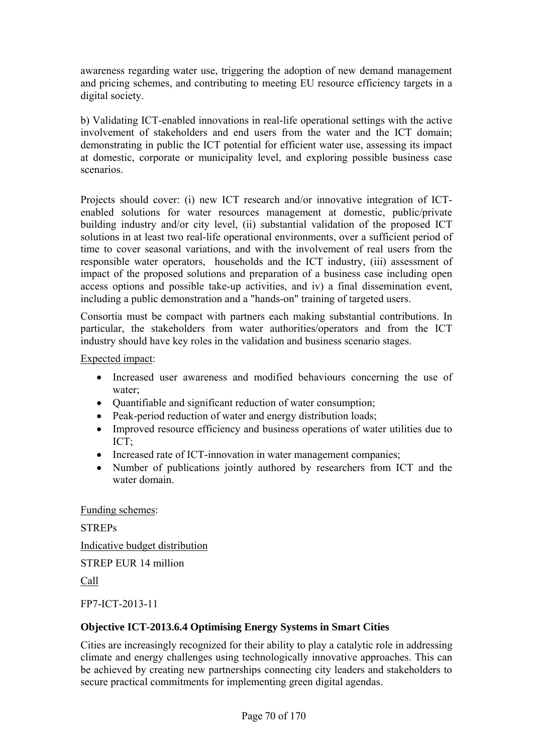awareness regarding water use, triggering the adoption of new demand management and pricing schemes, and contributing to meeting EU resource efficiency targets in a digital society.

b) Validating ICT-enabled innovations in real-life operational settings with the active involvement of stakeholders and end users from the water and the ICT domain; demonstrating in public the ICT potential for efficient water use, assessing its impact at domestic, corporate or municipality level, and exploring possible business case scenarios.

Projects should cover: (i) new ICT research and/or innovative integration of ICTenabled solutions for water resources management at domestic, public/private building industry and/or city level, (ii) substantial validation of the proposed ICT solutions in at least two real-life operational environments, over a sufficient period of time to cover seasonal variations, and with the involvement of real users from the responsible water operators, households and the ICT industry, (iii) assessment of impact of the proposed solutions and preparation of a business case including open access options and possible take-up activities, and iv) a final dissemination event, including a public demonstration and a "hands-on" training of targeted users.

Consortia must be compact with partners each making substantial contributions. In particular, the stakeholders from water authorities/operators and from the ICT industry should have key roles in the validation and business scenario stages.

Expected impact:

- Increased user awareness and modified behaviours concerning the use of water:
- Quantifiable and significant reduction of water consumption;
- Peak-period reduction of water and energy distribution loads;
- Improved resource efficiency and business operations of water utilities due to ICT;
- Increased rate of ICT-innovation in water management companies;
- Number of publications jointly authored by researchers from ICT and the water domain.

Funding schemes:

STREPs

Indicative budget distribution

STREP EUR 14 million

Call

FP7-ICT-2013-11

## **Objective ICT-2013.6.4 Optimising Energy Systems in Smart Cities**

Cities are increasingly recognized for their ability to play a catalytic role in addressing climate and energy challenges using technologically innovative approaches. This can be achieved by creating new partnerships connecting city leaders and stakeholders to secure practical commitments for implementing green digital agendas.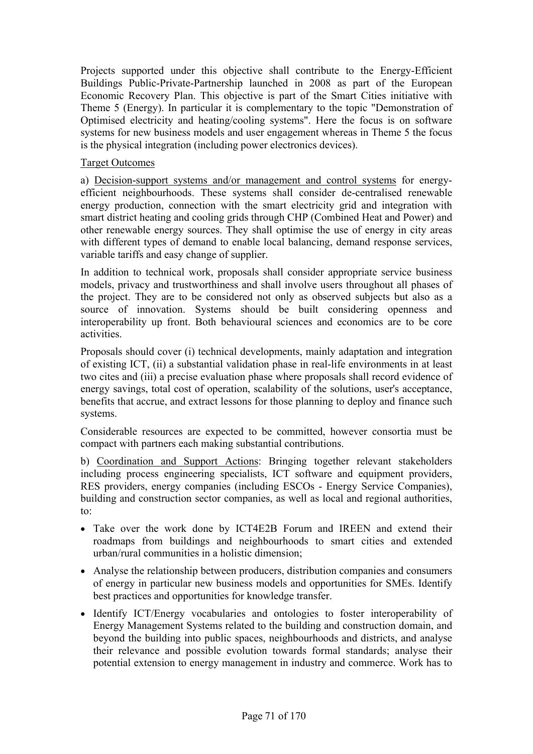Projects supported under this objective shall contribute to the Energy-Efficient Buildings Public-Private-Partnership launched in 2008 as part of the European Economic Recovery Plan. This objective is part of the Smart Cities initiative with Theme 5 (Energy). In particular it is complementary to the topic "Demonstration of Optimised electricity and heating/cooling systems". Here the focus is on software systems for new business models and user engagement whereas in Theme 5 the focus is the physical integration (including power electronics devices).

## Target Outcomes

a) Decision-support systems and/or management and control systems for energyefficient neighbourhoods. These systems shall consider de-centralised renewable energy production, connection with the smart electricity grid and integration with smart district heating and cooling grids through CHP (Combined Heat and Power) and other renewable energy sources. They shall optimise the use of energy in city areas with different types of demand to enable local balancing, demand response services, variable tariffs and easy change of supplier.

In addition to technical work, proposals shall consider appropriate service business models, privacy and trustworthiness and shall involve users throughout all phases of the project. They are to be considered not only as observed subjects but also as a source of innovation. Systems should be built considering openness and interoperability up front. Both behavioural sciences and economics are to be core activities.

Proposals should cover (i) technical developments, mainly adaptation and integration of existing ICT, (ii) a substantial validation phase in real-life environments in at least two cites and (iii) a precise evaluation phase where proposals shall record evidence of energy savings, total cost of operation, scalability of the solutions, user's acceptance, benefits that accrue, and extract lessons for those planning to deploy and finance such systems.

Considerable resources are expected to be committed, however consortia must be compact with partners each making substantial contributions.

b) Coordination and Support Actions: Bringing together relevant stakeholders including process engineering specialists, ICT software and equipment providers, RES providers, energy companies (including ESCOs - Energy Service Companies), building and construction sector companies, as well as local and regional authorities, to:

- Take over the work done by ICT4E2B Forum and IREEN and extend their roadmaps from buildings and neighbourhoods to smart cities and extended urban/rural communities in a holistic dimension;
- Analyse the relationship between producers, distribution companies and consumers of energy in particular new business models and opportunities for SMEs. Identify best practices and opportunities for knowledge transfer.
- Identify ICT/Energy vocabularies and ontologies to foster interoperability of Energy Management Systems related to the building and construction domain, and beyond the building into public spaces, neighbourhoods and districts, and analyse their relevance and possible evolution towards formal standards; analyse their potential extension to energy management in industry and commerce. Work has to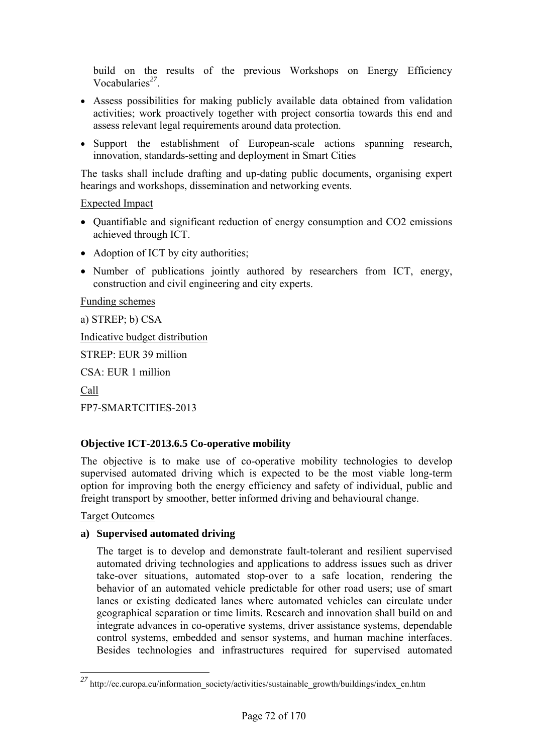build on the results of the previous Workshops on Energy Efficiency Vocabularies*<sup>27</sup>*.

- Assess possibilities for making publicly available data obtained from validation activities; work proactively together with project consortia towards this end and assess relevant legal requirements around data protection.
- Support the establishment of European-scale actions spanning research, innovation, standards-setting and deployment in Smart Cities

The tasks shall include drafting and up-dating public documents, organising expert hearings and workshops, dissemination and networking events.

Expected Impact

- Quantifiable and significant reduction of energy consumption and CO2 emissions achieved through ICT.
- Adoption of ICT by city authorities;
- Number of publications jointly authored by researchers from ICT, energy, construction and civil engineering and city experts.

Funding schemes

a) STREP; b) CSA

Indicative budget distribution

STREP: EUR 39 million

CSA: EUR 1 million

Call

1

FP7-SMARTCITIES-2013

## **Objective ICT-2013.6.5 Co-operative mobility**

The objective is to make use of co-operative mobility technologies to develop supervised automated driving which is expected to be the most viable long-term option for improving both the energy efficiency and safety of individual, public and freight transport by smoother, better informed driving and behavioural change.

Target Outcomes

### **a) Supervised automated driving**

The target is to develop and demonstrate fault-tolerant and resilient supervised automated driving technologies and applications to address issues such as driver take-over situations, automated stop-over to a safe location, rendering the behavior of an automated vehicle predictable for other road users; use of smart lanes or existing dedicated lanes where automated vehicles can circulate under geographical separation or time limits. Research and innovation shall build on and integrate advances in co-operative systems, driver assistance systems, dependable control systems, embedded and sensor systems, and human machine interfaces. Besides technologies and infrastructures required for supervised automated

<sup>&</sup>lt;sup>27</sup> http://ec.europa.eu/information\_society/activities/sustainable\_growth/buildings/index\_en.htm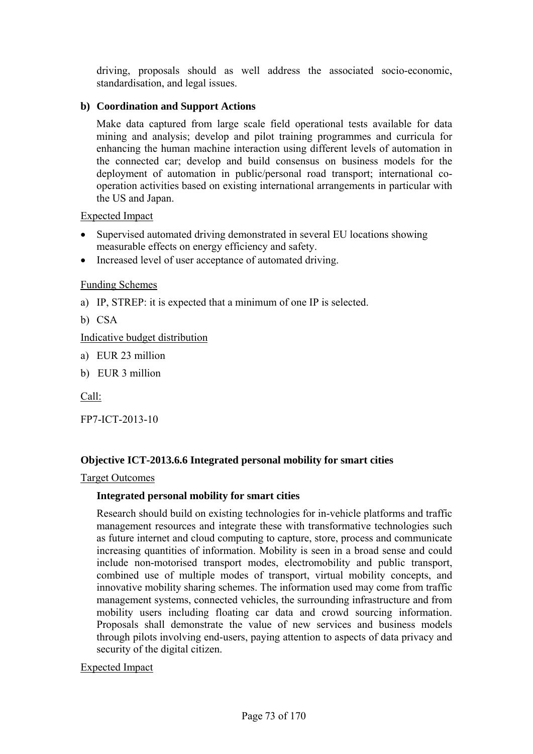driving, proposals should as well address the associated socio-economic, standardisation, and legal issues.

### **b) Coordination and Support Actions**

Make data captured from large scale field operational tests available for data mining and analysis; develop and pilot training programmes and curricula for enhancing the human machine interaction using different levels of automation in the connected car; develop and build consensus on business models for the deployment of automation in public/personal road transport; international cooperation activities based on existing international arrangements in particular with the US and Japan.

Expected Impact

- Supervised automated driving demonstrated in several EU locations showing measurable effects on energy efficiency and safety.
- Increased level of user acceptance of automated driving.

#### Funding Schemes

a) IP, STREP: it is expected that a minimum of one IP is selected.

b) CSA

Indicative budget distribution

- a) EUR 23 million
- b) EUR 3 million

Call:

FP7-ICT-2013-10

## **Objective ICT-2013.6.6 Integrated personal mobility for smart cities**

Target Outcomes

## **Integrated personal mobility for smart cities**

Research should build on existing technologies for in-vehicle platforms and traffic management resources and integrate these with transformative technologies such as future internet and cloud computing to capture, store, process and communicate increasing quantities of information. Mobility is seen in a broad sense and could include non-motorised transport modes, electromobility and public transport, combined use of multiple modes of transport, virtual mobility concepts, and innovative mobility sharing schemes. The information used may come from traffic management systems, connected vehicles, the surrounding infrastructure and from mobility users including floating car data and crowd sourcing information. Proposals shall demonstrate the value of new services and business models through pilots involving end-users, paying attention to aspects of data privacy and security of the digital citizen.

#### Expected Impact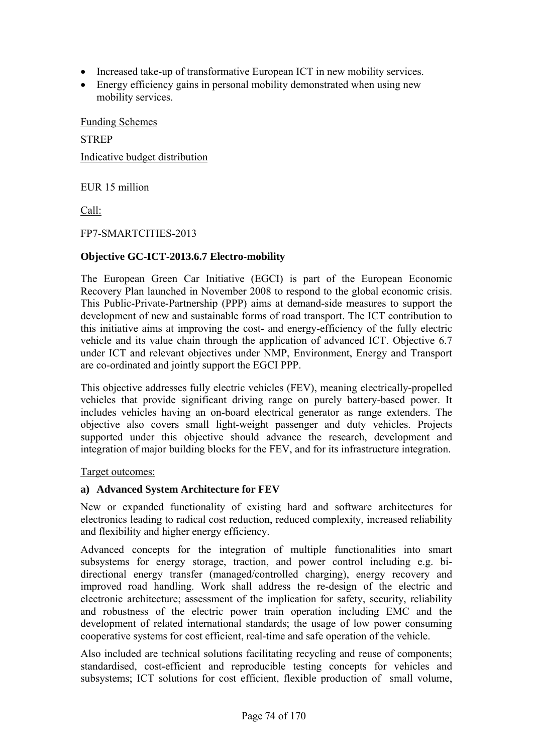- Increased take-up of transformative European ICT in new mobility services.
- Energy efficiency gains in personal mobility demonstrated when using new mobility services.

Funding Schemes

**STREP** 

Indicative budget distribution

EUR 15 million

Call:

## FP7-SMARTCITIES-2013

## **Objective GC-ICT-2013.6.7 Electro-mobility**

The European Green Car Initiative (EGCI) is part of the European Economic Recovery Plan launched in November 2008 to respond to the global economic crisis. This Public-Private-Partnership (PPP) aims at demand-side measures to support the development of new and sustainable forms of road transport. The ICT contribution to this initiative aims at improving the cost- and energy-efficiency of the fully electric vehicle and its value chain through the application of advanced ICT. Objective 6.7 under ICT and relevant objectives under NMP, Environment, Energy and Transport are co-ordinated and jointly support the EGCI PPP.

This objective addresses fully electric vehicles (FEV), meaning electrically-propelled vehicles that provide significant driving range on purely battery-based power. It includes vehicles having an on-board electrical generator as range extenders. The objective also covers small light-weight passenger and duty vehicles. Projects supported under this objective should advance the research, development and integration of major building blocks for the FEV, and for its infrastructure integration.

Target outcomes:

## **a) Advanced System Architecture for FEV**

New or expanded functionality of existing hard and software architectures for electronics leading to radical cost reduction, reduced complexity, increased reliability and flexibility and higher energy efficiency.

Advanced concepts for the integration of multiple functionalities into smart subsystems for energy storage, traction, and power control including e.g. bidirectional energy transfer (managed/controlled charging), energy recovery and improved road handling. Work shall address the re-design of the electric and electronic architecture; assessment of the implication for safety, security, reliability and robustness of the electric power train operation including EMC and the development of related international standards; the usage of low power consuming cooperative systems for cost efficient, real-time and safe operation of the vehicle.

Also included are technical solutions facilitating recycling and reuse of components; standardised, cost-efficient and reproducible testing concepts for vehicles and subsystems; ICT solutions for cost efficient, flexible production of small volume,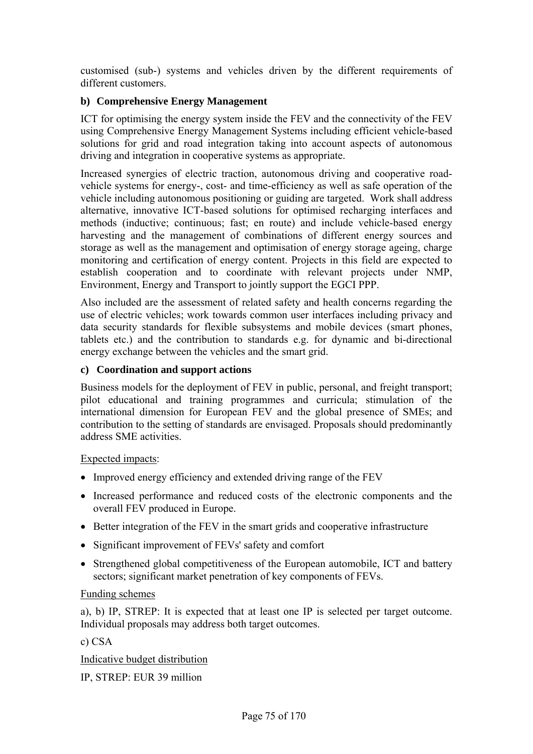customised (sub-) systems and vehicles driven by the different requirements of different customers.

## **b) Comprehensive Energy Management**

ICT for optimising the energy system inside the FEV and the connectivity of the FEV using Comprehensive Energy Management Systems including efficient vehicle-based solutions for grid and road integration taking into account aspects of autonomous driving and integration in cooperative systems as appropriate.

Increased synergies of electric traction, autonomous driving and cooperative roadvehicle systems for energy-, cost- and time-efficiency as well as safe operation of the vehicle including autonomous positioning or guiding are targeted. Work shall address alternative, innovative ICT-based solutions for optimised recharging interfaces and methods (inductive; continuous; fast; en route) and include vehicle-based energy harvesting and the management of combinations of different energy sources and storage as well as the management and optimisation of energy storage ageing, charge monitoring and certification of energy content. Projects in this field are expected to establish cooperation and to coordinate with relevant projects under NMP, Environment, Energy and Transport to jointly support the EGCI PPP.

Also included are the assessment of related safety and health concerns regarding the use of electric vehicles; work towards common user interfaces including privacy and data security standards for flexible subsystems and mobile devices (smart phones, tablets etc.) and the contribution to standards e.g. for dynamic and bi-directional energy exchange between the vehicles and the smart grid.

#### **c) Coordination and support actions**

Business models for the deployment of FEV in public, personal, and freight transport; pilot educational and training programmes and curricula; stimulation of the international dimension for European FEV and the global presence of SMEs; and contribution to the setting of standards are envisaged. Proposals should predominantly address SME activities.

Expected impacts:

- Improved energy efficiency and extended driving range of the FEV
- Increased performance and reduced costs of the electronic components and the overall FEV produced in Europe.
- Better integration of the FEV in the smart grids and cooperative infrastructure
- Significant improvement of FEVs' safety and comfort
- Strengthened global competitiveness of the European automobile, ICT and battery sectors; significant market penetration of key components of FEVs.

#### Funding schemes

a), b) IP, STREP: It is expected that at least one IP is selected per target outcome. Individual proposals may address both target outcomes.

c) CSA

Indicative budget distribution

IP, STREP: EUR 39 million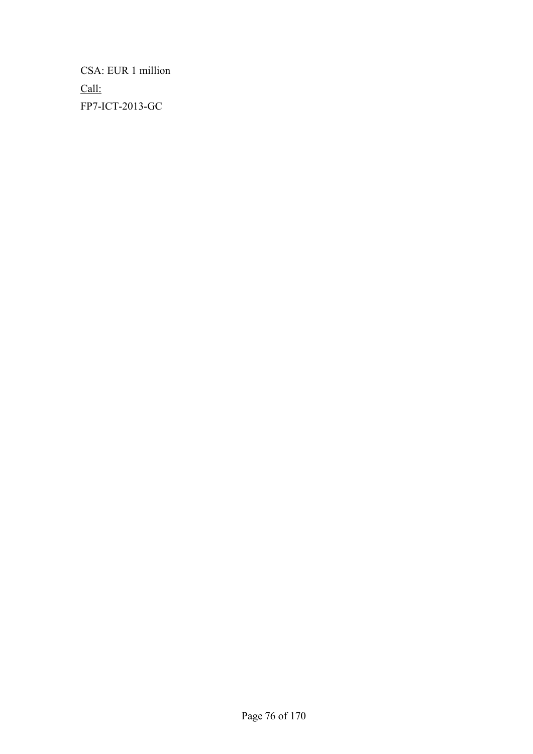CSA: EUR 1 million Call: FP7-ICT-2013-GC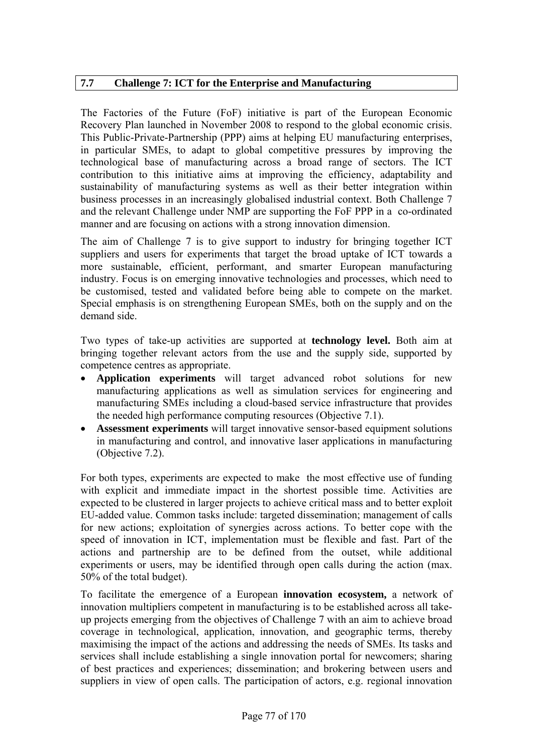## **7.7 Challenge 7: ICT for the Enterprise and Manufacturing**

The Factories of the Future (FoF) initiative is part of the European Economic Recovery Plan launched in November 2008 to respond to the global economic crisis. This Public-Private-Partnership (PPP) aims at helping EU manufacturing enterprises, in particular SMEs, to adapt to global competitive pressures by improving the technological base of manufacturing across a broad range of sectors. The ICT contribution to this initiative aims at improving the efficiency, adaptability and sustainability of manufacturing systems as well as their better integration within business processes in an increasingly globalised industrial context. Both Challenge 7 and the relevant Challenge under NMP are supporting the FoF PPP in a co-ordinated manner and are focusing on actions with a strong innovation dimension.

The aim of Challenge 7 is to give support to industry for bringing together ICT suppliers and users for experiments that target the broad uptake of ICT towards a more sustainable, efficient, performant, and smarter European manufacturing industry. Focus is on emerging innovative technologies and processes, which need to be customised, tested and validated before being able to compete on the market. Special emphasis is on strengthening European SMEs, both on the supply and on the demand side.

Two types of take-up activities are supported at **technology level.** Both aim at bringing together relevant actors from the use and the supply side, supported by competence centres as appropriate.

- **Application experiments** will target advanced robot solutions for new manufacturing applications as well as simulation services for engineering and manufacturing SMEs including a cloud-based service infrastructure that provides the needed high performance computing resources (Objective 7.1).
- **Assessment experiments** will target innovative sensor-based equipment solutions in manufacturing and control, and innovative laser applications in manufacturing (Objective 7.2).

For both types, experiments are expected to make the most effective use of funding with explicit and immediate impact in the shortest possible time. Activities are expected to be clustered in larger projects to achieve critical mass and to better exploit EU-added value. Common tasks include: targeted dissemination; management of calls for new actions; exploitation of synergies across actions. To better cope with the speed of innovation in ICT, implementation must be flexible and fast. Part of the actions and partnership are to be defined from the outset, while additional experiments or users, may be identified through open calls during the action (max. 50% of the total budget).

To facilitate the emergence of a European **innovation ecosystem,** a network of innovation multipliers competent in manufacturing is to be established across all takeup projects emerging from the objectives of Challenge 7 with an aim to achieve broad coverage in technological, application, innovation, and geographic terms, thereby maximising the impact of the actions and addressing the needs of SMEs. Its tasks and services shall include establishing a single innovation portal for newcomers; sharing of best practices and experiences; dissemination; and brokering between users and suppliers in view of open calls. The participation of actors, e.g. regional innovation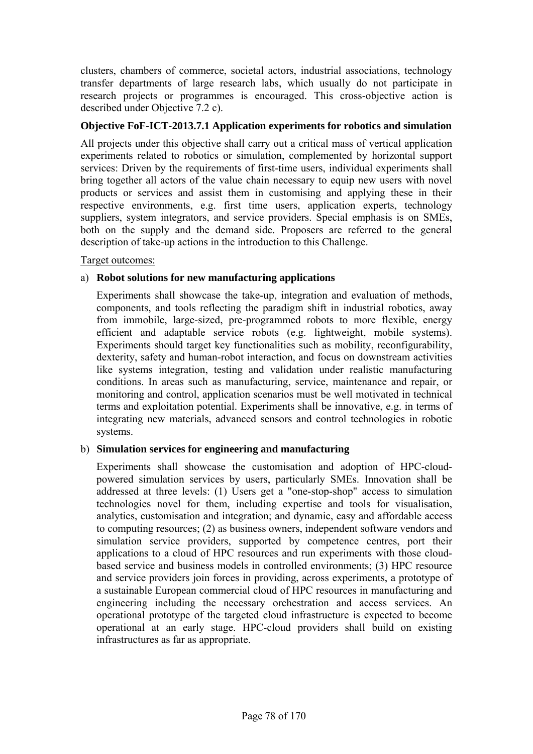clusters, chambers of commerce, societal actors, industrial associations, technology transfer departments of large research labs, which usually do not participate in research projects or programmes is encouraged. This cross-objective action is described under Objective 7.2 c).

## **Objective FoF-ICT-2013.7.1 Application experiments for robotics and simulation**

All projects under this objective shall carry out a critical mass of vertical application experiments related to robotics or simulation, complemented by horizontal support services: Driven by the requirements of first-time users, individual experiments shall bring together all actors of the value chain necessary to equip new users with novel products or services and assist them in customising and applying these in their respective environments, e.g. first time users, application experts, technology suppliers, system integrators, and service providers. Special emphasis is on SMEs, both on the supply and the demand side. Proposers are referred to the general description of take-up actions in the introduction to this Challenge.

Target outcomes:

### a) **Robot solutions for new manufacturing applications**

Experiments shall showcase the take-up, integration and evaluation of methods, components, and tools reflecting the paradigm shift in industrial robotics, away from immobile, large-sized, pre-programmed robots to more flexible, energy efficient and adaptable service robots (e.g. lightweight, mobile systems). Experiments should target key functionalities such as mobility, reconfigurability, dexterity, safety and human-robot interaction, and focus on downstream activities like systems integration, testing and validation under realistic manufacturing conditions. In areas such as manufacturing, service, maintenance and repair, or monitoring and control, application scenarios must be well motivated in technical terms and exploitation potential. Experiments shall be innovative, e.g. in terms of integrating new materials, advanced sensors and control technologies in robotic systems.

## b) **Simulation services for engineering and manufacturing**

Experiments shall showcase the customisation and adoption of HPC-cloudpowered simulation services by users, particularly SMEs. Innovation shall be addressed at three levels: (1) Users get a "one-stop-shop" access to simulation technologies novel for them, including expertise and tools for visualisation, analytics, customisation and integration; and dynamic, easy and affordable access to computing resources; (2) as business owners, independent software vendors and simulation service providers, supported by competence centres, port their applications to a cloud of HPC resources and run experiments with those cloudbased service and business models in controlled environments; (3) HPC resource and service providers join forces in providing, across experiments, a prototype of a sustainable European commercial cloud of HPC resources in manufacturing and engineering including the necessary orchestration and access services. An operational prototype of the targeted cloud infrastructure is expected to become operational at an early stage. HPC-cloud providers shall build on existing infrastructures as far as appropriate.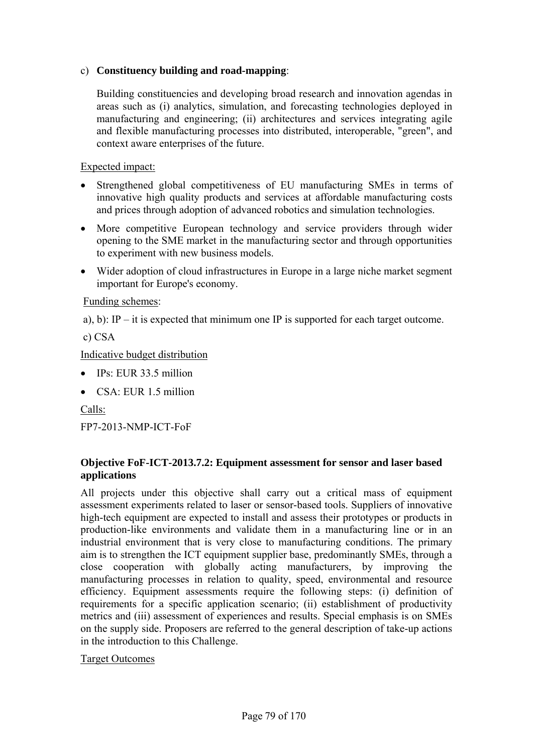## c) **Constituency building and road-mapping**:

Building constituencies and developing broad research and innovation agendas in areas such as (i) analytics, simulation, and forecasting technologies deployed in manufacturing and engineering; (ii) architectures and services integrating agile and flexible manufacturing processes into distributed, interoperable, "green", and context aware enterprises of the future.

Expected impact:

- Strengthened global competitiveness of EU manufacturing SMEs in terms of innovative high quality products and services at affordable manufacturing costs and prices through adoption of advanced robotics and simulation technologies.
- More competitive European technology and service providers through wider opening to the SME market in the manufacturing sector and through opportunities to experiment with new business models.
- Wider adoption of cloud infrastructures in Europe in a large niche market segment important for Europe's economy.

Funding schemes:

a), b): IP – it is expected that minimum one IP is supported for each target outcome.

c) CSA

Indicative budget distribution

- IPs: EUR 33.5 million
- CSA: EUR 1.5 million

Calls:

FP7-2013-NMP-ICT-FoF

## **Objective FoF-ICT-2013.7.2: Equipment assessment for sensor and laser based applications**

All projects under this objective shall carry out a critical mass of equipment assessment experiments related to laser or sensor-based tools. Suppliers of innovative high-tech equipment are expected to install and assess their prototypes or products in production-like environments and validate them in a manufacturing line or in an industrial environment that is very close to manufacturing conditions. The primary aim is to strengthen the ICT equipment supplier base, predominantly SMEs, through a close cooperation with globally acting manufacturers, by improving the manufacturing processes in relation to quality, speed, environmental and resource efficiency. Equipment assessments require the following steps: (i) definition of requirements for a specific application scenario; (ii) establishment of productivity metrics and (iii) assessment of experiences and results. Special emphasis is on SMEs on the supply side. Proposers are referred to the general description of take-up actions in the introduction to this Challenge.

## Target Outcomes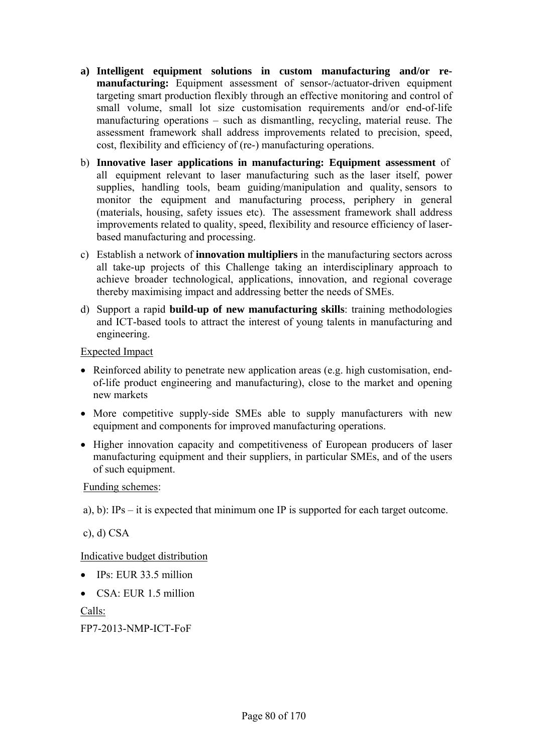- **a) Intelligent equipment solutions in custom manufacturing and/or remanufacturing:** Equipment assessment of sensor-/actuator-driven equipment targeting smart production flexibly through an effective monitoring and control of small volume, small lot size customisation requirements and/or end-of-life manufacturing operations – such as dismantling, recycling, material reuse. The assessment framework shall address improvements related to precision, speed, cost, flexibility and efficiency of (re-) manufacturing operations.
- b) **Innovative laser applications in manufacturing: Equipment assessment** of all equipment relevant to laser manufacturing such as the laser itself, power supplies, handling tools, beam guiding/manipulation and quality, sensors to monitor the equipment and manufacturing process, periphery in general (materials, housing, safety issues etc). The assessment framework shall address improvements related to quality, speed, flexibility and resource efficiency of laserbased manufacturing and processing.
- c) Establish a network of **innovation multipliers** in the manufacturing sectors across all take-up projects of this Challenge taking an interdisciplinary approach to achieve broader technological, applications, innovation, and regional coverage thereby maximising impact and addressing better the needs of SMEs.
- d) Support a rapid **build-up of new manufacturing skills**: training methodologies and ICT-based tools to attract the interest of young talents in manufacturing and engineering.

Expected Impact

- Reinforced ability to penetrate new application areas (e.g. high customisation, endof-life product engineering and manufacturing), close to the market and opening new markets
- More competitive supply-side SMEs able to supply manufacturers with new equipment and components for improved manufacturing operations.
- Higher innovation capacity and competitiveness of European producers of laser manufacturing equipment and their suppliers, in particular SMEs, and of the users of such equipment.

Funding schemes:

a), b): IPs – it is expected that minimum one IP is supported for each target outcome.

c), d) CSA

Indicative budget distribution

- IPs: EUR 33.5 million
- CSA: EUR 1.5 million

Calls:

FP7-2013-NMP-ICT-FoF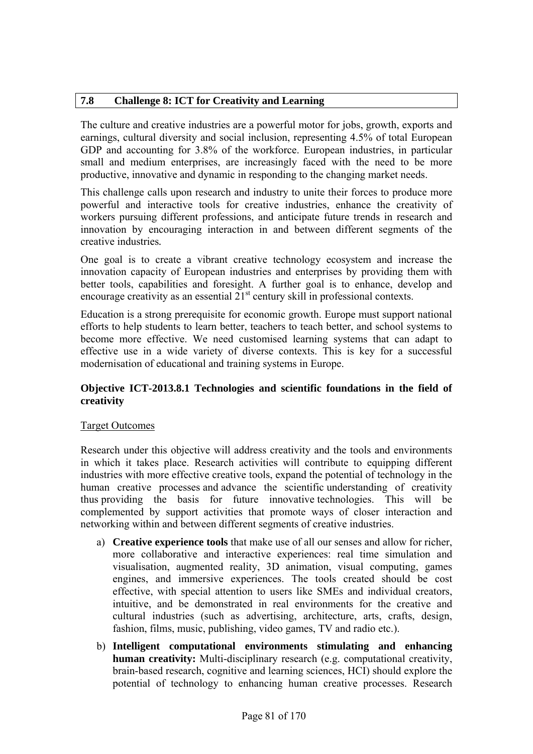## **7.8 Challenge 8: ICT for Creativity and Learning**

The culture and creative industries are a powerful motor for jobs, growth, exports and earnings, cultural diversity and social inclusion, representing 4.5% of total European GDP and accounting for 3.8% of the workforce. European industries, in particular small and medium enterprises, are increasingly faced with the need to be more productive, innovative and dynamic in responding to the changing market needs.

This challenge calls upon research and industry to unite their forces to produce more powerful and interactive tools for creative industries, enhance the creativity of workers pursuing different professions, and anticipate future trends in research and innovation by encouraging interaction in and between different segments of the creative industries*.*

One goal is to create a vibrant creative technology ecosystem and increase the innovation capacity of European industries and enterprises by providing them with better tools, capabilities and foresight. A further goal is to enhance, develop and encourage creativity as an essential  $21<sup>st</sup>$  century skill in professional contexts.

Education is a strong prerequisite for economic growth. Europe must support national efforts to help students to learn better, teachers to teach better, and school systems to become more effective. We need customised learning systems that can adapt to effective use in a wide variety of diverse contexts. This is key for a successful modernisation of educational and training systems in Europe.

## **Objective ICT-2013.8.1 Technologies and scientific foundations in the field of creativity**

## Target Outcomes

Research under this objective will address creativity and the tools and environments in which it takes place. Research activities will contribute to equipping different industries with more effective creative tools, expand the potential of technology in the human creative processes and advance the scientific understanding of creativity thus providing the basis for future innovative technologies. This will be complemented by support activities that promote ways of closer interaction and networking within and between different segments of creative industries.

- a) **Creative experience tools** that make use of all our senses and allow for richer, more collaborative and interactive experiences: real time simulation and visualisation, augmented reality, 3D animation, visual computing, games engines, and immersive experiences. The tools created should be cost effective, with special attention to users like SMEs and individual creators, intuitive, and be demonstrated in real environments for the creative and cultural industries (such as advertising, architecture, arts, crafts, design, fashion, films, music, publishing, video games, TV and radio etc.).
- b) **Intelligent computational environments stimulating and enhancing human creativity:** Multi-disciplinary research (e.g. computational creativity, brain-based research, cognitive and learning sciences, HCI) should explore the potential of technology to enhancing human creative processes. Research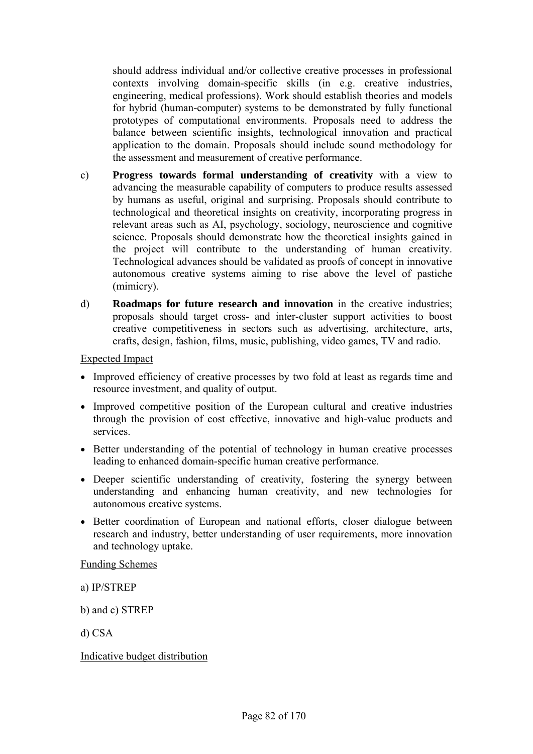should address individual and/or collective creative processes in professional contexts involving domain-specific skills (in e.g. creative industries, engineering, medical professions). Work should establish theories and models for hybrid (human-computer) systems to be demonstrated by fully functional prototypes of computational environments. Proposals need to address the balance between scientific insights, technological innovation and practical application to the domain. Proposals should include sound methodology for the assessment and measurement of creative performance.

- c) **Progress towards formal understanding of creativity** with a view to advancing the measurable capability of computers to produce results assessed by humans as useful, original and surprising. Proposals should contribute to technological and theoretical insights on creativity, incorporating progress in relevant areas such as AI, psychology, sociology, neuroscience and cognitive science. Proposals should demonstrate how the theoretical insights gained in the project will contribute to the understanding of human creativity. Technological advances should be validated as proofs of concept in innovative autonomous creative systems aiming to rise above the level of pastiche (mimicry).
- d) **Roadmaps for future research and innovation** in the creative industries; proposals should target cross- and inter-cluster support activities to boost creative competitiveness in sectors such as advertising, architecture, arts, crafts, design, fashion, films, music, publishing, video games, TV and radio.

Expected Impact

- Improved efficiency of creative processes by two fold at least as regards time and resource investment, and quality of output.
- Improved competitive position of the European cultural and creative industries through the provision of cost effective, innovative and high-value products and services.
- Better understanding of the potential of technology in human creative processes leading to enhanced domain-specific human creative performance.
- Deeper scientific understanding of creativity, fostering the synergy between understanding and enhancing human creativity, and new technologies for autonomous creative systems.
- Better coordination of European and national efforts, closer dialogue between research and industry, better understanding of user requirements, more innovation and technology uptake.

Funding Schemes

a) IP/STREP

b) and c) STREP

d) CSA

Indicative budget distribution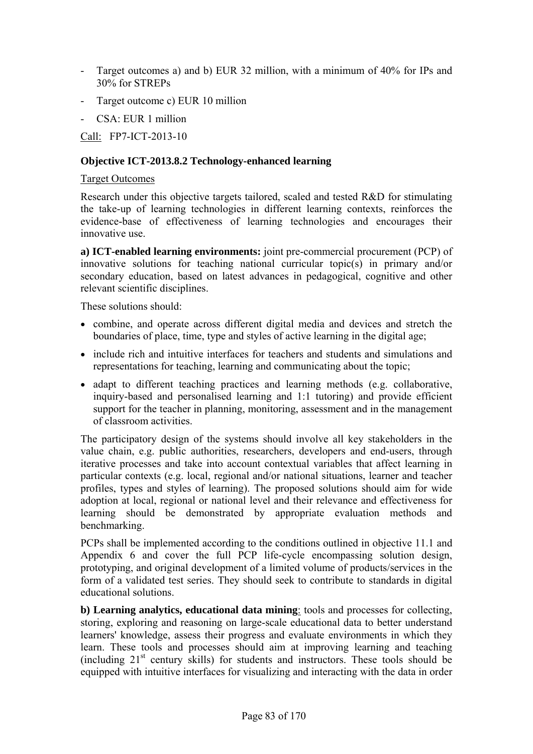- Target outcomes a) and b) EUR 32 million, with a minimum of 40% for IPs and 30% for STREPs
- Target outcome c) EUR 10 million
- CSA: EUR 1 million

Call: FP7-ICT-2013-10

## **Objective ICT-2013.8.2 Technology-enhanced learning**

## Target Outcomes

Research under this objective targets tailored, scaled and tested R&D for stimulating the take-up of learning technologies in different learning contexts, reinforces the evidence-base of effectiveness of learning technologies and encourages their innovative use.

**a) ICT-enabled learning environments:** joint pre-commercial procurement (PCP) of innovative solutions for teaching national curricular topic(s) in primary and/or secondary education, based on latest advances in pedagogical, cognitive and other relevant scientific disciplines.

These solutions should:

- combine, and operate across different digital media and devices and stretch the boundaries of place, time, type and styles of active learning in the digital age;
- include rich and intuitive interfaces for teachers and students and simulations and representations for teaching, learning and communicating about the topic;
- adapt to different teaching practices and learning methods (e.g. collaborative, inquiry-based and personalised learning and 1:1 tutoring) and provide efficient support for the teacher in planning, monitoring, assessment and in the management of classroom activities.

The participatory design of the systems should involve all key stakeholders in the value chain, e.g. public authorities, researchers, developers and end-users, through iterative processes and take into account contextual variables that affect learning in particular contexts (e.g. local, regional and/or national situations, learner and teacher profiles, types and styles of learning). The proposed solutions should aim for wide adoption at local, regional or national level and their relevance and effectiveness for learning should be demonstrated by appropriate evaluation methods and benchmarking.

PCPs shall be implemented according to the conditions outlined in objective 11.1 and Appendix 6 and cover the full PCP life-cycle encompassing solution design, prototyping, and original development of a limited volume of products/services in the form of a validated test series. They should seek to contribute to standards in digital educational solutions.

**b) Learning analytics, educational data mining**: tools and processes for collecting, storing, exploring and reasoning on large-scale educational data to better understand learners' knowledge, assess their progress and evaluate environments in which they learn. These tools and processes should aim at improving learning and teaching (including  $21<sup>st</sup>$  century skills) for students and instructors. These tools should be equipped with intuitive interfaces for visualizing and interacting with the data in order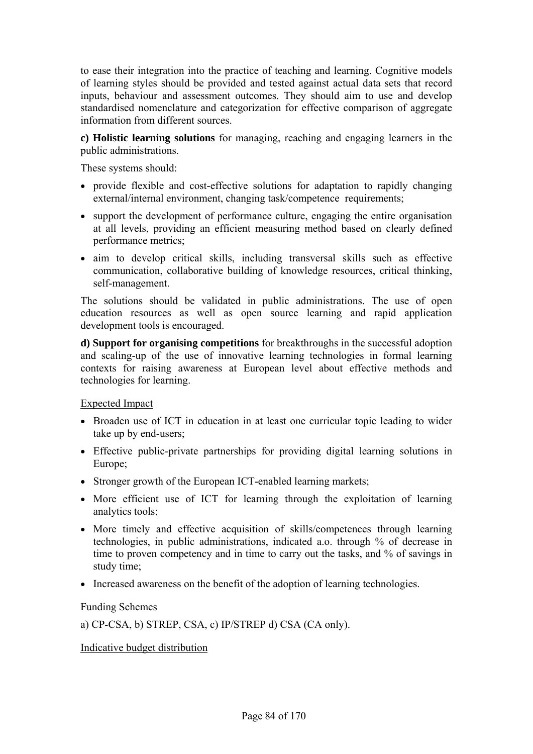to ease their integration into the practice of teaching and learning. Cognitive models of learning styles should be provided and tested against actual data sets that record inputs, behaviour and assessment outcomes. They should aim to use and develop standardised nomenclature and categorization for effective comparison of aggregate information from different sources.

**c) Holistic learning solutions** for managing, reaching and engaging learners in the public administrations.

These systems should:

- provide flexible and cost-effective solutions for adaptation to rapidly changing external/internal environment, changing task/competence requirements;
- support the development of performance culture, engaging the entire organisation at all levels, providing an efficient measuring method based on clearly defined performance metrics;
- aim to develop critical skills, including transversal skills such as effective communication, collaborative building of knowledge resources, critical thinking, self-management.

The solutions should be validated in public administrations. The use of open education resources as well as open source learning and rapid application development tools is encouraged.

**d) Support for organising competitions** for breakthroughs in the successful adoption and scaling-up of the use of innovative learning technologies in formal learning contexts for raising awareness at European level about effective methods and technologies for learning.

Expected Impact

- Broaden use of ICT in education in at least one curricular topic leading to wider take up by end-users;
- Effective public-private partnerships for providing digital learning solutions in Europe;
- Stronger growth of the European ICT-enabled learning markets;
- More efficient use of ICT for learning through the exploitation of learning analytics tools;
- More timely and effective acquisition of skills/competences through learning technologies, in public administrations, indicated a.o. through % of decrease in time to proven competency and in time to carry out the tasks, and % of savings in study time;
- Increased awareness on the benefit of the adoption of learning technologies.

Funding Schemes

a) CP-CSA, b) STREP, CSA, c) IP/STREP d) CSA (CA only).

Indicative budget distribution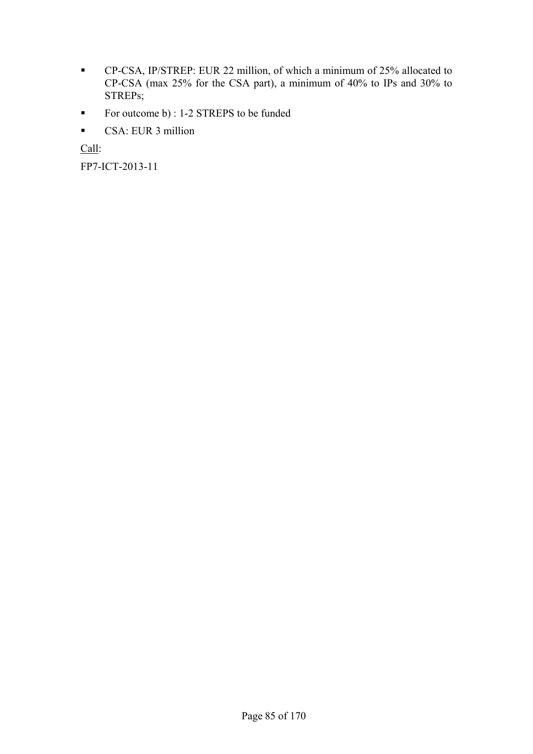- **CP-CSA, IP/STREP: EUR 22 million, of which a minimum of 25% allocated to** CP-CSA (max 25% for the CSA part), a minimum of 40% to IPs and 30% to STREPs;
- For outcome b) : 1-2 STREPS to be funded
- CSA: EUR 3 million

Call:

FP7-ICT-2013-11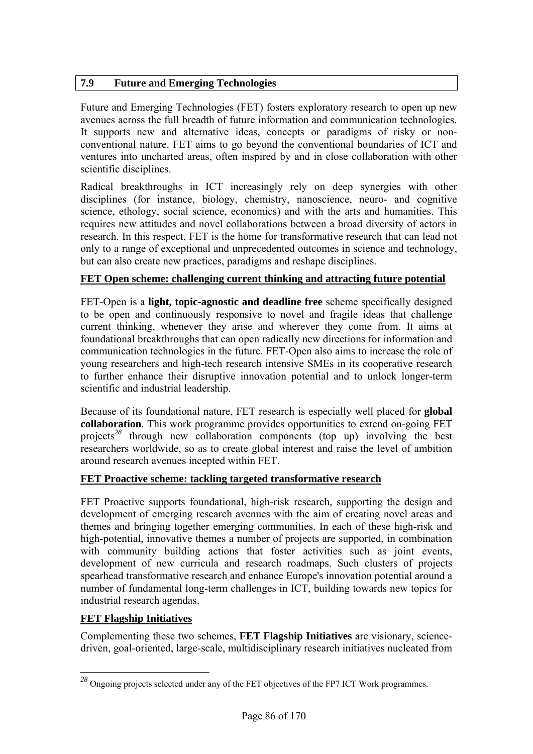## **7.9 Future and Emerging Technologies**

Future and Emerging Technologies (FET) fosters exploratory research to open up new avenues across the full breadth of future information and communication technologies. It supports new and alternative ideas, concepts or paradigms of risky or nonconventional nature. FET aims to go beyond the conventional boundaries of ICT and ventures into uncharted areas, often inspired by and in close collaboration with other scientific disciplines.

Radical breakthroughs in ICT increasingly rely on deep synergies with other disciplines (for instance, biology, chemistry, nanoscience, neuro- and cognitive science, ethology, social science, economics) and with the arts and humanities. This requires new attitudes and novel collaborations between a broad diversity of actors in research. In this respect, FET is the home for transformative research that can lead not only to a range of exceptional and unprecedented outcomes in science and technology, but can also create new practices, paradigms and reshape disciplines.

## **FET Open scheme: challenging current thinking and attracting future potential**

FET-Open is a **light, topic-agnostic and deadline free** scheme specifically designed to be open and continuously responsive to novel and fragile ideas that challenge current thinking, whenever they arise and wherever they come from. It aims at foundational breakthroughs that can open radically new directions for information and communication technologies in the future. FET-Open also aims to increase the role of young researchers and high-tech research intensive SMEs in its cooperative research to further enhance their disruptive innovation potential and to unlock longer-term scientific and industrial leadership.

Because of its foundational nature, FET research is especially well placed for **global collaboration**. This work programme provides opportunities to extend on-going FET projects<sup>28</sup> through new collaboration components (top up) involving the best researchers worldwide, so as to create global interest and raise the level of ambition around research avenues incepted within FET.

## **FET Proactive scheme: tackling targeted transformative research**

FET Proactive supports foundational, high-risk research, supporting the design and development of emerging research avenues with the aim of creating novel areas and themes and bringing together emerging communities. In each of these high-risk and high-potential, innovative themes a number of projects are supported, in combination with community building actions that foster activities such as joint events, development of new curricula and research roadmaps. Such clusters of projects spearhead transformative research and enhance Europe's innovation potential around a number of fundamental long-term challenges in ICT, building towards new topics for industrial research agendas.

## **FET Flagship Initiatives**

1

Complementing these two schemes, **FET Flagship Initiatives** are visionary, sciencedriven, goal-oriented, large-scale, multidisciplinary research initiatives nucleated from

<sup>&</sup>lt;sup>28</sup> Ongoing projects selected under any of the FET objectives of the FP7 ICT Work programmes.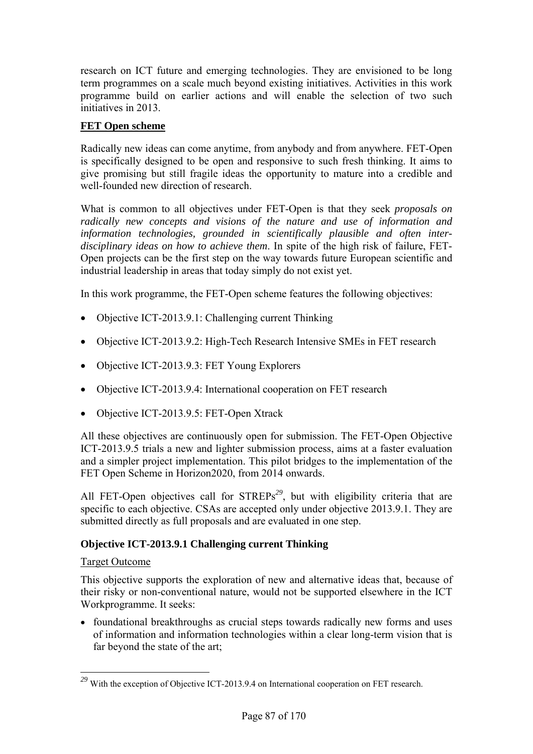research on ICT future and emerging technologies. They are envisioned to be long term programmes on a scale much beyond existing initiatives. Activities in this work programme build on earlier actions and will enable the selection of two such initiatives in 2013.

## **FET Open scheme**

Radically new ideas can come anytime, from anybody and from anywhere. FET-Open is specifically designed to be open and responsive to such fresh thinking. It aims to give promising but still fragile ideas the opportunity to mature into a credible and well-founded new direction of research.

What is common to all objectives under FET-Open is that they seek *proposals on radically new concepts and visions of the nature and use of information and information technologies, grounded in scientifically plausible and often interdisciplinary ideas on how to achieve them*. In spite of the high risk of failure, FET-Open projects can be the first step on the way towards future European scientific and industrial leadership in areas that today simply do not exist yet.

In this work programme, the FET-Open scheme features the following objectives:

- Objective ICT-2013.9.1: Challenging current Thinking
- Objective ICT-2013.9.2: High-Tech Research Intensive SMEs in FET research
- Objective ICT-2013.9.3: FET Young Explorers
- Objective ICT-2013.9.4: International cooperation on FET research
- Objective ICT-2013.9.5: FET-Open Xtrack

All these objectives are continuously open for submission. The FET-Open Objective ICT-2013.9.5 trials a new and lighter submission process, aims at a faster evaluation and a simpler project implementation. This pilot bridges to the implementation of the FET Open Scheme in Horizon2020, from 2014 onwards.

All FET-Open objectives call for STREPs<sup>29</sup>, but with eligibility criteria that are specific to each objective. CSAs are accepted only under objective 2013.9.1. They are submitted directly as full proposals and are evaluated in one step.

# **Objective ICT-2013.9.1 Challenging current Thinking**

## Target Outcome

1

This objective supports the exploration of new and alternative ideas that, because of their risky or non-conventional nature, would not be supported elsewhere in the ICT Workprogramme. It seeks:

• foundational breakthroughs as crucial steps towards radically new forms and uses of information and information technologies within a clear long-term vision that is far beyond the state of the art;

<sup>&</sup>lt;sup>29</sup> With the exception of Objective ICT-2013.9.4 on International cooperation on FET research.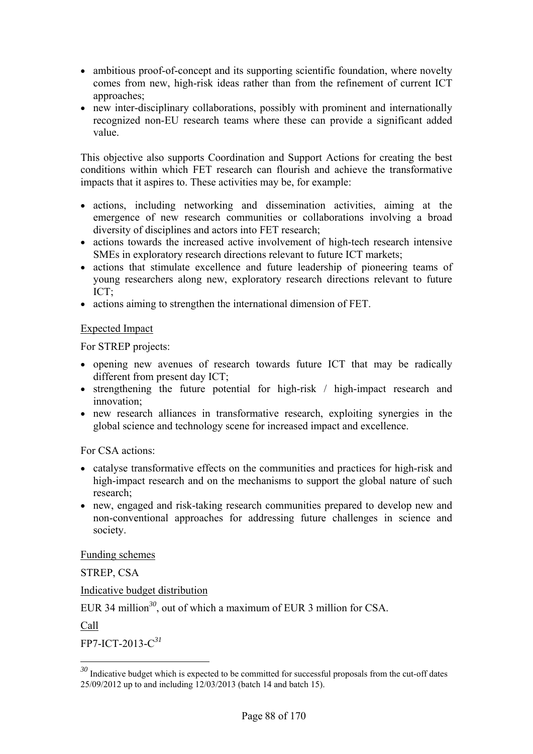- ambitious proof-of-concept and its supporting scientific foundation, where novelty comes from new, high-risk ideas rather than from the refinement of current ICT approaches;
- new inter-disciplinary collaborations, possibly with prominent and internationally recognized non-EU research teams where these can provide a significant added value.

This objective also supports Coordination and Support Actions for creating the best conditions within which FET research can flourish and achieve the transformative impacts that it aspires to. These activities may be, for example:

- actions, including networking and dissemination activities, aiming at the emergence of new research communities or collaborations involving a broad diversity of disciplines and actors into FET research;
- actions towards the increased active involvement of high-tech research intensive SMEs in exploratory research directions relevant to future ICT markets;
- actions that stimulate excellence and future leadership of pioneering teams of young researchers along new, exploratory research directions relevant to future ICT;
- actions aiming to strengthen the international dimension of FET.

### Expected Impact

For STREP projects:

- opening new avenues of research towards future ICT that may be radically different from present day ICT;
- strengthening the future potential for high-risk / high-impact research and innovation;
- new research alliances in transformative research, exploiting synergies in the global science and technology scene for increased impact and excellence.

For CSA actions:

- catalyse transformative effects on the communities and practices for high-risk and high-impact research and on the mechanisms to support the global nature of such research;
- new, engaged and risk-taking research communities prepared to develop new and non-conventional approaches for addressing future challenges in science and society.

Funding schemes

STREP, CSA

Indicative budget distribution

EUR 34 million*<sup>30</sup>*, out of which a maximum of EUR 3 million for CSA.

Call

<u>.</u>

FP7-ICT-2013-C*<sup>31</sup>*

*<sup>30</sup>* Indicative budget which is expected to be committed for successful proposals from the cut-off dates 25/09/2012 up to and including 12/03/2013 (batch 14 and batch 15).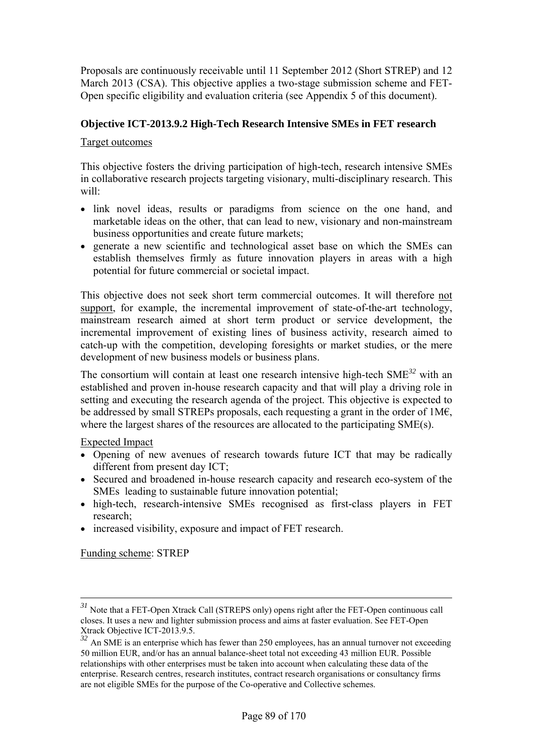Proposals are continuously receivable until 11 September 2012 (Short STREP) and 12 March 2013 (CSA). This objective applies a two-stage submission scheme and FET-Open specific eligibility and evaluation criteria (see Appendix 5 of this document).

## **Objective ICT-2013.9.2 High-Tech Research Intensive SMEs in FET research**

#### Target outcomes

This objective fosters the driving participation of high-tech, research intensive SMEs in collaborative research projects targeting visionary, multi-disciplinary research. This will:

- link novel ideas, results or paradigms from science on the one hand, and marketable ideas on the other, that can lead to new, visionary and non-mainstream business opportunities and create future markets;
- generate a new scientific and technological asset base on which the SMEs can establish themselves firmly as future innovation players in areas with a high potential for future commercial or societal impact.

This objective does not seek short term commercial outcomes. It will therefore not support, for example, the incremental improvement of state-of-the-art technology, mainstream research aimed at short term product or service development, the incremental improvement of existing lines of business activity, research aimed to catch-up with the competition, developing foresights or market studies, or the mere development of new business models or business plans.

The consortium will contain at least one research intensive high-tech SME*<sup>32</sup>* with an established and proven in-house research capacity and that will play a driving role in setting and executing the research agenda of the project. This objective is expected to be addressed by small STREPs proposals, each requesting a grant in the order of 1M€, where the largest shares of the resources are allocated to the participating SME(s).

Expected Impact

- Opening of new avenues of research towards future ICT that may be radically different from present day ICT;
- Secured and broadened in-house research capacity and research eco-system of the SMEs leading to sustainable future innovation potential;
- high-tech, research-intensive SMEs recognised as first-class players in FET research;
- increased visibility, exposure and impact of FET research.

Funding scheme: STREP

*<sup>31</sup>* Note that a FET-Open Xtrack Call (STREPS only) opens right after the FET-Open continuous call closes. It uses a new and lighter submission process and aims at faster evaluation. See FET-Open Xtrack Objective ICT-2013.9.5.

<sup>&</sup>lt;sup>32</sup> An SME is an enterprise which has fewer than 250 employees, has an annual turnover not exceeding 50 million EUR, and/or has an annual balance-sheet total not exceeding 43 million EUR. Possible relationships with other enterprises must be taken into account when calculating these data of the enterprise. Research centres, research institutes, contract research organisations or consultancy firms are not eligible SMEs for the purpose of the Co-operative and Collective schemes.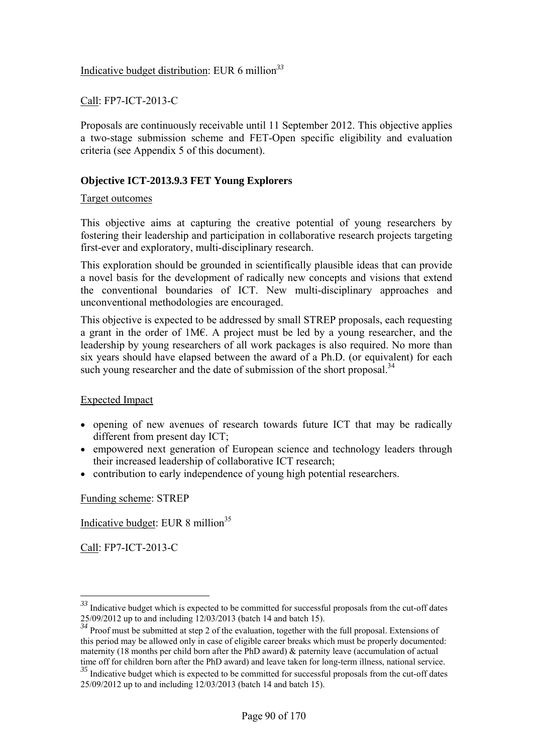## Indicative budget distribution: EUR 6 million*<sup>33</sup>*

### Call: FP7-ICT-2013-C

Proposals are continuously receivable until 11 September 2012. This objective applies a two-stage submission scheme and FET-Open specific eligibility and evaluation criteria (see Appendix 5 of this document).

## **Objective ICT-2013.9.3 FET Young Explorers**

#### Target outcomes

This objective aims at capturing the creative potential of young researchers by fostering their leadership and participation in collaborative research projects targeting first-ever and exploratory, multi-disciplinary research.

This exploration should be grounded in scientifically plausible ideas that can provide a novel basis for the development of radically new concepts and visions that extend the conventional boundaries of ICT. New multi-disciplinary approaches and unconventional methodologies are encouraged.

This objective is expected to be addressed by small STREP proposals, each requesting a grant in the order of 1M€. A project must be led by a young researcher, and the leadership by young researchers of all work packages is also required. No more than six years should have elapsed between the award of a Ph.D. (or equivalent) for each such young researcher and the date of submission of the short proposal.<sup>34</sup>

Expected Impact

- opening of new avenues of research towards future ICT that may be radically different from present day ICT;
- empowered next generation of European science and technology leaders through their increased leadership of collaborative ICT research;
- contribution to early independence of young high potential researchers.

Funding scheme: STREP

Indicative budget: EUR  $8$  million<sup>35</sup>

Call: FP7-ICT-2013-C

1

<sup>&</sup>lt;sup>33</sup> Indicative budget which is expected to be committed for successful proposals from the cut-off dates 25/09/2012 up to and including 12/03/2013 (batch 14 and batch 15).

<sup>&</sup>lt;sup>34</sup> Proof must be submitted at step 2 of the evaluation, together with the full proposal. Extensions of this period may be allowed only in case of eligible career breaks which must be properly documented: maternity (18 months per child born after the PhD award) & paternity leave (accumulation of actual time off for children born after the PhD award) and leave taken for long-term illness, national service. <sup>35</sup> Indicative budget which is expected to be committed for successful proposals from the cut-off dates 25/09/2012 up to and including 12/03/2013 (batch 14 and batch 15).

Page 90 of 170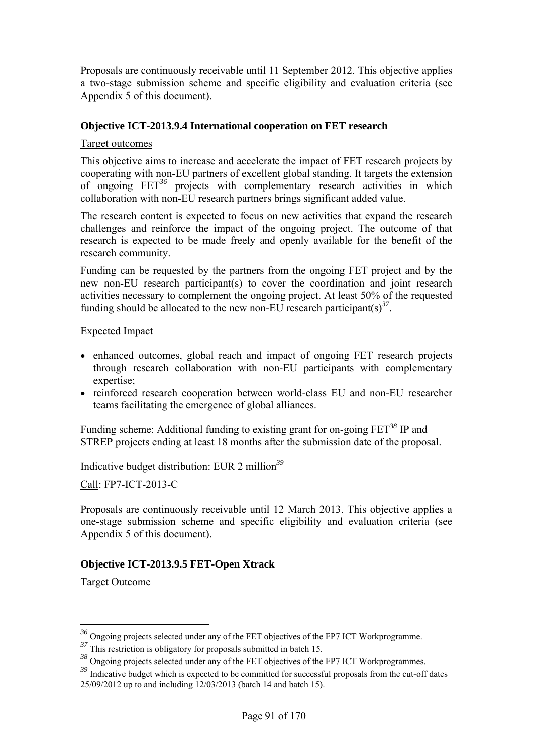Proposals are continuously receivable until 11 September 2012. This objective applies a two-stage submission scheme and specific eligibility and evaluation criteria (see Appendix 5 of this document).

## **Objective ICT-2013.9.4 International cooperation on FET research**

#### Target outcomes

This objective aims to increase and accelerate the impact of FET research projects by cooperating with non-EU partners of excellent global standing. It targets the extension of ongoing FET*<sup>36</sup>* projects with complementary research activities in which collaboration with non-EU research partners brings significant added value.

The research content is expected to focus on new activities that expand the research challenges and reinforce the impact of the ongoing project. The outcome of that research is expected to be made freely and openly available for the benefit of the research community.

Funding can be requested by the partners from the ongoing FET project and by the new non-EU research participant(s) to cover the coordination and joint research activities necessary to complement the ongoing project. At least 50% of the requested funding should be allocated to the new non-EU research participant(s)*<sup>37</sup>*.

#### Expected Impact

- enhanced outcomes, global reach and impact of ongoing FET research projects through research collaboration with non-EU participants with complementary expertise;
- reinforced research cooperation between world-class EU and non-EU researcher teams facilitating the emergence of global alliances.

Funding scheme: Additional funding to existing grant for on-going FET*<sup>38</sup>* IP and STREP projects ending at least 18 months after the submission date of the proposal.

Indicative budget distribution: EUR 2 million*<sup>39</sup>*

Call: FP7-ICT-2013-C

Proposals are continuously receivable until 12 March 2013. This objective applies a one-stage submission scheme and specific eligibility and evaluation criteria (see Appendix 5 of this document).

## **Objective ICT-2013.9.5 FET-Open Xtrack**

Target Outcome

1

*<sup>36</sup>* Ongoing projects selected under any of the FET objectives of the FP7 ICT Workprogramme.

<sup>&</sup>lt;sup>37</sup> This restriction is obligatory for proposals submitted in batch 15.

*<sup>38</sup>* Ongoing projects selected under any of the FET objectives of the FP7 ICT Workprogrammes.

<sup>&</sup>lt;sup>39</sup> Indicative budget which is expected to be committed for successful proposals from the cut-off dates 25/09/2012 up to and including 12/03/2013 (batch 14 and batch 15).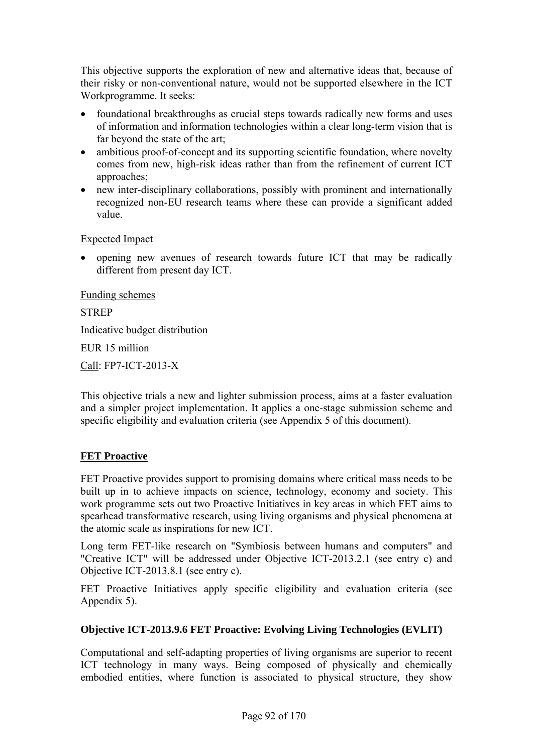This objective supports the exploration of new and alternative ideas that, because of their risky or non-conventional nature, would not be supported elsewhere in the ICT Workprogramme. It seeks:

- foundational breakthroughs as crucial steps towards radically new forms and uses of information and information technologies within a clear long-term vision that is far beyond the state of the art;
- ambitious proof-of-concept and its supporting scientific foundation, where novelty comes from new, high-risk ideas rather than from the refinement of current ICT approaches;
- new inter-disciplinary collaborations, possibly with prominent and internationally recognized non-EU research teams where these can provide a significant added value.

Expected Impact

• opening new avenues of research towards future ICT that may be radically different from present day ICT.

Funding schemes

**STREP** 

Indicative budget distribution

EUR 15 million

Call: FP7-ICT-2013-X

This objective trials a new and lighter submission process, aims at a faster evaluation and a simpler project implementation. It applies a one-stage submission scheme and specific eligibility and evaluation criteria (see Appendix 5 of this document).

## **FET Proactive**

FET Proactive provides support to promising domains where critical mass needs to be built up in to achieve impacts on science, technology, economy and society. This work programme sets out two Proactive Initiatives in key areas in which FET aims to spearhead transformative research, using living organisms and physical phenomena at the atomic scale as inspirations for new ICT.

Long term FET-like research on "Symbiosis between humans and computers" and "Creative ICT" will be addressed under Objective ICT-2013.2.1 (see entry c) and Objective ICT-2013.8.1 (see entry c).

FET Proactive Initiatives apply specific eligibility and evaluation criteria (see Appendix 5).

#### **Objective ICT-2013.9.6 FET Proactive: Evolving Living Technologies (EVLIT)**

Computational and self-adapting properties of living organisms are superior to recent ICT technology in many ways. Being composed of physically and chemically embodied entities, where function is associated to physical structure, they show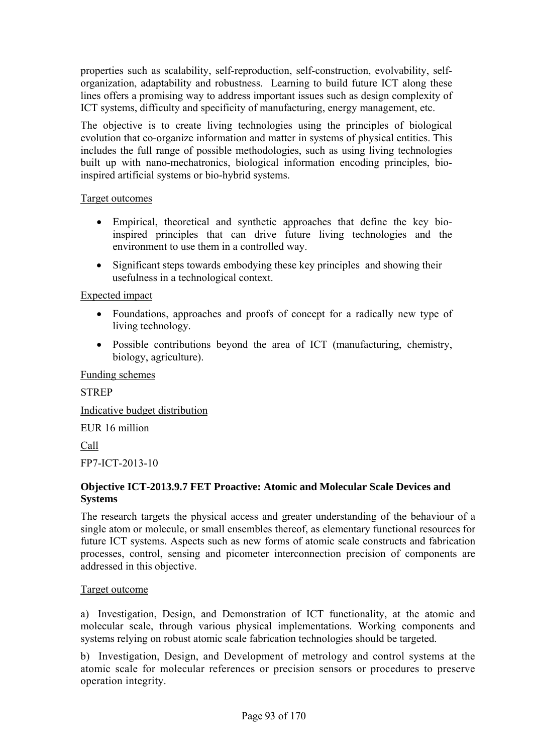properties such as scalability, self-reproduction, self-construction, evolvability, selforganization, adaptability and robustness. Learning to build future ICT along these lines offers a promising way to address important issues such as design complexity of ICT systems, difficulty and specificity of manufacturing, energy management, etc.

The objective is to create living technologies using the principles of biological evolution that co-organize information and matter in systems of physical entities. This includes the full range of possible methodologies, such as using living technologies built up with nano-mechatronics, biological information encoding principles, bioinspired artificial systems or bio-hybrid systems.

### Target outcomes

- Empirical, theoretical and synthetic approaches that define the key bioinspired principles that can drive future living technologies and the environment to use them in a controlled way.
- Significant steps towards embodying these key principles and showing their usefulness in a technological context.

## Expected impact

- Foundations, approaches and proofs of concept for a radically new type of living technology.
- Possible contributions beyond the area of ICT (manufacturing, chemistry, biology, agriculture).

Funding schemes

**STREP** 

Indicative budget distribution

EUR 16 million

Call

FP7-ICT-2013-10

### **Objective ICT-2013.9.7 FET Proactive: Atomic and Molecular Scale Devices and Systems**

The research targets the physical access and greater understanding of the behaviour of a single atom or molecule, or small ensembles thereof, as elementary functional resources for future ICT systems. Aspects such as new forms of atomic scale constructs and fabrication processes, control, sensing and picometer interconnection precision of components are addressed in this objective.

#### Target outcome

a) Investigation, Design, and Demonstration of ICT functionality, at the atomic and molecular scale, through various physical implementations. Working components and systems relying on robust atomic scale fabrication technologies should be targeted.

b) Investigation, Design, and Development of metrology and control systems at the atomic scale for molecular references or precision sensors or procedures to preserve operation integrity.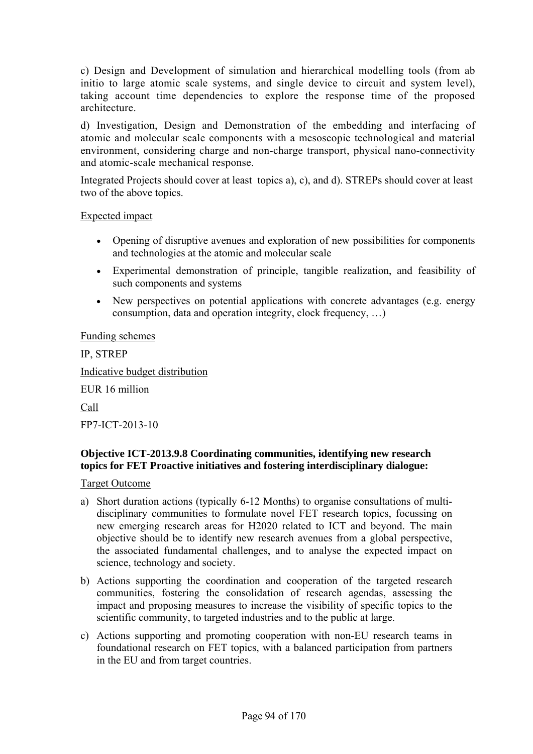c) Design and Development of simulation and hierarchical modelling tools (from ab initio to large atomic scale systems, and single device to circuit and system level), taking account time dependencies to explore the response time of the proposed architecture.

d) Investigation, Design and Demonstration of the embedding and interfacing of atomic and molecular scale components with a mesoscopic technological and material environment, considering charge and non-charge transport, physical nano-connectivity and atomic-scale mechanical response.

Integrated Projects should cover at least topics a), c), and d). STREPs should cover at least two of the above topics.

### Expected impact

- Opening of disruptive avenues and exploration of new possibilities for components and technologies at the atomic and molecular scale
- Experimental demonstration of principle, tangible realization, and feasibility of such components and systems
- New perspectives on potential applications with concrete advantages (e.g. energy consumption, data and operation integrity, clock frequency, …)

## Funding schemes

IP, STREP Indicative budget distribution EUR 16 million Call FP7-ICT-2013-10

## **Objective ICT-2013.9.8 Coordinating communities, identifying new research topics for FET Proactive initiatives and fostering interdisciplinary dialogue:**

## Target Outcome

- a) Short duration actions (typically 6-12 Months) to organise consultations of multidisciplinary communities to formulate novel FET research topics, focussing on new emerging research areas for H2020 related to ICT and beyond. The main objective should be to identify new research avenues from a global perspective, the associated fundamental challenges, and to analyse the expected impact on science, technology and society.
- b) Actions supporting the coordination and cooperation of the targeted research communities, fostering the consolidation of research agendas, assessing the impact and proposing measures to increase the visibility of specific topics to the scientific community, to targeted industries and to the public at large.
- c) Actions supporting and promoting cooperation with non-EU research teams in foundational research on FET topics, with a balanced participation from partners in the EU and from target countries.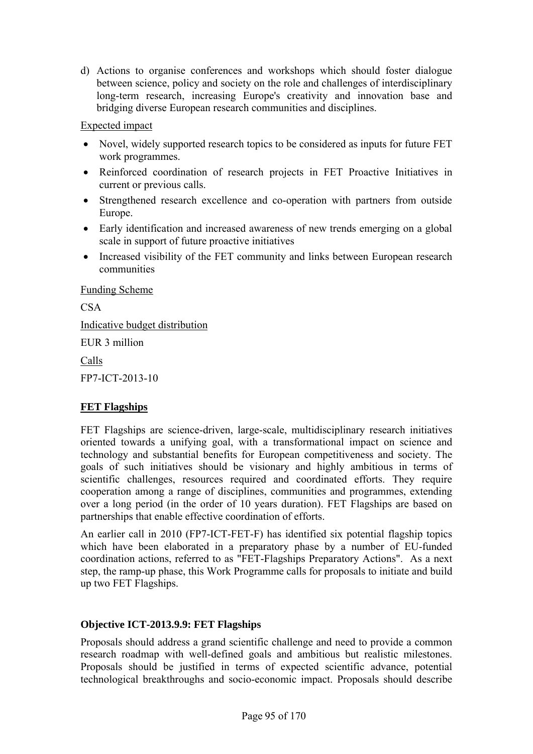d) Actions to organise conferences and workshops which should foster dialogue between science, policy and society on the role and challenges of interdisciplinary long-term research, increasing Europe's creativity and innovation base and bridging diverse European research communities and disciplines.

Expected impact

- Novel, widely supported research topics to be considered as inputs for future FET work programmes.
- Reinforced coordination of research projects in FET Proactive Initiatives in current or previous calls.
- Strengthened research excellence and co-operation with partners from outside Europe.
- Early identification and increased awareness of new trends emerging on a global scale in support of future proactive initiatives
- Increased visibility of the FET community and links between European research communities

Funding Scheme

CSA

Indicative budget distribution

EUR 3 million

Calls

FP7-ICT-2013-10

## **FET Flagships**

FET Flagships are science-driven, large-scale, multidisciplinary research initiatives oriented towards a unifying goal, with a transformational impact on science and technology and substantial benefits for European competitiveness and society. The goals of such initiatives should be visionary and highly ambitious in terms of scientific challenges, resources required and coordinated efforts. They require cooperation among a range of disciplines, communities and programmes, extending over a long period (in the order of 10 years duration). FET Flagships are based on partnerships that enable effective coordination of efforts.

An earlier call in 2010 (FP7-ICT-FET-F) has identified six potential flagship topics which have been elaborated in a preparatory phase by a number of EU-funded coordination actions, referred to as "FET-Flagships Preparatory Actions". As a next step, the ramp-up phase, this Work Programme calls for proposals to initiate and build up two FET Flagships.

## **Objective ICT-2013.9.9: FET Flagships**

Proposals should address a grand scientific challenge and need to provide a common research roadmap with well-defined goals and ambitious but realistic milestones. Proposals should be justified in terms of expected scientific advance, potential technological breakthroughs and socio-economic impact. Proposals should describe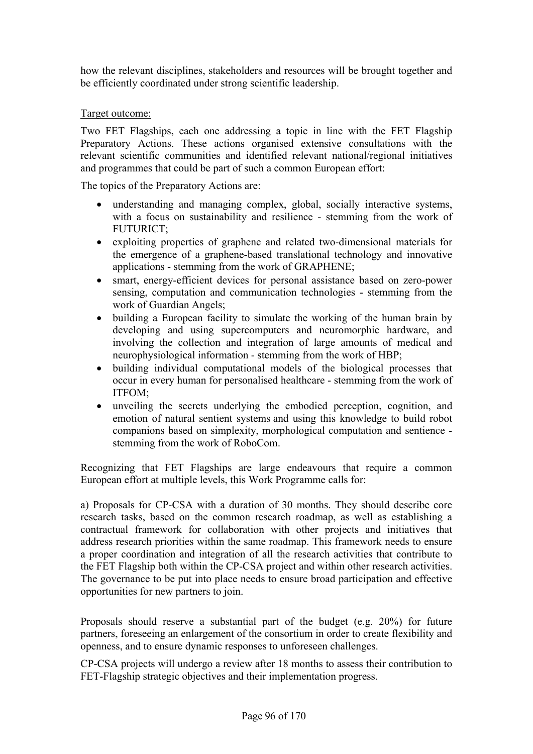how the relevant disciplines, stakeholders and resources will be brought together and be efficiently coordinated under strong scientific leadership.

## Target outcome:

Two FET Flagships, each one addressing a topic in line with the FET Flagship Preparatory Actions. These actions organised extensive consultations with the relevant scientific communities and identified relevant national/regional initiatives and programmes that could be part of such a common European effort:

The topics of the Preparatory Actions are:

- understanding and managing complex, global, socially interactive systems, with a focus on sustainability and resilience - stemming from the work of FUTURICT;
- exploiting properties of graphene and related two-dimensional materials for the emergence of a graphene-based translational technology and innovative applications - stemming from the work of GRAPHENE;
- smart, energy-efficient devices for personal assistance based on zero-power sensing, computation and communication technologies - stemming from the work of Guardian Angels;
- building a European facility to simulate the working of the human brain by developing and using supercomputers and neuromorphic hardware, and involving the collection and integration of large amounts of medical and neurophysiological information - stemming from the work of HBP;
- building individual computational models of the biological processes that occur in every human for personalised healthcare - stemming from the work of ITFOM;
- unveiling the secrets underlying the embodied perception, cognition, and emotion of natural sentient systems and using this knowledge to build robot companions based on simplexity, morphological computation and sentience stemming from the work of RoboCom.

Recognizing that FET Flagships are large endeavours that require a common European effort at multiple levels, this Work Programme calls for:

a) Proposals for CP-CSA with a duration of 30 months. They should describe core research tasks, based on the common research roadmap, as well as establishing a contractual framework for collaboration with other projects and initiatives that address research priorities within the same roadmap. This framework needs to ensure a proper coordination and integration of all the research activities that contribute to the FET Flagship both within the CP-CSA project and within other research activities. The governance to be put into place needs to ensure broad participation and effective opportunities for new partners to join.

Proposals should reserve a substantial part of the budget (e.g. 20%) for future partners, foreseeing an enlargement of the consortium in order to create flexibility and openness, and to ensure dynamic responses to unforeseen challenges.

CP-CSA projects will undergo a review after 18 months to assess their contribution to FET-Flagship strategic objectives and their implementation progress.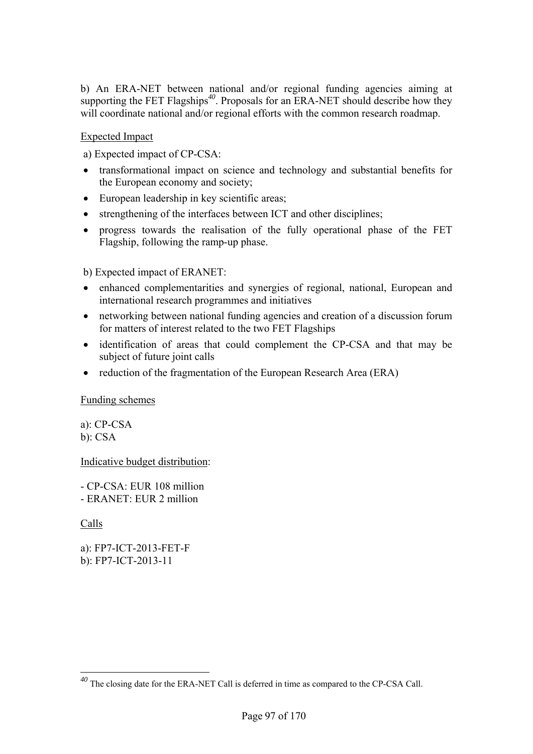b) An ERA-NET between national and/or regional funding agencies aiming at supporting the FET Flagships<sup>40</sup>. Proposals for an ERA-NET should describe how they will coordinate national and/or regional efforts with the common research roadmap.

## Expected Impact

a) Expected impact of CP-CSA:

- transformational impact on science and technology and substantial benefits for the European economy and society;
- European leadership in key scientific areas;
- strengthening of the interfaces between ICT and other disciplines;
- progress towards the realisation of the fully operational phase of the FET Flagship, following the ramp-up phase.

b) Expected impact of ERANET:

- enhanced complementarities and synergies of regional, national, European and international research programmes and initiatives
- networking between national funding agencies and creation of a discussion forum for matters of interest related to the two FET Flagships
- identification of areas that could complement the CP-CSA and that may be subject of future joint calls
- reduction of the fragmentation of the European Research Area (ERA)

Funding schemes

a): CP-CSA b): CSA

Indicative budget distribution:

- CP-CSA: EUR 108 million - ERANET: EUR 2 million

Calls

1

a): FP7-ICT-2013-FET-F b): FP7-ICT-2013-11

*<sup>40</sup>* The closing date for the ERA-NET Call is deferred in time as compared to the CP-CSA Call.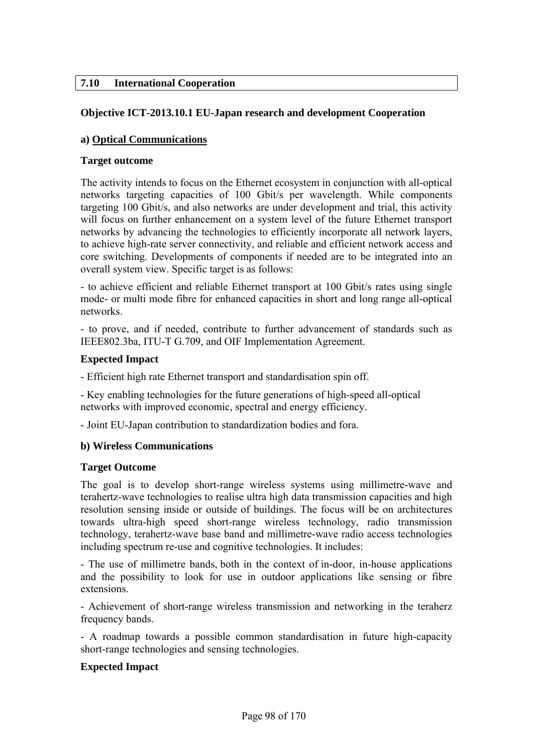#### **7.10 International Cooperation**

### **Objective ICT-2013.10.1 EU-Japan research and development Cooperation**

### **a) Optical Communications**

#### **Target outcome**

The activity intends to focus on the Ethernet ecosystem in conjunction with all-optical networks targeting capacities of 100 Gbit/s per wavelength. While components targeting 100 Gbit/s, and also networks are under development and trial, this activity will focus on further enhancement on a system level of the future Ethernet transport networks by advancing the technologies to efficiently incorporate all network layers, to achieve high-rate server connectivity, and reliable and efficient network access and core switching. Developments of components if needed are to be integrated into an overall system view. Specific target is as follows:

- to achieve efficient and reliable Ethernet transport at 100 Gbit/s rates using single mode- or multi mode fibre for enhanced capacities in short and long range all-optical networks.

- to prove, and if needed, contribute to further advancement of standards such as IEEE802.3ba, ITU-T G.709, and OIF Implementation Agreement.

#### **Expected Impact**

- Efficient high rate Ethernet transport and standardisation spin off.

- Key enabling technologies for the future generations of high-speed all-optical networks with improved economic, spectral and energy efficiency.

- Joint EU-Japan contribution to standardization bodies and fora.

#### **b) Wireless Communications**

#### **Target Outcome**

The goal is to develop short-range wireless systems using millimetre-wave and terahertz-wave technologies to realise ultra high data transmission capacities and high resolution sensing inside or outside of buildings. The focus will be on architectures towards ultra-high speed short-range wireless technology, radio transmission technology, terahertz-wave base band and millimetre-wave radio access technologies including spectrum re-use and cognitive technologies. It includes:

- The use of millimetre bands, both in the context of in-door, in-house applications and the possibility to look for use in outdoor applications like sensing or fibre extensions.

- Achievement of short-range wireless transmission and networking in the teraherz frequency bands.

- A roadmap towards a possible common standardisation in future high-capacity short-range technologies and sensing technologies.

#### **Expected Impact**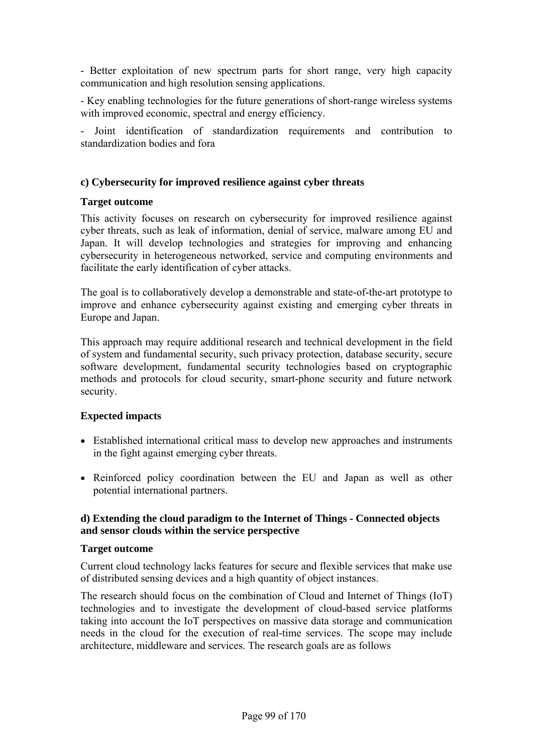- Better exploitation of new spectrum parts for short range, very high capacity communication and high resolution sensing applications.

- Key enabling technologies for the future generations of short-range wireless systems with improved economic, spectral and energy efficiency.

- Joint identification of standardization requirements and contribution to standardization bodies and fora

## **c) Cybersecurity for improved resilience against cyber threats**

#### **Target outcome**

This activity focuses on research on cybersecurity for improved resilience against cyber threats, such as leak of information, denial of service, malware among EU and Japan. It will develop technologies and strategies for improving and enhancing cybersecurity in heterogeneous networked, service and computing environments and facilitate the early identification of cyber attacks.

The goal is to collaboratively develop a demonstrable and state-of-the-art prototype to improve and enhance cybersecurity against existing and emerging cyber threats in Europe and Japan.

This approach may require additional research and technical development in the field of system and fundamental security, such privacy protection, database security, secure software development, fundamental security technologies based on cryptographic methods and protocols for cloud security, smart-phone security and future network security.

## **Expected impacts**

- Established international critical mass to develop new approaches and instruments in the fight against emerging cyber threats.
- Reinforced policy coordination between the EU and Japan as well as other potential international partners.

### **d) Extending the cloud paradigm to the Internet of Things - Connected objects and sensor clouds within the service perspective**

#### **Target outcome**

Current cloud technology lacks features for secure and flexible services that make use of distributed sensing devices and a high quantity of object instances.

The research should focus on the combination of Cloud and Internet of Things (IoT) technologies and to investigate the development of cloud-based service platforms taking into account the IoT perspectives on massive data storage and communication needs in the cloud for the execution of real-time services. The scope may include architecture, middleware and services. The research goals are as follows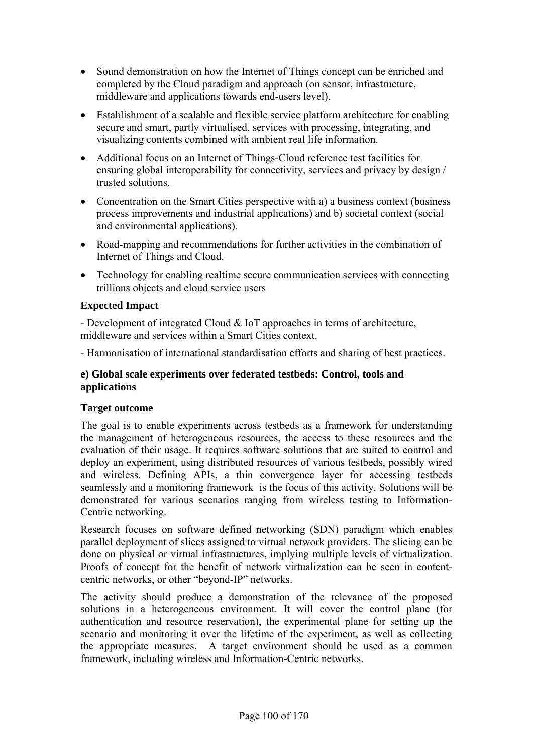- Sound demonstration on how the Internet of Things concept can be enriched and completed by the Cloud paradigm and approach (on sensor, infrastructure, middleware and applications towards end-users level).
- Establishment of a scalable and flexible service platform architecture for enabling secure and smart, partly virtualised, services with processing, integrating, and visualizing contents combined with ambient real life information.
- Additional focus on an Internet of Things-Cloud reference test facilities for ensuring global interoperability for connectivity, services and privacy by design / trusted solutions.
- Concentration on the Smart Cities perspective with a) a business context (business process improvements and industrial applications) and b) societal context (social and environmental applications).
- Road-mapping and recommendations for further activities in the combination of Internet of Things and Cloud.
- Technology for enabling realtime secure communication services with connecting trillions objects and cloud service users

## **Expected Impact**

- Development of integrated Cloud & IoT approaches in terms of architecture, middleware and services within a Smart Cities context.

- Harmonisation of international standardisation efforts and sharing of best practices.

### **e) Global scale experiments over federated testbeds: Control, tools and applications**

#### **Target outcome**

The goal is to enable experiments across testbeds as a framework for understanding the management of heterogeneous resources, the access to these resources and the evaluation of their usage. It requires software solutions that are suited to control and deploy an experiment, using distributed resources of various testbeds, possibly wired and wireless. Defining APIs, a thin convergence layer for accessing testbeds seamlessly and a monitoring framework is the focus of this activity. Solutions will be demonstrated for various scenarios ranging from wireless testing to Information-Centric networking.

Research focuses on software defined networking (SDN) paradigm which enables parallel deployment of slices assigned to virtual network providers. The slicing can be done on physical or virtual infrastructures, implying multiple levels of virtualization. Proofs of concept for the benefit of network virtualization can be seen in contentcentric networks, or other "beyond-IP" networks.

The activity should produce a demonstration of the relevance of the proposed solutions in a heterogeneous environment. It will cover the control plane (for authentication and resource reservation), the experimental plane for setting up the scenario and monitoring it over the lifetime of the experiment, as well as collecting the appropriate measures. A target environment should be used as a common framework, including wireless and Information-Centric networks.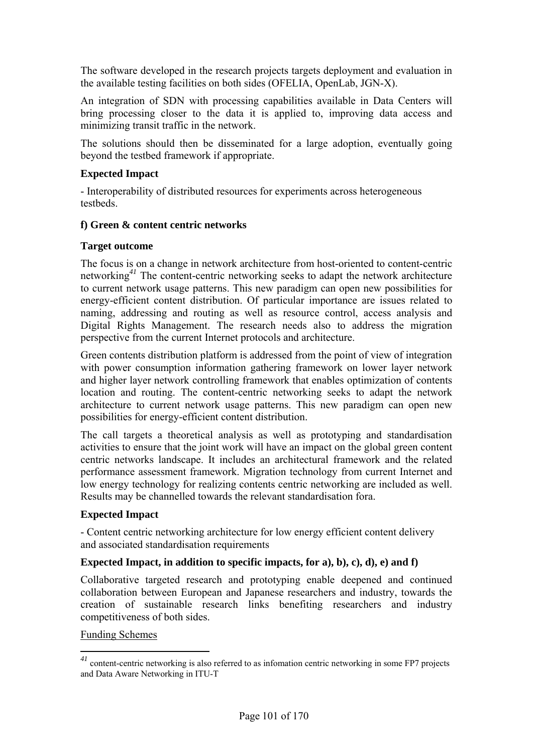The software developed in the research projects targets deployment and evaluation in the available testing facilities on both sides (OFELIA, OpenLab, JGN-X).

An integration of SDN with processing capabilities available in Data Centers will bring processing closer to the data it is applied to, improving data access and minimizing transit traffic in the network.

The solutions should then be disseminated for a large adoption, eventually going beyond the testbed framework if appropriate.

### **Expected Impact**

- Interoperability of distributed resources for experiments across heterogeneous testbeds.

### **f) Green & content centric networks**

### **Target outcome**

The focus is on a change in network architecture from host-oriented to content-centric networking*<sup>41</sup>* The content-centric networking seeks to adapt the network architecture to current network usage patterns. This new paradigm can open new possibilities for energy-efficient content distribution. Of particular importance are issues related to naming, addressing and routing as well as resource control, access analysis and Digital Rights Management. The research needs also to address the migration perspective from the current Internet protocols and architecture.

Green contents distribution platform is addressed from the point of view of integration with power consumption information gathering framework on lower layer network and higher layer network controlling framework that enables optimization of contents location and routing. The content-centric networking seeks to adapt the network architecture to current network usage patterns. This new paradigm can open new possibilities for energy-efficient content distribution.

The call targets a theoretical analysis as well as prototyping and standardisation activities to ensure that the joint work will have an impact on the global green content centric networks landscape. It includes an architectural framework and the related performance assessment framework. Migration technology from current Internet and low energy technology for realizing contents centric networking are included as well. Results may be channelled towards the relevant standardisation fora.

#### **Expected Impact**

- Content centric networking architecture for low energy efficient content delivery and associated standardisation requirements

## **Expected Impact, in addition to specific impacts, for a), b), c), d), e) and f)**

Collaborative targeted research and prototyping enable deepened and continued collaboration between European and Japanese researchers and industry, towards the creation of sustainable research links benefiting researchers and industry competitiveness of both sides.

Funding Schemes

1

*<sup>41</sup>* content-centric networking is also referred to as infomation centric networking in some FP7 projects and Data Aware Networking in ITU-T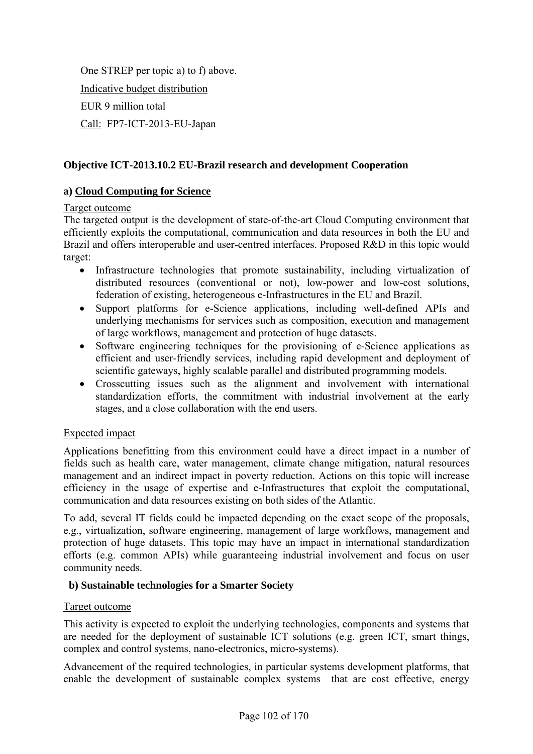One STREP per topic a) to f) above. Indicative budget distribution EUR 9 million total Call: FP7-ICT-2013-EU-Japan

## **Objective ICT-2013.10.2 EU-Brazil research and development Cooperation**

## **a) Cloud Computing for Science**

#### Target outcome

The targeted output is the development of state-of-the-art Cloud Computing environment that efficiently exploits the computational, communication and data resources in both the EU and Brazil and offers interoperable and user-centred interfaces. Proposed R&D in this topic would target:

- Infrastructure technologies that promote sustainability, including virtualization of distributed resources (conventional or not), low-power and low-cost solutions, federation of existing, heterogeneous e-Infrastructures in the EU and Brazil.
- Support platforms for e-Science applications, including well-defined APIs and underlying mechanisms for services such as composition, execution and management of large workflows, management and protection of huge datasets.
- Software engineering techniques for the provisioning of e-Science applications as efficient and user-friendly services, including rapid development and deployment of scientific gateways, highly scalable parallel and distributed programming models.
- Crosscutting issues such as the alignment and involvement with international standardization efforts, the commitment with industrial involvement at the early stages, and a close collaboration with the end users.

#### Expected impact

Applications benefitting from this environment could have a direct impact in a number of fields such as health care, water management, climate change mitigation, natural resources management and an indirect impact in poverty reduction. Actions on this topic will increase efficiency in the usage of expertise and e-Infrastructures that exploit the computational, communication and data resources existing on both sides of the Atlantic.

To add, several IT fields could be impacted depending on the exact scope of the proposals, e.g., virtualization, software engineering, management of large workflows, management and protection of huge datasets. This topic may have an impact in international standardization efforts (e.g. common APIs) while guaranteeing industrial involvement and focus on user community needs.

#### **b) Sustainable technologies for a Smarter Society**

#### Target outcome

This activity is expected to exploit the underlying technologies, components and systems that are needed for the deployment of sustainable ICT solutions (e.g. green ICT, smart things, complex and control systems, nano-electronics, micro-systems).

Advancement of the required technologies, in particular systems development platforms, that enable the development of sustainable complex systems that are cost effective, energy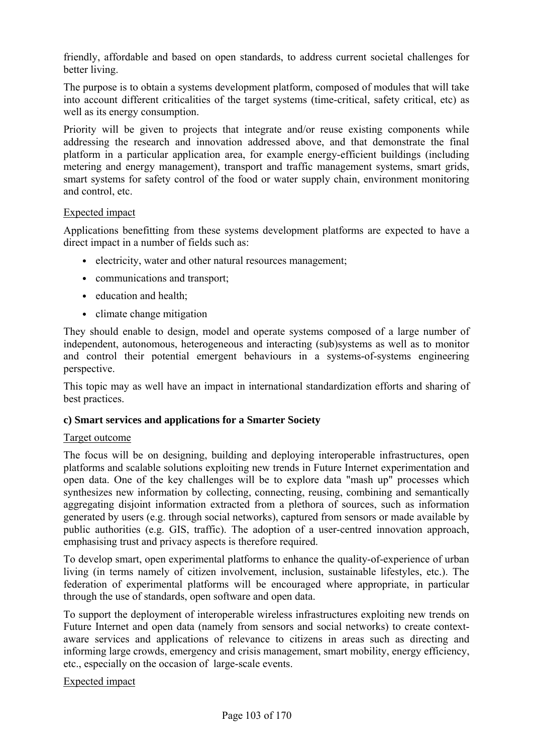friendly, affordable and based on open standards, to address current societal challenges for better living.

The purpose is to obtain a systems development platform, composed of modules that will take into account different criticalities of the target systems (time-critical, safety critical, etc) as well as its energy consumption.

Priority will be given to projects that integrate and/or reuse existing components while addressing the research and innovation addressed above, and that demonstrate the final platform in a particular application area, for example energy-efficient buildings (including metering and energy management), transport and traffic management systems, smart grids, smart systems for safety control of the food or water supply chain, environment monitoring and control, etc.

#### Expected impact

Applications benefitting from these systems development platforms are expected to have a direct impact in a number of fields such as:

- electricity, water and other natural resources management;
- communications and transport;
- education and health;
- climate change mitigation

They should enable to design, model and operate systems composed of a large number of independent, autonomous, heterogeneous and interacting (sub)systems as well as to monitor and control their potential emergent behaviours in a systems-of-systems engineering perspective.

This topic may as well have an impact in international standardization efforts and sharing of best practices.

## **c) Smart services and applications for a Smarter Society**

#### Target outcome

The focus will be on designing, building and deploying interoperable infrastructures, open platforms and scalable solutions exploiting new trends in Future Internet experimentation and open data. One of the key challenges will be to explore data "mash up" processes which synthesizes new information by collecting, connecting, reusing, combining and semantically aggregating disjoint information extracted from a plethora of sources, such as information generated by users (e.g. through social networks), captured from sensors or made available by public authorities (e.g. GIS, traffic). The adoption of a user-centred innovation approach, emphasising trust and privacy aspects is therefore required.

To develop smart, open experimental platforms to enhance the quality-of-experience of urban living (in terms namely of citizen involvement, inclusion, sustainable lifestyles, etc.). The federation of experimental platforms will be encouraged where appropriate, in particular through the use of standards, open software and open data.

To support the deployment of interoperable wireless infrastructures exploiting new trends on Future Internet and open data (namely from sensors and social networks) to create contextaware services and applications of relevance to citizens in areas such as directing and informing large crowds, emergency and crisis management, smart mobility, energy efficiency, etc., especially on the occasion of large-scale events.

## Expected impact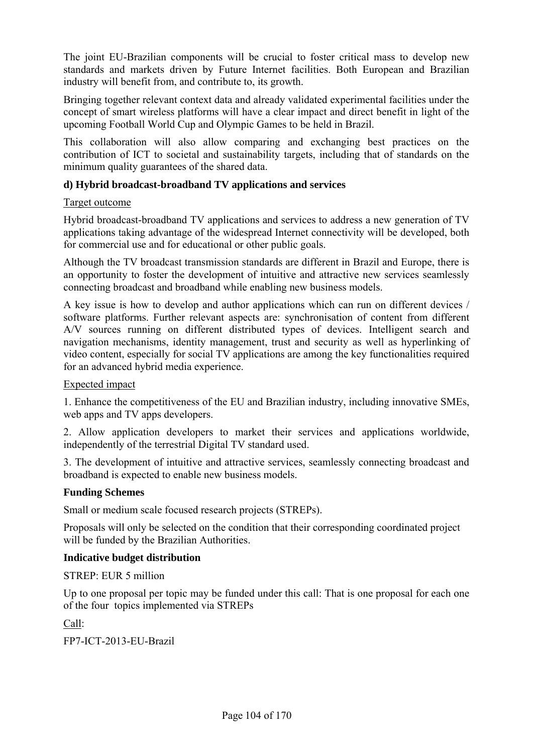The joint EU-Brazilian components will be crucial to foster critical mass to develop new standards and markets driven by Future Internet facilities. Both European and Brazilian industry will benefit from, and contribute to, its growth.

Bringing together relevant context data and already validated experimental facilities under the concept of smart wireless platforms will have a clear impact and direct benefit in light of the upcoming Football World Cup and Olympic Games to be held in Brazil.

This collaboration will also allow comparing and exchanging best practices on the contribution of ICT to societal and sustainability targets, including that of standards on the minimum quality guarantees of the shared data.

## **d) Hybrid broadcast-broadband TV applications and services**

### Target outcome

Hybrid broadcast-broadband TV applications and services to address a new generation of TV applications taking advantage of the widespread Internet connectivity will be developed, both for commercial use and for educational or other public goals.

Although the TV broadcast transmission standards are different in Brazil and Europe, there is an opportunity to foster the development of intuitive and attractive new services seamlessly connecting broadcast and broadband while enabling new business models.

A key issue is how to develop and author applications which can run on different devices / software platforms. Further relevant aspects are: synchronisation of content from different A/V sources running on different distributed types of devices. Intelligent search and navigation mechanisms, identity management, trust and security as well as hyperlinking of video content, especially for social TV applications are among the key functionalities required for an advanced hybrid media experience.

## Expected impact

1. Enhance the competitiveness of the EU and Brazilian industry, including innovative SMEs, web apps and TV apps developers.

2. Allow application developers to market their services and applications worldwide, independently of the terrestrial Digital TV standard used.

3. The development of intuitive and attractive services, seamlessly connecting broadcast and broadband is expected to enable new business models.

#### **Funding Schemes**

Small or medium scale focused research projects (STREPs).

Proposals will only be selected on the condition that their corresponding coordinated project will be funded by the Brazilian Authorities.

## **Indicative budget distribution**

STREP: EUR 5 million

Up to one proposal per topic may be funded under this call: That is one proposal for each one of the four topics implemented via STREPs

Call:

FP7-ICT-2013-EU-Brazil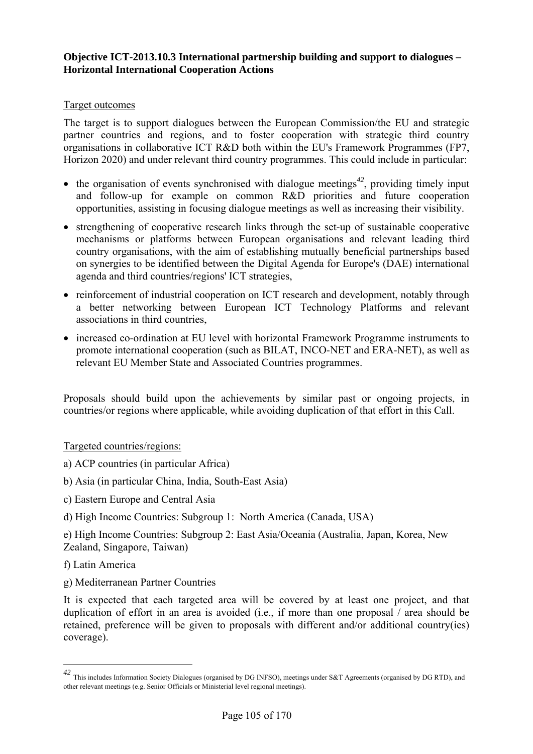### **Objective ICT-2013.10.3 International partnership building and support to dialogues – Horizontal International Cooperation Actions**

### Target outcomes

The target is to support dialogues between the European Commission/the EU and strategic partner countries and regions, and to foster cooperation with strategic third country organisations in collaborative ICT R&D both within the EU's Framework Programmes (FP7, Horizon 2020) and under relevant third country programmes. This could include in particular:

- the organisation of events synchronised with dialogue meetings<sup> $42$ </sup>, providing timely input and follow-up for example on common R&D priorities and future cooperation opportunities, assisting in focusing dialogue meetings as well as increasing their visibility.
- strengthening of cooperative research links through the set-up of sustainable cooperative mechanisms or platforms between European organisations and relevant leading third country organisations, with the aim of establishing mutually beneficial partnerships based on synergies to be identified between the Digital Agenda for Europe's (DAE) international agenda and third countries/regions' ICT strategies,
- reinforcement of industrial cooperation on ICT research and development, notably through a better networking between European ICT Technology Platforms and relevant associations in third countries,
- increased co-ordination at EU level with horizontal Framework Programme instruments to promote international cooperation (such as BILAT, INCO-NET and ERA-NET), as well as relevant EU Member State and Associated Countries programmes.

Proposals should build upon the achievements by similar past or ongoing projects, in countries/or regions where applicable, while avoiding duplication of that effort in this Call.

Targeted countries/regions:

- a) ACP countries (in particular Africa)
- b) Asia (in particular China, India, South-East Asia)
- c) Eastern Europe and Central Asia
- d) High Income Countries: Subgroup 1: North America (Canada, USA)

e) High Income Countries: Subgroup 2: East Asia/Oceania (Australia, Japan, Korea, New Zealand, Singapore, Taiwan)

f) Latin America

<u>.</u>

g) Mediterranean Partner Countries

It is expected that each targeted area will be covered by at least one project, and that duplication of effort in an area is avoided (i.e., if more than one proposal / area should be retained, preference will be given to proposals with different and/or additional country(ies) coverage).

*<sup>42</sup>* This includes Information Society Dialogues (organised by DG INFSO), meetings under S&T Agreements (organised by DG RTD), and other relevant meetings (e.g. Senior Officials or Ministerial level regional meetings).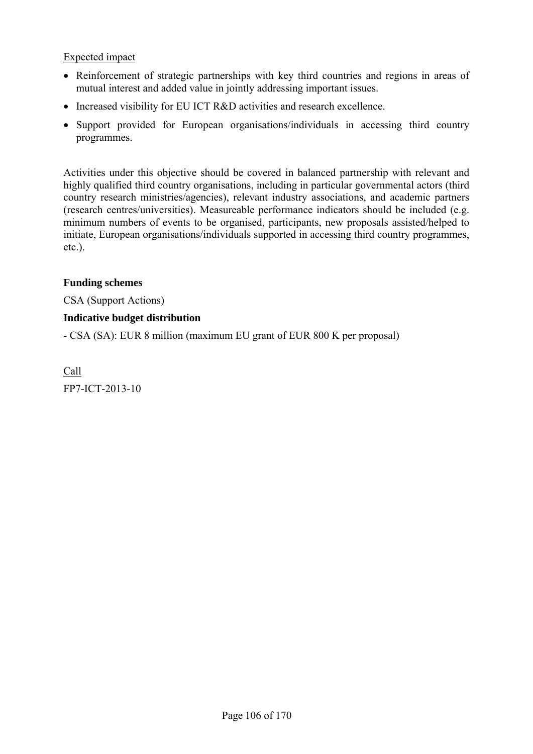## Expected impact

- Reinforcement of strategic partnerships with key third countries and regions in areas of mutual interest and added value in jointly addressing important issues.
- Increased visibility for EU ICT R&D activities and research excellence.
- Support provided for European organisations/individuals in accessing third country programmes.

Activities under this objective should be covered in balanced partnership with relevant and highly qualified third country organisations, including in particular governmental actors (third country research ministries/agencies), relevant industry associations, and academic partners (research centres/universities). Measureable performance indicators should be included (e.g. minimum numbers of events to be organised, participants, new proposals assisted/helped to initiate, European organisations/individuals supported in accessing third country programmes, etc.).

### **Funding schemes**

CSA (Support Actions)

### **Indicative budget distribution**

- CSA (SA): EUR 8 million (maximum EU grant of EUR 800 K per proposal)

Call FP7-ICT-2013-10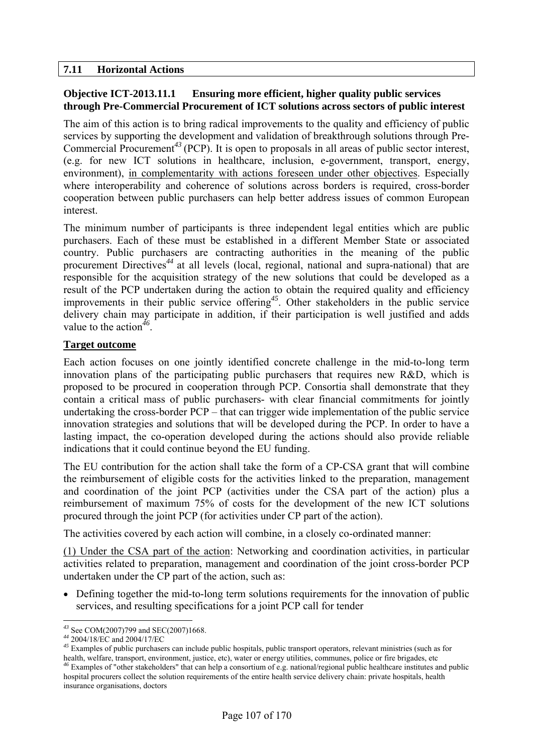## **Objective ICT-2013.11.1 Ensuring more efficient, higher quality public services through Pre-Commercial Procurement of ICT solutions across sectors of public interest**

The aim of this action is to bring radical improvements to the quality and efficiency of public services by supporting the development and validation of breakthrough solutions through Pre-Commercial Procurement*<sup>43</sup>* (PCP). It is open to proposals in all areas of public sector interest, (e.g. for new ICT solutions in healthcare, inclusion, e-government, transport, energy, environment), in complementarity with actions foreseen under other objectives. Especially where interoperability and coherence of solutions across borders is required, cross-border cooperation between public purchasers can help better address issues of common European interest.

The minimum number of participants is three independent legal entities which are public purchasers. Each of these must be established in a different Member State or associated country. Public purchasers are contracting authorities in the meaning of the public procurement Directives*<sup>44</sup>* at all levels (local, regional, national and supra-national) that are responsible for the acquisition strategy of the new solutions that could be developed as a result of the PCP undertaken during the action to obtain the required quality and efficiency improvements in their public service offering*<sup>45</sup>*. Other stakeholders in the public service delivery chain may participate in addition, if their participation is well justified and adds value to the action*<sup>46</sup>*.

## **Target outcome**

Each action focuses on one jointly identified concrete challenge in the mid-to-long term innovation plans of the participating public purchasers that requires new R&D, which is proposed to be procured in cooperation through PCP. Consortia shall demonstrate that they contain a critical mass of public purchasers- with clear financial commitments for jointly undertaking the cross-border PCP – that can trigger wide implementation of the public service innovation strategies and solutions that will be developed during the PCP. In order to have a lasting impact, the co-operation developed during the actions should also provide reliable indications that it could continue beyond the EU funding.

The EU contribution for the action shall take the form of a CP-CSA grant that will combine the reimbursement of eligible costs for the activities linked to the preparation, management and coordination of the joint PCP (activities under the CSA part of the action) plus a reimbursement of maximum 75% of costs for the development of the new ICT solutions procured through the joint PCP (for activities under CP part of the action).

The activities covered by each action will combine, in a closely co-ordinated manner:

(1) Under the CSA part of the action: Networking and coordination activities, in particular activities related to preparation, management and coordination of the joint cross-border PCP undertaken under the CP part of the action, such as:

• Defining together the mid-to-long term solutions requirements for the innovation of public services, and resulting specifications for a joint PCP call for tender

<sup>1</sup> *<sup>43</sup>* See COM(2007)799 and SEC(2007)1668.

*<sup>44</sup>* 2004/18/EC and 2004/17/EC

*<sup>45</sup>* Examples of public purchasers can include public hospitals, public transport operators, relevant ministries (such as for health, welfare, transport, environment, justice, etc), water or energy utilities, communes, police or fire brigades, etc

*<sup>46</sup>* Examples of "other stakeholders" that can help a consortium of e.g. national/regional public healthcare institutes and public hospital procurers collect the solution requirements of the entire health service delivery chain: private hospitals, health insurance organisations, doctors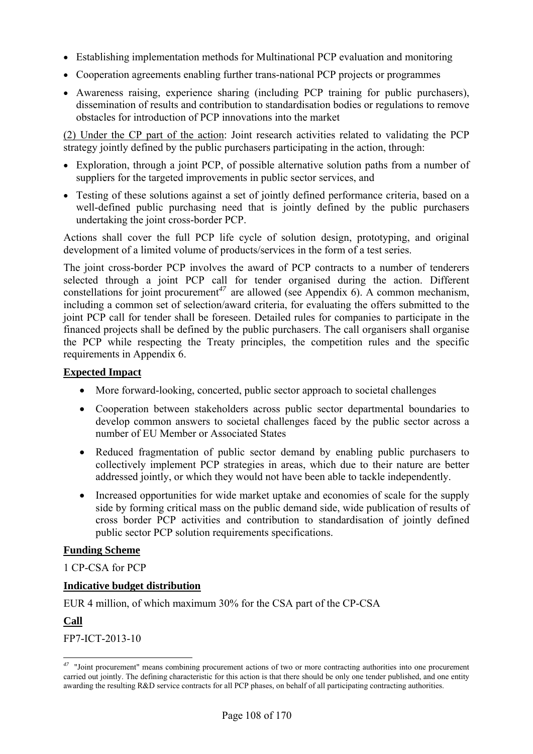- Establishing implementation methods for Multinational PCP evaluation and monitoring
- Cooperation agreements enabling further trans-national PCP projects or programmes
- Awareness raising, experience sharing (including PCP training for public purchasers), dissemination of results and contribution to standardisation bodies or regulations to remove obstacles for introduction of PCP innovations into the market

(2) Under the CP part of the action: Joint research activities related to validating the PCP strategy jointly defined by the public purchasers participating in the action, through:

- Exploration, through a joint PCP, of possible alternative solution paths from a number of suppliers for the targeted improvements in public sector services, and
- Testing of these solutions against a set of jointly defined performance criteria, based on a well-defined public purchasing need that is jointly defined by the public purchasers undertaking the joint cross-border PCP.

Actions shall cover the full PCP life cycle of solution design, prototyping, and original development of a limited volume of products/services in the form of a test series.

The joint cross-border PCP involves the award of PCP contracts to a number of tenderers selected through a joint PCP call for tender organised during the action. Different constellations for joint procurement*47* are allowed (see Appendix 6). A common mechanism, including a common set of selection/award criteria, for evaluating the offers submitted to the joint PCP call for tender shall be foreseen. Detailed rules for companies to participate in the financed projects shall be defined by the public purchasers. The call organisers shall organise the PCP while respecting the Treaty principles, the competition rules and the specific requirements in Appendix 6.

## **Expected Impact**

- More forward-looking, concerted, public sector approach to societal challenges
- Cooperation between stakeholders across public sector departmental boundaries to develop common answers to societal challenges faced by the public sector across a number of EU Member or Associated States
- Reduced fragmentation of public sector demand by enabling public purchasers to collectively implement PCP strategies in areas, which due to their nature are better addressed jointly, or which they would not have been able to tackle independently.
- Increased opportunities for wide market uptake and economies of scale for the supply side by forming critical mass on the public demand side, wide publication of results of cross border PCP activities and contribution to standardisation of jointly defined public sector PCP solution requirements specifications.

## **Funding Scheme**

1 CP-CSA for PCP

# **Indicative budget distribution**

EUR 4 million, of which maximum 30% for the CSA part of the CP-CSA

# **Call**

1

FP7-ICT-2013-10

*<sup>47</sup>* "Joint procurement" means combining procurement actions of two or more contracting authorities into one procurement carried out jointly. The defining characteristic for this action is that there should be only one tender published, and one entity awarding the resulting R&D service contracts for all PCP phases, on behalf of all participating contracting authorities.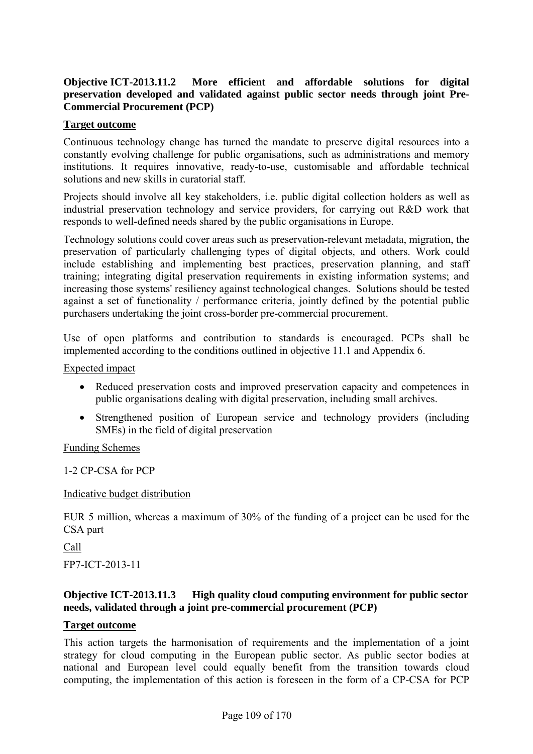## **Objective ICT-2013.11.2 More efficient and affordable solutions for digital preservation developed and validated against public sector needs through joint Pre-Commercial Procurement (PCP)**

## **Target outcome**

Continuous technology change has turned the mandate to preserve digital resources into a constantly evolving challenge for public organisations, such as administrations and memory institutions. It requires innovative, ready-to-use, customisable and affordable technical solutions and new skills in curatorial staff.

Projects should involve all key stakeholders, i.e. public digital collection holders as well as industrial preservation technology and service providers, for carrying out R&D work that responds to well-defined needs shared by the public organisations in Europe.

Technology solutions could cover areas such as preservation-relevant metadata, migration, the preservation of particularly challenging types of digital objects, and others. Work could include establishing and implementing best practices, preservation planning, and staff training; integrating digital preservation requirements in existing information systems; and increasing those systems' resiliency against technological changes. Solutions should be tested against a set of functionality / performance criteria, jointly defined by the potential public purchasers undertaking the joint cross-border pre-commercial procurement.

Use of open platforms and contribution to standards is encouraged. PCPs shall be implemented according to the conditions outlined in objective 11.1 and Appendix 6.

Expected impact

- Reduced preservation costs and improved preservation capacity and competences in public organisations dealing with digital preservation, including small archives.
- Strengthened position of European service and technology providers (including SMEs) in the field of digital preservation

Funding Schemes

1-2 CP-CSA for PCP

## Indicative budget distribution

EUR 5 million, whereas a maximum of 30% of the funding of a project can be used for the CSA part

Call

FP7-ICT-2013-11

## **Objective ICT-2013.11.3 High quality cloud computing environment for public sector needs, validated through a joint pre-commercial procurement (PCP)**

## **Target outcome**

This action targets the harmonisation of requirements and the implementation of a joint strategy for cloud computing in the European public sector. As public sector bodies at national and European level could equally benefit from the transition towards cloud computing, the implementation of this action is foreseen in the form of a CP-CSA for PCP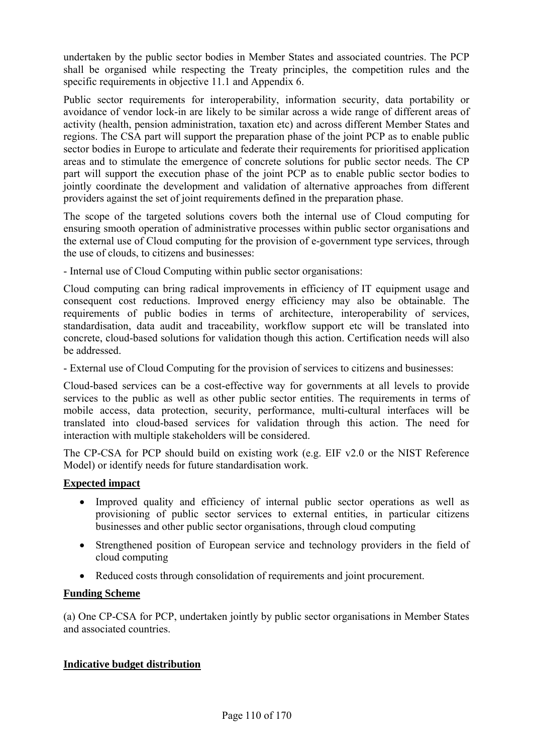undertaken by the public sector bodies in Member States and associated countries. The PCP shall be organised while respecting the Treaty principles, the competition rules and the specific requirements in objective 11.1 and Appendix 6.

Public sector requirements for interoperability, information security, data portability or avoidance of vendor lock-in are likely to be similar across a wide range of different areas of activity (health, pension administration, taxation etc) and across different Member States and regions. The CSA part will support the preparation phase of the joint PCP as to enable public sector bodies in Europe to articulate and federate their requirements for prioritised application areas and to stimulate the emergence of concrete solutions for public sector needs. The CP part will support the execution phase of the joint PCP as to enable public sector bodies to jointly coordinate the development and validation of alternative approaches from different providers against the set of joint requirements defined in the preparation phase.

The scope of the targeted solutions covers both the internal use of Cloud computing for ensuring smooth operation of administrative processes within public sector organisations and the external use of Cloud computing for the provision of e-government type services, through the use of clouds, to citizens and businesses:

- Internal use of Cloud Computing within public sector organisations:

Cloud computing can bring radical improvements in efficiency of IT equipment usage and consequent cost reductions. Improved energy efficiency may also be obtainable. The requirements of public bodies in terms of architecture, interoperability of services, standardisation, data audit and traceability, workflow support etc will be translated into concrete, cloud-based solutions for validation though this action. Certification needs will also be addressed.

- External use of Cloud Computing for the provision of services to citizens and businesses:

Cloud-based services can be a cost-effective way for governments at all levels to provide services to the public as well as other public sector entities. The requirements in terms of mobile access, data protection, security, performance, multi-cultural interfaces will be translated into cloud-based services for validation through this action. The need for interaction with multiple stakeholders will be considered.

The CP-CSA for PCP should build on existing work (e.g. EIF v2.0 or the NIST Reference Model) or identify needs for future standardisation work.

## **Expected impact**

- Improved quality and efficiency of internal public sector operations as well as provisioning of public sector services to external entities, in particular citizens businesses and other public sector organisations, through cloud computing
- Strengthened position of European service and technology providers in the field of cloud computing
- Reduced costs through consolidation of requirements and joint procurement.

## **Funding Scheme**

(a) One CP-CSA for PCP, undertaken jointly by public sector organisations in Member States and associated countries.

## **Indicative budget distribution**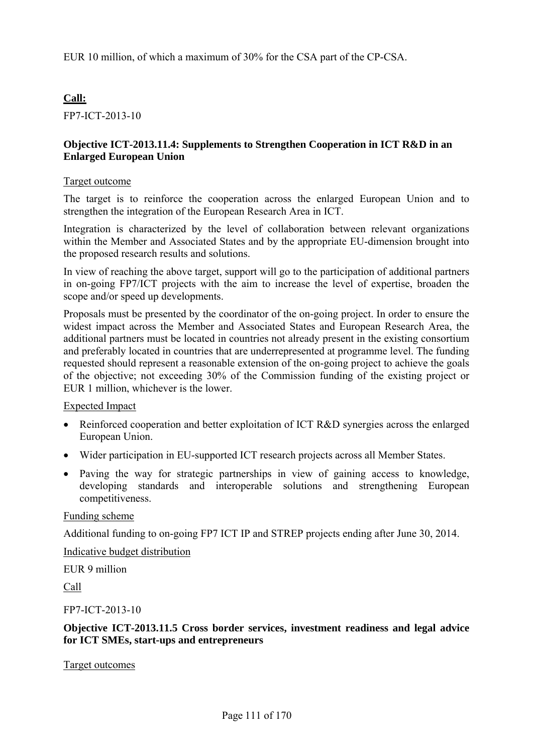EUR 10 million, of which a maximum of 30% for the CSA part of the CP-CSA.

## **Call:**

FP7-ICT-2013-10

## **Objective ICT-2013.11.4: Supplements to Strengthen Cooperation in ICT R&D in an Enlarged European Union**

## Target outcome

The target is to reinforce the cooperation across the enlarged European Union and to strengthen the integration of the European Research Area in ICT.

Integration is characterized by the level of collaboration between relevant organizations within the Member and Associated States and by the appropriate EU-dimension brought into the proposed research results and solutions.

In view of reaching the above target, support will go to the participation of additional partners in on-going FP7/ICT projects with the aim to increase the level of expertise, broaden the scope and/or speed up developments.

Proposals must be presented by the coordinator of the on-going project. In order to ensure the widest impact across the Member and Associated States and European Research Area, the additional partners must be located in countries not already present in the existing consortium and preferably located in countries that are underrepresented at programme level. The funding requested should represent a reasonable extension of the on-going project to achieve the goals of the objective; not exceeding 30% of the Commission funding of the existing project or EUR 1 million, whichever is the lower.

Expected Impact

- Reinforced cooperation and better exploitation of ICT R&D synergies across the enlarged European Union.
- Wider participation in EU-supported ICT research projects across all Member States.
- Paving the way for strategic partnerships in view of gaining access to knowledge, developing standards and interoperable solutions and strengthening European competitiveness.

## Funding scheme

Additional funding to on-going FP7 ICT IP and STREP projects ending after June 30, 2014.

Indicative budget distribution

EUR 9 million

Call

FP7-ICT-2013-10

## **Objective ICT-2013.11.5 Cross border services, investment readiness and legal advice for ICT SMEs, start-ups and entrepreneurs**

Target outcomes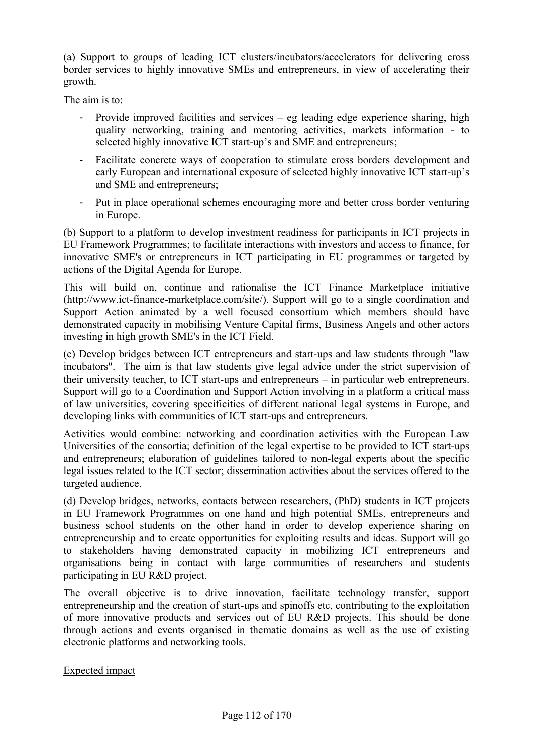(a) Support to groups of leading ICT clusters/incubators/accelerators for delivering cross border services to highly innovative SMEs and entrepreneurs, in view of accelerating their growth.

The aim is to:

- Provide improved facilities and services eg leading edge experience sharing, high quality networking, training and mentoring activities, markets information - to selected highly innovative ICT start-up's and SME and entrepreneurs;
- Facilitate concrete ways of cooperation to stimulate cross borders development and early European and international exposure of selected highly innovative ICT start-up's and SME and entrepreneurs;
- Put in place operational schemes encouraging more and better cross border venturing in Europe.

(b) Support to a platform to develop investment readiness for participants in ICT projects in EU Framework Programmes; to facilitate interactions with investors and access to finance, for innovative SME's or entrepreneurs in ICT participating in EU programmes or targeted by actions of the Digital Agenda for Europe.

This will build on, continue and rationalise the ICT Finance Marketplace initiative (http://www.ict-finance-marketplace.com/site/). Support will go to a single coordination and Support Action animated by a well focused consortium which members should have demonstrated capacity in mobilising Venture Capital firms, Business Angels and other actors investing in high growth SME's in the ICT Field.

(c) Develop bridges between ICT entrepreneurs and start-ups and law students through "law incubators". The aim is that law students give legal advice under the strict supervision of their university teacher, to ICT start-ups and entrepreneurs – in particular web entrepreneurs. Support will go to a Coordination and Support Action involving in a platform a critical mass of law universities, covering specificities of different national legal systems in Europe, and developing links with communities of ICT start-ups and entrepreneurs.

Activities would combine: networking and coordination activities with the European Law Universities of the consortia; definition of the legal expertise to be provided to ICT start-ups and entrepreneurs; elaboration of guidelines tailored to non-legal experts about the specific legal issues related to the ICT sector; dissemination activities about the services offered to the targeted audience.

(d) Develop bridges, networks, contacts between researchers, (PhD) students in ICT projects in EU Framework Programmes on one hand and high potential SMEs, entrepreneurs and business school students on the other hand in order to develop experience sharing on entrepreneurship and to create opportunities for exploiting results and ideas. Support will go to stakeholders having demonstrated capacity in mobilizing ICT entrepreneurs and organisations being in contact with large communities of researchers and students participating in EU R&D project.

The overall objective is to drive innovation, facilitate technology transfer, support entrepreneurship and the creation of start-ups and spinoffs etc, contributing to the exploitation of more innovative products and services out of EU R&D projects. This should be done through actions and events organised in thematic domains as well as the use of existing electronic platforms and networking tools.

Expected impact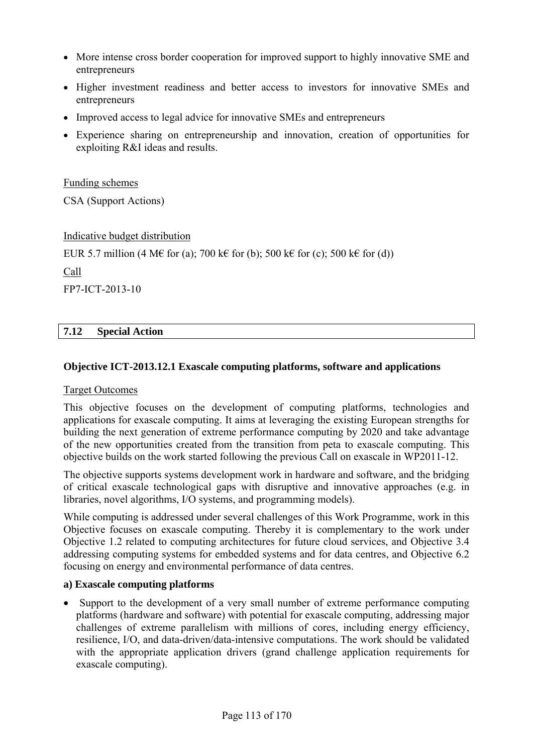- More intense cross border cooperation for improved support to highly innovative SME and entrepreneurs
- Higher investment readiness and better access to investors for innovative SMEs and entrepreneurs
- Improved access to legal advice for innovative SMEs and entrepreneurs
- Experience sharing on entrepreneurship and innovation, creation of opportunities for exploiting R&I ideas and results.

Funding schemes

CSA (Support Actions)

Indicative budget distribution

EUR 5.7 million (4 M€ for (a); 700 k€ for (b); 500 k€ for (c); 500 k€ for (d))

Call

FP7-ICT-2013-10

## **7.12 Special Action**

## **Objective ICT-2013.12.1 Exascale computing platforms, software and applications**

## Target Outcomes

This objective focuses on the development of computing platforms, technologies and applications for exascale computing. It aims at leveraging the existing European strengths for building the next generation of extreme performance computing by 2020 and take advantage of the new opportunities created from the transition from peta to exascale computing. This objective builds on the work started following the previous Call on exascale in WP2011-12.

The objective supports systems development work in hardware and software, and the bridging of critical exascale technological gaps with disruptive and innovative approaches (e.g. in libraries, novel algorithms, I/O systems, and programming models).

While computing is addressed under several challenges of this Work Programme, work in this Objective focuses on exascale computing. Thereby it is complementary to the work under Objective 1.2 related to computing architectures for future cloud services, and Objective 3.4 addressing computing systems for embedded systems and for data centres, and Objective 6.2 focusing on energy and environmental performance of data centres.

## **a) Exascale computing platforms**

• Support to the development of a very small number of extreme performance computing platforms (hardware and software) with potential for exascale computing, addressing major challenges of extreme parallelism with millions of cores, including energy efficiency, resilience, I/O, and data-driven/data-intensive computations. The work should be validated with the appropriate application drivers (grand challenge application requirements for exascale computing).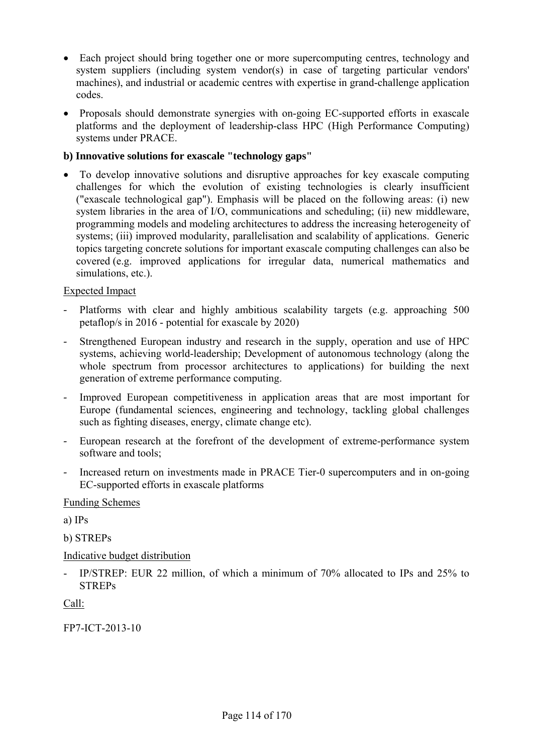- Each project should bring together one or more supercomputing centres, technology and system suppliers (including system vendor(s) in case of targeting particular vendors' machines), and industrial or academic centres with expertise in grand-challenge application codes.
- Proposals should demonstrate synergies with on-going EC-supported efforts in exascale platforms and the deployment of leadership-class HPC (High Performance Computing) systems under PRACE.

## **b) Innovative solutions for exascale "technology gaps"**

• To develop innovative solutions and disruptive approaches for key exascale computing challenges for which the evolution of existing technologies is clearly insufficient ("exascale technological gap"). Emphasis will be placed on the following areas: (i) new system libraries in the area of I/O, communications and scheduling; (ii) new middleware, programming models and modeling architectures to address the increasing heterogeneity of systems; (iii) improved modularity, parallelisation and scalability of applications. Generic topics targeting concrete solutions for important exascale computing challenges can also be covered (e.g. improved applications for irregular data, numerical mathematics and simulations, etc.).

#### Expected Impact

- Platforms with clear and highly ambitious scalability targets (e.g. approaching 500) petaflop/s in 2016 - potential for exascale by 2020)
- Strengthened European industry and research in the supply, operation and use of HPC systems, achieving world-leadership; Development of autonomous technology (along the whole spectrum from processor architectures to applications) for building the next generation of extreme performance computing.
- Improved European competitiveness in application areas that are most important for Europe (fundamental sciences, engineering and technology, tackling global challenges such as fighting diseases, energy, climate change etc).
- European research at the forefront of the development of extreme-performance system software and tools;
- Increased return on investments made in PRACE Tier-0 supercomputers and in on-going EC-supported efforts in exascale platforms

#### Funding Schemes

a) IPs

b) STREPs

## Indicative budget distribution

- IP/STREP: EUR 22 million, of which a minimum of 70% allocated to IPs and 25% to STREPs

Call:

FP7-ICT-2013-10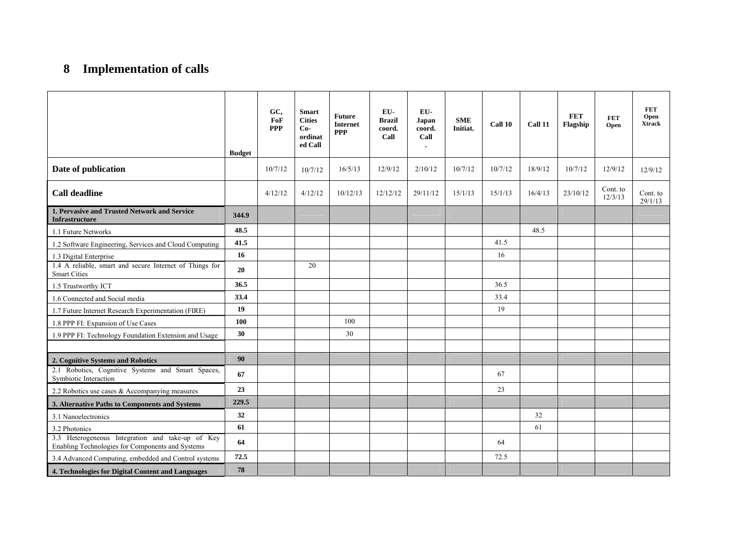## **8 Implementation of calls**

|                                                                                                      | <b>Budget</b> | GC.<br>FoF<br><b>PPP</b> | <b>Smart</b><br><b>Cities</b><br>$Co-$<br>ordinat<br>ed Call | <b>Future</b><br>Internet<br><b>PPP</b> | EU-<br><b>Brazil</b><br>coord.<br>Call | EU-<br>Japan<br>coord.<br>Call<br>$\bullet$ | <b>SME</b><br>Initiat. | Call 10 | Call 11 | <b>FET</b><br>Flagship | <b>FET</b><br>Open  | <b>FET</b><br>Open<br><b>Xtrack</b> |
|------------------------------------------------------------------------------------------------------|---------------|--------------------------|--------------------------------------------------------------|-----------------------------------------|----------------------------------------|---------------------------------------------|------------------------|---------|---------|------------------------|---------------------|-------------------------------------|
| Date of publication                                                                                  |               | 10/7/12                  | 10/7/12                                                      | 16/5/13                                 | 12/9/12                                | 2/10/12                                     | 10/7/12                | 10/7/12 | 18/9/12 | 10/7/12                | 12/9/12             | 12/9/12                             |
| <b>Call deadline</b>                                                                                 |               | 4/12/12                  | 4/12/12                                                      | 10/12/13                                | 12/12/12                               | 29/11/12                                    | 15/1/13                | 15/1/13 | 16/4/13 | 23/10/12               | Cont. to<br>12/3/13 | Cont. to<br>29/1/13                 |
| 1. Pervasive and Trusted Network and Service<br><b>Infrastructure</b>                                | 344.9         |                          |                                                              |                                         |                                        |                                             |                        |         |         |                        |                     |                                     |
| 1.1 Future Networks                                                                                  | 48.5          |                          |                                                              |                                         |                                        |                                             |                        |         | 48.5    |                        |                     |                                     |
| 1.2 Software Engineering, Services and Cloud Computing                                               | 41.5          |                          |                                                              |                                         |                                        |                                             |                        | 41.5    |         |                        |                     |                                     |
| 1.3 Digital Enterprise                                                                               | 16            |                          |                                                              |                                         |                                        |                                             |                        | 16      |         |                        |                     |                                     |
| 1.4 A reliable, smart and secure Internet of Things for<br><b>Smart Cities</b>                       | 20            |                          | 20                                                           |                                         |                                        |                                             |                        |         |         |                        |                     |                                     |
| 1.5 Trustworthy ICT                                                                                  | 36.5          |                          |                                                              |                                         |                                        |                                             |                        | 36.5    |         |                        |                     |                                     |
| 1.6 Connected and Social media                                                                       | 33.4          |                          |                                                              |                                         |                                        |                                             |                        | 33.4    |         |                        |                     |                                     |
| 1.7 Future Internet Research Experimentation (FIRE)                                                  | 19            |                          |                                                              |                                         |                                        |                                             |                        | 19      |         |                        |                     |                                     |
| 1.8 PPP FI: Expansion of Use Cases                                                                   | 100           |                          |                                                              | 100                                     |                                        |                                             |                        |         |         |                        |                     |                                     |
| 1.9 PPP FI: Technology Foundation Extension and Usage                                                | 30            |                          |                                                              | 30                                      |                                        |                                             |                        |         |         |                        |                     |                                     |
|                                                                                                      |               |                          |                                                              |                                         |                                        |                                             |                        |         |         |                        |                     |                                     |
| 2. Cognitive Systems and Robotics                                                                    | 90            |                          |                                                              |                                         |                                        |                                             |                        |         |         |                        |                     |                                     |
| 2.1 Robotics, Cognitive Systems and Smart Spaces,<br>Symbiotic Interaction                           | 67            |                          |                                                              |                                         |                                        |                                             |                        | 67      |         |                        |                     |                                     |
| 2.2 Robotics use cases & Accompanying measures                                                       | 23            |                          |                                                              |                                         |                                        |                                             |                        | 23      |         |                        |                     |                                     |
| 3. Alternative Paths to Components and Systems                                                       | 229.5         |                          |                                                              |                                         |                                        |                                             |                        |         |         |                        |                     |                                     |
| 3.1 Nanoelectronics                                                                                  | 32            |                          |                                                              |                                         |                                        |                                             |                        |         | 32      |                        |                     |                                     |
| 3.2 Photonics                                                                                        | 61            |                          |                                                              |                                         |                                        |                                             |                        |         | 61      |                        |                     |                                     |
| 3.3 Heterogeneous Integration and take-up of Key<br>Enabling Technologies for Components and Systems | 64            |                          |                                                              |                                         |                                        |                                             |                        | 64      |         |                        |                     |                                     |
| 3.4 Advanced Computing, embedded and Control systems                                                 | 72.5          |                          |                                                              |                                         |                                        |                                             |                        | 72.5    |         |                        |                     |                                     |
| 4. Technologies for Digital Content and Languages                                                    | 78            |                          |                                                              |                                         |                                        |                                             |                        |         |         |                        |                     |                                     |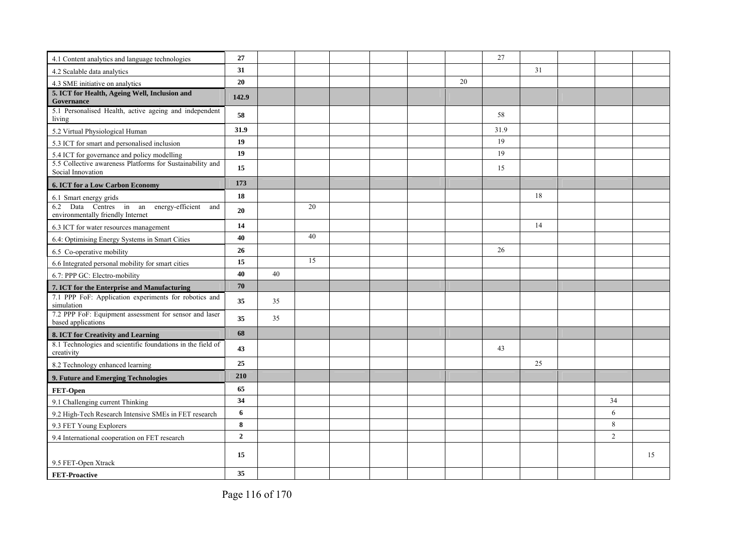| 4.1 Content analytics and language technologies                                  | 27             |    |    |  |    | 27   |    |    |    |
|----------------------------------------------------------------------------------|----------------|----|----|--|----|------|----|----|----|
| 4.2 Scalable data analytics                                                      | 31             |    |    |  |    |      | 31 |    |    |
| 4.3 SME initiative on analytics                                                  | 20             |    |    |  | 20 |      |    |    |    |
| 5. ICT for Health, Ageing Well, Inclusion and<br>Governance                      | 142.9          |    |    |  |    |      |    |    |    |
| 5.1 Personalised Health, active ageing and independent<br>living                 | 58             |    |    |  |    | 58   |    |    |    |
| 5.2 Virtual Physiological Human                                                  | 31.9           |    |    |  |    | 31.9 |    |    |    |
| 5.3 ICT for smart and personalised inclusion                                     | 19             |    |    |  |    | 19   |    |    |    |
| 5.4 ICT for governance and policy modelling                                      | 19             |    |    |  |    | 19   |    |    |    |
| 5.5 Collective awareness Platforms for Sustainability and<br>Social Innovation   | 15             |    |    |  |    | 15   |    |    |    |
| 6. ICT for a Low Carbon Economy                                                  | 173            |    |    |  |    |      |    |    |    |
| 6.1 Smart energy grids                                                           | 18             |    |    |  |    |      | 18 |    |    |
| 6.2 Data Centres in an energy-efficient and<br>environmentally friendly Internet | 20             |    | 20 |  |    |      |    |    |    |
| 6.3 ICT for water resources management                                           | 14             |    |    |  |    |      | 14 |    |    |
| 6.4: Optimising Energy Systems in Smart Cities                                   | 40             |    | 40 |  |    |      |    |    |    |
| 6.5 Co-operative mobility                                                        | 26             |    |    |  |    | 26   |    |    |    |
| 6.6 Integrated personal mobility for smart cities                                | 15             |    | 15 |  |    |      |    |    |    |
| 6.7: PPP GC: Electro-mobility                                                    | 40             | 40 |    |  |    |      |    |    |    |
| 7. ICT for the Enterprise and Manufacturing                                      | 70             |    |    |  |    |      |    |    |    |
| 7.1 PPP FoF: Application experiments for robotics and<br>simulation              | 35             | 35 |    |  |    |      |    |    |    |
| 7.2 PPP FoF: Equipment assessment for sensor and laser<br>based applications     | 35             | 35 |    |  |    |      |    |    |    |
| 8. ICT for Creativity and Learning                                               | 68             |    |    |  |    |      |    |    |    |
| 8.1 Technologies and scientific foundations in the field of<br>creativity        | 43             |    |    |  |    | 43   |    |    |    |
| 8.2 Technology enhanced learning                                                 | 25             |    |    |  |    |      | 25 |    |    |
| 9. Future and Emerging Technologies                                              | 210            |    |    |  |    |      |    |    |    |
| FET-Open                                                                         | 65             |    |    |  |    |      |    |    |    |
| 9.1 Challenging current Thinking                                                 | 34             |    |    |  |    |      |    | 34 |    |
| 9.2 High-Tech Research Intensive SMEs in FET research                            | 6              |    |    |  |    |      |    | 6  |    |
| 9.3 FET Young Explorers                                                          | 8              |    |    |  |    |      |    | 8  |    |
| 9.4 International cooperation on FET research                                    | $\overline{2}$ |    |    |  |    |      |    | 2  |    |
| 9.5 FET-Open Xtrack                                                              | 15             |    |    |  |    |      |    |    | 15 |
| <b>FET-Proactive</b>                                                             | 35             |    |    |  |    |      |    |    |    |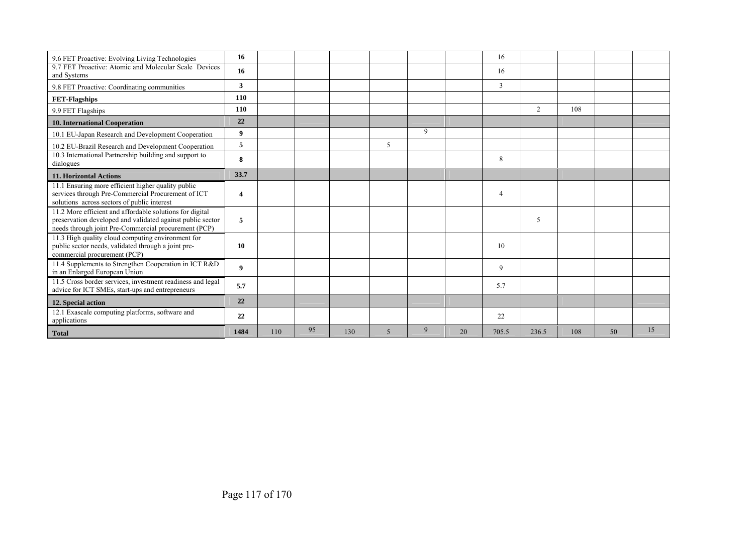| 9.6 FET Proactive: Evolving Living Technologies                                                                                                                                | 16                 |     |    |     |                          |   |    | 16             |                          |     |    |    |
|--------------------------------------------------------------------------------------------------------------------------------------------------------------------------------|--------------------|-----|----|-----|--------------------------|---|----|----------------|--------------------------|-----|----|----|
| 9.7 FET Proactive: Atomic and Molecular Scale Devices<br>and Systems                                                                                                           | 16                 |     |    |     |                          |   |    | 16             |                          |     |    |    |
| 9.8 FET Proactive: Coordinating communities                                                                                                                                    | 3                  |     |    |     |                          |   |    | 3              |                          |     |    |    |
| <b>FET-Flagships</b>                                                                                                                                                           | 110                |     |    |     |                          |   |    |                |                          |     |    |    |
| 9.9 FET Flagships                                                                                                                                                              | 110                |     |    |     |                          |   |    |                | $\overline{2}$           | 108 |    |    |
| <b>10. International Cooperation</b>                                                                                                                                           | 22                 |     |    |     |                          |   |    |                |                          |     |    |    |
| 10.1 EU-Japan Research and Development Cooperation                                                                                                                             | 9                  |     |    |     |                          | 9 |    |                |                          |     |    |    |
| 10.2 EU-Brazil Research and Development Cooperation                                                                                                                            | 5                  |     |    |     | 5                        |   |    |                |                          |     |    |    |
| 10.3 International Partnership building and support to<br>dialogues                                                                                                            | 8                  |     |    |     |                          |   |    | 8              |                          |     |    |    |
| <b>11. Horizontal Actions</b>                                                                                                                                                  | 33.7               |     |    |     |                          |   |    |                |                          |     |    |    |
| 11.1 Ensuring more efficient higher quality public<br>services through Pre-Commercial Procurement of ICT<br>solutions across sectors of public interest                        | $\overline{\bf 4}$ |     |    |     |                          |   |    | $\overline{4}$ |                          |     |    |    |
| 11.2 More efficient and affordable solutions for digital<br>preservation developed and validated against public sector<br>needs through joint Pre-Commercial procurement (PCP) | 5                  |     |    |     |                          |   |    |                | $\overline{\phantom{1}}$ |     |    |    |
| 11.3 High quality cloud computing environment for<br>public sector needs, validated through a joint pre-<br>commercial procurement (PCP)                                       | 10                 |     |    |     |                          |   |    | 10             |                          |     |    |    |
| 11.4 Supplements to Strengthen Cooperation in ICT R&D<br>in an Enlarged European Union                                                                                         | 9                  |     |    |     |                          |   |    | 9              |                          |     |    |    |
| 11.5 Cross border services, investment readiness and legal<br>advice for ICT SMEs, start-ups and entrepreneurs                                                                 | 5.7                |     |    |     |                          |   |    | 5.7            |                          |     |    |    |
| 12. Special action                                                                                                                                                             | 22                 |     |    |     |                          |   |    |                |                          |     |    |    |
| 12.1 Exascale computing platforms, software and<br>applications                                                                                                                | 22                 |     |    |     |                          |   |    | 22             |                          |     |    |    |
| <b>Total</b>                                                                                                                                                                   | 1484               | 110 | 95 | 130 | $\overline{\phantom{0}}$ | 9 | 20 | 705.5          | 236.5                    | 108 | 50 | 15 |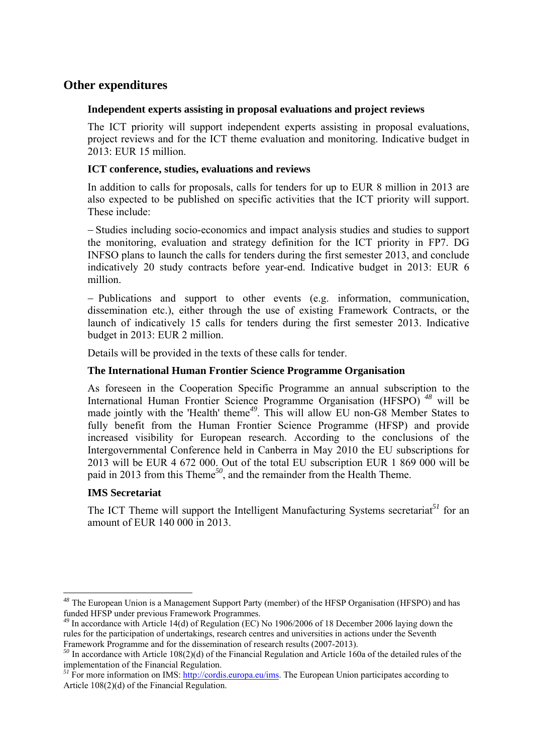## **Other expenditures**

#### **Independent experts assisting in proposal evaluations and project reviews**

The ICT priority will support independent experts assisting in proposal evaluations, project reviews and for the ICT theme evaluation and monitoring. Indicative budget in 2013: EUR 15 million.

### **ICT conference, studies, evaluations and reviews**

In addition to calls for proposals, calls for tenders for up to EUR 8 million in 2013 are also expected to be published on specific activities that the ICT priority will support. These include:

− Studies including socio-economics and impact analysis studies and studies to support the monitoring, evaluation and strategy definition for the ICT priority in FP7. DG INFSO plans to launch the calls for tenders during the first semester 2013, and conclude indicatively 20 study contracts before year-end. Indicative budget in 2013: EUR 6 million.

− Publications and support to other events (e.g. information, communication, dissemination etc.), either through the use of existing Framework Contracts, or the launch of indicatively 15 calls for tenders during the first semester 2013. Indicative budget in 2013: EUR 2 million.

Details will be provided in the texts of these calls for tender.

### **The International Human Frontier Science Programme Organisation**

As foreseen in the Cooperation Specific Programme an annual subscription to the International Human Frontier Science Programme Organisation (HFSPO)*<sup>48</sup>* will be made jointly with the 'Health' theme<sup>49</sup>. This will allow EU non-G8 Member States to fully benefit from the Human Frontier Science Programme (HFSP) and provide increased visibility for European research. According to the conclusions of the Intergovernmental Conference held in Canberra in May 2010 the EU subscriptions for 2013 will be EUR 4 672 000. Out of the total EU subscription EUR 1 869 000 will be paid in 2013 from this Theme*<sup>50</sup>*, and the remainder from the Health Theme.

#### **IMS Secretariat**

1

The ICT Theme will support the Intelligent Manufacturing Systems secretariat*<sup>51</sup>* for an amount of EUR 140 000 in 2013.

*<sup>48</sup>* The European Union is a Management Support Party (member) of the HFSP Organisation (HFSPO) and has funded HFSP under previous Framework Programmes.

*<sup>49</sup>* In accordance with Article 14(d) of Regulation (EC) No 1906/2006 of 18 December 2006 laying down the rules for the participation of undertakings, research centres and universities in actions under the Seventh Framework Programme and for the dissemination of research results (2007-2013).

*<sup>50</sup>* In accordance with Article 108(2)(d) of the Financial Regulation and Article 160a of the detailed rules of the implementation of the Financial Regulation.

<sup>&</sup>lt;sup>51</sup> For more information on IMS: [http://cordis.europa.eu/ims. The European Union participates according](http://cordis.europa.eu/ims) to Article 108(2)(d) of the Financial Regulation.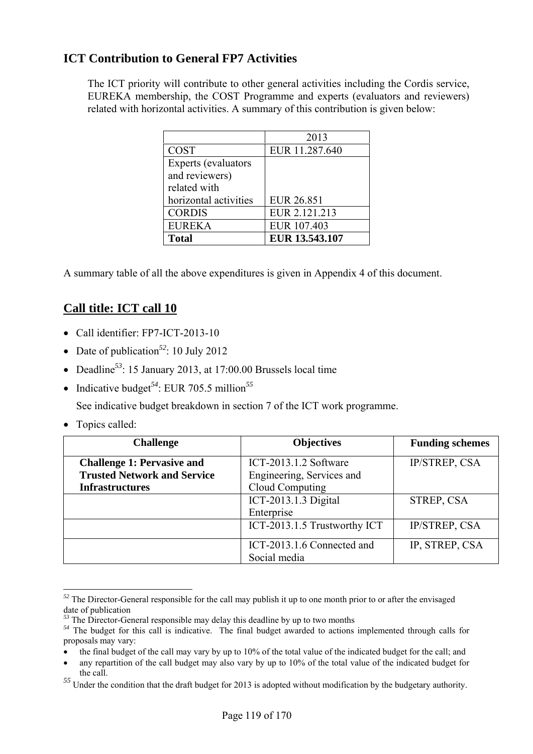# **ICT Contribution to General FP7 Activities**

The ICT priority will contribute to other general activities including the Cordis service, EUREKA membership, the COST Programme and experts (evaluators and reviewers) related with horizontal activities. A summary of this contribution is given below:

|                       | 2013           |
|-----------------------|----------------|
| <b>COST</b>           | EUR 11.287.640 |
| Experts (evaluators   |                |
| and reviewers)        |                |
| related with          |                |
| horizontal activities | EUR 26.851     |
| <b>CORDIS</b>         | EUR 2.121.213  |
| <b>EUREKA</b>         | EUR 107.403    |
| <b>Total</b>          | EUR 13.543.107 |

A summary table of all the above expenditures is given in Appendix 4 of this document.

# **Call title: ICT call 10**

- Call identifier: FP7-ICT-2013-10
- Date of publication<sup>52</sup>: 10 July 2012
- Deadline<sup>53</sup>: 15 January 2013, at 17:00.00 Brussels local time
- Indicative budget*<sup>54</sup>*: EUR 705.5 million*<sup>55</sup>*

See indicative budget breakdown in section 7 of the ICT work programme.

• Topics called:

| <b>Challenge</b>                   | <b>Objectives</b>                          | <b>Funding schemes</b> |
|------------------------------------|--------------------------------------------|------------------------|
| <b>Challenge 1: Pervasive and</b>  | ICT-2013.1.2 Software                      | IP/STREP, CSA          |
| <b>Trusted Network and Service</b> | Engineering, Services and                  |                        |
| <b>Infrastructures</b>             | Cloud Computing                            |                        |
|                                    | ICT-2013.1.3 Digital                       | STREP, CSA             |
|                                    | Enterprise                                 |                        |
|                                    | ICT-2013.1.5 Trustworthy ICT               | IP/STREP, CSA          |
|                                    | ICT-2013.1.6 Connected and<br>Social media | IP, STREP, CSA         |

<sup>1</sup> <sup>52</sup> The Director-General responsible for the call may publish it up to one month prior to or after the envisaged date of publication

*<sup>53</sup>* The Director-General responsible may delay this deadline by up to two months

*<sup>54</sup>* The budget for this call is indicative. The final budget awarded to actions implemented through calls for proposals may vary:

<sup>•</sup> the final budget of the call may vary by up to 10% of the total value of the indicated budget for the call; and

<sup>•</sup> any repartition of the call budget may also vary by up to 10% of the total value of the indicated budget for the call.

<sup>&</sup>lt;sup>55</sup> Under the condition that the draft budget for 2013 is adopted without modification by the budgetary authority.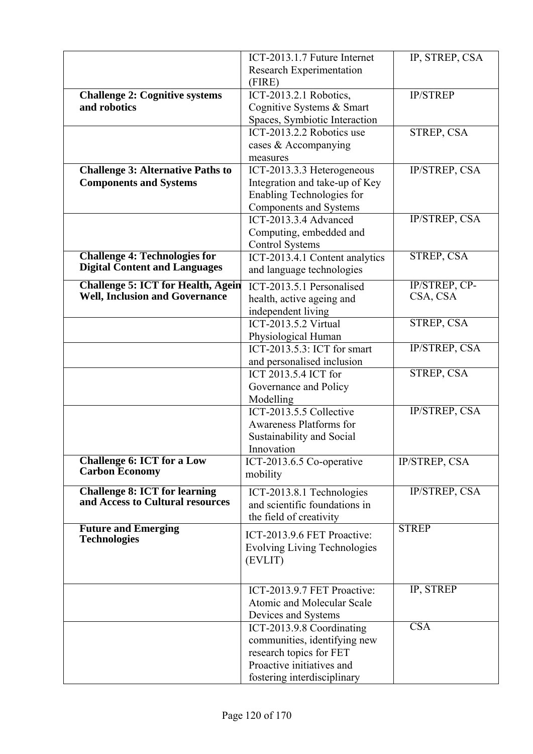|                                           | ICT-2013.1.7 Future Internet        | IP, STREP, CSA          |
|-------------------------------------------|-------------------------------------|-------------------------|
|                                           | <b>Research Experimentation</b>     |                         |
|                                           | (FIRE)                              |                         |
| <b>Challenge 2: Cognitive systems</b>     | ICT-2013.2.1 Robotics,              | <b>IP/STREP</b>         |
| and robotics                              | Cognitive Systems & Smart           |                         |
|                                           | Spaces, Symbiotic Interaction       |                         |
|                                           | ICT-2013.2.2 Robotics use           | STREP, CSA              |
|                                           | cases & Accompanying                |                         |
|                                           | measures                            |                         |
|                                           |                                     | IP/STREP, CSA           |
| <b>Challenge 3: Alternative Paths to</b>  | ICT-2013.3.3 Heterogeneous          |                         |
| <b>Components and Systems</b>             | Integration and take-up of Key      |                         |
|                                           | Enabling Technologies for           |                         |
|                                           | Components and Systems              |                         |
|                                           | ICT-2013.3.4 Advanced               | <b>IP/STREP, CSA</b>    |
|                                           | Computing, embedded and             |                         |
|                                           | <b>Control Systems</b>              |                         |
| <b>Challenge 4: Technologies for</b>      | ICT-2013.4.1 Content analytics      | <b>STREP, CSA</b>       |
| <b>Digital Content and Languages</b>      | and language technologies           |                         |
| <b>Challenge 5: ICT for Health, Agein</b> | ICT-2013.5.1 Personalised           | IP/STREP, CP-           |
| <b>Well, Inclusion and Governance</b>     | health, active ageing and           | CSA, CSA                |
|                                           | independent living                  |                         |
|                                           | <b>ICT-2013.5.2 Virtual</b>         | <b>STREP, CSA</b>       |
|                                           |                                     |                         |
|                                           | Physiological Human                 | <b>IP/STREP, CSA</b>    |
|                                           | ICT-2013.5.3: ICT for smart         |                         |
|                                           | and personalised inclusion          | <b>STREP, CSA</b>       |
|                                           | ICT 2013.5.4 ICT for                |                         |
|                                           | Governance and Policy               |                         |
|                                           | Modelling                           |                         |
|                                           | ICT-2013.5.5 Collective             | IP/STREP, CSA           |
|                                           | <b>Awareness Platforms for</b>      |                         |
|                                           | Sustainability and Social           |                         |
|                                           | Innovation                          |                         |
| <b>Challenge 6: ICT for a Low</b>         | ICT-2013.6.5 Co-operative           | IP/STREP, CSA           |
| <b>Carbon Economy</b>                     | mobility                            |                         |
| <b>Challenge 8: ICT for learning</b>      | ICT-2013.8.1 Technologies           | IP/STREP, CSA           |
| and Access to Cultural resources          | and scientific foundations in       |                         |
|                                           | the field of creativity             |                         |
| <b>Future and Emerging</b>                |                                     | <b>STREP</b>            |
| <b>Technologies</b>                       | ICT-2013.9.6 FET Proactive:         |                         |
|                                           | <b>Evolving Living Technologies</b> |                         |
|                                           | (EVLIT)                             |                         |
|                                           |                                     |                         |
|                                           |                                     | IP, STREP               |
|                                           | ICT-2013.9.7 FET Proactive:         |                         |
|                                           | Atomic and Molecular Scale          |                         |
|                                           | Devices and Systems                 |                         |
|                                           | ICT-2013.9.8 Coordinating           | $\overline{\text{CSA}}$ |
|                                           | communities, identifying new        |                         |
|                                           | research topics for FET             |                         |
|                                           | Proactive initiatives and           |                         |
|                                           | fostering interdisciplinary         |                         |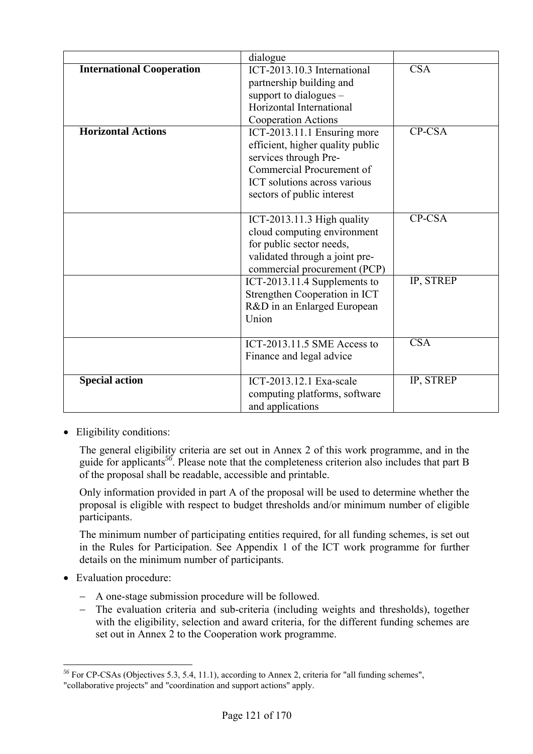|                                  | dialogue                         |           |
|----------------------------------|----------------------------------|-----------|
|                                  |                                  | CSA       |
| <b>International Cooperation</b> | ICT-2013.10.3 International      |           |
|                                  | partnership building and         |           |
|                                  | support to dialogues $-$         |           |
|                                  | Horizontal International         |           |
|                                  | <b>Cooperation Actions</b>       |           |
| <b>Horizontal Actions</b>        | ICT-2013.11.1 Ensuring more      | CP-CSA    |
|                                  | efficient, higher quality public |           |
|                                  | services through Pre-            |           |
|                                  | Commercial Procurement of        |           |
|                                  | ICT solutions across various     |           |
|                                  |                                  |           |
|                                  | sectors of public interest       |           |
|                                  |                                  | $CP$ -CSA |
|                                  | ICT-2013.11.3 High quality       |           |
|                                  | cloud computing environment      |           |
|                                  | for public sector needs,         |           |
|                                  | validated through a joint pre-   |           |
|                                  | commercial procurement (PCP)     |           |
|                                  | ICT-2013.11.4 Supplements to     | IP, STREP |
|                                  | Strengthen Cooperation in ICT    |           |
|                                  | R&D in an Enlarged European      |           |
|                                  | Union                            |           |
|                                  |                                  |           |
|                                  | ICT-2013.11.5 SME Access to      | CSA       |
|                                  | Finance and legal advice         |           |
|                                  |                                  |           |
| <b>Special action</b>            | ICT-2013.12.1 Exa-scale          | IP, STREP |
|                                  | computing platforms, software    |           |
|                                  | and applications                 |           |
|                                  |                                  |           |

• Eligibility conditions:

The general eligibility criteria are set out in Annex 2 of this work programme, and in the guide for applicants*<sup>56</sup>*. Please note that the completeness criterion also includes that part B of the proposal shall be readable, accessible and printable.

Only information provided in part A of the proposal will be used to determine whether the proposal is eligible with respect to budget thresholds and/or minimum number of eligible participants.

The minimum number of participating entities required, for all funding schemes, is set out in the Rules for Participation. See Appendix 1 of the ICT work programme for further details on the minimum number of participants.

• Evaluation procedure:

<u>.</u>

- − A one-stage submission procedure will be followed.
- − The evaluation criteria and sub-criteria (including weights and thresholds), together with the eligibility, selection and award criteria, for the different funding schemes are set out in Annex 2 to the Cooperation work programme.

*<sup>56</sup>* For CP-CSAs (Objectives 5.3, 5.4, 11.1), according to Annex 2, criteria for "all funding schemes", "collaborative projects" and "coordination and support actions" apply.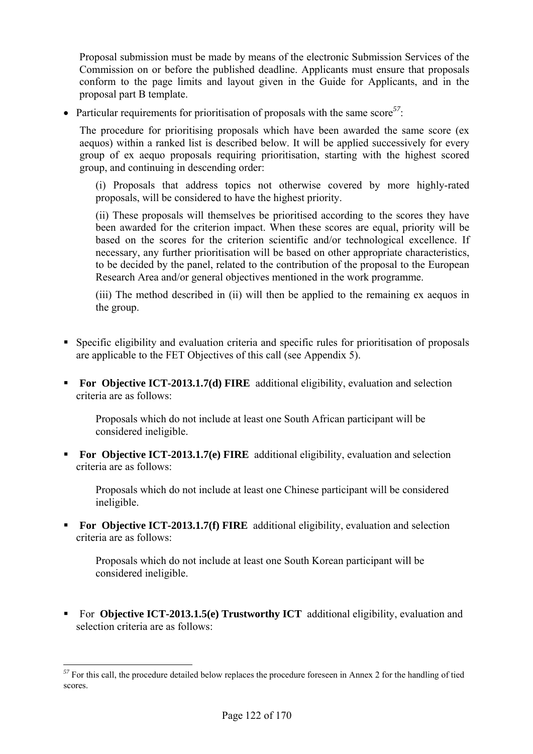Proposal submission must be made by means of the electronic Submission Services of the Commission on or before the published deadline. Applicants must ensure that proposals conform to the page limits and layout given in the Guide for Applicants, and in the proposal part B template.

• Particular requirements for prioritisation of proposals with the same score<sup>57</sup>:

The procedure for prioritising proposals which have been awarded the same score (ex aequos) within a ranked list is described below. It will be applied successively for every group of ex aequo proposals requiring prioritisation, starting with the highest scored group, and continuing in descending order:

(i) Proposals that address topics not otherwise covered by more highly-rated proposals, will be considered to have the highest priority.

(ii) These proposals will themselves be prioritised according to the scores they have been awarded for the criterion impact. When these scores are equal, priority will be based on the scores for the criterion scientific and/or technological excellence. If necessary, any further prioritisation will be based on other appropriate characteristics, to be decided by the panel, related to the contribution of the proposal to the European Research Area and/or general objectives mentioned in the work programme.

(iii) The method described in (ii) will then be applied to the remaining ex aequos in the group.

- Specific eligibility and evaluation criteria and specific rules for prioritisation of proposals are applicable to the FET Objectives of this call (see Appendix 5).
- **For Objective ICT-2013.1.7(d) FIRE** additional eligibility, evaluation and selection criteria are as follows:

Proposals which do not include at least one South African participant will be considered ineligible.

**For Objective ICT-2013.1.7(e) FIRE** additional eligibility, evaluation and selection criteria are as follows:

Proposals which do not include at least one Chinese participant will be considered ineligible.

**For Objective ICT-2013.1.7(f) FIRE** additional eligibility, evaluation and selection criteria are as follows:

Proposals which do not include at least one South Korean participant will be considered ineligible.

 For **Objective ICT-2013.1.5(e) Trustworthy ICT** additional eligibility, evaluation and selection criteria are as follows:

<u>.</u>

<sup>&</sup>lt;sup>57</sup> For this call, the procedure detailed below replaces the procedure foreseen in Annex 2 for the handling of tied scores.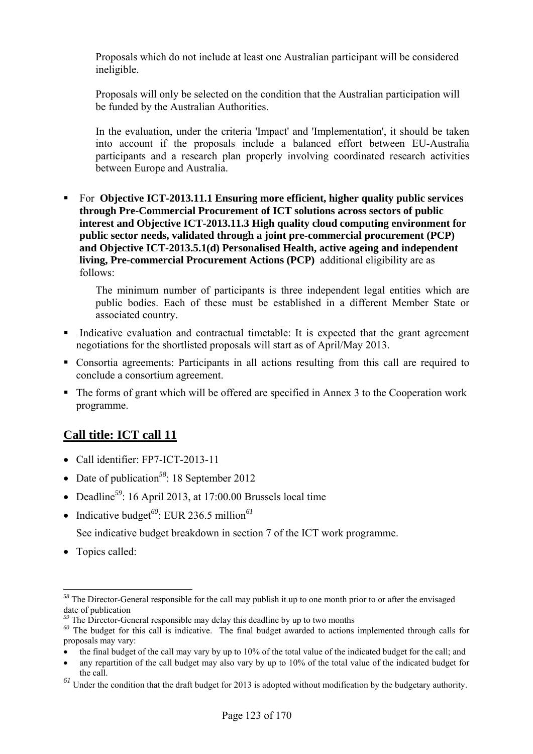Proposals which do not include at least one Australian participant will be considered ineligible.

Proposals will only be selected on the condition that the Australian participation will be funded by the Australian Authorities.

In the evaluation, under the criteria 'Impact' and 'Implementation', it should be taken into account if the proposals include a balanced effort between EU-Australia participants and a research plan properly involving coordinated research activities between Europe and Australia.

 For **Objective ICT-2013.11.1 Ensuring more efficient, higher quality public services through Pre-Commercial Procurement of ICT solutions across sectors of public interest and Objective ICT-2013.11.3 High quality cloud computing environment for public sector needs, validated through a joint pre-commercial procurement (PCP) and Objective ICT-2013.5.1(d) Personalised Health, active ageing and independent living, Pre-commercial Procurement Actions (PCP)** additional eligibility are as follows:

The minimum number of participants is three independent legal entities which are public bodies. Each of these must be established in a different Member State or associated country.

- Indicative evaluation and contractual timetable: It is expected that the grant agreement negotiations for the shortlisted proposals will start as of April/May 2013.
- Consortia agreements: Participants in all actions resulting from this call are required to conclude a consortium agreement.
- The forms of grant which will be offered are specified in Annex 3 to the Cooperation work programme.

# **Call title: ICT call 11**

- Call identifier: FP7-ICT-2013-11
- Date of publication<sup>58</sup>: 18 September 2012
- Deadline<sup>59</sup>: 16 April 2013, at 17:00.00 Brussels local time
- Indicative budget*<sup>60</sup>*: EUR 236.5 million*<sup>61</sup>*

See indicative budget breakdown in section 7 of the ICT work programme.

• Topics called:

1

*<sup>58</sup>* The Director-General responsible for the call may publish it up to one month prior to or after the envisaged date of publication

*<sup>59</sup>* The Director-General responsible may delay this deadline by up to two months

*<sup>60</sup>* The budget for this call is indicative. The final budget awarded to actions implemented through calls for proposals may vary:

<sup>•</sup> the final budget of the call may vary by up to 10% of the total value of the indicated budget for the call; and

<sup>•</sup> any repartition of the call budget may also vary by up to 10% of the total value of the indicated budget for the call.

*<sup>61</sup>* Under the condition that the draft budget for 2013 is adopted without modification by the budgetary authority.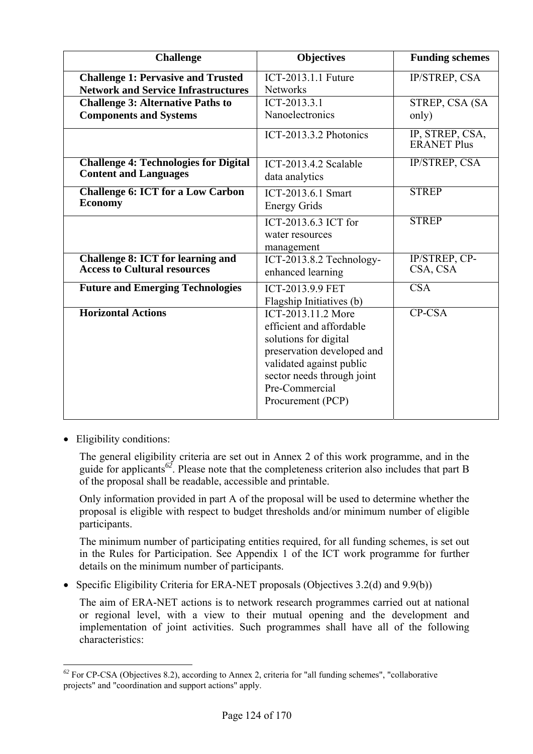| <b>Challenge</b>                                                                        | <b>Objectives</b>                                                                                                                                                                                      | <b>Funding schemes</b>                |
|-----------------------------------------------------------------------------------------|--------------------------------------------------------------------------------------------------------------------------------------------------------------------------------------------------------|---------------------------------------|
| <b>Challenge 1: Pervasive and Trusted</b><br><b>Network and Service Infrastructures</b> | <b>ICT-2013.1.1 Future</b><br><b>Networks</b>                                                                                                                                                          | <b>IP/STREP, CSA</b>                  |
| <b>Challenge 3: Alternative Paths to</b><br><b>Components and Systems</b>               | ICT-2013.3.1<br>Nanoelectronics                                                                                                                                                                        | STREP, CSA (SA<br>only)               |
|                                                                                         | ICT-2013.3.2 Photonics                                                                                                                                                                                 | IP, STREP, CSA,<br><b>ERANET Plus</b> |
| <b>Challenge 4: Technologies for Digital</b><br><b>Content and Languages</b>            | ICT-2013.4.2 Scalable<br>data analytics                                                                                                                                                                | <b>IP/STREP, CSA</b>                  |
| <b>Challenge 6: ICT for a Low Carbon</b><br><b>Economy</b>                              | ICT-2013.6.1 Smart<br><b>Energy Grids</b>                                                                                                                                                              | <b>STREP</b>                          |
|                                                                                         | ICT-2013.6.3 ICT for<br>water resources<br>management                                                                                                                                                  | <b>STREP</b>                          |
| <b>Challenge 8: ICT for learning and</b><br><b>Access to Cultural resources</b>         | ICT-2013.8.2 Technology-<br>enhanced learning                                                                                                                                                          | IP/STREP, CP-<br>CSA, CSA             |
| <b>Future and Emerging Technologies</b>                                                 | <b>ICT-2013.9.9 FET</b><br>Flagship Initiatives (b)                                                                                                                                                    | CSA                                   |
| <b>Horizontal Actions</b>                                                               | ICT-2013.11.2 More<br>efficient and affordable<br>solutions for digital<br>preservation developed and<br>validated against public<br>sector needs through joint<br>Pre-Commercial<br>Procurement (PCP) | <b>CP-CSA</b>                         |

• Eligibility conditions:

<u>.</u>

The general eligibility criteria are set out in Annex 2 of this work programme, and in the guide for applicants<sup>62</sup>. Please note that the completeness criterion also includes that part B of the proposal shall be readable, accessible and printable.

Only information provided in part A of the proposal will be used to determine whether the proposal is eligible with respect to budget thresholds and/or minimum number of eligible participants.

The minimum number of participating entities required, for all funding schemes, is set out in the Rules for Participation. See Appendix 1 of the ICT work programme for further details on the minimum number of participants.

• Specific Eligibility Criteria for ERA-NET proposals (Objectives 3.2(d) and 9.9(b))

The aim of ERA-NET actions is to network research programmes carried out at national or regional level, with a view to their mutual opening and the development and implementation of joint activities. Such programmes shall have all of the following characteristics:

<sup>&</sup>lt;sup>62</sup> For CP-CSA (Objectives 8.2), according to Annex 2, criteria for "all funding schemes", "collaborative projects" and "coordination and support actions" apply.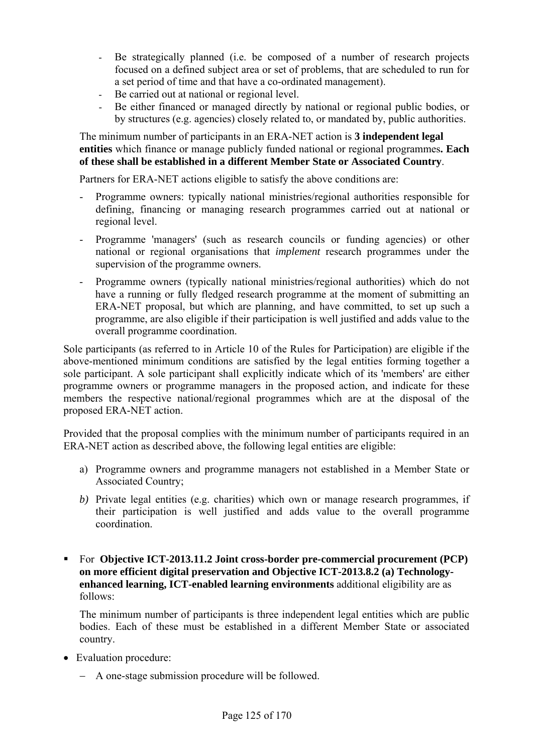- Be strategically planned (i.e. be composed of a number of research projects focused on a defined subject area or set of problems, that are scheduled to run for a set period of time and that have a co-ordinated management).
- Be carried out at national or regional level.
- Be either financed or managed directly by national or regional public bodies, or by structures (e.g. agencies) closely related to, or mandated by, public authorities.

The minimum number of participants in an ERA-NET action is **3 independent legal entities** which finance or manage publicly funded national or regional programmes**. Each of these shall be established in a different Member State or Associated Country**.

Partners for ERA-NET actions eligible to satisfy the above conditions are:

- Programme owners: typically national ministries/regional authorities responsible for defining, financing or managing research programmes carried out at national or regional level.
- Programme 'managers' (such as research councils or funding agencies) or other national or regional organisations that *implement* research programmes under the supervision of the programme owners.
- Programme owners (typically national ministries/regional authorities) which do not have a running or fully fledged research programme at the moment of submitting an ERA-NET proposal, but which are planning, and have committed, to set up such a programme, are also eligible if their participation is well justified and adds value to the overall programme coordination.

Sole participants (as referred to in Article 10 of the Rules for Participation) are eligible if the above-mentioned minimum conditions are satisfied by the legal entities forming together a sole participant. A sole participant shall explicitly indicate which of its 'members' are either programme owners or programme managers in the proposed action, and indicate for these members the respective national/regional programmes which are at the disposal of the proposed ERA-NET action.

Provided that the proposal complies with the minimum number of participants required in an ERA-NET action as described above, the following legal entities are eligible:

- a) Programme owners and programme managers not established in a Member State or Associated Country;
- *b)* Private legal entities (e.g. charities) which own or manage research programmes, if their participation is well justified and adds value to the overall programme coordination.
- For **Objective ICT-2013.11.2 Joint cross-border pre-commercial procurement (PCP) on more efficient digital preservation and Objective ICT-2013.8.2 (a) Technologyenhanced learning, ICT-enabled learning environments** additional eligibility are as follows:

The minimum number of participants is three independent legal entities which are public bodies. Each of these must be established in a different Member State or associated country.

- Evaluation procedure:
	- − A one-stage submission procedure will be followed.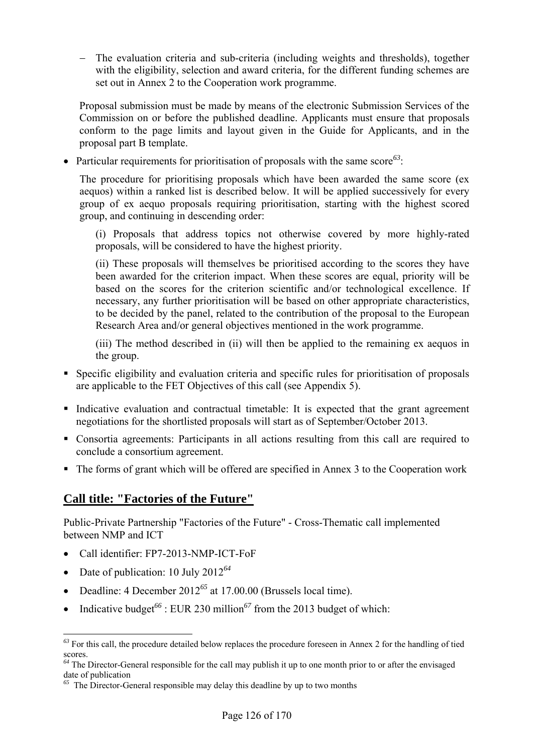− The evaluation criteria and sub-criteria (including weights and thresholds), together with the eligibility, selection and award criteria, for the different funding schemes are set out in Annex 2 to the Cooperation work programme.

Proposal submission must be made by means of the electronic Submission Services of the Commission on or before the published deadline. Applicants must ensure that proposals conform to the page limits and layout given in the Guide for Applicants, and in the proposal part B template.

• Particular requirements for prioritisation of proposals with the same score<sup>63</sup>:

The procedure for prioritising proposals which have been awarded the same score (ex aequos) within a ranked list is described below. It will be applied successively for every group of ex aequo proposals requiring prioritisation, starting with the highest scored group, and continuing in descending order:

(i) Proposals that address topics not otherwise covered by more highly-rated proposals, will be considered to have the highest priority.

(ii) These proposals will themselves be prioritised according to the scores they have been awarded for the criterion impact. When these scores are equal, priority will be based on the scores for the criterion scientific and/or technological excellence. If necessary, any further prioritisation will be based on other appropriate characteristics, to be decided by the panel, related to the contribution of the proposal to the European Research Area and/or general objectives mentioned in the work programme.

(iii) The method described in (ii) will then be applied to the remaining ex aequos in the group.

- Specific eligibility and evaluation criteria and specific rules for prioritisation of proposals are applicable to the FET Objectives of this call (see Appendix 5).
- Indicative evaluation and contractual timetable: It is expected that the grant agreement negotiations for the shortlisted proposals will start as of September/October 2013.
- Consortia agreements: Participants in all actions resulting from this call are required to conclude a consortium agreement.
- The forms of grant which will be offered are specified in Annex 3 to the Cooperation work

# **Call title: "Factories of the Future"**

Public-Private Partnership "Factories of the Future" - Cross-Thematic call implemented between NMP and ICT

- Call identifier: FP7-2013-NMP-ICT-FoF
- Date of publication: 10 July 2012<sup>64</sup>

<u>.</u>

- Deadline: 4 December 2012<sup>65</sup> at 17.00.00 (Brussels local time).
- Indicative budget<sup>66</sup> : EUR 230 million<sup>67</sup> from the 2013 budget of which:

*<sup>63</sup>* For this call, the procedure detailed below replaces the procedure foreseen in Annex 2 for the handling of tied scores.

*<sup>64</sup>* The Director-General responsible for the call may publish it up to one month prior to or after the envisaged date of publication

*<sup>65</sup>* The Director-General responsible may delay this deadline by up to two months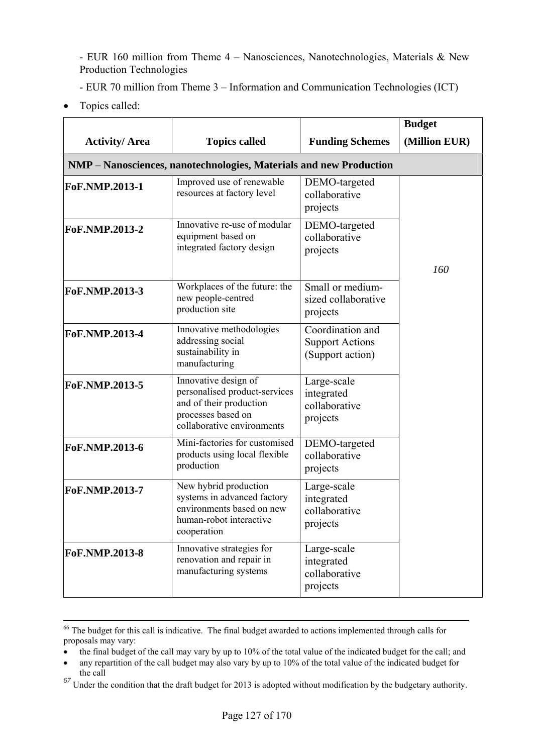- EUR 160 million from Theme 4 – Nanosciences, Nanotechnologies, Materials & New Production Technologies

- EUR 70 million from Theme 3 Information and Communication Technologies (ICT)
- Topics called:

|                      |                                                                                                                                      |                                                                | <b>Budget</b> |
|----------------------|--------------------------------------------------------------------------------------------------------------------------------------|----------------------------------------------------------------|---------------|
| <b>Activity/Area</b> | <b>Topics called</b>                                                                                                                 | <b>Funding Schemes</b>                                         | (Million EUR) |
|                      | NMP - Nanosciences, nanotechnologies, Materials and new Production                                                                   |                                                                |               |
| FoF.NMP.2013-1       | Improved use of renewable<br>resources at factory level                                                                              | DEMO-targeted<br>collaborative<br>projects                     |               |
| FoF.NMP.2013-2       | Innovative re-use of modular<br>equipment based on<br>integrated factory design                                                      | DEMO-targeted<br>collaborative<br>projects                     | 160           |
| FoF.NMP.2013-3       | Workplaces of the future: the<br>new people-centred<br>production site                                                               | Small or medium-<br>sized collaborative<br>projects            |               |
| FoF.NMP.2013-4       | Innovative methodologies<br>addressing social<br>sustainability in<br>manufacturing                                                  | Coordination and<br><b>Support Actions</b><br>(Support action) |               |
| FoF.NMP.2013-5       | Innovative design of<br>personalised product-services<br>and of their production<br>processes based on<br>collaborative environments | Large-scale<br>integrated<br>collaborative<br>projects         |               |
| FoF.NMP.2013-6       | Mini-factories for customised<br>products using local flexible<br>production                                                         | DEMO-targeted<br>collaborative<br>projects                     |               |
| FoF.NMP.2013-7       | New hybrid production<br>systems in advanced factory<br>environments based on new<br>human-robot interactive<br>cooperation          | Large-scale<br>integrated<br>collaborative<br>projects         |               |
| FoF.NMP.2013-8       | Innovative strategies for<br>renovation and repair in<br>manufacturing systems                                                       | Large-scale<br>integrated<br>collaborative<br>projects         |               |

<sup>&</sup>lt;sup>66</sup> The budget for this call is indicative. The final budget awarded to actions implemented through calls for proposals may vary:

• the final budget of the call may vary by up to 10% of the total value of the indicated budget for the call; and

any repartition of the call budget may also vary by up to 10% of the total value of the indicated budget for the call

<sup>&</sup>lt;sup>67</sup> Under the condition that the draft budget for 2013 is adopted without modification by the budgetary authority.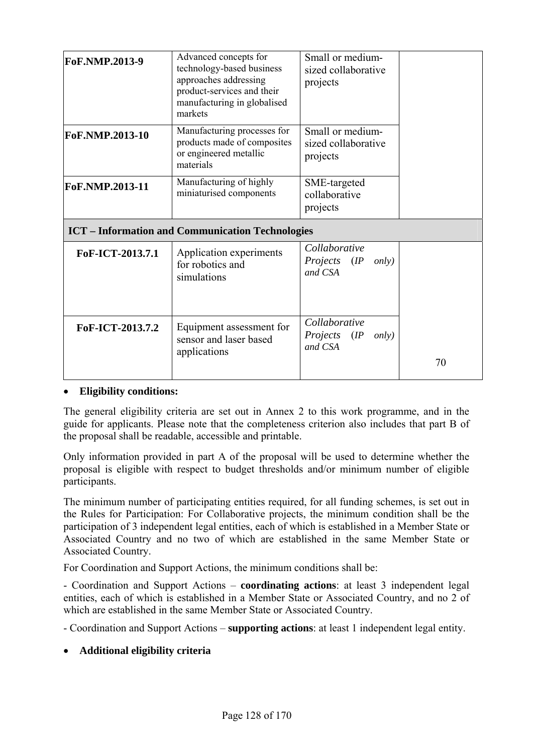| FoF.NMP.2013-9   | Advanced concepts for<br>technology-based business<br>approaches addressing<br>product-services and their<br>manufacturing in globalised<br>markets | Small or medium-<br>sized collaborative<br>projects |    |
|------------------|-----------------------------------------------------------------------------------------------------------------------------------------------------|-----------------------------------------------------|----|
| FoF.NMP.2013-10  | Manufacturing processes for<br>products made of composites<br>or engineered metallic<br>materials                                                   | Small or medium-<br>sized collaborative<br>projects |    |
| FoF.NMP.2013-11  | Manufacturing of highly<br>miniaturised components                                                                                                  | SME-targeted<br>collaborative<br>projects           |    |
|                  | <b>ICT</b> – Information and Communication Technologies                                                                                             |                                                     |    |
| FoF-ICT-2013.7.1 | Application experiments<br>for robotics and<br>simulations                                                                                          | Collaborative<br>Projects (IP<br>only)<br>and CSA   |    |
| FoF-ICT-2013.7.2 | Equipment assessment for<br>sensor and laser based<br>applications                                                                                  | Collaborative<br>Projects (IP<br>only)<br>and CSA   | 70 |

## • **Eligibility conditions:**

The general eligibility criteria are set out in Annex 2 to this work programme, and in the guide for applicants. Please note that the completeness criterion also includes that part B of the proposal shall be readable, accessible and printable.

Only information provided in part A of the proposal will be used to determine whether the proposal is eligible with respect to budget thresholds and/or minimum number of eligible participants.

The minimum number of participating entities required, for all funding schemes, is set out in the Rules for Participation: For Collaborative projects, the minimum condition shall be the participation of 3 independent legal entities, each of which is established in a Member State or Associated Country and no two of which are established in the same Member State or Associated Country.

For Coordination and Support Actions, the minimum conditions shall be:

- Coordination and Support Actions – **coordinating actions**: at least 3 independent legal entities, each of which is established in a Member State or Associated Country, and no 2 of which are established in the same Member State or Associated Country.

- Coordination and Support Actions – **supporting actions**: at least 1 independent legal entity.

## • **Additional eligibility criteria**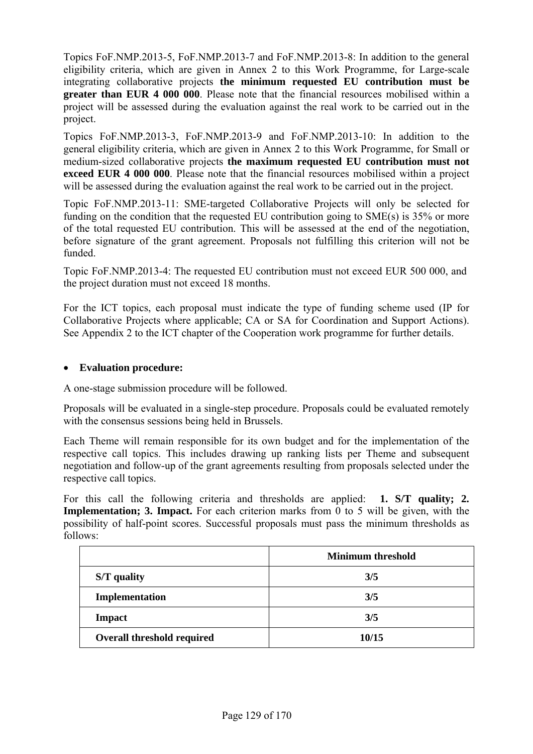Topics FoF.NMP.2013-5, FoF.NMP.2013-7 and FoF.NMP.2013-8: In addition to the general eligibility criteria, which are given in Annex 2 to this Work Programme, for Large-scale integrating collaborative projects **the minimum requested EU contribution must be greater than EUR 4 000 000**. Please note that the financial resources mobilised within a project will be assessed during the evaluation against the real work to be carried out in the project.

Topics FoF.NMP.2013-3, FoF.NMP.2013-9 and FoF.NMP.2013-10: In addition to the general eligibility criteria, which are given in Annex 2 to this Work Programme, for Small or medium-sized collaborative projects **the maximum requested EU contribution must not exceed EUR 4 000 000**. Please note that the financial resources mobilised within a project will be assessed during the evaluation against the real work to be carried out in the project.

Topic FoF.NMP.2013-11: SME-targeted Collaborative Projects will only be selected for funding on the condition that the requested EU contribution going to SME(s) is 35% or more of the total requested EU contribution. This will be assessed at the end of the negotiation, before signature of the grant agreement. Proposals not fulfilling this criterion will not be funded.

Topic FoF.NMP.2013-4: The requested EU contribution must not exceed EUR 500 000, and the project duration must not exceed 18 months.

For the ICT topics, each proposal must indicate the type of funding scheme used (IP for Collaborative Projects where applicable; CA or SA for Coordination and Support Actions). See Appendix 2 to the ICT chapter of the Cooperation work programme for further details.

## • **Evaluation procedure:**

A one-stage submission procedure will be followed.

Proposals will be evaluated in a single-step procedure. Proposals could be evaluated remotely with the consensus sessions being held in Brussels.

Each Theme will remain responsible for its own budget and for the implementation of the respective call topics. This includes drawing up ranking lists per Theme and subsequent negotiation and follow-up of the grant agreements resulting from proposals selected under the respective call topics.

For this call the following criteria and thresholds are applied: **1. S/T quality; 2. Implementation; 3. Impact.** For each criterion marks from 0 to 5 will be given, with the possibility of half-point scores. Successful proposals must pass the minimum thresholds as follows:

|                                   | <b>Minimum threshold</b> |
|-----------------------------------|--------------------------|
| <b>S/T</b> quality                | 3/5                      |
| Implementation                    | 3/5                      |
| Impact                            | 3/5                      |
| <b>Overall threshold required</b> | 10/15                    |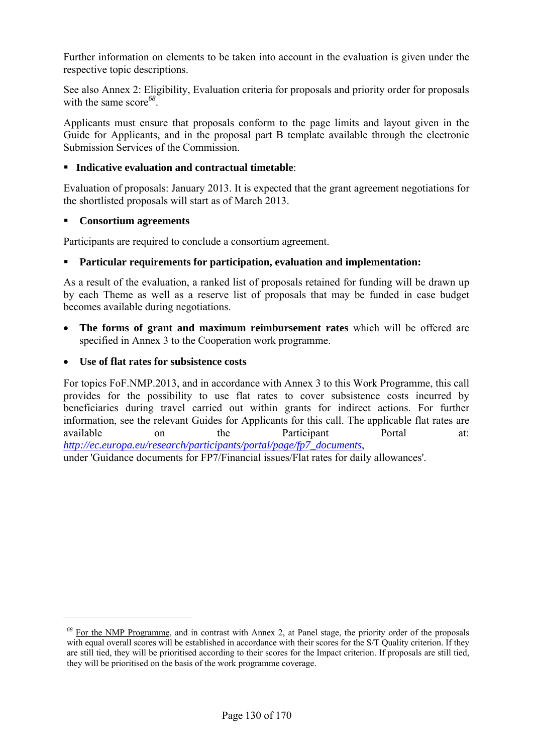Further information on elements to be taken into account in the evaluation is given under the respective topic descriptions.

See also Annex 2: Eligibility, Evaluation criteria for proposals and priority order for proposals with the same score*<sup>68</sup>*.

Applicants must ensure that proposals conform to the page limits and layout given in the Guide for Applicants, and in the proposal part B template available through the electronic Submission Services of the Commission.

### **Indicative evaluation and contractual timetable**:

Evaluation of proposals: January 2013. It is expected that the grant agreement negotiations for the shortlisted proposals will start as of March 2013.

#### **Consortium agreements**

<u>.</u>

Participants are required to conclude a consortium agreement.

### **Particular requirements for participation, evaluation and implementation:**

As a result of the evaluation, a ranked list of proposals retained for funding will be drawn up by each Theme as well as a reserve list of proposals that may be funded in case budget becomes available during negotiations.

• **The forms of grant and maximum reimbursement rates** which will be offered are specified in Annex 3 to the Cooperation work programme.

### • **Use of flat rates for subsistence costs**

For topics FoF.NMP.2013, and in accordance with Annex 3 to this Work Programme, this call provides for the possibility to use flat rates to cover subsistence costs incurred by beneficiaries during travel carried out within grants for indirect actions. For further information, see the relevant Guides for Applicants for this call. The applicable flat rates are available on the Participant Portal at: *[http://ec.europa.eu/research/participants/portal/page/fp7\\_documents](http://ec.europa.eu/research/participants/portal/page/fp7_documents)*, under 'Guidance documents for FP7/Financial issues/Flat rates for daily allowances'.

*<sup>68</sup>* For the NMP Programme, and in contrast with Annex 2, at Panel stage, the priority order of the proposals with equal overall scores will be established in accordance with their scores for the S/T Quality criterion. If they are still tied, they will be prioritised according to their scores for the Impact criterion. If proposals are still tied, they will be prioritised on the basis of the work programme coverage.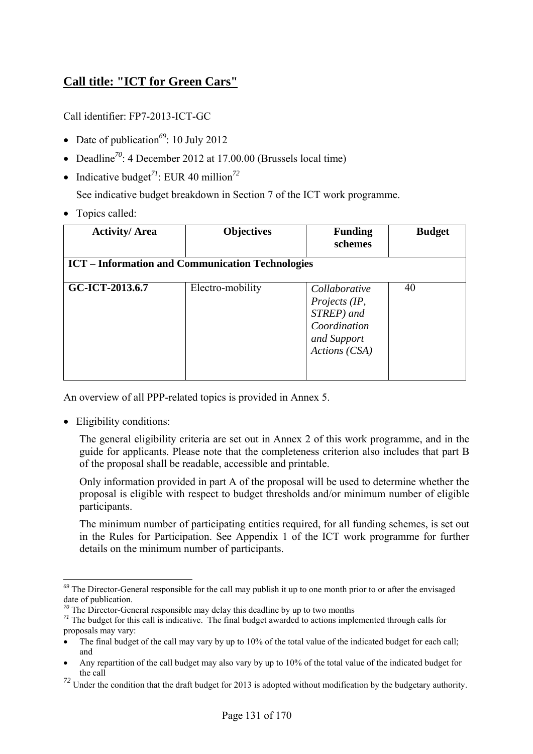# **Call title: "ICT for Green Cars"**

Call identifier: FP7-2013-ICT-GC

- Date of publication<sup>69</sup>: 10 July 2012
- Deadline<sup>70</sup>: 4 December 2012 at 17.00.00 (Brussels local time)
- Indicative budget<sup>71</sup>: EUR 40 million<sup>72</sup> See indicative budget breakdown in Section 7 of the ICT work programme.
- Topics called:

| <b>Activity/Area</b>                                    | <b>Objectives</b> | <b>Funding</b><br>schemes                                                                    | <b>Budget</b> |  |  |  |  |  |
|---------------------------------------------------------|-------------------|----------------------------------------------------------------------------------------------|---------------|--|--|--|--|--|
| <b>ICT</b> – Information and Communication Technologies |                   |                                                                                              |               |  |  |  |  |  |
| GC-ICT-2013.6.7                                         | Electro-mobility  | Collaborative<br>Projects (IP,<br>STREP) and<br>Coordination<br>and Support<br>Actions (CSA) | 40            |  |  |  |  |  |

An overview of all PPP-related topics is provided in Annex 5.

• Eligibility conditions:

1

The general eligibility criteria are set out in Annex 2 of this work programme, and in the guide for applicants. Please note that the completeness criterion also includes that part B of the proposal shall be readable, accessible and printable.

Only information provided in part A of the proposal will be used to determine whether the proposal is eligible with respect to budget thresholds and/or minimum number of eligible participants.

The minimum number of participating entities required, for all funding schemes, is set out in the Rules for Participation. See Appendix 1 of the ICT work programme for further details on the minimum number of participants.

<sup>&</sup>lt;sup>69</sup> The Director-General responsible for the call may publish it up to one month prior to or after the envisaged date of publication.<br>
<sup>70</sup> The Director-General responsible may delay this deadline by up to two months

 $71$  The budget for this call is indicative. The final budget awarded to actions implemented through calls for proposals may vary:

The final budget of the call may vary by up to 10% of the total value of the indicated budget for each call; and

<sup>•</sup> Any repartition of the call budget may also vary by up to 10% of the total value of the indicated budget for the call

<sup>&</sup>lt;sup>72</sup> Under the condition that the draft budget for 2013 is adopted without modification by the budgetary authority.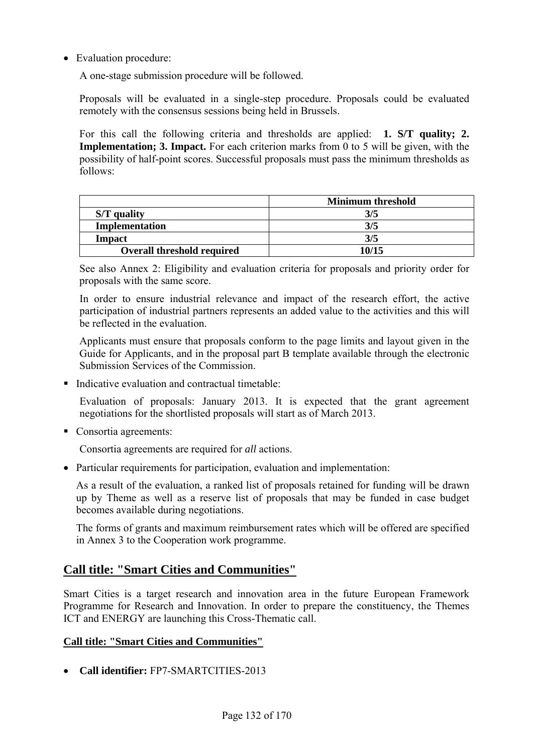• Evaluation procedure:

A one-stage submission procedure will be followed.

Proposals will be evaluated in a single-step procedure. Proposals could be evaluated remotely with the consensus sessions being held in Brussels.

For this call the following criteria and thresholds are applied: **1. S/T quality; 2. Implementation; 3. Impact.** For each criterion marks from 0 to 5 will be given, with the possibility of half-point scores. Successful proposals must pass the minimum thresholds as follows:

|                                   | <b>Minimum threshold</b> |
|-----------------------------------|--------------------------|
| S/T quality                       | 3/5                      |
| Implementation                    | 3/5                      |
| <b>Impact</b>                     | 3/5                      |
| <b>Overall threshold required</b> | 10/15                    |

See also Annex 2: Eligibility and evaluation criteria for proposals and priority order for proposals with the same score.

In order to ensure industrial relevance and impact of the research effort, the active participation of industrial partners represents an added value to the activities and this will be reflected in the evaluation.

Applicants must ensure that proposals conform to the page limits and layout given in the Guide for Applicants, and in the proposal part B template available through the electronic Submission Services of the Commission.

■ Indicative evaluation and contractual timetable:

Evaluation of proposals: January 2013. It is expected that the grant agreement negotiations for the shortlisted proposals will start as of March 2013.

Consortia agreements:

Consortia agreements are required for *all* actions.

• Particular requirements for participation, evaluation and implementation:

As a result of the evaluation, a ranked list of proposals retained for funding will be drawn up by Theme as well as a reserve list of proposals that may be funded in case budget becomes available during negotiations.

The forms of grants and maximum reimbursement rates which will be offered are specified in Annex 3 to the Cooperation work programme.

## **Call title: "Smart Cities and Communities"**

Smart Cities is a target research and innovation area in the future European Framework Programme for Research and Innovation. In order to prepare the constituency, the Themes ICT and ENERGY are launching this Cross-Thematic call.

## **Call title: "Smart Cities and Communities"**

• **Call identifier:** FP7-SMARTCITIES-2013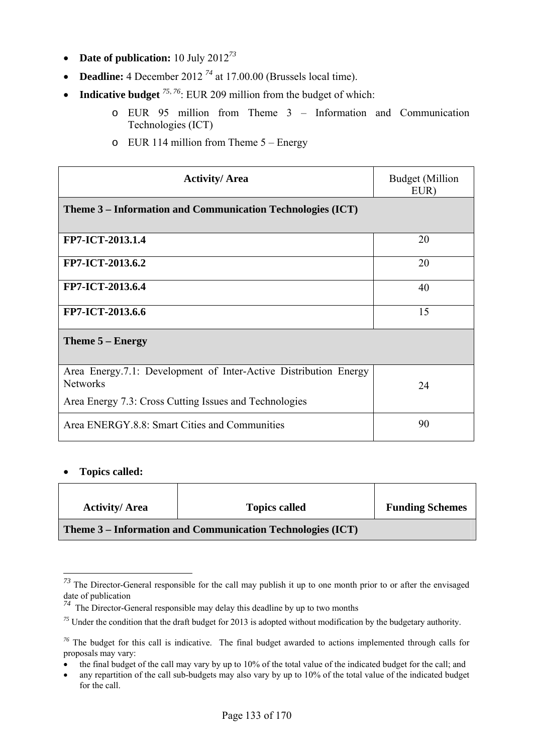- **Date of publication:** 10 July 2012*<sup>73</sup>*
- **Deadline:** 4 December 2012<sup>74</sup> at 17.00.00 (Brussels local time).
- **Indicative budget**  $^{75,76}$ : EUR 209 million from the budget of which:
	- o EUR 95 million from Theme 3 Information and Communication Technologies (ICT)
	- o EUR 114 million from Theme 5 Energy

| <b>Activity/Area</b>                                                                | <b>Budget</b> (Million<br>EUR) |
|-------------------------------------------------------------------------------------|--------------------------------|
| Theme 3 – Information and Communication Technologies (ICT)                          |                                |
| FP7-ICT-2013.1.4                                                                    | 20                             |
| FP7-ICT-2013.6.2                                                                    | 20                             |
| FP7-ICT-2013.6.4                                                                    | 40                             |
| FP7-ICT-2013.6.6                                                                    | 15                             |
| Theme 5 – Energy                                                                    |                                |
| Area Energy.7.1: Development of Inter-Active Distribution Energy<br><b>Networks</b> | 24                             |
| Area Energy 7.3: Cross Cutting Issues and Technologies                              |                                |
| Area ENERGY 8.8: Smart Cities and Communities                                       | 90                             |

#### • **Topics called:**

<u>.</u>

| <b>Activity/Area</b>                                       | <b>Topics called</b> | <b>Funding Schemes</b> |
|------------------------------------------------------------|----------------------|------------------------|
| Theme 3 – Information and Communication Technologies (ICT) |                      |                        |

*<sup>73</sup>* The Director-General responsible for the call may publish it up to one month prior to or after the envisaged date of publication

*<sup>74</sup>* The Director-General responsible may delay this deadline by up to two months

 $75$  Under the condition that the draft budget for 2013 is adopted without modification by the budgetary authority.

*<sup>76</sup>* The budget for this call is indicative. The final budget awarded to actions implemented through calls for proposals may vary:

<sup>•</sup> the final budget of the call may vary by up to 10% of the total value of the indicated budget for the call; and

<sup>•</sup> any repartition of the call sub-budgets may also vary by up to 10% of the total value of the indicated budget for the call.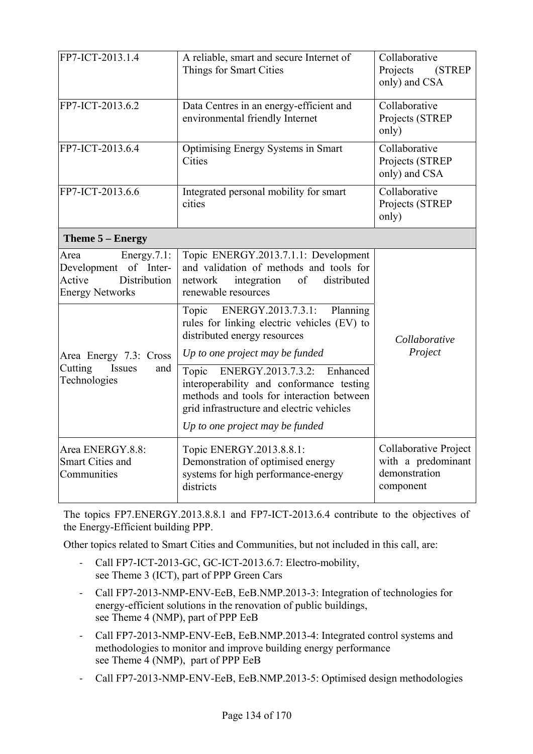| FP7-ICT-2013.1.4                                                                                     | A reliable, smart and secure Internet of<br>Things for Smart Cities                                                                                                        | Collaborative<br>Projects<br><b>(STREP)</b><br>only) and CSA              |  |
|------------------------------------------------------------------------------------------------------|----------------------------------------------------------------------------------------------------------------------------------------------------------------------------|---------------------------------------------------------------------------|--|
| FP7-ICT-2013.6.2                                                                                     | Data Centres in an energy-efficient and<br>environmental friendly Internet                                                                                                 | Collaborative<br>Projects (STREP<br>only)                                 |  |
| FP7-ICT-2013.6.4                                                                                     | Optimising Energy Systems in Smart<br><b>Cities</b>                                                                                                                        | Collaborative<br>Projects (STREP<br>only) and CSA                         |  |
| FP7-ICT-2013.6.6                                                                                     | Integrated personal mobility for smart<br>cities                                                                                                                           | Collaborative<br>Projects (STREP<br>only)                                 |  |
| Theme 5 – Energy                                                                                     |                                                                                                                                                                            |                                                                           |  |
| Energy. $7.1$ :<br>Area<br>Development of Inter-<br>Distribution<br>Active<br><b>Energy Networks</b> | Topic ENERGY.2013.7.1.1: Development<br>and validation of methods and tools for<br>integration<br>of<br>network<br>distributed<br>renewable resources                      |                                                                           |  |
|                                                                                                      | Topic<br>ENERGY.2013.7.3.1: Planning<br>rules for linking electric vehicles (EV) to<br>distributed energy resources                                                        | Collaborative                                                             |  |
| Area Energy 7.3: Cross                                                                               | Up to one project may be funded                                                                                                                                            | Project                                                                   |  |
| Cutting<br>Issues<br>and<br>Technologies                                                             | Topic<br>ENERGY.2013.7.3.2: Enhanced<br>interoperability and conformance testing<br>methods and tools for interaction between<br>grid infrastructure and electric vehicles |                                                                           |  |
|                                                                                                      | Up to one project may be funded                                                                                                                                            |                                                                           |  |
| Area ENERGY.8.8:<br><b>Smart Cities and</b><br>Communities                                           | Topic ENERGY.2013.8.8.1:<br>Demonstration of optimised energy<br>systems for high performance-energy<br>districts                                                          | Collaborative Project<br>with a predominant<br>demonstration<br>component |  |

The topics FP7.ENERGY.2013.8.8.1 and FP7-ICT-2013.6.4 contribute to the objectives of the Energy-Efficient building PPP.

Other topics related to Smart Cities and Communities, but not included in this call, are:

- Call FP7-ICT-2013-GC, GC-ICT-2013.6.7: Electro-mobility, see Theme 3 (ICT), part of PPP Green Cars
- Call FP7-2013-NMP-ENV-EeB, EeB.NMP.2013-3: Integration of technologies for energy-efficient solutions in the renovation of public buildings, see Theme 4 (NMP), part of PPP EeB
- Call FP7-2013-NMP-ENV-EeB, EeB.NMP.2013-4: Integrated control systems and methodologies to monitor and improve building energy performance see Theme 4 (NMP), part of PPP EeB
- Call FP7-2013-NMP-ENV-EeB, EeB.NMP.2013-5: Optimised design methodologies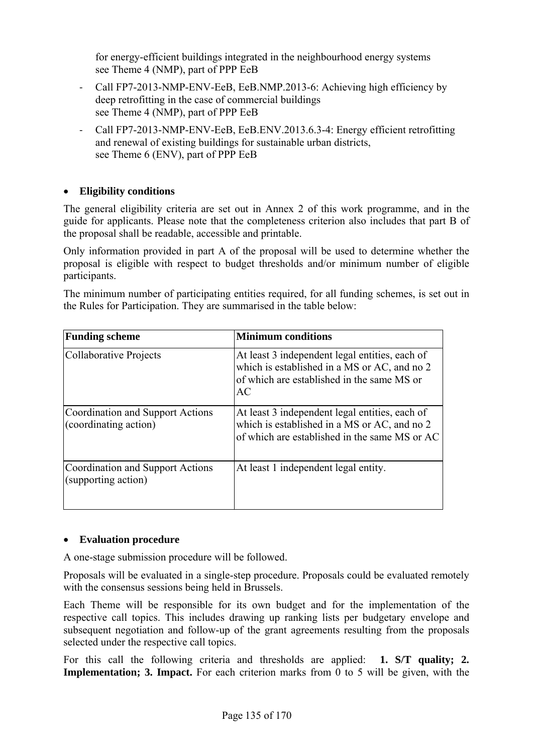for energy-efficient buildings integrated in the neighbourhood energy systems see Theme 4 (NMP), part of PPP EeB

- Call FP7-2013-NMP-ENV-EeB, EeB.NMP.2013-6: Achieving high efficiency by deep retrofitting in the case of commercial buildings see Theme 4 (NMP), part of PPP EeB
- Call FP7-2013-NMP-ENV-EeB, EeB.ENV.2013.6.3-4: Energy efficient retrofitting and renewal of existing buildings for sustainable urban districts, see Theme 6 (ENV), part of PPP EeB

## • **Eligibility conditions**

The general eligibility criteria are set out in Annex 2 of this work programme, and in the guide for applicants. Please note that the completeness criterion also includes that part B of the proposal shall be readable, accessible and printable.

Only information provided in part A of the proposal will be used to determine whether the proposal is eligible with respect to budget thresholds and/or minimum number of eligible participants.

The minimum number of participating entities required, for all funding schemes, is set out in the Rules for Participation. They are summarised in the table below:

| <b>Funding scheme</b>                                     | <b>Minimum conditions</b>                                                                                                                          |
|-----------------------------------------------------------|----------------------------------------------------------------------------------------------------------------------------------------------------|
| Collaborative Projects                                    | At least 3 independent legal entities, each of<br>which is established in a MS or AC, and no 2<br>of which are established in the same MS or<br>AC |
| Coordination and Support Actions<br>(coordinating action) | At least 3 independent legal entities, each of<br>which is established in a MS or AC, and no 2<br>of which are established in the same MS or AC    |
| Coordination and Support Actions<br>(supporting action)   | At least 1 independent legal entity.                                                                                                               |

## • **Evaluation procedure**

A one-stage submission procedure will be followed.

Proposals will be evaluated in a single-step procedure. Proposals could be evaluated remotely with the consensus sessions being held in Brussels.

Each Theme will be responsible for its own budget and for the implementation of the respective call topics. This includes drawing up ranking lists per budgetary envelope and subsequent negotiation and follow-up of the grant agreements resulting from the proposals selected under the respective call topics.

For this call the following criteria and thresholds are applied: **1. S/T quality; 2. Implementation; 3. Impact.** For each criterion marks from 0 to 5 will be given, with the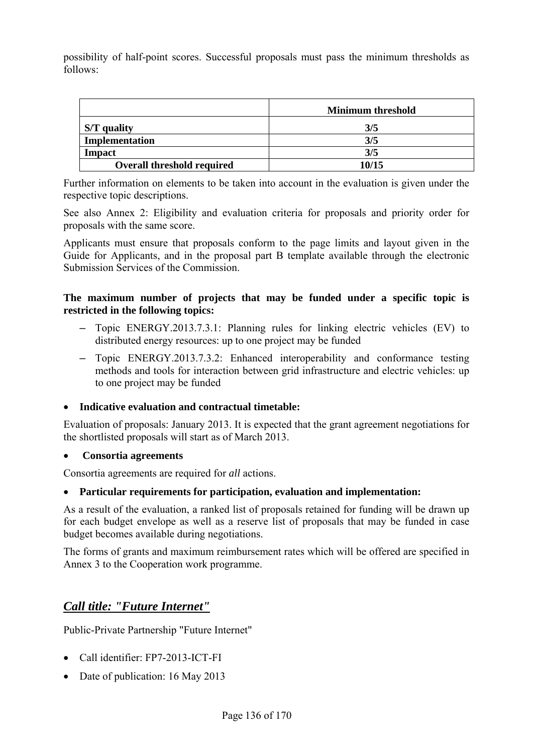possibility of half-point scores. Successful proposals must pass the minimum thresholds as follows:

|                                   | <b>Minimum threshold</b> |
|-----------------------------------|--------------------------|
| S/T quality                       | 3/5                      |
| Implementation                    | 3/5                      |
| <b>Impact</b>                     | 3/5                      |
| <b>Overall threshold required</b> | 10/15                    |

Further information on elements to be taken into account in the evaluation is given under the respective topic descriptions.

See also Annex 2: Eligibility and evaluation criteria for proposals and priority order for proposals with the same score.

Applicants must ensure that proposals conform to the page limits and layout given in the Guide for Applicants, and in the proposal part B template available through the electronic Submission Services of the Commission.

**The maximum number of projects that may be funded under a specific topic is restricted in the following topics:** 

- Topic ENERGY.2013.7.3.1: Planning rules for linking electric vehicles (EV) to distributed energy resources: up to one project may be funded
- Topic ENERGY.2013.7.3.2: Enhanced interoperability and conformance testing methods and tools for interaction between grid infrastructure and electric vehicles: up to one project may be funded

## • **Indicative evaluation and contractual timetable:**

Evaluation of proposals: January 2013. It is expected that the grant agreement negotiations for the shortlisted proposals will start as of March 2013.

## • **Consortia agreements**

Consortia agreements are required for *all* actions.

## • **Particular requirements for participation, evaluation and implementation:**

As a result of the evaluation, a ranked list of proposals retained for funding will be drawn up for each budget envelope as well as a reserve list of proposals that may be funded in case budget becomes available during negotiations.

The forms of grants and maximum reimbursement rates which will be offered are specified in Annex 3 to the Cooperation work programme.

## *Call title: "Future Internet"*

Public-Private Partnership "Future Internet"

- Call identifier: FP7-2013-ICT-FI
- Date of publication: 16 May 2013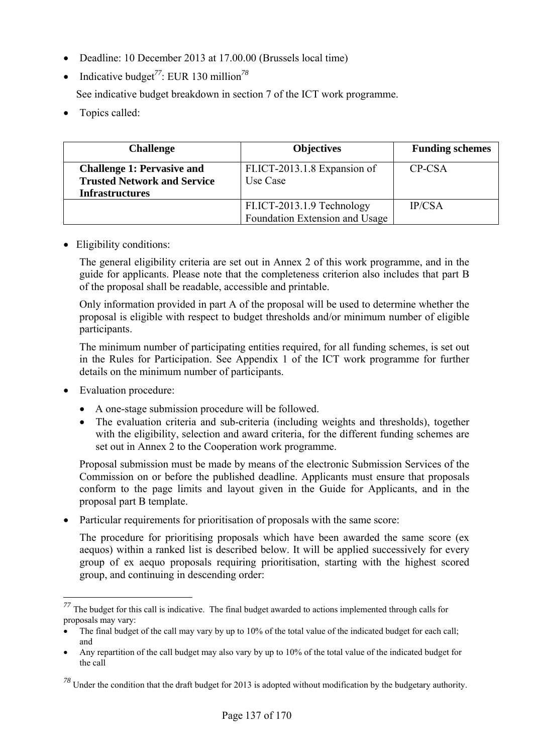- Deadline: 10 December 2013 at 17.00.00 (Brussels local time)
- Indicative budget*<sup>77</sup>*: EUR 130 million*<sup>78</sup>* See indicative budget breakdown in section 7 of the ICT work programme.
- Topics called:

| <b>Challenge</b>                   | <b>Objectives</b>              | <b>Funding schemes</b> |
|------------------------------------|--------------------------------|------------------------|
| <b>Challenge 1: Pervasive and</b>  | FLICT-2013.1.8 Expansion of    | CP-CSA                 |
| <b>Trusted Network and Service</b> | Use Case                       |                        |
| <b>Infrastructures</b>             |                                |                        |
|                                    | FLICT-2013.1.9 Technology      | <b>IP/CSA</b>          |
|                                    | Foundation Extension and Usage |                        |

• Eligibility conditions:

The general eligibility criteria are set out in Annex 2 of this work programme, and in the guide for applicants. Please note that the completeness criterion also includes that part B of the proposal shall be readable, accessible and printable.

Only information provided in part A of the proposal will be used to determine whether the proposal is eligible with respect to budget thresholds and/or minimum number of eligible participants.

The minimum number of participating entities required, for all funding schemes, is set out in the Rules for Participation. See Appendix 1 of the ICT work programme for further details on the minimum number of participants.

• Evaluation procedure:

1

- A one-stage submission procedure will be followed.
- The evaluation criteria and sub-criteria (including weights and thresholds), together with the eligibility, selection and award criteria, for the different funding schemes are set out in Annex 2 to the Cooperation work programme.

Proposal submission must be made by means of the electronic Submission Services of the Commission on or before the published deadline. Applicants must ensure that proposals conform to the page limits and layout given in the Guide for Applicants, and in the proposal part B template.

• Particular requirements for prioritisation of proposals with the same score:

The procedure for prioritising proposals which have been awarded the same score (ex aequos) within a ranked list is described below. It will be applied successively for every group of ex aequo proposals requiring prioritisation, starting with the highest scored group, and continuing in descending order:

*<sup>77</sup>* The budget for this call is indicative. The final budget awarded to actions implemented through calls for proposals may vary:

<sup>•</sup> The final budget of the call may vary by up to 10% of the total value of the indicated budget for each call; and

<sup>•</sup> Any repartition of the call budget may also vary by up to 10% of the total value of the indicated budget for the call

*<sup>78</sup>* Under the condition that the draft budget for 2013 is adopted without modification by the budgetary authority.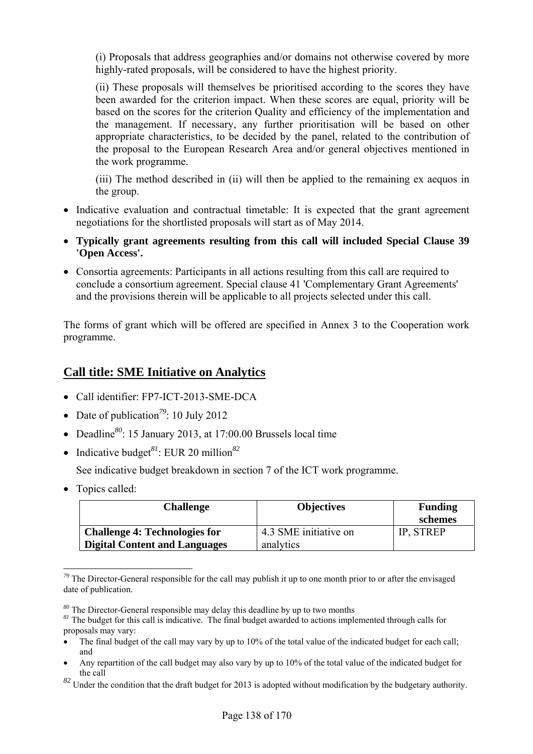(i) Proposals that address geographies and/or domains not otherwise covered by more highly-rated proposals, will be considered to have the highest priority.

(ii) These proposals will themselves be prioritised according to the scores they have been awarded for the criterion impact. When these scores are equal, priority will be based on the scores for the criterion Quality and efficiency of the implementation and the management. If necessary, any further prioritisation will be based on other appropriate characteristics, to be decided by the panel, related to the contribution of the proposal to the European Research Area and/or general objectives mentioned in the work programme.

(iii) The method described in (ii) will then be applied to the remaining ex aequos in the group.

- Indicative evaluation and contractual timetable: It is expected that the grant agreement negotiations for the shortlisted proposals will start as of May 2014.
- **Typically grant agreements resulting from this call will included Special Clause 39 'Open Access'.**
- Consortia agreements: Participants in all actions resulting from this call are required to conclude a consortium agreement. Special clause 41 'Complementary Grant Agreements' and the provisions therein will be applicable to all projects selected under this call.

The forms of grant which will be offered are specified in Annex 3 to the Cooperation work programme.

# **Call title: SME Initiative on Analytics**

- Call identifier: FP7-ICT-2013-SME-DCA
- Date of publication<sup>79</sup>: 10 July 2012
- Deadline*<sup>80</sup>*: 15 January 2013, at 17:00.00 Brussels local time
- Indicative budget*<sup>81</sup>*: EUR 20 million*<sup>82</sup>*

See indicative budget breakdown in section 7 of the ICT work programme.

• Topics called:

<u>.</u>

| <b>Challenge</b>                     | <b>Objectives</b>     | <b>Funding</b> |
|--------------------------------------|-----------------------|----------------|
|                                      |                       | schemes        |
| <b>Challenge 4: Technologies for</b> | 4.3 SME initiative on | IP, STREP      |
| <b>Digital Content and Languages</b> | analytics             |                |

<sup>&</sup>lt;sup>79</sup> The Director-General responsible for the call may publish it up to one month prior to or after the envisaged date of publication.

*<sup>80</sup>* The Director-General responsible may delay this deadline by up to two months

*<sup>81</sup>* The budget for this call is indicative. The final budget awarded to actions implemented through calls for proposals may vary:

The final budget of the call may vary by up to 10% of the total value of the indicated budget for each call; and

<sup>•</sup> Any repartition of the call budget may also vary by up to 10% of the total value of the indicated budget for the call

<sup>&</sup>lt;sup>82</sup> Under the condition that the draft budget for 2013 is adopted without modification by the budgetary authority.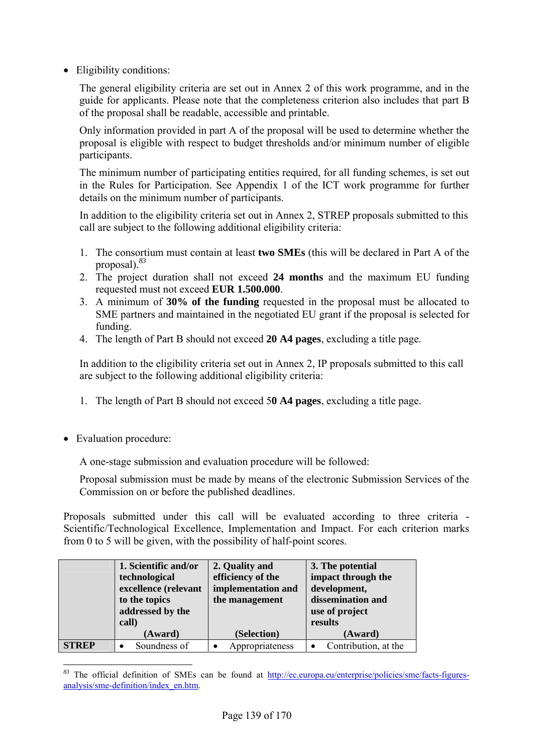• Eligibility conditions:

The general eligibility criteria are set out in Annex 2 of this work programme, and in the guide for applicants. Please note that the completeness criterion also includes that part B of the proposal shall be readable, accessible and printable.

Only information provided in part A of the proposal will be used to determine whether the proposal is eligible with respect to budget thresholds and/or minimum number of eligible participants.

The minimum number of participating entities required, for all funding schemes, is set out in the Rules for Participation. See Appendix 1 of the ICT work programme for further details on the minimum number of participants.

In addition to the eligibility criteria set out in Annex 2, STREP proposals submitted to this call are subject to the following additional eligibility criteria:

- 1. The consortium must contain at least **two SMEs** (this will be declared in Part A of the proposal).*<sup>83</sup>*
- 2. The project duration shall not exceed **24 months** and the maximum EU funding requested must not exceed **EUR 1.500.000**.
- 3. A minimum of **30% of the funding** requested in the proposal must be allocated to SME partners and maintained in the negotiated EU grant if the proposal is selected for funding.
- 4. The length of Part B should not exceed **20 A4 pages**, excluding a title page.

In addition to the eligibility criteria set out in Annex 2, IP proposals submitted to this call are subject to the following additional eligibility criteria:

- 1. The length of Part B should not exceed 5**0 A4 pages**, excluding a title page.
- Evaluation procedure:

A one-stage submission and evaluation procedure will be followed:

Proposal submission must be made by means of the electronic Submission Services of the Commission on or before the published deadlines.

Proposals submitted under this call will be evaluated according to three criteria - Scientific/Technological Excellence, Implementation and Impact. For each criterion marks from 0 to 5 will be given, with the possibility of half-point scores.

| 1. Scientific and/or<br>technological<br>excellence (relevant<br>to the topics<br>addressed by the<br>call) | 2. Quality and<br>efficiency of the<br>implementation and<br>the management | 3. The potential<br>impact through the<br>development,<br>dissemination and<br>use of project<br>results |
|-------------------------------------------------------------------------------------------------------------|-----------------------------------------------------------------------------|----------------------------------------------------------------------------------------------------------|
|                                                                                                             |                                                                             | (Award)                                                                                                  |
| Soundness of                                                                                                | Appropriateness                                                             | Contribution, at the                                                                                     |
|                                                                                                             | (Award)                                                                     | (Selection)                                                                                              |

<sup>&</sup>lt;u>.</u> <sup>83</sup> The official definition of SMEs can be found at [http://ec.europa.eu/enterprise/policies/sme/facts-figures](http://ec.europa.eu/enterprise/policies/sme/facts-figures-analysis/sme-definition/index_en.htm)[analysis/sme-definition/index\\_en.htm.](http://ec.europa.eu/enterprise/policies/sme/facts-figures-analysis/sme-definition/index_en.htm)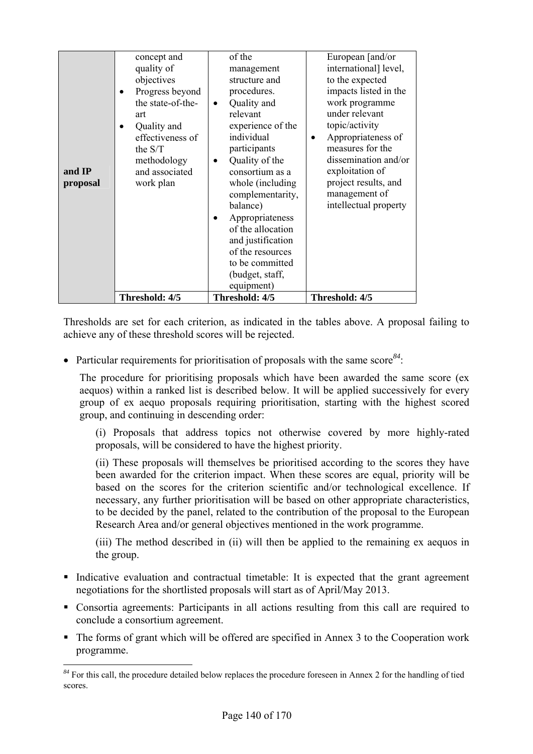| and IP<br>proposal | concept and<br>quality of<br>objectives<br>Progress beyond<br>the state-of-the-<br>art<br>Quality and<br>effectiveness of<br>the S/T<br>methodology<br>and associated<br>work plan | of the<br>management<br>structure and<br>procedures.<br>Quality and<br>$\bullet$<br>relevant<br>experience of the<br>individual<br>participants<br>Quality of the<br>$\bullet$<br>consortium as a<br>whole (including)<br>complementarity,<br>balance)<br>Appropriateness<br>of the allocation<br>and justification<br>of the resources<br>to be committed<br>(budget, staff,<br>equipment) | European [and/or<br>international] level,<br>to the expected<br>impacts listed in the<br>work programme<br>under relevant<br>topic/activity<br>Appropriateness of<br>$\bullet$<br>measures for the<br>dissemination and/or<br>exploitation of<br>project results, and<br>management of<br>intellectual property |
|--------------------|------------------------------------------------------------------------------------------------------------------------------------------------------------------------------------|---------------------------------------------------------------------------------------------------------------------------------------------------------------------------------------------------------------------------------------------------------------------------------------------------------------------------------------------------------------------------------------------|-----------------------------------------------------------------------------------------------------------------------------------------------------------------------------------------------------------------------------------------------------------------------------------------------------------------|
|                    | Threshold: 4/5                                                                                                                                                                     | Threshold: 4/5                                                                                                                                                                                                                                                                                                                                                                              | Threshold: 4/5                                                                                                                                                                                                                                                                                                  |

Thresholds are set for each criterion, as indicated in the tables above. A proposal failing to achieve any of these threshold scores will be rejected.

• Particular requirements for prioritisation of proposals with the same score<sup>84</sup>:

The procedure for prioritising proposals which have been awarded the same score (ex aequos) within a ranked list is described below. It will be applied successively for every group of ex aequo proposals requiring prioritisation, starting with the highest scored group, and continuing in descending order:

(i) Proposals that address topics not otherwise covered by more highly-rated proposals, will be considered to have the highest priority.

(ii) These proposals will themselves be prioritised according to the scores they have been awarded for the criterion impact. When these scores are equal, priority will be based on the scores for the criterion scientific and/or technological excellence. If necessary, any further prioritisation will be based on other appropriate characteristics, to be decided by the panel, related to the contribution of the proposal to the European Research Area and/or general objectives mentioned in the work programme.

(iii) The method described in (ii) will then be applied to the remaining ex aequos in the group.

- Indicative evaluation and contractual timetable: It is expected that the grant agreement negotiations for the shortlisted proposals will start as of April/May 2013.
- Consortia agreements: Participants in all actions resulting from this call are required to conclude a consortium agreement.
- The forms of grant which will be offered are specified in Annex 3 to the Cooperation work programme.

<u>.</u>

<sup>&</sup>lt;sup>84</sup> For this call, the procedure detailed below replaces the procedure foreseen in Annex 2 for the handling of tied scores.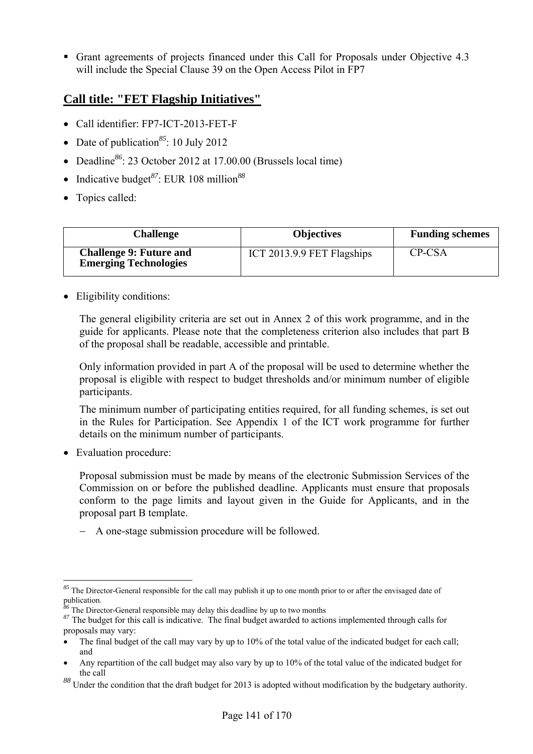Grant agreements of projects financed under this Call for Proposals under Objective 4.3 will include the Special Clause 39 on the Open Access Pilot in FP7

# **Call title: "FET Flagship Initiatives"**

- Call identifier: FP7-ICT-2013-FET-F
- Date of publication<sup>85</sup>: 10 July 2012
- Deadline<sup>86</sup>: 23 October 2012 at 17.00.00 (Brussels local time)
- Indicative budget*<sup>87</sup>*: EUR 108 million*<sup>88</sup>*
- Topics called:

| <b>Challenge</b>                                               | <b>Objectives</b>          | <b>Funding schemes</b> |
|----------------------------------------------------------------|----------------------------|------------------------|
| <b>Challenge 9: Future and</b><br><b>Emerging Technologies</b> | ICT 2013.9.9 FET Flagships | CP-CSA                 |

• Eligibility conditions:

The general eligibility criteria are set out in Annex 2 of this work programme, and in the guide for applicants. Please note that the completeness criterion also includes that part B of the proposal shall be readable, accessible and printable.

Only information provided in part A of the proposal will be used to determine whether the proposal is eligible with respect to budget thresholds and/or minimum number of eligible participants.

The minimum number of participating entities required, for all funding schemes, is set out in the Rules for Participation. See Appendix 1 of the ICT work programme for further details on the minimum number of participants.

• Evaluation procedure:

Proposal submission must be made by means of the electronic Submission Services of the Commission on or before the published deadline. Applicants must ensure that proposals conform to the page limits and layout given in the Guide for Applicants, and in the proposal part B template.

− A one-stage submission procedure will be followed.

<sup>1</sup> <sup>85</sup> The Director-General responsible for the call may publish it up to one month prior to or after the envisaged date of publication.<br><sup>86</sup> The Director-General responsible may delay this deadline by up to two months

<sup>&</sup>lt;sup>87</sup> The budget for this call is indicative. The final budget awarded to actions implemented through calls for proposals may vary:

The final budget of the call may vary by up to 10% of the total value of the indicated budget for each call; and

<sup>•</sup> Any repartition of the call budget may also vary by up to 10% of the total value of the indicated budget for the call

<sup>&</sup>lt;sup>88</sup> Under the condition that the draft budget for 2013 is adopted without modification by the budgetary authority.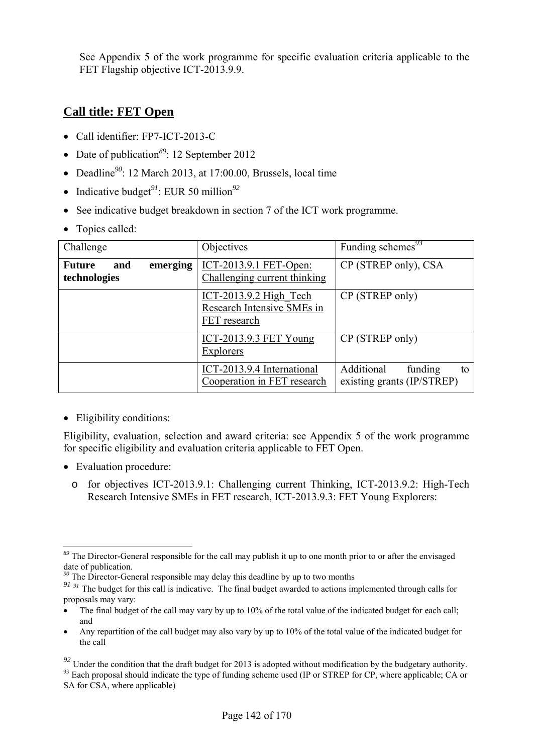See Appendix 5 of the work programme for specific evaluation criteria applicable to the FET Flagship objective ICT-2013.9.9.

# **Call title: FET Open**

- Call identifier: FP7-ICT-2013-C
- Date of publication<sup>89</sup>: 12 September 2012
- Deadline<sup>90</sup>: 12 March 2013, at 17:00.00, Brussels, local time
- Indicative budget<sup>91</sup>: EUR 50 million<sup>92</sup>
- See indicative budget breakdown in section 7 of the ICT work programme.
- Topics called:

| Challenge                                 | Objectives                                                           | Funding schemes <sup>93</sup>                             |
|-------------------------------------------|----------------------------------------------------------------------|-----------------------------------------------------------|
| emerging<br>Future<br>and<br>technologies | ICT-2013.9.1 FET-Open:<br>Challenging current thinking               | CP (STREP only), CSA                                      |
|                                           | ICT-2013.9.2 High Tech<br>Research Intensive SMEs in<br>FET research | CP (STREP only)                                           |
|                                           | <b>ICT-2013.9.3 FET Young</b><br><b>Explorers</b>                    | CP (STREP only)                                           |
|                                           | ICT-2013.9.4 International<br>Cooperation in FET research            | Additional<br>funding<br>to<br>existing grants (IP/STREP) |

• Eligibility conditions:

Eligibility, evaluation, selection and award criteria: see Appendix 5 of the work programme for specific eligibility and evaluation criteria applicable to FET Open.

- Evaluation procedure:
	- o for objectives ICT-2013.9.1: Challenging current Thinking, ICT-2013.9.2: High-Tech Research Intensive SMEs in FET research, ICT-2013.9.3: FET Young Explorers:

• Any repartition of the call budget may also vary by up to 10% of the total value of the indicated budget for the call

<sup>1</sup> *<sup>89</sup>* The Director-General responsible for the call may publish it up to one month prior to or after the envisaged date of publication.

*<sup>90</sup>* The Director-General responsible may delay this deadline by up to two months

*<sup>91 91</sup>* The budget for this call is indicative. The final budget awarded to actions implemented through calls for proposals may vary:

<sup>•</sup> The final budget of the call may vary by up to 10% of the total value of the indicated budget for each call; and

 $^{92}$  Under the condition that the draft budget for 2013 is adopted without modification by the budgetary authority.<br><sup>93</sup> Each proposal should indicate the type of funding scheme used (IP or STREP for CP, where applicabl SA for CSA, where applicable)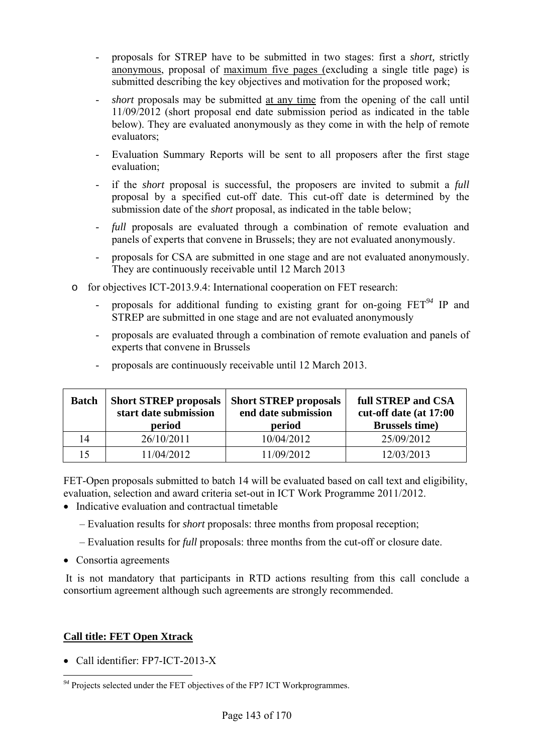- proposals for STREP have to be submitted in two stages: first a *short,* strictly anonymous, proposal of maximum five pages (excluding a single title page) is submitted describing the key objectives and motivation for the proposed work;
- *short* proposals may be submitted at any time from the opening of the call until 11/09/2012 (short proposal end date submission period as indicated in the table below). They are evaluated anonymously as they come in with the help of remote evaluators;
- Evaluation Summary Reports will be sent to all proposers after the first stage evaluation;
- if the *short* proposal is successful, the proposers are invited to submit a *full*  proposal by a specified cut-off date. This cut-off date is determined by the submission date of the *short* proposal, as indicated in the table below;
- *full* proposals are evaluated through a combination of remote evaluation and panels of experts that convene in Brussels; they are not evaluated anonymously.
- proposals for CSA are submitted in one stage and are not evaluated anonymously. They are continuously receivable until 12 March 2013
- o for objectives ICT-2013.9.4: International cooperation on FET research:
	- proposals for additional funding to existing grant for on-going FET*<sup>94</sup>* IP and STREP are submitted in one stage and are not evaluated anonymously
	- proposals are evaluated through a combination of remote evaluation and panels of experts that convene in Brussels
	- proposals are continuously receivable until 12 March 2013.

| <b>Batch</b> | <b>Short STREP proposals</b><br>start date submission<br>period | <b>Short STREP proposals</b><br>end date submission<br>period | full STREP and CSA<br>cut-off date (at 17:00<br><b>Brussels time</b> ) |
|--------------|-----------------------------------------------------------------|---------------------------------------------------------------|------------------------------------------------------------------------|
| 14           | 26/10/2011                                                      | 10/04/2012                                                    | 25/09/2012                                                             |
| 15           | 11/04/2012                                                      | 11/09/2012                                                    | 12/03/2013                                                             |

FET-Open proposals submitted to batch 14 will be evaluated based on call text and eligibility, evaluation, selection and award criteria set-out in ICT Work Programme 2011/2012.

- Indicative evaluation and contractual timetable
	- Evaluation results for *short* proposals: three months from proposal reception;
	- Evaluation results for *full* proposals: three months from the cut-off or closure date.
- Consortia agreements

It is not mandatory that participants in RTD actions resulting from this call conclude a consortium agreement although such agreements are strongly recommended.

#### **Call title: FET Open Xtrack**

• Call identifier: FP7-ICT-2013-X

<sup>1</sup> *<sup>94</sup>* Projects selected under the FET objectives of the FP7 ICT Workprogrammes.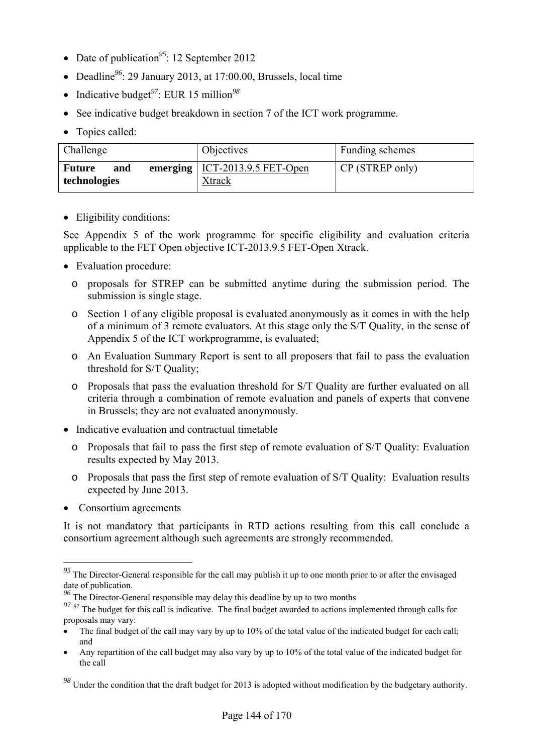- Date of publication<sup>95</sup>: 12 September 2012
- Deadline<sup>96</sup>: 29 January 2013, at 17:00.00, Brussels, local time
- Indicative budget*<sup>97</sup>*: EUR 15 million*<sup>98</sup>*
- See indicative budget breakdown in section 7 of the ICT work programme.
- Topics called:

| Challenge                            | <b>Objectives</b>                                | Funding schemes |
|--------------------------------------|--------------------------------------------------|-----------------|
| <b>Future</b><br>and<br>technologies | emerging $\vert$ ICT-2013.9.5 FET-Open<br>Xtrack | CP (STREP only) |

• Eligibility conditions:

See Appendix 5 of the work programme for specific eligibility and evaluation criteria applicable to the FET Open objective ICT-2013.9.5 FET-Open Xtrack.

- Evaluation procedure:
	- o proposals for STREP can be submitted anytime during the submission period. The submission is single stage.
	- o Section 1 of any eligible proposal is evaluated anonymously as it comes in with the help of a minimum of 3 remote evaluators. At this stage only the S/T Quality, in the sense of Appendix 5 of the ICT workprogramme, is evaluated;
	- o An Evaluation Summary Report is sent to all proposers that fail to pass the evaluation threshold for S/T Quality;
	- o Proposals that pass the evaluation threshold for S/T Quality are further evaluated on all criteria through a combination of remote evaluation and panels of experts that convene in Brussels; they are not evaluated anonymously.
- Indicative evaluation and contractual timetable
	- o Proposals that fail to pass the first step of remote evaluation of S/T Quality: Evaluation results expected by May 2013.
	- o Proposals that pass the first step of remote evaluation of S/T Quality: Evaluation results expected by June 2013.
- Consortium agreements

1

It is not mandatory that participants in RTD actions resulting from this call conclude a consortium agreement although such agreements are strongly recommended.

<sup>&</sup>lt;sup>95</sup> The Director-General responsible for the call may publish it up to one month prior to or after the envisaged date of publication.

*<sup>96</sup>* The Director-General responsible may delay this deadline by up to two months

<sup>&</sup>lt;sup>97</sup> <sup>97</sup> The budget for this call is indicative. The final budget awarded to actions implemented through calls for proposals may vary:

<sup>•</sup> The final budget of the call may vary by up to 10% of the total value of the indicated budget for each call; and

<sup>•</sup> Any repartition of the call budget may also vary by up to 10% of the total value of the indicated budget for the call

*<sup>98</sup>* Under the condition that the draft budget for 2013 is adopted without modification by the budgetary authority.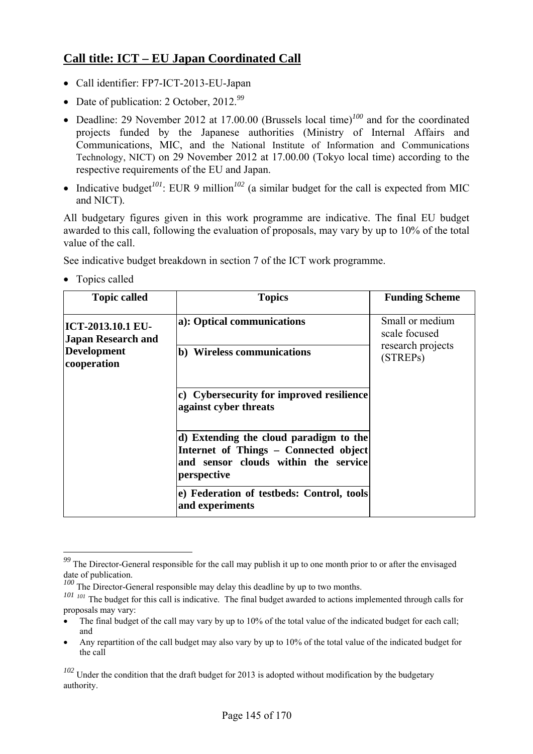# **Call title: ICT – EU Japan Coordinated Call**

- Call identifier: FP7-ICT-2013-EU-Japan
- Date of publication: 2 October, 2012.<sup>99</sup>
- Deadline: 29 November 2012 at 17.00.00 (Brussels local time)*<sup>100</sup>* and for the coordinated projects funded by the Japanese authorities (Ministry of Internal Affairs and Communications, MIC, and the National Institute of Information and Communications Technology, NICT) on 29 November 2012 at 17.00.00 (Tokyo local time) according to the respective requirements of the EU and Japan.
- Indicative budget<sup>101</sup>: EUR 9 million<sup>102</sup> (a similar budget for the call is expected from MIC and NICT).

All budgetary figures given in this work programme are indicative. The final EU budget awarded to this call, following the evaluation of proposals, may vary by up to 10% of the total value of the call.

See indicative budget breakdown in section 7 of the ICT work programme.

• Topics called

<u>.</u>

| <b>Topic called</b>                                                          | <b>Topics</b>                                                                                                                          | <b>Funding Scheme</b>                                             |
|------------------------------------------------------------------------------|----------------------------------------------------------------------------------------------------------------------------------------|-------------------------------------------------------------------|
| ICT-2013.10.1 EU-<br>Japan Research and<br><b>Development</b><br>cooperation | a): Optical communications<br>b) Wireless communications                                                                               | Small or medium<br>scale focused<br>research projects<br>(STREPs) |
|                                                                              | c) Cybersecurity for improved resilience<br>against cyber threats                                                                      |                                                                   |
|                                                                              | d) Extending the cloud paradigm to the<br>Internet of Things - Connected object<br>and sensor clouds within the service<br>perspective |                                                                   |
|                                                                              | e) Federation of testbeds: Control, tools<br>and experiments                                                                           |                                                                   |

<sup>&</sup>lt;sup>99</sup> The Director-General responsible for the call may publish it up to one month prior to or after the envisaged date of publication.

*<sup>100</sup>* The Director-General responsible may delay this deadline by up to two months.

<sup>&</sup>lt;sup>101</sup> <sup>101</sup> <sup>101</sup> The budget for this call is indicative. The final budget awarded to actions implemented through calls for proposals may vary:

<sup>•</sup> The final budget of the call may vary by up to 10% of the total value of the indicated budget for each call; and

<sup>•</sup> Any repartition of the call budget may also vary by up to 10% of the total value of the indicated budget for the call

<sup>&</sup>lt;sup>102</sup> Under the condition that the draft budget for 2013 is adopted without modification by the budgetary authority.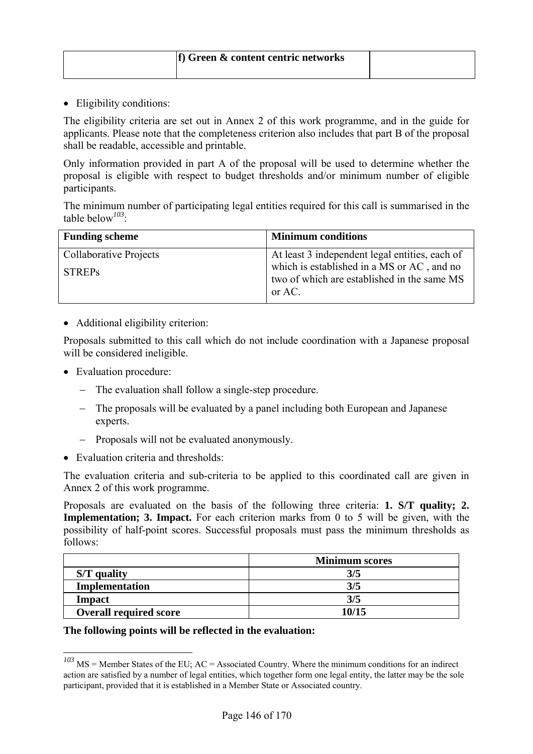| $\vert$ f) Green & content centric networks |  |
|---------------------------------------------|--|
|                                             |  |

• Eligibility conditions:

The eligibility criteria are set out in Annex 2 of this work programme, and in the guide for applicants. Please note that the completeness criterion also includes that part B of the proposal shall be readable, accessible and printable.

Only information provided in part A of the proposal will be used to determine whether the proposal is eligible with respect to budget thresholds and/or minimum number of eligible participants.

The minimum number of participating legal entities required for this call is summarised in the table below*<sup>103</sup>*:

| <b>Funding scheme</b>                   | <b>Minimum conditions</b>                                                                                                                             |
|-----------------------------------------|-------------------------------------------------------------------------------------------------------------------------------------------------------|
| Collaborative Projects<br><b>STREPS</b> | At least 3 independent legal entities, each of<br>which is established in a MS or AC, and no<br>two of which are established in the same MS<br>or AC. |

• Additional eligibility criterion:

Proposals submitted to this call which do not include coordination with a Japanese proposal will be considered ineligible.

• Evaluation procedure:

1

- − The evaluation shall follow a single-step procedure.
- − The proposals will be evaluated by a panel including both European and Japanese experts.
- − Proposals will not be evaluated anonymously.
- Evaluation criteria and thresholds:

The evaluation criteria and sub-criteria to be applied to this coordinated call are given in Annex 2 of this work programme.

Proposals are evaluated on the basis of the following three criteria: **1. S/T quality; 2. Implementation: 3. Impact.** For each criterion marks from 0 to 5 will be given, with the possibility of half-point scores. Successful proposals must pass the minimum thresholds as follows:

|                               | <b>Minimum scores</b> |
|-------------------------------|-----------------------|
| S/T quality                   | 3/5                   |
| Implementation                | 3/5                   |
| <b>Impact</b>                 | 3/5                   |
| <b>Overall required score</b> | 10/15                 |

#### **The following points will be reflected in the evaluation:**

 $^{103}$  MS = Member States of the EU; AC = Associated Country. Where the minimum conditions for an indirect action are satisfied by a number of legal entities, which together form one legal entity, the latter may be the sole participant, provided that it is established in a Member State or Associated country.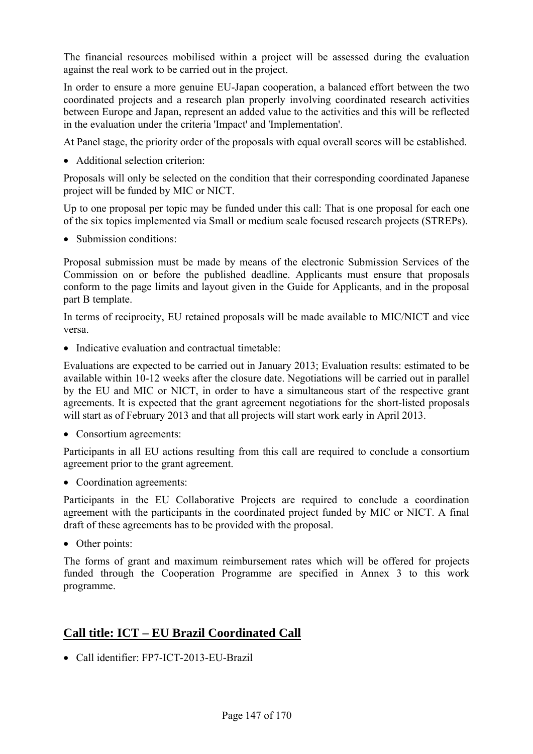The financial resources mobilised within a project will be assessed during the evaluation against the real work to be carried out in the project.

In order to ensure a more genuine EU-Japan cooperation, a balanced effort between the two coordinated projects and a research plan properly involving coordinated research activities between Europe and Japan, represent an added value to the activities and this will be reflected in the evaluation under the criteria 'Impact' and 'Implementation'.

At Panel stage, the priority order of the proposals with equal overall scores will be established.

• Additional selection criterion:

Proposals will only be selected on the condition that their corresponding coordinated Japanese project will be funded by MIC or NICT.

Up to one proposal per topic may be funded under this call: That is one proposal for each one of the six topics implemented via Small or medium scale focused research projects (STREPs).

• Submission conditions:

Proposal submission must be made by means of the electronic Submission Services of the Commission on or before the published deadline. Applicants must ensure that proposals conform to the page limits and layout given in the Guide for Applicants, and in the proposal part B template.

In terms of reciprocity, EU retained proposals will be made available to MIC/NICT and vice versa.

• Indicative evaluation and contractual timetable:

Evaluations are expected to be carried out in January 2013; Evaluation results: estimated to be available within 10-12 weeks after the closure date. Negotiations will be carried out in parallel by the EU and MIC or NICT, in order to have a simultaneous start of the respective grant agreements. It is expected that the grant agreement negotiations for the short-listed proposals will start as of February 2013 and that all projects will start work early in April 2013.

• Consortium agreements:

Participants in all EU actions resulting from this call are required to conclude a consortium agreement prior to the grant agreement.

• Coordination agreements:

Participants in the EU Collaborative Projects are required to conclude a coordination agreement with the participants in the coordinated project funded by MIC or NICT. A final draft of these agreements has to be provided with the proposal.

• Other points:

The forms of grant and maximum reimbursement rates which will be offered for projects funded through the Cooperation Programme are specified in Annex 3 to this work programme.

# **Call title: ICT – EU Brazil Coordinated Call**

• Call identifier: FP7-ICT-2013-EU-Brazil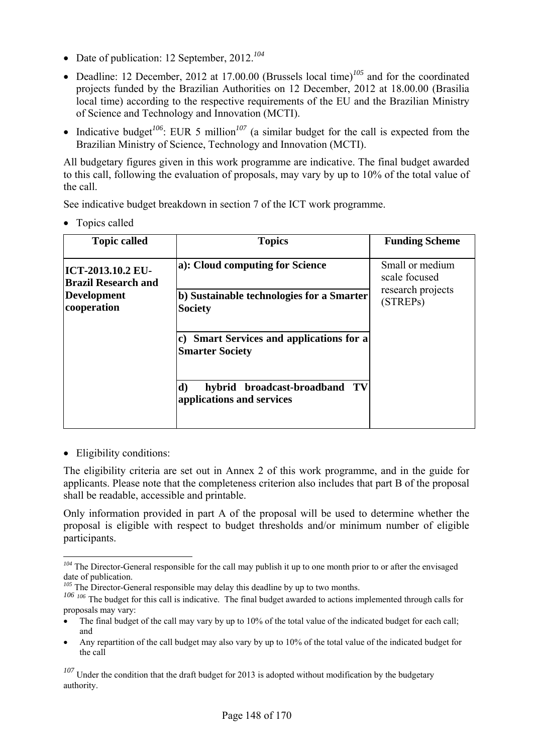- Date of publication: 12 September, 2012.*<sup>104</sup>*
- Deadline: 12 December, 2012 at 17.00.00 (Brussels local time)<sup>105</sup> and for the coordinated projects funded by the Brazilian Authorities on 12 December, 2012 at 18.00.00 (Brasilia local time) according to the respective requirements of the EU and the Brazilian Ministry of Science and Technology and Innovation (MCTI).
- Indicative budget<sup> $106$ </sup>: EUR 5 million<sup> $107$ </sup> (a similar budget for the call is expected from the Brazilian Ministry of Science, Technology and Innovation (MCTI).

All budgetary figures given in this work programme are indicative. The final budget awarded to this call, following the evaluation of proposals, may vary by up to 10% of the total value of the call.

See indicative budget breakdown in section 7 of the ICT work programme.

• Topics called

| <b>Topic called</b>                                    | <b>Topics</b>                                                       | <b>Funding Scheme</b>            |
|--------------------------------------------------------|---------------------------------------------------------------------|----------------------------------|
| <b>ICT-2013.10.2 EU-</b><br><b>Brazil Research and</b> | a): Cloud computing for Science                                     | Small or medium<br>scale focused |
| <b>Development</b><br>cooperation                      | b) Sustainable technologies for a Smarter<br><b>Society</b>         | research projects<br>(STREPs)    |
|                                                        | c) Smart Services and applications for a<br><b>Smarter Society</b>  |                                  |
|                                                        | d)<br>broadcast-broadband TV<br>hybrid<br>applications and services |                                  |

• Eligibility conditions:

1

The eligibility criteria are set out in Annex 2 of this work programme, and in the guide for applicants. Please note that the completeness criterion also includes that part B of the proposal shall be readable, accessible and printable.

Only information provided in part A of the proposal will be used to determine whether the proposal is eligible with respect to budget thresholds and/or minimum number of eligible participants.

<sup>&</sup>lt;sup>104</sup> The Director-General responsible for the call may publish it up to one month prior to or after the envisaged date of publication.

<sup>&</sup>lt;sup>105</sup> The Director-General responsible may delay this deadline by up to two months.

<sup>&</sup>lt;sup>106</sup><sup>106</sup> <sup>106</sup> <sup>106</sup> <sup>106</sup> <sup>106</sup> <sup>106</sup> <sup>106</sup> <sup>106</sup> **10** <sup>106</sup> <sup>106</sup> <sup>106</sup> <sup>106</sup> <sup>106</sup> <sup>106</sup> <sup>106</sup> <sup>106</sup> <sup>106</sup> <sup>106</sup> <sup>106</sup> <sup>106</sup> <sup>106</sup> <sup>106</sup> <sup>106</sup> <sup>106</sup> <sup>106</sup> <sup>106</sup> <sup>106</sup> <sup>106</sup> <sup>106</sup> <sup>106</sup> <sup>106</sup> <sup>106</sup> <sup>106</sup> <sup>106</sup> <sup>106</sup> <sup>1</sup> proposals may vary:

<sup>•</sup> The final budget of the call may vary by up to 10% of the total value of the indicated budget for each call; and

<sup>•</sup> Any repartition of the call budget may also vary by up to 10% of the total value of the indicated budget for the call

 $107$  Under the condition that the draft budget for 2013 is adopted without modification by the budgetary authority.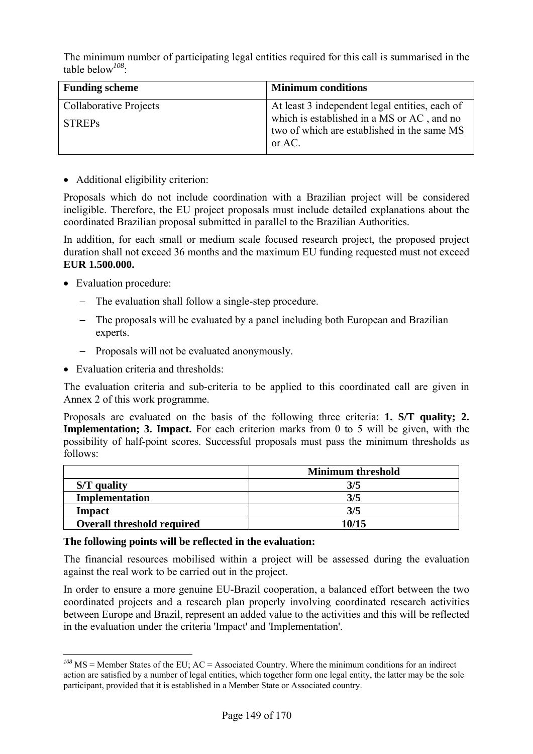The minimum number of participating legal entities required for this call is summarised in the table below*<sup>108</sup>*:

| <b>Funding scheme</b>                          | <b>Minimum conditions</b>                                                                                                                             |
|------------------------------------------------|-------------------------------------------------------------------------------------------------------------------------------------------------------|
| <b>Collaborative Projects</b><br><b>STREPS</b> | At least 3 independent legal entities, each of<br>which is established in a MS or AC, and no<br>two of which are established in the same MS<br>or AC. |

• Additional eligibility criterion:

Proposals which do not include coordination with a Brazilian project will be considered ineligible. Therefore, the EU project proposals must include detailed explanations about the coordinated Brazilian proposal submitted in parallel to the Brazilian Authorities.

In addition, for each small or medium scale focused research project, the proposed project duration shall not exceed 36 months and the maximum EU funding requested must not exceed **EUR 1.500.000.** 

• Evaluation procedure:

1

- − The evaluation shall follow a single-step procedure.
- − The proposals will be evaluated by a panel including both European and Brazilian experts.
- − Proposals will not be evaluated anonymously.
- Evaluation criteria and thresholds:

The evaluation criteria and sub-criteria to be applied to this coordinated call are given in Annex 2 of this work programme.

Proposals are evaluated on the basis of the following three criteria: **1. S/T quality; 2. Implementation; 3. Impact.** For each criterion marks from 0 to 5 will be given, with the possibility of half-point scores. Successful proposals must pass the minimum thresholds as follows:

|                                   | <b>Minimum threshold</b> |
|-----------------------------------|--------------------------|
| S/T quality                       | 3/5                      |
| <b>Implementation</b>             | 3/5                      |
| Impact                            | 3/5                      |
| <b>Overall threshold required</b> | 10/15                    |

#### **The following points will be reflected in the evaluation:**

The financial resources mobilised within a project will be assessed during the evaluation against the real work to be carried out in the project.

In order to ensure a more genuine EU-Brazil cooperation, a balanced effort between the two coordinated projects and a research plan properly involving coordinated research activities between Europe and Brazil, represent an added value to the activities and this will be reflected in the evaluation under the criteria 'Impact' and 'Implementation'.

 $108$  MS = Member States of the EU; AC = Associated Country. Where the minimum conditions for an indirect action are satisfied by a number of legal entities, which together form one legal entity, the latter may be the sole participant, provided that it is established in a Member State or Associated country.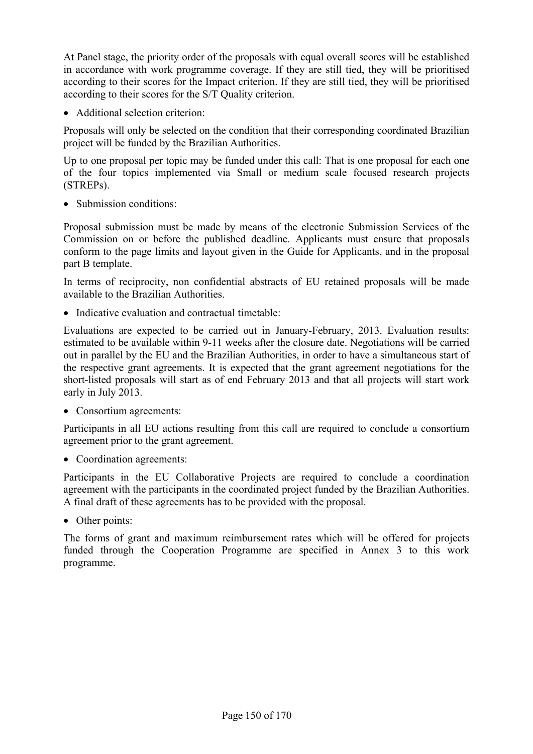At Panel stage, the priority order of the proposals with equal overall scores will be established in accordance with work programme coverage. If they are still tied, they will be prioritised according to their scores for the Impact criterion. If they are still tied, they will be prioritised according to their scores for the S/T Quality criterion.

• Additional selection criterion:

Proposals will only be selected on the condition that their corresponding coordinated Brazilian project will be funded by the Brazilian Authorities.

Up to one proposal per topic may be funded under this call: That is one proposal for each one of the four topics implemented via Small or medium scale focused research projects (STREPs).

• Submission conditions:

Proposal submission must be made by means of the electronic Submission Services of the Commission on or before the published deadline. Applicants must ensure that proposals conform to the page limits and layout given in the Guide for Applicants, and in the proposal part B template.

In terms of reciprocity, non confidential abstracts of EU retained proposals will be made available to the Brazilian Authorities.

• Indicative evaluation and contractual timetable:

Evaluations are expected to be carried out in January-February, 2013. Evaluation results: estimated to be available within 9-11 weeks after the closure date. Negotiations will be carried out in parallel by the EU and the Brazilian Authorities, in order to have a simultaneous start of the respective grant agreements. It is expected that the grant agreement negotiations for the short-listed proposals will start as of end February 2013 and that all projects will start work early in July 2013.

• Consortium agreements:

Participants in all EU actions resulting from this call are required to conclude a consortium agreement prior to the grant agreement.

• Coordination agreements:

Participants in the EU Collaborative Projects are required to conclude a coordination agreement with the participants in the coordinated project funded by the Brazilian Authorities. A final draft of these agreements has to be provided with the proposal.

• Other points:

The forms of grant and maximum reimbursement rates which will be offered for projects funded through the Cooperation Programme are specified in Annex 3 to this work programme.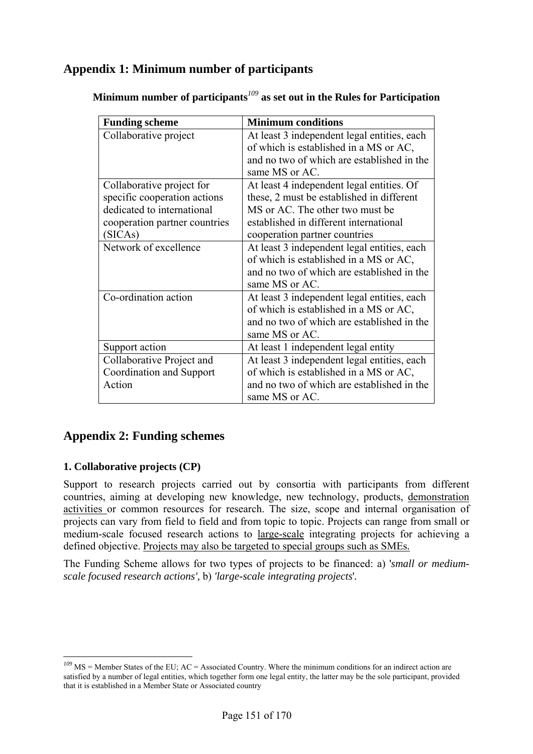# **Appendix 1: Minimum number of participants**

| <b>Funding scheme</b>                                                                                                               | <b>Minimum conditions</b>                                                                                                                                                                            |
|-------------------------------------------------------------------------------------------------------------------------------------|------------------------------------------------------------------------------------------------------------------------------------------------------------------------------------------------------|
| Collaborative project                                                                                                               | At least 3 independent legal entities, each<br>of which is established in a MS or AC,<br>and no two of which are established in the<br>same MS or AC.                                                |
| Collaborative project for<br>specific cooperation actions<br>dedicated to international<br>cooperation partner countries<br>(SICAs) | At least 4 independent legal entities. Of<br>these, 2 must be established in different<br>MS or AC. The other two must be<br>established in different international<br>cooperation partner countries |
| Network of excellence                                                                                                               | At least 3 independent legal entities, each<br>of which is established in a MS or AC,<br>and no two of which are established in the<br>same MS or AC.                                                |
| Co-ordination action                                                                                                                | At least 3 independent legal entities, each<br>of which is established in a MS or AC,<br>and no two of which are established in the<br>same MS or AC.                                                |
| Support action                                                                                                                      | At least 1 independent legal entity                                                                                                                                                                  |
| Collaborative Project and<br>Coordination and Support<br>Action                                                                     | At least 3 independent legal entities, each<br>of which is established in a MS or AC,<br>and no two of which are established in the<br>same MS or AC.                                                |

**Minimum number of participants***<sup>109</sup>* **as set out in the Rules for Participation** 

# **Appendix 2: Funding schemes**

#### **1. Collaborative projects (CP)**

1

Support to research projects carried out by consortia with participants from different countries, aiming at developing new knowledge, new technology, products, demonstration activities or common resources for research. The size, scope and internal organisation of projects can vary from field to field and from topic to topic. Projects can range from small or medium-scale focused research actions to large-scale integrating projects for achieving a defined objective. Projects may also be targeted to special groups such as SMEs*.*

The Funding Scheme allows for two types of projects to be financed: a) '*small or mediumscale focused research actions',* b) *'large-scale integrating projects*'*.* 

 $^{109}$  MS = Member States of the EU; AC = Associated Country. Where the minimum conditions for an indirect action are satisfied by a number of legal entities, which together form one legal entity, the latter may be the sole participant, provided that it is established in a Member State or Associated country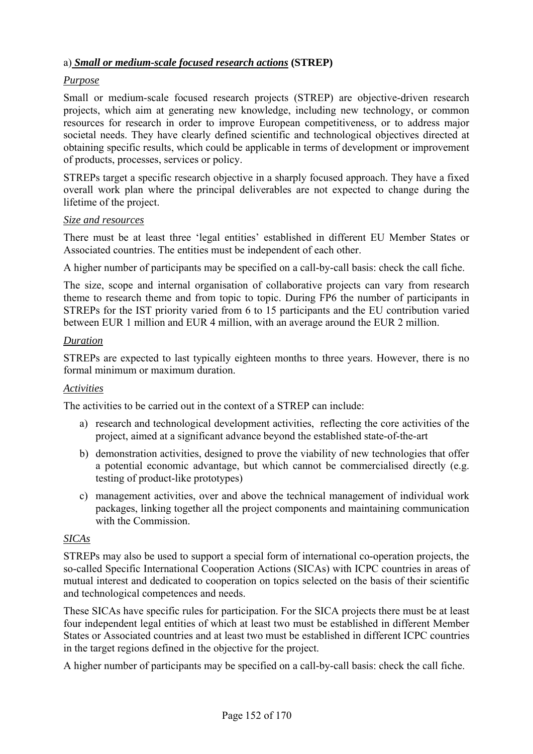## a) *Small or medium-scale focused research actions* **(STREP)**

#### *Purpose*

Small or medium-scale focused research projects (STREP) are objective-driven research projects, which aim at generating new knowledge, including new technology, or common resources for research in order to improve European competitiveness, or to address major societal needs. They have clearly defined scientific and technological objectives directed at obtaining specific results, which could be applicable in terms of development or improvement of products, processes, services or policy.

STREPs target a specific research objective in a sharply focused approach. They have a fixed overall work plan where the principal deliverables are not expected to change during the lifetime of the project.

#### *Size and resources*

There must be at least three 'legal entities' established in different EU Member States or Associated countries. The entities must be independent of each other.

A higher number of participants may be specified on a call-by-call basis: check the call fiche.

The size, scope and internal organisation of collaborative projects can vary from research theme to research theme and from topic to topic. During FP6 the number of participants in STREPs for the IST priority varied from 6 to 15 participants and the EU contribution varied between EUR 1 million and EUR 4 million, with an average around the EUR 2 million.

#### *Duration*

STREPs are expected to last typically eighteen months to three years. However, there is no formal minimum or maximum duration.

#### *Activities*

The activities to be carried out in the context of a STREP can include:

- a) research and technological development activities, reflecting the core activities of the project, aimed at a significant advance beyond the established state-of-the-art
- b) demonstration activities, designed to prove the viability of new technologies that offer a potential economic advantage, but which cannot be commercialised directly (e.g. testing of product-like prototypes)
- c) management activities, over and above the technical management of individual work packages, linking together all the project components and maintaining communication with the Commission.

#### *SICAs*

STREPs may also be used to support a special form of international co-operation projects, the so-called Specific International Cooperation Actions (SICAs) with ICPC countries in areas of mutual interest and dedicated to cooperation on topics selected on the basis of their scientific and technological competences and needs.

These SICAs have specific rules for participation. For the SICA projects there must be at least four independent legal entities of which at least two must be established in different Member States or Associated countries and at least two must be established in different ICPC countries in the target regions defined in the objective for the project.

A higher number of participants may be specified on a call-by-call basis: check the call fiche.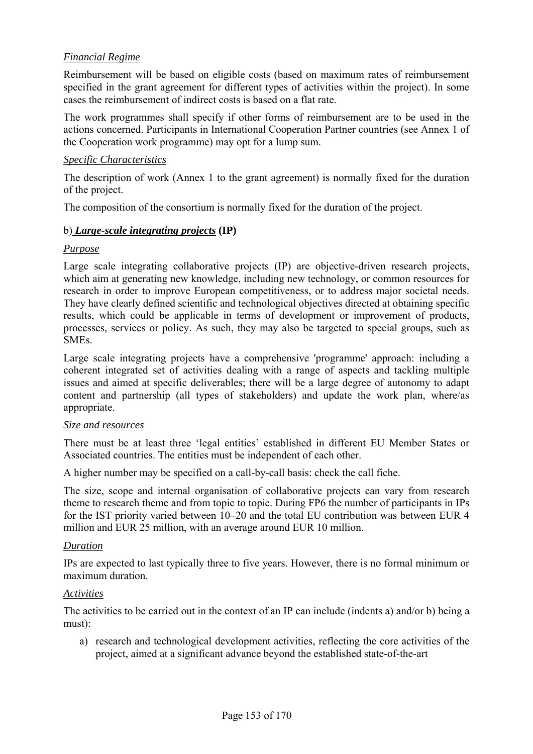## *Financial Regime*

Reimbursement will be based on eligible costs (based on maximum rates of reimbursement specified in the grant agreement for different types of activities within the project). In some cases the reimbursement of indirect costs is based on a flat rate.

The work programmes shall specify if other forms of reimbursement are to be used in the actions concerned. Participants in International Cooperation Partner countries (see Annex 1 of the Cooperation work programme) may opt for a lump sum.

#### *Specific Characteristics*

The description of work (Annex 1 to the grant agreement) is normally fixed for the duration of the project.

The composition of the consortium is normally fixed for the duration of the project.

#### b) *Large-scale integrating projects* **(IP)**

#### *Purpose*

Large scale integrating collaborative projects (IP) are objective-driven research projects, which aim at generating new knowledge, including new technology, or common resources for research in order to improve European competitiveness, or to address major societal needs. They have clearly defined scientific and technological objectives directed at obtaining specific results, which could be applicable in terms of development or improvement of products, processes, services or policy. As such, they may also be targeted to special groups, such as **SMEs**.

Large scale integrating projects have a comprehensive 'programme' approach: including a coherent integrated set of activities dealing with a range of aspects and tackling multiple issues and aimed at specific deliverables; there will be a large degree of autonomy to adapt content and partnership (all types of stakeholders) and update the work plan, where/as appropriate.

#### *Size and resources*

There must be at least three 'legal entities' established in different EU Member States or Associated countries. The entities must be independent of each other.

A higher number may be specified on a call-by-call basis: check the call fiche.

The size, scope and internal organisation of collaborative projects can vary from research theme to research theme and from topic to topic. During FP6 the number of participants in IPs for the IST priority varied between 10–20 and the total EU contribution was between EUR 4 million and EUR 25 million, with an average around EUR 10 million.

#### *Duration*

IPs are expected to last typically three to five years. However, there is no formal minimum or maximum duration.

#### *Activities*

The activities to be carried out in the context of an IP can include (indents a) and/or b) being a must):

a) research and technological development activities, reflecting the core activities of the project, aimed at a significant advance beyond the established state-of-the-art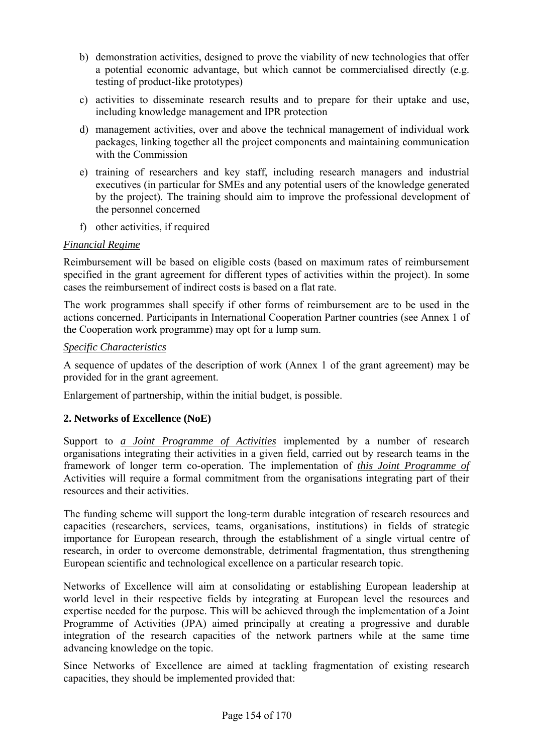- b) demonstration activities, designed to prove the viability of new technologies that offer a potential economic advantage, but which cannot be commercialised directly (e.g. testing of product-like prototypes)
- c) activities to disseminate research results and to prepare for their uptake and use, including knowledge management and IPR protection
- d) management activities, over and above the technical management of individual work packages, linking together all the project components and maintaining communication with the Commission
- e) training of researchers and key staff, including research managers and industrial executives (in particular for SMEs and any potential users of the knowledge generated by the project). The training should aim to improve the professional development of the personnel concerned
- f) other activities, if required

## *Financial Regime*

Reimbursement will be based on eligible costs (based on maximum rates of reimbursement specified in the grant agreement for different types of activities within the project). In some cases the reimbursement of indirect costs is based on a flat rate.

The work programmes shall specify if other forms of reimbursement are to be used in the actions concerned. Participants in International Cooperation Partner countries (see Annex 1 of the Cooperation work programme) may opt for a lump sum.

#### *Specific Characteristics*

A sequence of updates of the description of work (Annex 1 of the grant agreement) may be provided for in the grant agreement.

Enlargement of partnership, within the initial budget, is possible.

#### **2. Networks of Excellence (NoE)**

Support to *a Joint Programme of Activities* implemented by a number of research organisations integrating their activities in a given field, carried out by research teams in the framework of longer term co-operation. The implementation of *this Joint Programme of*  Activities will require a formal commitment from the organisations integrating part of their resources and their activities.

The funding scheme will support the long-term durable integration of research resources and capacities (researchers, services, teams, organisations, institutions) in fields of strategic importance for European research, through the establishment of a single virtual centre of research, in order to overcome demonstrable, detrimental fragmentation, thus strengthening European scientific and technological excellence on a particular research topic.

Networks of Excellence will aim at consolidating or establishing European leadership at world level in their respective fields by integrating at European level the resources and expertise needed for the purpose. This will be achieved through the implementation of a Joint Programme of Activities (JPA) aimed principally at creating a progressive and durable integration of the research capacities of the network partners while at the same time advancing knowledge on the topic.

Since Networks of Excellence are aimed at tackling fragmentation of existing research capacities, they should be implemented provided that: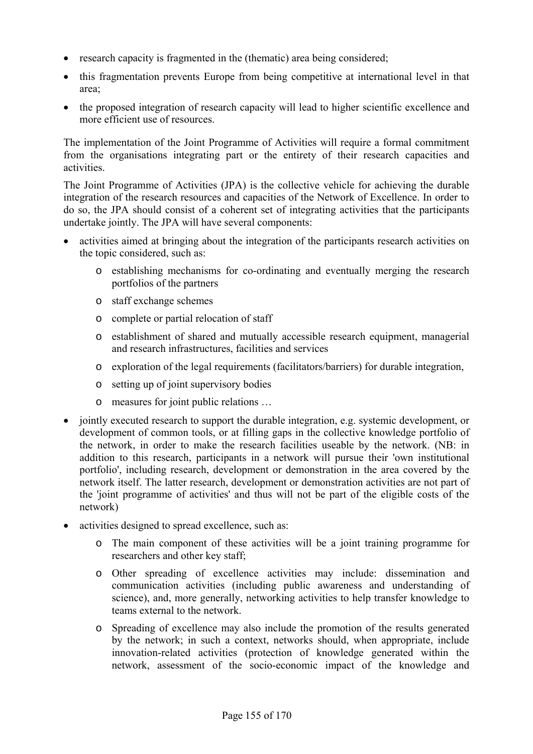- research capacity is fragmented in the (thematic) area being considered;
- this fragmentation prevents Europe from being competitive at international level in that area;
- the proposed integration of research capacity will lead to higher scientific excellence and more efficient use of resources.

The implementation of the Joint Programme of Activities will require a formal commitment from the organisations integrating part or the entirety of their research capacities and activities.

The Joint Programme of Activities (JPA) is the collective vehicle for achieving the durable integration of the research resources and capacities of the Network of Excellence. In order to do so, the JPA should consist of a coherent set of integrating activities that the participants undertake jointly. The JPA will have several components:

- activities aimed at bringing about the integration of the participants research activities on the topic considered, such as:
	- o establishing mechanisms for co-ordinating and eventually merging the research portfolios of the partners
	- o staff exchange schemes
	- o complete or partial relocation of staff
	- o establishment of shared and mutually accessible research equipment, managerial and research infrastructures, facilities and services
	- o exploration of the legal requirements (facilitators/barriers) for durable integration,
	- o setting up of joint supervisory bodies
	- o measures for joint public relations …
- jointly executed research to support the durable integration, e.g. systemic development, or development of common tools, or at filling gaps in the collective knowledge portfolio of the network, in order to make the research facilities useable by the network. (NB: in addition to this research, participants in a network will pursue their 'own institutional portfolio', including research, development or demonstration in the area covered by the network itself. The latter research, development or demonstration activities are not part of the 'joint programme of activities' and thus will not be part of the eligible costs of the network)
- activities designed to spread excellence, such as:
	- o The main component of these activities will be a joint training programme for researchers and other key staff;
	- o Other spreading of excellence activities may include: dissemination and communication activities (including public awareness and understanding of science), and, more generally, networking activities to help transfer knowledge to teams external to the network.
	- o Spreading of excellence may also include the promotion of the results generated by the network; in such a context, networks should, when appropriate, include innovation-related activities (protection of knowledge generated within the network, assessment of the socio-economic impact of the knowledge and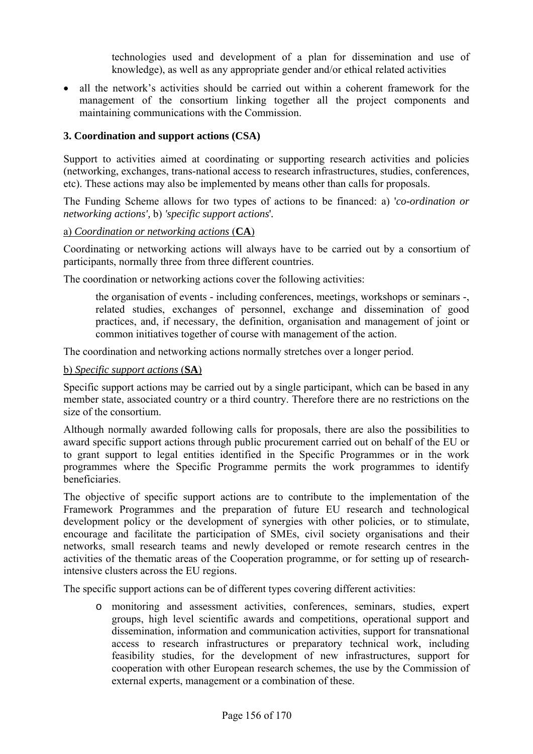technologies used and development of a plan for dissemination and use of knowledge), as well as any appropriate gender and/or ethical related activities

• all the network's activities should be carried out within a coherent framework for the management of the consortium linking together all the project components and maintaining communications with the Commission.

#### **3. Coordination and support actions (CSA)**

Support to activities aimed at coordinating or supporting research activities and policies (networking, exchanges, trans-national access to research infrastructures, studies, conferences, etc). These actions may also be implemented by means other than calls for proposals.

The Funding Scheme allows for two types of actions to be financed: a) '*co-ordination or networking actions',* b) *'specific support actions*'*.* 

#### a) *Coordination or networking actions* (**CA**)

Coordinating or networking actions will always have to be carried out by a consortium of participants, normally three from three different countries.

The coordination or networking actions cover the following activities:

the organisation of events - including conferences, meetings, workshops or seminars -, related studies, exchanges of personnel, exchange and dissemination of good practices, and, if necessary, the definition, organisation and management of joint or common initiatives together of course with management of the action.

The coordination and networking actions normally stretches over a longer period.

#### b) *Specific support actions* (**SA**)

Specific support actions may be carried out by a single participant, which can be based in any member state, associated country or a third country. Therefore there are no restrictions on the size of the consortium.

Although normally awarded following calls for proposals, there are also the possibilities to award specific support actions through public procurement carried out on behalf of the EU or to grant support to legal entities identified in the Specific Programmes or in the work programmes where the Specific Programme permits the work programmes to identify beneficiaries.

The objective of specific support actions are to contribute to the implementation of the Framework Programmes and the preparation of future EU research and technological development policy or the development of synergies with other policies, or to stimulate, encourage and facilitate the participation of SMEs, civil society organisations and their networks, small research teams and newly developed or remote research centres in the activities of the thematic areas of the Cooperation programme, or for setting up of researchintensive clusters across the EU regions.

The specific support actions can be of different types covering different activities:

o monitoring and assessment activities, conferences, seminars, studies, expert groups, high level scientific awards and competitions, operational support and dissemination, information and communication activities, support for transnational access to research infrastructures or preparatory technical work, including feasibility studies, for the development of new infrastructures, support for cooperation with other European research schemes, the use by the Commission of external experts, management or a combination of these.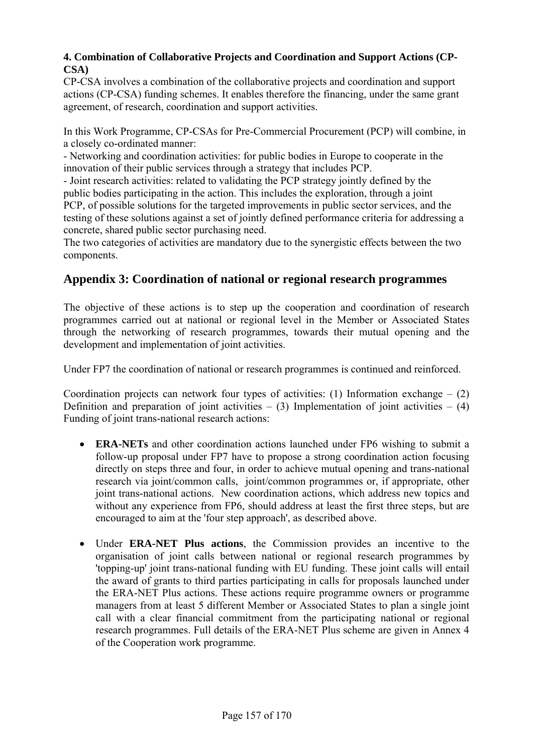#### **4. Combination of Collaborative Projects and Coordination and Support Actions (CP-CSA)**

CP-CSA involves a combination of the collaborative projects and coordination and support actions (CP-CSA) funding schemes. It enables therefore the financing, under the same grant agreement, of research, coordination and support activities.

In this Work Programme, CP-CSAs for Pre-Commercial Procurement (PCP) will combine, in a closely co-ordinated manner:

- Networking and coordination activities: for public bodies in Europe to cooperate in the innovation of their public services through a strategy that includes PCP.

- Joint research activities: related to validating the PCP strategy jointly defined by the public bodies participating in the action. This includes the exploration, through a joint PCP, of possible solutions for the targeted improvements in public sector services, and the testing of these solutions against a set of jointly defined performance criteria for addressing a concrete, shared public sector purchasing need.

The two categories of activities are mandatory due to the synergistic effects between the two components.

# **Appendix 3: Coordination of national or regional research programmes**

The objective of these actions is to step up the cooperation and coordination of research programmes carried out at national or regional level in the Member or Associated States through the networking of research programmes, towards their mutual opening and the development and implementation of joint activities.

Under FP7 the coordination of national or research programmes is continued and reinforced.

Coordination projects can network four types of activities: (1) Information exchange  $-$  (2) Definition and preparation of joint activities – (3) Implementation of joint activities – (4) Funding of joint trans-national research actions:

- **ERA-NETs** and other coordination actions launched under FP6 wishing to submit a follow-up proposal under FP7 have to propose a strong coordination action focusing directly on steps three and four, in order to achieve mutual opening and trans-national research via joint/common calls, joint/common programmes or, if appropriate, other joint trans-national actions. New coordination actions, which address new topics and without any experience from FP6, should address at least the first three steps, but are encouraged to aim at the 'four step approach', as described above.
- Under **ERA-NET Plus actions**, the Commission provides an incentive to the organisation of joint calls between national or regional research programmes by 'topping-up' joint trans-national funding with EU funding. These joint calls will entail the award of grants to third parties participating in calls for proposals launched under the ERA-NET Plus actions. These actions require programme owners or programme managers from at least 5 different Member or Associated States to plan a single joint call with a clear financial commitment from the participating national or regional research programmes. Full details of the ERA-NET Plus scheme are given in Annex 4 of the Cooperation work programme.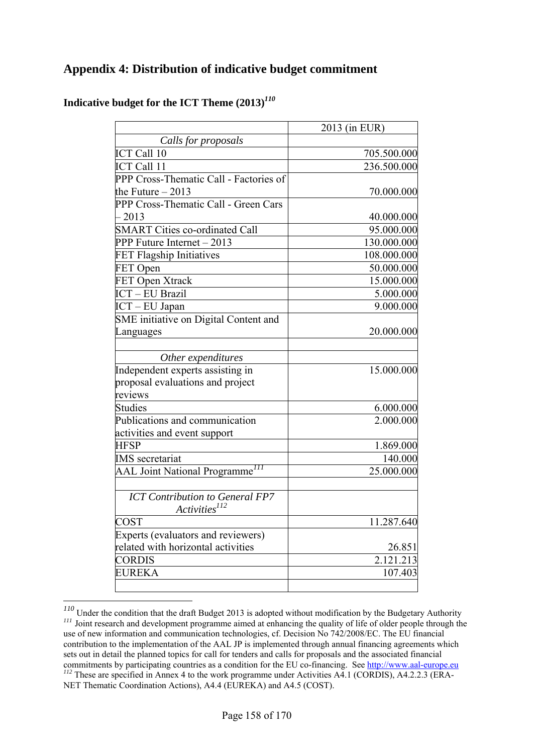# **Appendix 4: Distribution of indicative budget commitment**

## 2013 (in EUR) *Calls for proposals*  **ICT Call 10** 705.500.000 **ICT Call 11** 236.500.000 PPP Cross-Thematic Call - Factories of the Future – 2013 70.000.000 PPP Cross-Thematic Call - Green Cars - 2013 40.000.000<br>
SMART Cities co-ordinated Call 40.000.000 **SMART Cities co-ordinated Call** PPP Future Internet – 2013 130.000.000 FET Flagship Initiatives 108.000.000 **FET Open** 50.000.000 FET Open Xtrack 15.000.000  $\text{ICT} - \text{EU Brazil}$  5.000.000  $\text{ICT} - \text{EU Japan}$  9.000.000 SME initiative on Digital Content and Languages 20.000.000 *Other expenditures*  Independent experts assisting in proposal evaluations and project reviews 15.000.000 Studies 6.000.000 Publications and communication activities and event support 2.000.000 HFSP 1.869.000 IMS secretariat 140.000 AAL Joint National Programme*<sup>111</sup>* 25.000.000 *ICT Contribution to General FP7 Activities*<sup>112</sup> COST 11.287.640 Experts (evaluators and reviewers) related with horizontal activities and the set of the 26.851 CORDIS 2.121.213 EUREKA 107.403

## **Indicative budget for the ICT Theme (2013)***<sup>110</sup>*

*<sup>110</sup>* Under the condition that the draft Budget 2013 is adopted without modification by the Budgetary Authority <sup>111</sup> Joint research and development programme aimed at enhancing the quality of life of older people through the use of new information and communication technologies, cf. Decision No 742/2008/EC. The EU financial contribution to the implementation of the AAL JP is implemented through annual financing agreements which sets out in detail the planned topics for call for tenders and calls for proposals and the associated financial commitments by participating countries as a condition for the EU co-financing. Se[e http://www.aal-europe.eu](http://www.aal-europe.eu/) <sup>112</sup> These are specified in Annex 4 to the work programme under Activities A4.1 (CORDIS), A4.2.2.3 (ERA-NET Thematic Coordination Actions), A4.4 (EUREKA) and A4.5 (COST).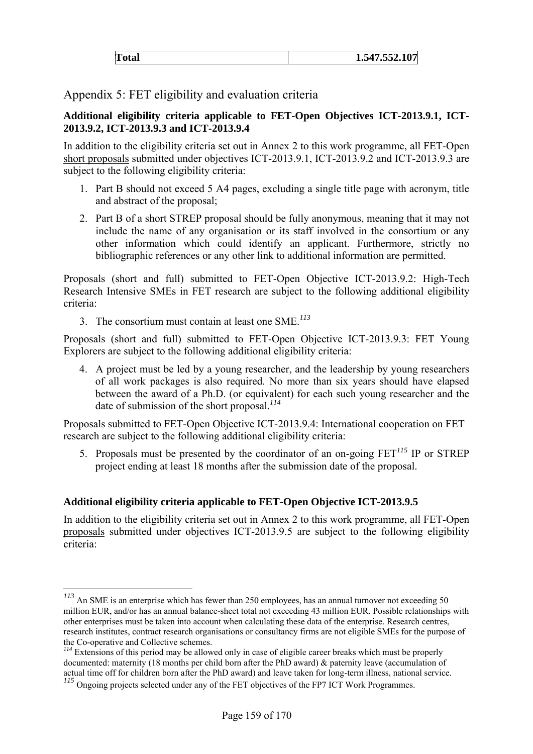| <b>Total</b> | ' <i>EEA</i> 105.<br>347.552.107 |
|--------------|----------------------------------|
|--------------|----------------------------------|

## Appendix 5: FET eligibility and evaluation criteria

#### **Additional eligibility criteria applicable to FET-Open Objectives ICT-2013.9.1, ICT-2013.9.2, ICT-2013.9.3 and ICT-2013.9.4**

In addition to the eligibility criteria set out in Annex 2 to this work programme, all FET-Open short proposals submitted under objectives ICT-2013.9.1, ICT-2013.9.2 and ICT-2013.9.3 are subject to the following eligibility criteria:

- 1. Part B should not exceed 5 A4 pages, excluding a single title page with acronym, title and abstract of the proposal;
- 2. Part B of a short STREP proposal should be fully anonymous, meaning that it may not include the name of any organisation or its staff involved in the consortium or any other information which could identify an applicant. Furthermore, strictly no bibliographic references or any other link to additional information are permitted.

Proposals (short and full) submitted to FET-Open Objective ICT-2013.9.2: High-Tech Research Intensive SMEs in FET research are subject to the following additional eligibility criteria:

3. The consortium must contain at least one SME.*<sup>113</sup>*

<u>.</u>

Proposals (short and full) submitted to FET-Open Objective ICT-2013.9.3: FET Young Explorers are subject to the following additional eligibility criteria:

4. A project must be led by a young researcher, and the leadership by young researchers of all work packages is also required. No more than six years should have elapsed between the award of a Ph.D. (or equivalent) for each such young researcher and the date of submission of the short proposal.*<sup>114</sup>*

Proposals submitted to FET-Open Objective ICT-2013.9.4: International cooperation on FET research are subject to the following additional eligibility criteria:

5. Proposals must be presented by the coordinator of an on-going FET*<sup>115</sup>* IP or STREP project ending at least 18 months after the submission date of the proposal.

## **Additional eligibility criteria applicable to FET-Open Objective ICT-2013.9.5**

In addition to the eligibility criteria set out in Annex 2 to this work programme, all FET-Open proposals submitted under objectives ICT-2013.9.5 are subject to the following eligibility criteria:

<sup>&</sup>lt;sup>113</sup> An SME is an enterprise which has fewer than 250 employees, has an annual turnover not exceeding 50 million EUR, and/or has an annual balance-sheet total not exceeding 43 million EUR. Possible relationships with other enterprises must be taken into account when calculating these data of the enterprise. Research centres, research institutes, contract research organisations or consultancy firms are not eligible SMEs for the purpose of the Co-operative and Collective schemes.

<sup>&</sup>lt;sup>114</sup> Extensions of this period may be allowed only in case of eligible career breaks which must be properly documented: maternity (18 months per child born after the PhD award) & paternity leave (accumulation of actual time off for children born after the PhD award) and leave taken for long-term illness, national service.

*<sup>115</sup>* Ongoing projects selected under any of the FET objectives of the FP7 ICT Work Programmes.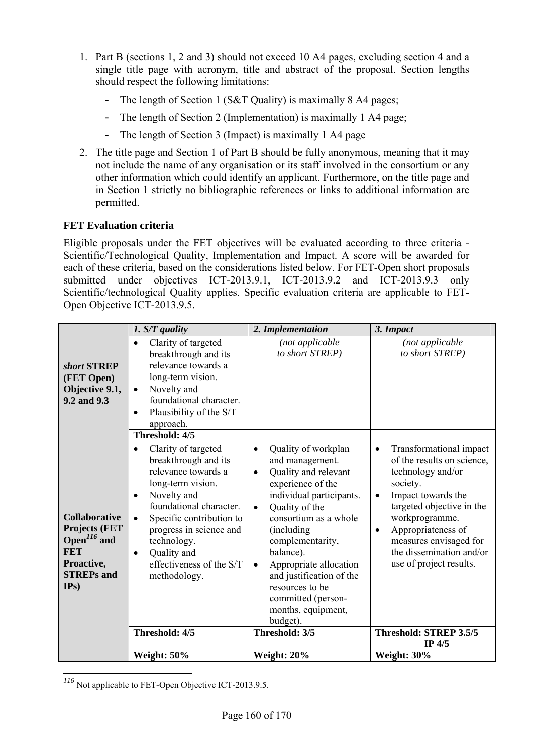- 1. Part B (sections 1, 2 and 3) should not exceed 10 A4 pages, excluding section 4 and a single title page with acronym, title and abstract of the proposal. Section lengths should respect the following limitations:
	- The length of Section 1 (S&T Quality) is maximally 8 A4 pages;
	- The length of Section 2 (Implementation) is maximally 1 A4 page;
	- The length of Section 3 (Impact) is maximally 1 A4 page
- 2. The title page and Section 1 of Part B should be fully anonymous, meaning that it may not include the name of any organisation or its staff involved in the consortium or any other information which could identify an applicant. Furthermore, on the title page and in Section 1 strictly no bibliographic references or links to additional information are permitted.

## **FET Evaluation criteria**

Eligible proposals under the FET objectives will be evaluated according to three criteria - Scientific/Technological Quality, Implementation and Impact. A score will be awarded for each of these criteria, based on the considerations listed below. For FET-Open short proposals submitted under objectives ICT-2013.9.1, ICT-2013.9.2 and ICT-2013.9.3 only Scientific/technological Quality applies. Specific evaluation criteria are applicable to FET-Open Objective ICT-2013.9.5.

| (not applicable<br>(not applicable<br>Clarity of targeted<br>$\bullet$<br>to short STREP)<br>to short STREP)<br>breakthrough and its<br>relevance towards a<br>short STREP<br>long-term vision.<br>(FET Open)<br>Objective 9.1,<br>Novelty and<br>$\bullet$<br>foundational character.<br>9.2 and 9.3<br>Plausibility of the S/T<br>$\bullet$<br>approach.<br>Threshold: 4/5<br>Quality of workplan<br>Clarity of targeted<br>$\bullet$<br>$\bullet$<br>$\bullet$<br>breakthrough and its<br>and management.<br>relevance towards a<br>Quality and relevant<br>technology and/or<br>$\bullet$<br>experience of the<br>society.<br>long-term vision.<br>individual participants.<br>Novelty and<br>Impact towards the<br>$\bullet$<br>$\bullet$<br>foundational character.<br>Quality of the<br>$\bullet$<br><b>Collaborative</b><br>workprogramme.<br>consortium as a whole<br>Specific contribution to<br>$\bullet$<br><b>Projects (FET</b><br>progress in science and<br>Appropriateness of<br>(including)<br>$\bullet$<br>Open $^{116}$ and<br>measures envisaged for<br>technology.<br>complementarity,<br><b>FET</b><br>balance).<br>Quality and<br>$\bullet$<br>Proactive,<br>effectiveness of the S/T<br>use of project results.<br>Appropriate allocation<br>$\bullet$<br><b>STREPs and</b><br>and justification of the<br>methodology.<br>IPs)<br>resources to be<br>committed (person-<br>months, equipment,<br>budget).<br>Threshold: 4/5<br>Threshold: STREP 3.5/5<br>Threshold: 3/5 | 1. $S/T$ quality | 2. Implementation | 3. Impact                                                                                                                  |
|--------------------------------------------------------------------------------------------------------------------------------------------------------------------------------------------------------------------------------------------------------------------------------------------------------------------------------------------------------------------------------------------------------------------------------------------------------------------------------------------------------------------------------------------------------------------------------------------------------------------------------------------------------------------------------------------------------------------------------------------------------------------------------------------------------------------------------------------------------------------------------------------------------------------------------------------------------------------------------------------------------------------------------------------------------------------------------------------------------------------------------------------------------------------------------------------------------------------------------------------------------------------------------------------------------------------------------------------------------------------------------------------------------------------------------------------------------------------------------------------------|------------------|-------------------|----------------------------------------------------------------------------------------------------------------------------|
|                                                                                                                                                                                                                                                                                                                                                                                                                                                                                                                                                                                                                                                                                                                                                                                                                                                                                                                                                                                                                                                                                                                                                                                                                                                                                                                                                                                                                                                                                                  |                  |                   |                                                                                                                            |
| Weight: 50%<br>Weight: 20%<br>Weight: 30%                                                                                                                                                                                                                                                                                                                                                                                                                                                                                                                                                                                                                                                                                                                                                                                                                                                                                                                                                                                                                                                                                                                                                                                                                                                                                                                                                                                                                                                        |                  |                   | Transformational impact<br>of the results on science,<br>targeted objective in the<br>the dissemination and/or<br>IP $4/5$ |

*<sup>116</sup>* Not applicable to FET-Open Objective ICT-2013.9.5.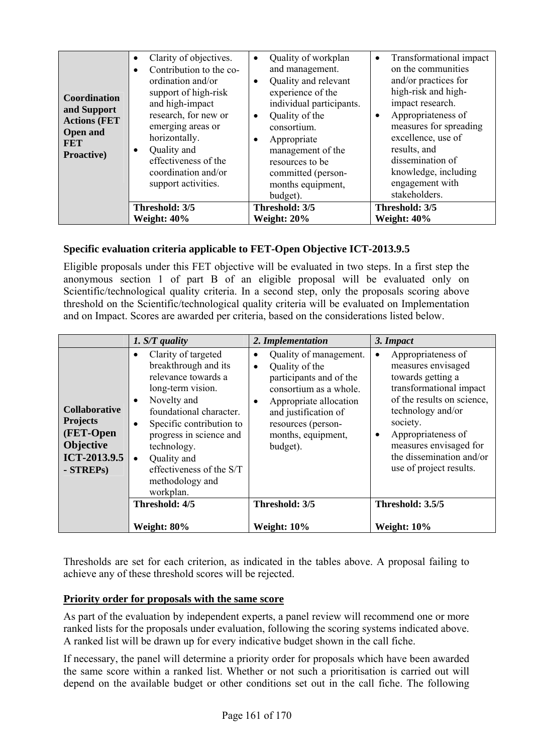| <b>Coordination</b><br>and Support<br><b>Actions (FET)</b><br><b>Open and</b><br><b>FET</b><br><b>Proactive</b> ) | Clarity of objectives.<br>$\bullet$<br>Contribution to the co-<br>$\bullet$<br>ordination and/or<br>support of high-risk<br>and high-impact<br>research, for new or<br>emerging areas or<br>horizontally.<br>Quality and<br>٠<br>effectiveness of the<br>coordination and/or<br>support activities. | Quality of workplan<br>$\bullet$<br>and management.<br>Quality and relevant<br>$\bullet$<br>experience of the<br>individual participants.<br>Quality of the<br>$\bullet$<br>consortium.<br>Appropriate<br>$\bullet$<br>management of the<br>resources to be<br>committed (person-<br>months equipment,<br>budget). | Transformational impact<br>$\bullet$<br>on the communities<br>and/or practices for<br>high-risk and high-<br>impact research.<br>Appropriateness of<br>$\bullet$<br>measures for spreading<br>excellence, use of<br>results, and<br>dissemination of<br>knowledge, including<br>engagement with<br>stakeholders. |
|-------------------------------------------------------------------------------------------------------------------|-----------------------------------------------------------------------------------------------------------------------------------------------------------------------------------------------------------------------------------------------------------------------------------------------------|--------------------------------------------------------------------------------------------------------------------------------------------------------------------------------------------------------------------------------------------------------------------------------------------------------------------|------------------------------------------------------------------------------------------------------------------------------------------------------------------------------------------------------------------------------------------------------------------------------------------------------------------|
|                                                                                                                   | Threshold: 3/5                                                                                                                                                                                                                                                                                      | Threshold: 3/5                                                                                                                                                                                                                                                                                                     | Threshold: 3/5                                                                                                                                                                                                                                                                                                   |
|                                                                                                                   | Weight: 40%                                                                                                                                                                                                                                                                                         | Weight: 20%                                                                                                                                                                                                                                                                                                        | Weight: 40%                                                                                                                                                                                                                                                                                                      |

## **Specific evaluation criteria applicable to FET-Open Objective ICT-2013.9.5**

Eligible proposals under this FET objective will be evaluated in two steps. In a first step the anonymous section 1 of part B of an eligible proposal will be evaluated only on Scientific/technological quality criteria. In a second step, only the proposals scoring above threshold on the Scientific/technological quality criteria will be evaluated on Implementation and on Impact. Scores are awarded per criteria, based on the considerations listed below.

|                                                                                                              | 1. $S/T$ quality                                                                                                                                                                                                                                                                                                          | 2. Implementation                                                                                                                                                                                                                              | 3. Impact                                                                                                                                                                                                                                                                                |
|--------------------------------------------------------------------------------------------------------------|---------------------------------------------------------------------------------------------------------------------------------------------------------------------------------------------------------------------------------------------------------------------------------------------------------------------------|------------------------------------------------------------------------------------------------------------------------------------------------------------------------------------------------------------------------------------------------|------------------------------------------------------------------------------------------------------------------------------------------------------------------------------------------------------------------------------------------------------------------------------------------|
| <b>Collaborative</b><br><b>Projects</b><br>(FET-Open<br><b>Objective</b><br><b>ICT-2013.9.5</b><br>- STREPs) | Clarity of targeted<br>$\bullet$<br>breakthrough and its<br>relevance towards a<br>long-term vision.<br>Novelty and<br>$\bullet$<br>foundational character.<br>Specific contribution to<br>progress in science and<br>technology.<br>Quality and<br>$\bullet$<br>effectiveness of the S/T<br>methodology and<br>workplan. | Quality of management.<br>$\bullet$<br>Quality of the<br>$\bullet$<br>participants and of the<br>consortium as a whole.<br>Appropriate allocation<br>$\bullet$<br>and justification of<br>resources (person-<br>months, equipment,<br>budget). | Appropriateness of<br>$\bullet$<br>measures envisaged<br>towards getting a<br>transformational impact<br>of the results on science,<br>technology and/or<br>society.<br>Appropriateness of<br>$\bullet$<br>measures envisaged for<br>the dissemination and/or<br>use of project results. |
|                                                                                                              | Threshold: 4/5                                                                                                                                                                                                                                                                                                            | Threshold: 3/5                                                                                                                                                                                                                                 | Threshold: 3.5/5                                                                                                                                                                                                                                                                         |
|                                                                                                              | Weight: 80%                                                                                                                                                                                                                                                                                                               | Weight: 10%                                                                                                                                                                                                                                    | Weight: 10%                                                                                                                                                                                                                                                                              |

Thresholds are set for each criterion, as indicated in the tables above. A proposal failing to achieve any of these threshold scores will be rejected.

#### **Priority order for proposals with the same score**

As part of the evaluation by independent experts, a panel review will recommend one or more ranked lists for the proposals under evaluation, following the scoring systems indicated above. A ranked list will be drawn up for every indicative budget shown in the call fiche.

If necessary, the panel will determine a priority order for proposals which have been awarded the same score within a ranked list. Whether or not such a prioritisation is carried out will depend on the available budget or other conditions set out in the call fiche. The following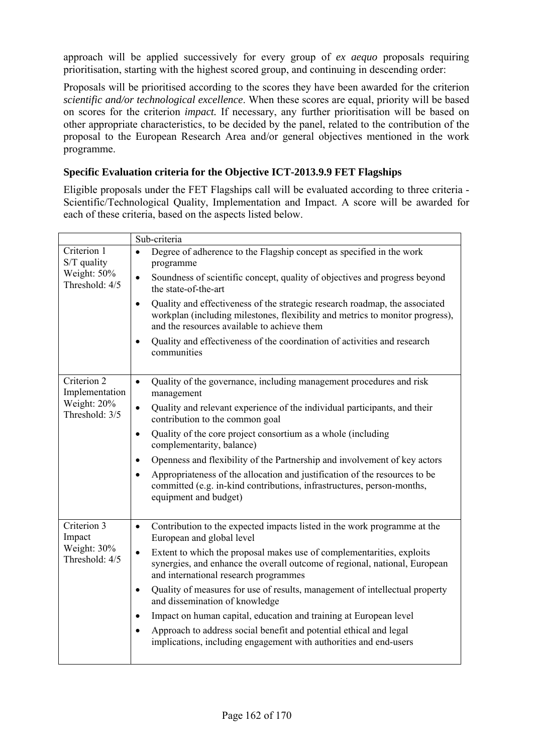approach will be applied successively for every group of *ex aequo* proposals requiring prioritisation, starting with the highest scored group, and continuing in descending order:

Proposals will be prioritised according to the scores they have been awarded for the criterion *scientific and/or technological excellence*. When these scores are equal, priority will be based on scores for the criterion *impact.* If necessary, any further prioritisation will be based on other appropriate characteristics, to be decided by the panel, related to the contribution of the proposal to the European Research Area and/or general objectives mentioned in the work programme.

## **Specific Evaluation criteria for the Objective ICT-2013.9.9 FET Flagships**

Eligible proposals under the FET Flagships call will be evaluated according to three criteria - Scientific/Technological Quality, Implementation and Impact. A score will be awarded for each of these criteria, based on the aspects listed below.

|                                                                | Sub-criteria                                                                                                                                                                                                             |  |
|----------------------------------------------------------------|--------------------------------------------------------------------------------------------------------------------------------------------------------------------------------------------------------------------------|--|
| Criterion 1<br>$S/T$ quality<br>Weight: 50%<br>Threshold: 4/5  | Degree of adherence to the Flagship concept as specified in the work<br>$\bullet$<br>programme                                                                                                                           |  |
|                                                                | Soundness of scientific concept, quality of objectives and progress beyond<br>$\bullet$<br>the state-of-the-art                                                                                                          |  |
|                                                                | Quality and effectiveness of the strategic research roadmap, the associated<br>$\bullet$<br>workplan (including milestones, flexibility and metrics to monitor progress),<br>and the resources available to achieve them |  |
|                                                                | Quality and effectiveness of the coordination of activities and research<br>$\bullet$<br>communities                                                                                                                     |  |
| Criterion 2<br>Implementation<br>Weight: 20%<br>Threshold: 3/5 | Quality of the governance, including management procedures and risk<br>$\bullet$<br>management                                                                                                                           |  |
|                                                                | Quality and relevant experience of the individual participants, and their<br>$\bullet$<br>contribution to the common goal                                                                                                |  |
|                                                                | Quality of the core project consortium as a whole (including<br>$\bullet$<br>complementarity, balance)                                                                                                                   |  |
|                                                                | Openness and flexibility of the Partnership and involvement of key actors<br>$\bullet$                                                                                                                                   |  |
|                                                                | Appropriateness of the allocation and justification of the resources to be<br>$\bullet$<br>committed (e.g. in-kind contributions, infrastructures, person-months,<br>equipment and budget)                               |  |
| Criterion 3<br>Impact<br>Weight: 30%<br>Threshold: 4/5         | Contribution to the expected impacts listed in the work programme at the<br>$\bullet$<br>European and global level                                                                                                       |  |
|                                                                | Extent to which the proposal makes use of complementarities, exploits<br>$\bullet$<br>synergies, and enhance the overall outcome of regional, national, European<br>and international research programmes                |  |
|                                                                | Quality of measures for use of results, management of intellectual property<br>$\bullet$<br>and dissemination of knowledge                                                                                               |  |
|                                                                | Impact on human capital, education and training at European level<br>$\bullet$                                                                                                                                           |  |
|                                                                | Approach to address social benefit and potential ethical and legal<br>$\bullet$<br>implications, including engagement with authorities and end-users                                                                     |  |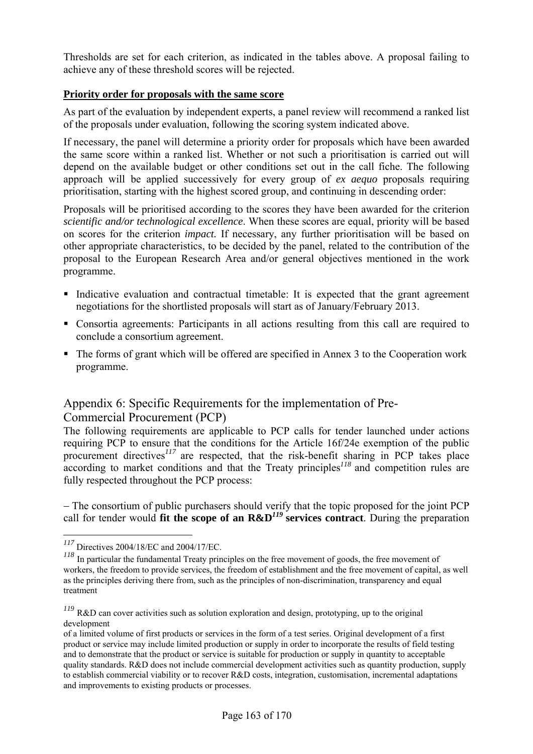Thresholds are set for each criterion, as indicated in the tables above. A proposal failing to achieve any of these threshold scores will be rejected.

#### **Priority order for proposals with the same score**

As part of the evaluation by independent experts, a panel review will recommend a ranked list of the proposals under evaluation, following the scoring system indicated above.

If necessary, the panel will determine a priority order for proposals which have been awarded the same score within a ranked list. Whether or not such a prioritisation is carried out will depend on the available budget or other conditions set out in the call fiche. The following approach will be applied successively for every group of *ex aequo* proposals requiring prioritisation, starting with the highest scored group, and continuing in descending order:

Proposals will be prioritised according to the scores they have been awarded for the criterion *scientific and/or technological excellence*. When these scores are equal, priority will be based on scores for the criterion *impact.* If necessary, any further prioritisation will be based on other appropriate characteristics, to be decided by the panel, related to the contribution of the proposal to the European Research Area and/or general objectives mentioned in the work programme.

- Indicative evaluation and contractual timetable: It is expected that the grant agreement negotiations for the shortlisted proposals will start as of January/February 2013.
- Consortia agreements: Participants in all actions resulting from this call are required to conclude a consortium agreement.
- The forms of grant which will be offered are specified in Annex 3 to the Cooperation work programme.

# Appendix 6: Specific Requirements for the implementation of Pre-Commercial Procurement (PCP)

The following requirements are applicable to PCP calls for tender launched under actions requiring PCP to ensure that the conditions for the Article 16f/24e exemption of the public procurement directives<sup>117</sup> are respected, that the risk-benefit sharing in PCP takes place according to market conditions and that the Treaty principles*<sup>118</sup>* and competition rules are fully respected throughout the PCP process:

− The consortium of public purchasers should verify that the topic proposed for the joint PCP call for tender would **fit the scope of an R&D**<sup> $119$ </sup> **services contract**. During the preparation

*<sup>117</sup>* Directives 2004/18/EC and 2004/17/EC.

<sup>&</sup>lt;sup>118</sup> In particular the fundamental Treaty principles on the free movement of goods, the free movement of workers, the freedom to provide services, the freedom of establishment and the free movement of capital, as well as the principles deriving there from, such as the principles of non-discrimination, transparency and equal treatment

*<sup>119</sup>* R&D can cover activities such as solution exploration and design, prototyping, up to the original development

of a limited volume of first products or services in the form of a test series. Original development of a first product or service may include limited production or supply in order to incorporate the results of field testing and to demonstrate that the product or service is suitable for production or supply in quantity to acceptable quality standards. R&D does not include commercial development activities such as quantity production, supply to establish commercial viability or to recover R&D costs, integration, customisation, incremental adaptations and improvements to existing products or processes.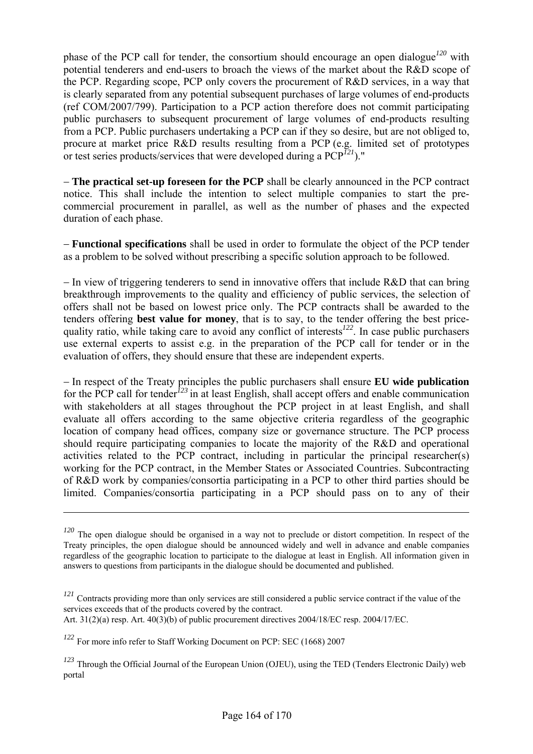phase of the PCP call for tender, the consortium should encourage an open dialogue*<sup>120</sup>* with potential tenderers and end-users to broach the views of the market about the R&D scope of the PCP. Regarding scope, PCP only covers the procurement of R&D services, in a way that is clearly separated from any potential subsequent purchases of large volumes of end-products (ref COM/2007/799). Participation to a PCP action therefore does not commit participating public purchasers to subsequent procurement of large volumes of end-products resulting from a PCP. Public purchasers undertaking a PCP can if they so desire, but are not obliged to, procure at market price R&D results resulting from a PCP (e.g. limited set of prototypes or test series products/services that were developed during a PCP*<sup>121</sup>*)."

− **The practical set-up foreseen for the PCP** shall be clearly announced in the PCP contract notice. This shall include the intention to select multiple companies to start the precommercial procurement in parallel, as well as the number of phases and the expected duration of each phase.

− **Functional specifications** shall be used in order to formulate the object of the PCP tender as a problem to be solved without prescribing a specific solution approach to be followed.

− In view of triggering tenderers to send in innovative offers that include R&D that can bring breakthrough improvements to the quality and efficiency of public services, the selection of offers shall not be based on lowest price only. The PCP contracts shall be awarded to the tenders offering **best value for money**, that is to say, to the tender offering the best pricequality ratio, while taking care to avoid any conflict of interests*<sup>122</sup>*. In case public purchasers use external experts to assist e.g. in the preparation of the PCP call for tender or in the evaluation of offers, they should ensure that these are independent experts.

− In respect of the Treaty principles the public purchasers shall ensure **EU wide publication**  for the PCP call for tender*<sup>123</sup>* in at least English, shall accept offers and enable communication with stakeholders at all stages throughout the PCP project in at least English, and shall evaluate all offers according to the same objective criteria regardless of the geographic location of company head offices, company size or governance structure. The PCP process should require participating companies to locate the majority of the R&D and operational activities related to the PCP contract, including in particular the principal researcher(s) working for the PCP contract, in the Member States or Associated Countries. Subcontracting of R&D work by companies/consortia participating in a PCP to other third parties should be limited. Companies/consortia participating in a PCP should pass on to any of their

<u>.</u>

*<sup>120</sup>* The open dialogue should be organised in a way not to preclude or distort competition. In respect of the Treaty principles, the open dialogue should be announced widely and well in advance and enable companies regardless of the geographic location to participate to the dialogue at least in English. All information given in answers to questions from participants in the dialogue should be documented and published.

*<sup>121</sup>* Contracts providing more than only services are still considered a public service contract if the value of the services exceeds that of the products covered by the contract. Art. 31(2)(a) resp. Art. 40(3)(b) of public procurement directives 2004/18/EC resp. 2004/17/EC.

*<sup>122</sup>* For more info refer to Staff Working Document on PCP: SEC (1668) 2007

*<sup>123</sup>* Through the Official Journal of the European Union (OJEU), using the TED (Tenders Electronic Daily) web portal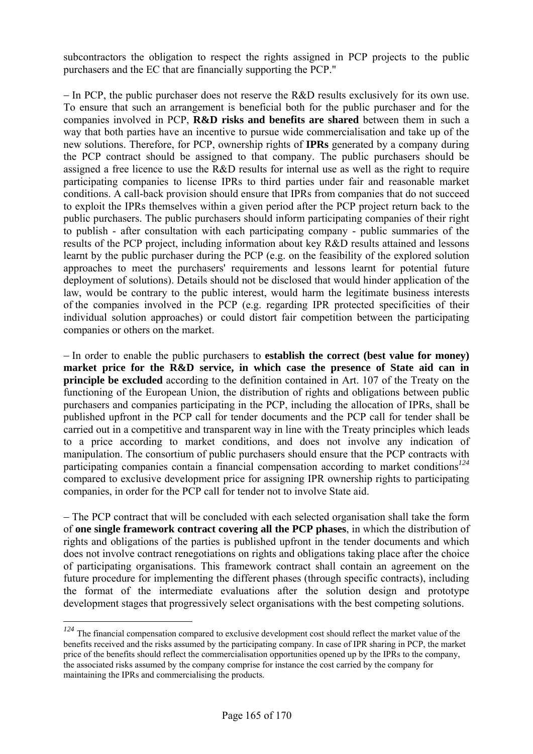subcontractors the obligation to respect the rights assigned in PCP projects to the public purchasers and the EC that are financially supporting the PCP."

− In PCP, the public purchaser does not reserve the R&D results exclusively for its own use. To ensure that such an arrangement is beneficial both for the public purchaser and for the companies involved in PCP, **R&D risks and benefits are shared** between them in such a way that both parties have an incentive to pursue wide commercialisation and take up of the new solutions. Therefore, for PCP, ownership rights of **IPRs** generated by a company during the PCP contract should be assigned to that company. The public purchasers should be assigned a free licence to use the R&D results for internal use as well as the right to require participating companies to license IPRs to third parties under fair and reasonable market conditions. A call-back provision should ensure that IPRs from companies that do not succeed to exploit the IPRs themselves within a given period after the PCP project return back to the public purchasers. The public purchasers should inform participating companies of their right to publish - after consultation with each participating company - public summaries of the results of the PCP project, including information about key R&D results attained and lessons learnt by the public purchaser during the PCP (e.g. on the feasibility of the explored solution approaches to meet the purchasers' requirements and lessons learnt for potential future deployment of solutions). Details should not be disclosed that would hinder application of the law, would be contrary to the public interest, would harm the legitimate business interests of the companies involved in the PCP (e.g. regarding IPR protected specificities of their individual solution approaches) or could distort fair competition between the participating companies or others on the market.

− In order to enable the public purchasers to **establish the correct (best value for money) market price for the R&D service, in which case the presence of State aid can in principle be excluded** according to the definition contained in Art. 107 of the Treaty on the functioning of the European Union, the distribution of rights and obligations between public purchasers and companies participating in the PCP, including the allocation of IPRs, shall be published upfront in the PCP call for tender documents and the PCP call for tender shall be carried out in a competitive and transparent way in line with the Treaty principles which leads to a price according to market conditions, and does not involve any indication of manipulation. The consortium of public purchasers should ensure that the PCP contracts with participating companies contain a financial compensation according to market conditions*<sup>124</sup>* compared to exclusive development price for assigning IPR ownership rights to participating companies, in order for the PCP call for tender not to involve State aid.

− The PCP contract that will be concluded with each selected organisation shall take the form of **one single framework contract covering all the PCP phases**, in which the distribution of rights and obligations of the parties is published upfront in the tender documents and which does not involve contract renegotiations on rights and obligations taking place after the choice of participating organisations. This framework contract shall contain an agreement on the future procedure for implementing the different phases (through specific contracts), including the format of the intermediate evaluations after the solution design and prototype development stages that progressively select organisations with the best competing solutions.

<sup>&</sup>lt;sup>124</sup> The financial compensation compared to exclusive development cost should reflect the market value of the benefits received and the risks assumed by the participating company. In case of IPR sharing in PCP, the market price of the benefits should reflect the commercialisation opportunities opened up by the IPRs to the company, the associated risks assumed by the company comprise for instance the cost carried by the company for maintaining the IPRs and commercialising the products.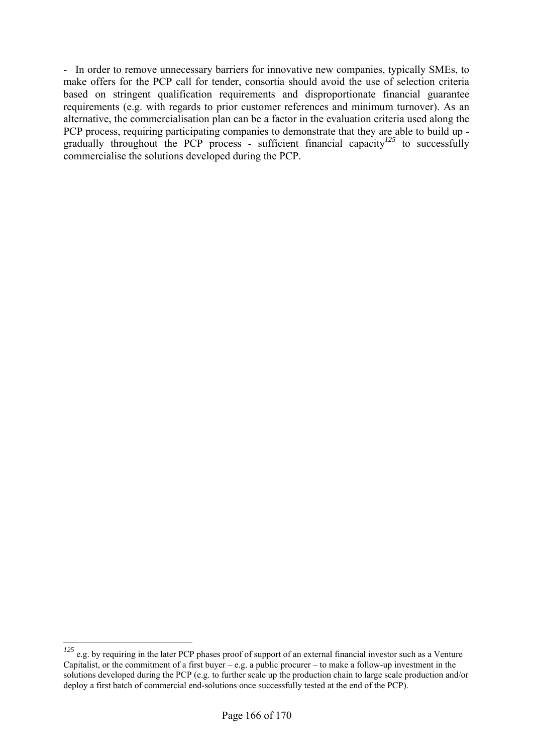- In order to remove unnecessary barriers for innovative new companies, typically SMEs, to make offers for the PCP call for tender, consortia should avoid the use of selection criteria based on stringent qualification requirements and disproportionate financial guarantee requirements (e.g. with regards to prior customer references and minimum turnover). As an alternative, the commercialisation plan can be a factor in the evaluation criteria used along the PCP process, requiring participating companies to demonstrate that they are able to build up gradually throughout the PCP process - sufficient financial capacity*<sup>125</sup>* to successfully commercialise the solutions developed during the PCP.

*<sup>125</sup>* e.g. by requiring in the later PCP phases proof of support of an external financial investor such as a Venture Capitalist, or the commitment of a first buyer – e.g. a public procurer – to make a follow-up investment in the solutions developed during the PCP (e.g. to further scale up the production chain to large scale production and/or deploy a first batch of commercial end-solutions once successfully tested at the end of the PCP).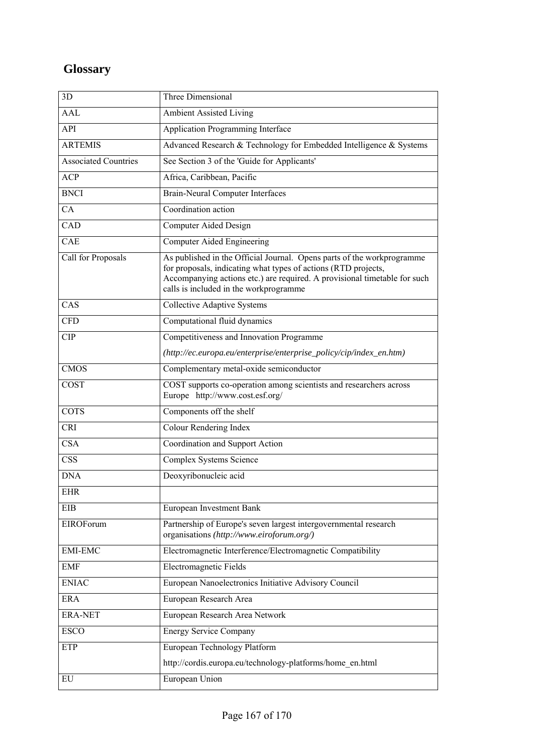# **Glossary**

| 3D                          | Three Dimensional                                                                                                                                                                                                                                               |
|-----------------------------|-----------------------------------------------------------------------------------------------------------------------------------------------------------------------------------------------------------------------------------------------------------------|
| AAL                         | <b>Ambient Assisted Living</b>                                                                                                                                                                                                                                  |
| API                         | Application Programming Interface                                                                                                                                                                                                                               |
| <b>ARTEMIS</b>              | Advanced Research & Technology for Embedded Intelligence & Systems                                                                                                                                                                                              |
| <b>Associated Countries</b> | See Section 3 of the 'Guide for Applicants'                                                                                                                                                                                                                     |
| <b>ACP</b>                  | Africa, Caribbean, Pacific                                                                                                                                                                                                                                      |
| <b>BNCI</b>                 | <b>Brain-Neural Computer Interfaces</b>                                                                                                                                                                                                                         |
| CA                          | Coordination action                                                                                                                                                                                                                                             |
| CAD                         | Computer Aided Design                                                                                                                                                                                                                                           |
| CAE                         | Computer Aided Engineering                                                                                                                                                                                                                                      |
| Call for Proposals          | As published in the Official Journal. Opens parts of the workprogramme<br>for proposals, indicating what types of actions (RTD projects,<br>Accompanying actions etc.) are required. A provisional timetable for such<br>calls is included in the workprogramme |
| CAS                         | <b>Collective Adaptive Systems</b>                                                                                                                                                                                                                              |
| <b>CFD</b>                  | Computational fluid dynamics                                                                                                                                                                                                                                    |
| <b>CIP</b>                  | Competitiveness and Innovation Programme                                                                                                                                                                                                                        |
|                             | (http://ec.europa.eu/enterprise/enterprise_policy/cip/index_en.htm)                                                                                                                                                                                             |
| <b>CMOS</b>                 | Complementary metal-oxide semiconductor                                                                                                                                                                                                                         |
| COST                        | COST supports co-operation among scientists and researchers across<br>Europe http://www.cost.esf.org/                                                                                                                                                           |
| <b>COTS</b>                 | Components off the shelf                                                                                                                                                                                                                                        |
| <b>CRI</b>                  | Colour Rendering Index                                                                                                                                                                                                                                          |
| <b>CSA</b>                  | Coordination and Support Action                                                                                                                                                                                                                                 |
| <b>CSS</b>                  | <b>Complex Systems Science</b>                                                                                                                                                                                                                                  |
| <b>DNA</b>                  | Deoxyribonucleic acid                                                                                                                                                                                                                                           |
| EHR                         |                                                                                                                                                                                                                                                                 |
| EIB                         | European Investment Bank                                                                                                                                                                                                                                        |
| EIROForum                   | Partnership of Europe's seven largest intergovernmental research<br>organisations (http://www.eiroforum.org/)                                                                                                                                                   |
| EMI-EMC                     | Electromagnetic Interference/Electromagnetic Compatibility                                                                                                                                                                                                      |
| <b>EMF</b>                  | Electromagnetic Fields                                                                                                                                                                                                                                          |
| <b>ENIAC</b>                | European Nanoelectronics Initiative Advisory Council                                                                                                                                                                                                            |
| <b>ERA</b>                  | European Research Area                                                                                                                                                                                                                                          |
| <b>ERA-NET</b>              | European Research Area Network                                                                                                                                                                                                                                  |
| <b>ESCO</b>                 | <b>Energy Service Company</b>                                                                                                                                                                                                                                   |
| ETP                         | European Technology Platform                                                                                                                                                                                                                                    |
|                             | http://cordis.europa.eu/technology-platforms/home en.html                                                                                                                                                                                                       |
| ${\rm EU}$                  | European Union                                                                                                                                                                                                                                                  |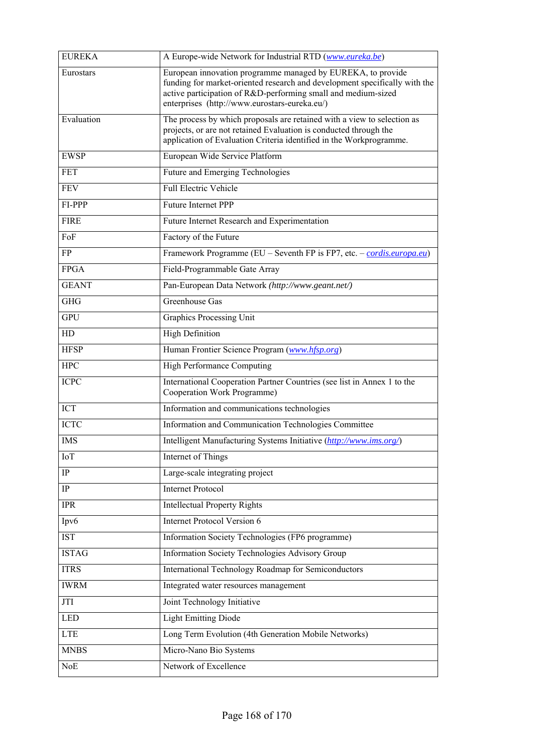| <b>EUREKA</b> | A Europe-wide Network for Industrial RTD (www.eureka.be)                                                                                                                                                                                                    |
|---------------|-------------------------------------------------------------------------------------------------------------------------------------------------------------------------------------------------------------------------------------------------------------|
| Eurostars     | European innovation programme managed by EUREKA, to provide<br>funding for market-oriented research and development specifically with the<br>active participation of R&D-performing small and medium-sized<br>enterprises (http://www.eurostars-eureka.eu/) |
| Evaluation    | The process by which proposals are retained with a view to selection as<br>projects, or are not retained Evaluation is conducted through the<br>application of Evaluation Criteria identified in the Workprogramme.                                         |
| <b>EWSP</b>   | European Wide Service Platform                                                                                                                                                                                                                              |
| <b>FET</b>    | Future and Emerging Technologies                                                                                                                                                                                                                            |
| <b>FEV</b>    | <b>Full Electric Vehicle</b>                                                                                                                                                                                                                                |
| FI-PPP        | <b>Future Internet PPP</b>                                                                                                                                                                                                                                  |
| <b>FIRE</b>   | Future Internet Research and Experimentation                                                                                                                                                                                                                |
| FoF           | Factory of the Future                                                                                                                                                                                                                                       |
| FP            | Framework Programme (EU – Seventh FP is FP7, etc. – cordis.europa.eu)                                                                                                                                                                                       |
| FPGA          | Field-Programmable Gate Array                                                                                                                                                                                                                               |
| <b>GEANT</b>  | Pan-European Data Network (http://www.geant.net/)                                                                                                                                                                                                           |
| GHG           | Greenhouse Gas                                                                                                                                                                                                                                              |
| <b>GPU</b>    | Graphics Processing Unit                                                                                                                                                                                                                                    |
| HD            | <b>High Definition</b>                                                                                                                                                                                                                                      |
| <b>HFSP</b>   | Human Frontier Science Program (www.hfsp.org)                                                                                                                                                                                                               |
| <b>HPC</b>    | High Performance Computing                                                                                                                                                                                                                                  |
| <b>ICPC</b>   | International Cooperation Partner Countries (see list in Annex 1 to the<br>Cooperation Work Programme)                                                                                                                                                      |
| ICT           | Information and communications technologies                                                                                                                                                                                                                 |
| <b>ICTC</b>   | Information and Communication Technologies Committee                                                                                                                                                                                                        |
| <b>IMS</b>    | Intelligent Manufacturing Systems Initiative (http://www.ims.org/)                                                                                                                                                                                          |
| IoT           | Internet of Things                                                                                                                                                                                                                                          |
| $_{\rm IP}$   | Large-scale integrating project                                                                                                                                                                                                                             |
| IP            | <b>Internet Protocol</b>                                                                                                                                                                                                                                    |
| <b>IPR</b>    | <b>Intellectual Property Rights</b>                                                                                                                                                                                                                         |
| Ipv6          | <b>Internet Protocol Version 6</b>                                                                                                                                                                                                                          |
| <b>IST</b>    | Information Society Technologies (FP6 programme)                                                                                                                                                                                                            |
| <b>ISTAG</b>  | Information Society Technologies Advisory Group                                                                                                                                                                                                             |
| <b>ITRS</b>   | International Technology Roadmap for Semiconductors                                                                                                                                                                                                         |
| <b>IWRM</b>   | Integrated water resources management                                                                                                                                                                                                                       |
| <b>JTI</b>    | Joint Technology Initiative                                                                                                                                                                                                                                 |
| <b>LED</b>    | <b>Light Emitting Diode</b>                                                                                                                                                                                                                                 |
| <b>LTE</b>    | Long Term Evolution (4th Generation Mobile Networks)                                                                                                                                                                                                        |
| <b>MNBS</b>   | Micro-Nano Bio Systems                                                                                                                                                                                                                                      |
| <b>NoE</b>    | Network of Excellence                                                                                                                                                                                                                                       |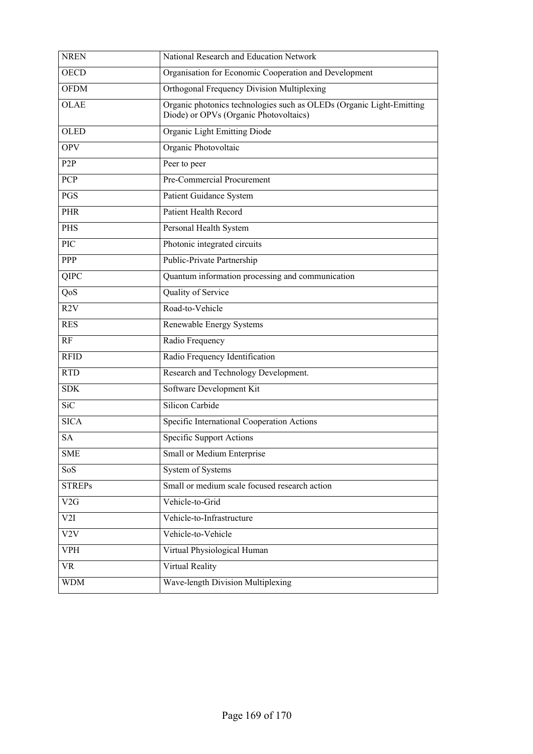| <b>NREN</b>      | National Research and Education Network                                                                        |
|------------------|----------------------------------------------------------------------------------------------------------------|
| <b>OECD</b>      | Organisation for Economic Cooperation and Development                                                          |
| <b>OFDM</b>      | Orthogonal Frequency Division Multiplexing                                                                     |
| <b>OLAE</b>      | Organic photonics technologies such as OLEDs (Organic Light-Emitting<br>Diode) or OPVs (Organic Photovoltaics) |
| <b>OLED</b>      | Organic Light Emitting Diode                                                                                   |
| <b>OPV</b>       | Organic Photovoltaic                                                                                           |
| P <sub>2</sub> P | Peer to peer                                                                                                   |
| <b>PCP</b>       | Pre-Commercial Procurement                                                                                     |
| PGS              | Patient Guidance System                                                                                        |
| <b>PHR</b>       | <b>Patient Health Record</b>                                                                                   |
| PHS              | Personal Health System                                                                                         |
| PIC              | Photonic integrated circuits                                                                                   |
| PPP              | Public-Private Partnership                                                                                     |
| QIPC             | Quantum information processing and communication                                                               |
| QoS              | Quality of Service                                                                                             |
| R2V              | Road-to-Vehicle                                                                                                |
| <b>RES</b>       | Renewable Energy Systems                                                                                       |
| RF               | Radio Frequency                                                                                                |
| <b>RFID</b>      | Radio Frequency Identification                                                                                 |
| <b>RTD</b>       | Research and Technology Development.                                                                           |
| <b>SDK</b>       | Software Development Kit                                                                                       |
| <b>SiC</b>       | <b>Silicon Carbide</b>                                                                                         |
| <b>SICA</b>      | Specific International Cooperation Actions                                                                     |
| <b>SA</b>        | <b>Specific Support Actions</b>                                                                                |
| SME              | Small or Medium Enterprise                                                                                     |
| SoS              | System of Systems                                                                                              |
| <b>STREPs</b>    | Small or medium scale focused research action                                                                  |
| V2G              | Vehicle-to-Grid                                                                                                |
| V2I              | Vehicle-to-Infrastructure                                                                                      |
| V2V              | Vehicle-to-Vehicle                                                                                             |
| <b>VPH</b>       | Virtual Physiological Human                                                                                    |
| <b>VR</b>        | Virtual Reality                                                                                                |
| <b>WDM</b>       | Wave-length Division Multiplexing                                                                              |